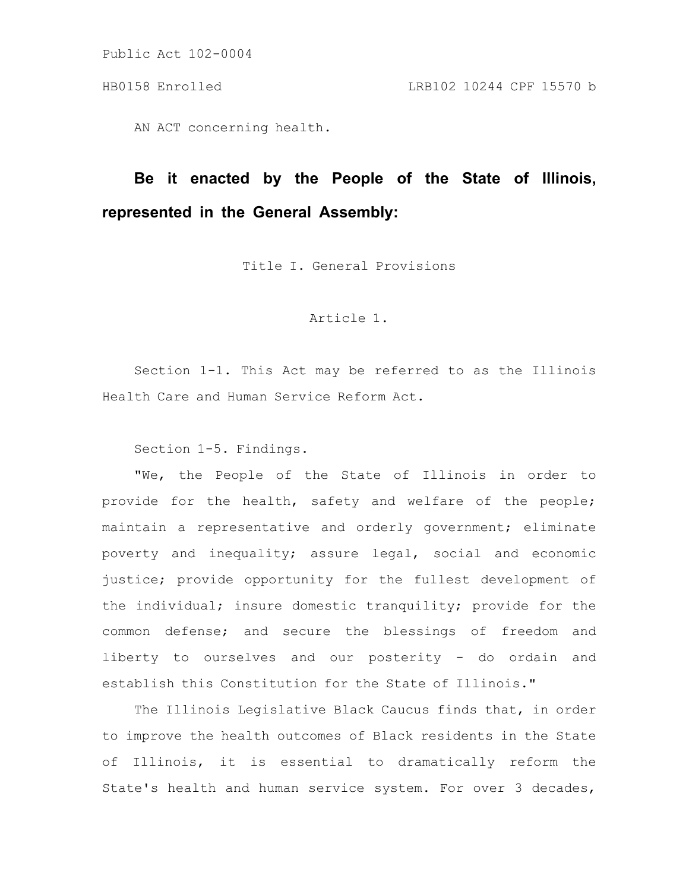AN ACT concerning health.

# **Be it enacted by the People of the State of Illinois, represented in the General Assembly:**

Title I. General Provisions

Article 1.

Section 1-1. This Act may be referred to as the Illinois Health Care and Human Service Reform Act.

Section 1-5. Findings.

"We, the People of the State of Illinois in order to provide for the health, safety and welfare of the people; maintain a representative and orderly government; eliminate poverty and inequality; assure legal, social and economic justice; provide opportunity for the fullest development of the individual; insure domestic tranquility; provide for the common defense; and secure the blessings of freedom and liberty to ourselves and our posterity - do ordain and establish this Constitution for the State of Illinois."

The Illinois Legislative Black Caucus finds that, in order to improve the health outcomes of Black residents in the State of Illinois, it is essential to dramatically reform the State's health and human service system. For over 3 decades,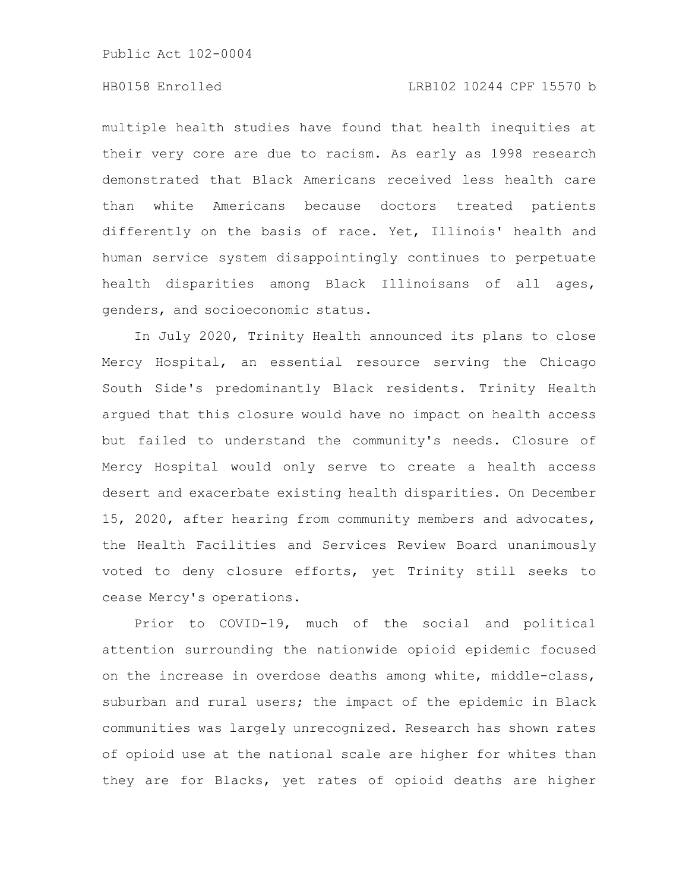# HB0158 Enrolled LRB102 10244 CPF 15570 b

multiple health studies have found that health inequities at their very core are due to racism. As early as 1998 research demonstrated that Black Americans received less health care than white Americans because doctors treated patients differently on the basis of race. Yet, Illinois' health and human service system disappointingly continues to perpetuate health disparities among Black Illinoisans of all ages, genders, and socioeconomic status.

In July 2020, Trinity Health announced its plans to close Mercy Hospital, an essential resource serving the Chicago South Side's predominantly Black residents. Trinity Health argued that this closure would have no impact on health access but failed to understand the community's needs. Closure of Mercy Hospital would only serve to create a health access desert and exacerbate existing health disparities. On December 15, 2020, after hearing from community members and advocates, the Health Facilities and Services Review Board unanimously voted to deny closure efforts, yet Trinity still seeks to cease Mercy's operations.

Prior to COVID-19, much of the social and political attention surrounding the nationwide opioid epidemic focused on the increase in overdose deaths among white, middle-class, suburban and rural users; the impact of the epidemic in Black communities was largely unrecognized. Research has shown rates of opioid use at the national scale are higher for whites than they are for Blacks, yet rates of opioid deaths are higher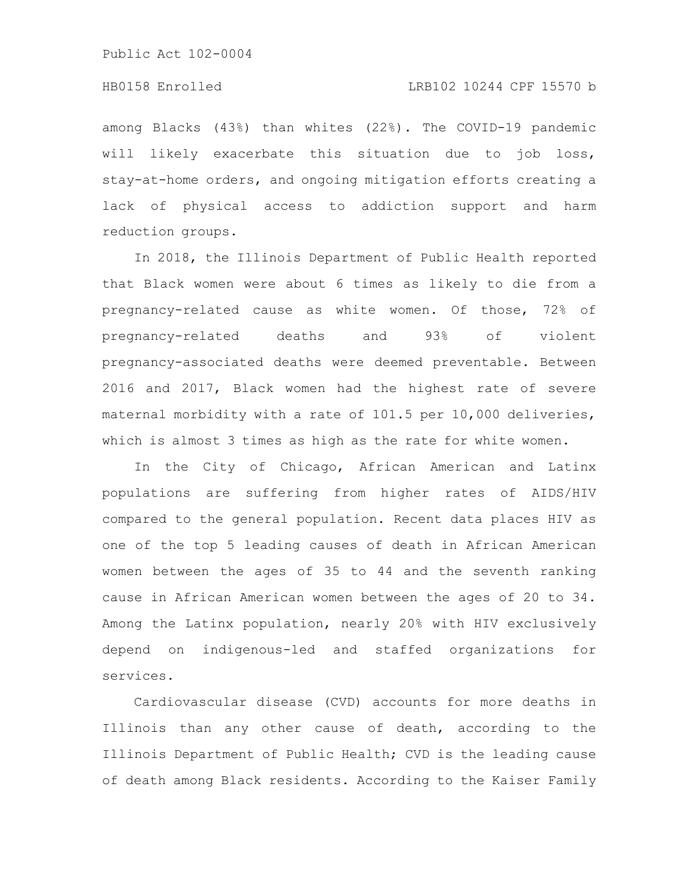### HB0158 Enrolled LRB102 10244 CPF 15570 b

among Blacks (43%) than whites (22%). The COVID-19 pandemic will likely exacerbate this situation due to job loss, stay-at-home orders, and ongoing mitigation efforts creating a lack of physical access to addiction support and harm reduction groups.

In 2018, the Illinois Department of Public Health reported that Black women were about 6 times as likely to die from a pregnancy-related cause as white women. Of those, 72% of pregnancy-related deaths and 93% of violent pregnancy-associated deaths were deemed preventable. Between 2016 and 2017, Black women had the highest rate of severe maternal morbidity with a rate of 101.5 per 10,000 deliveries, which is almost 3 times as high as the rate for white women.

In the City of Chicago, African American and Latinx populations are suffering from higher rates of AIDS/HIV compared to the general population. Recent data places HIV as one of the top 5 leading causes of death in African American women between the ages of 35 to 44 and the seventh ranking cause in African American women between the ages of 20 to 34. Among the Latinx population, nearly 20% with HIV exclusively depend on indigenous-led and staffed organizations for services.

Cardiovascular disease (CVD) accounts for more deaths in Illinois than any other cause of death, according to the Illinois Department of Public Health; CVD is the leading cause of death among Black residents. According to the Kaiser Family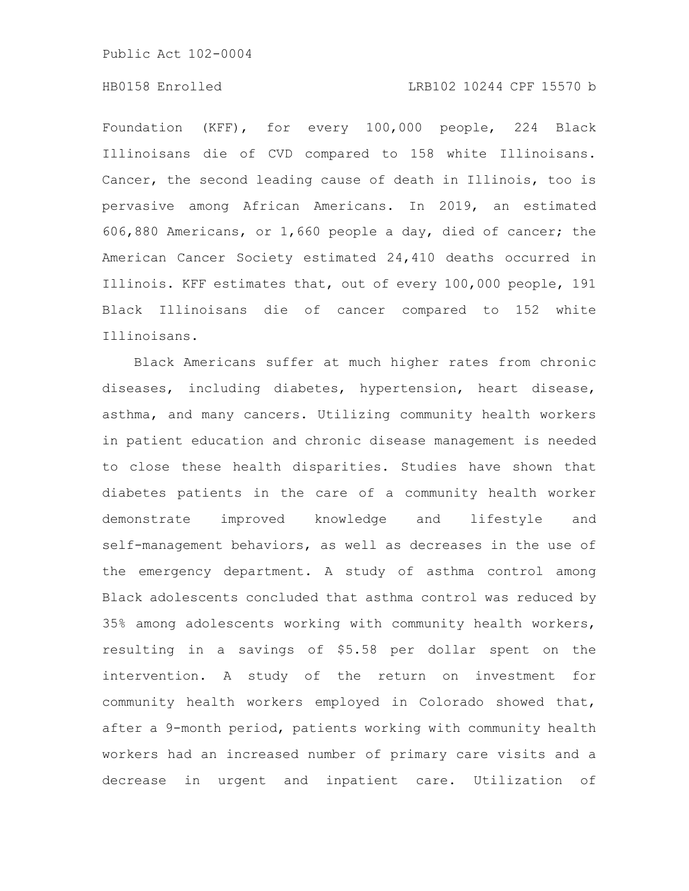# HB0158 Enrolled LRB102 10244 CPF 15570 b

Foundation (KFF), for every 100,000 people, 224 Black Illinoisans die of CVD compared to 158 white Illinoisans. Cancer, the second leading cause of death in Illinois, too is pervasive among African Americans. In 2019, an estimated 606,880 Americans, or 1,660 people a day, died of cancer; the American Cancer Society estimated 24,410 deaths occurred in Illinois. KFF estimates that, out of every 100,000 people, 191 Black Illinoisans die of cancer compared to 152 white Illinoisans.

Black Americans suffer at much higher rates from chronic diseases, including diabetes, hypertension, heart disease, asthma, and many cancers. Utilizing community health workers in patient education and chronic disease management is needed to close these health disparities. Studies have shown that diabetes patients in the care of a community health worker demonstrate improved knowledge and lifestyle and self-management behaviors, as well as decreases in the use of the emergency department. A study of asthma control among Black adolescents concluded that asthma control was reduced by 35% among adolescents working with community health workers, resulting in a savings of \$5.58 per dollar spent on the intervention. A study of the return on investment for community health workers employed in Colorado showed that, after a 9-month period, patients working with community health workers had an increased number of primary care visits and a decrease in urgent and inpatient care. Utilization of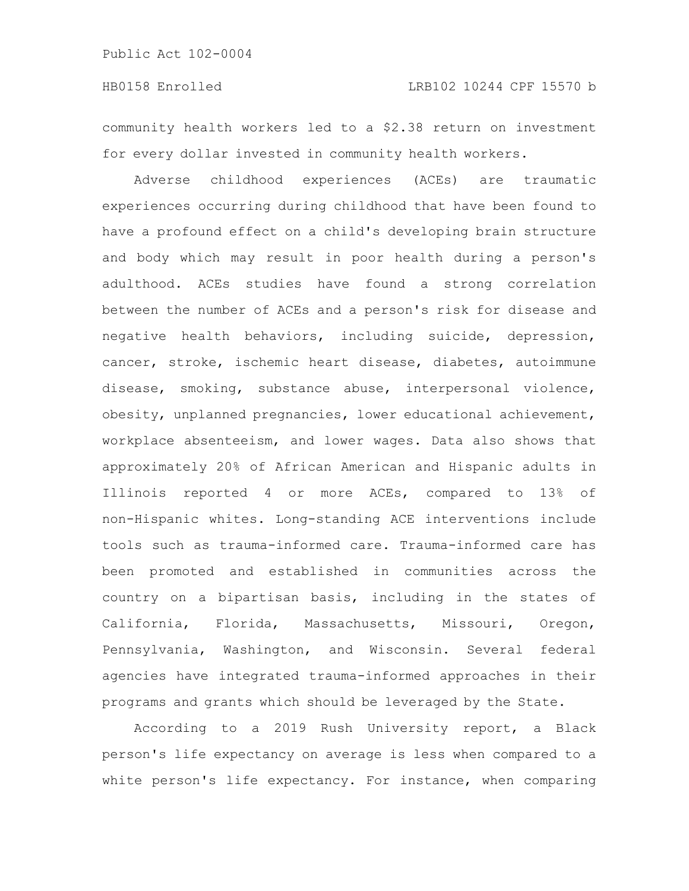# HB0158 Enrolled LRB102 10244 CPF 15570 b

community health workers led to a \$2.38 return on investment for every dollar invested in community health workers.

Adverse childhood experiences (ACEs) are traumatic experiences occurring during childhood that have been found to have a profound effect on a child's developing brain structure and body which may result in poor health during a person's adulthood. ACEs studies have found a strong correlation between the number of ACEs and a person's risk for disease and negative health behaviors, including suicide, depression, cancer, stroke, ischemic heart disease, diabetes, autoimmune disease, smoking, substance abuse, interpersonal violence, obesity, unplanned pregnancies, lower educational achievement, workplace absenteeism, and lower wages. Data also shows that approximately 20% of African American and Hispanic adults in Illinois reported 4 or more ACEs, compared to 13% of non-Hispanic whites. Long-standing ACE interventions include tools such as trauma-informed care. Trauma-informed care has been promoted and established in communities across the country on a bipartisan basis, including in the states of California, Florida, Massachusetts, Missouri, Oregon, Pennsylvania, Washington, and Wisconsin. Several federal agencies have integrated trauma-informed approaches in their programs and grants which should be leveraged by the State.

According to a 2019 Rush University report, a Black person's life expectancy on average is less when compared to a white person's life expectancy. For instance, when comparing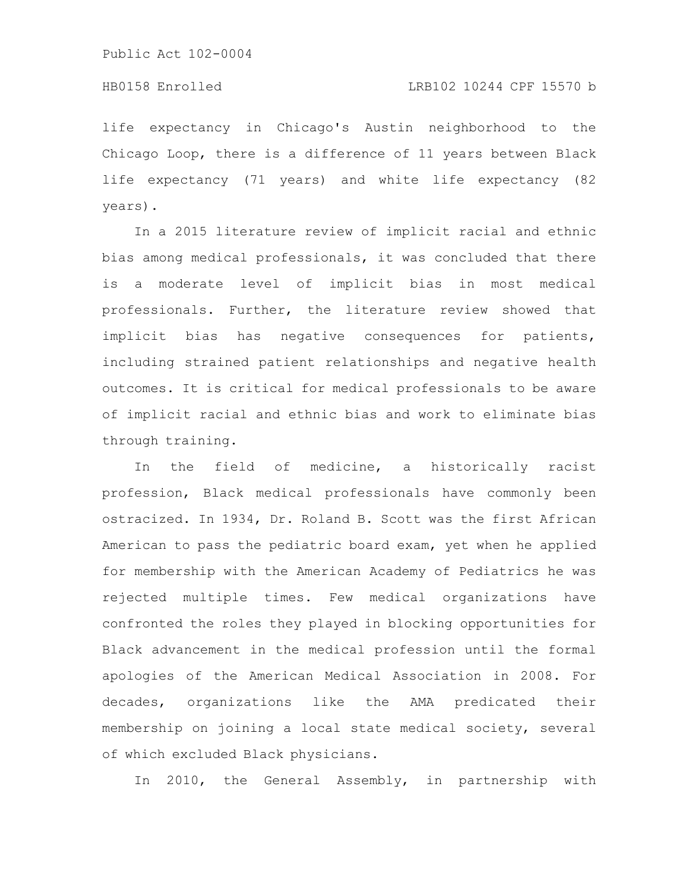# HB0158 Enrolled LRB102 10244 CPF 15570 b

life expectancy in Chicago's Austin neighborhood to the Chicago Loop, there is a difference of 11 years between Black life expectancy (71 years) and white life expectancy (82 years).

In a 2015 literature review of implicit racial and ethnic bias among medical professionals, it was concluded that there is a moderate level of implicit bias in most medical professionals. Further, the literature review showed that implicit bias has negative consequences for patients, including strained patient relationships and negative health outcomes. It is critical for medical professionals to be aware of implicit racial and ethnic bias and work to eliminate bias through training.

In the field of medicine, a historically racist profession, Black medical professionals have commonly been ostracized. In 1934, Dr. Roland B. Scott was the first African American to pass the pediatric board exam, yet when he applied for membership with the American Academy of Pediatrics he was rejected multiple times. Few medical organizations have confronted the roles they played in blocking opportunities for Black advancement in the medical profession until the formal apologies of the American Medical Association in 2008. For decades, organizations like the AMA predicated their membership on joining a local state medical society, several of which excluded Black physicians.

In 2010, the General Assembly, in partnership with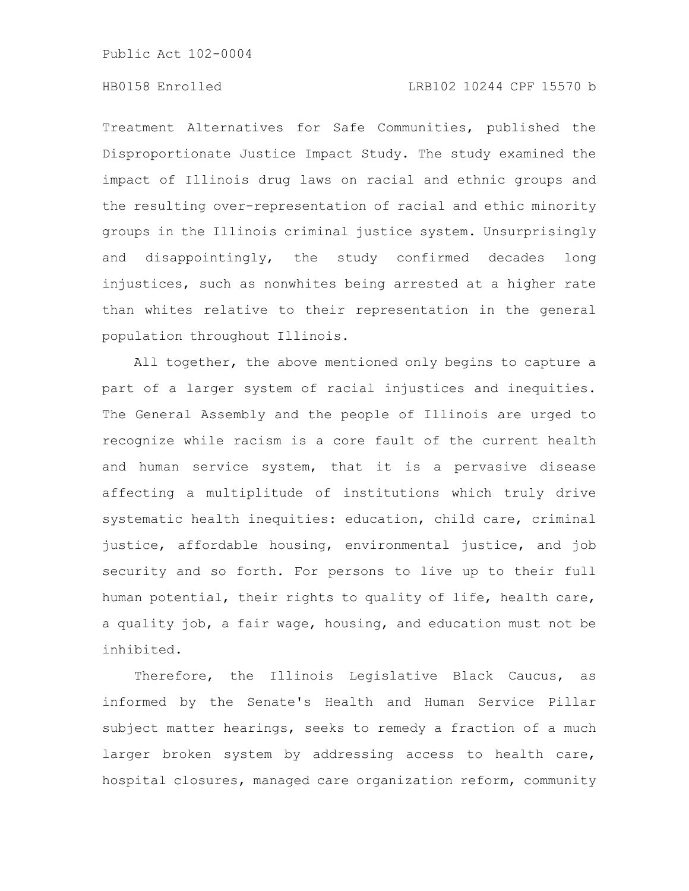# HB0158 Enrolled LRB102 10244 CPF 15570 b

Treatment Alternatives for Safe Communities, published the Disproportionate Justice Impact Study. The study examined the impact of Illinois drug laws on racial and ethnic groups and the resulting over-representation of racial and ethic minority groups in the Illinois criminal justice system. Unsurprisingly and disappointingly, the study confirmed decades long injustices, such as nonwhites being arrested at a higher rate than whites relative to their representation in the general population throughout Illinois.

All together, the above mentioned only begins to capture a part of a larger system of racial injustices and inequities. The General Assembly and the people of Illinois are urged to recognize while racism is a core fault of the current health and human service system, that it is a pervasive disease affecting a multiplitude of institutions which truly drive systematic health inequities: education, child care, criminal justice, affordable housing, environmental justice, and job security and so forth. For persons to live up to their full human potential, their rights to quality of life, health care, a quality job, a fair wage, housing, and education must not be inhibited.

Therefore, the Illinois Legislative Black Caucus, as informed by the Senate's Health and Human Service Pillar subject matter hearings, seeks to remedy a fraction of a much larger broken system by addressing access to health care, hospital closures, managed care organization reform, community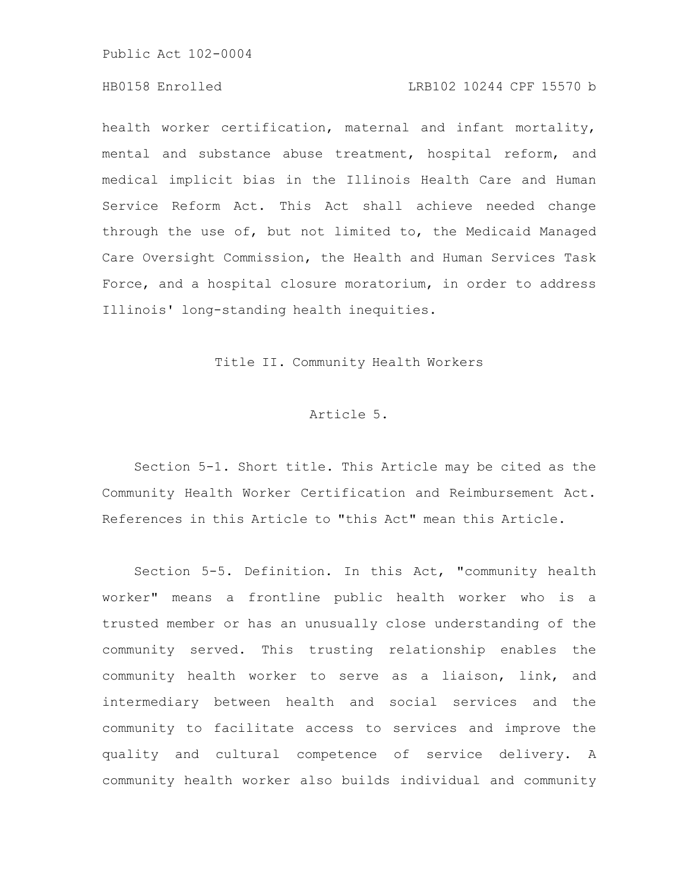# HB0158 Enrolled LRB102 10244 CPF 15570 b

health worker certification, maternal and infant mortality, mental and substance abuse treatment, hospital reform, and medical implicit bias in the Illinois Health Care and Human Service Reform Act. This Act shall achieve needed change through the use of, but not limited to, the Medicaid Managed Care Oversight Commission, the Health and Human Services Task Force, and a hospital closure moratorium, in order to address Illinois' long-standing health inequities.

#### Title II. Community Health Workers

# Article 5.

Section 5-1. Short title. This Article may be cited as the Community Health Worker Certification and Reimbursement Act. References in this Article to "this Act" mean this Article.

Section 5-5. Definition. In this Act, "community health worker" means a frontline public health worker who is a trusted member or has an unusually close understanding of the community served. This trusting relationship enables the community health worker to serve as a liaison, link, and intermediary between health and social services and the community to facilitate access to services and improve the quality and cultural competence of service delivery. A community health worker also builds individual and community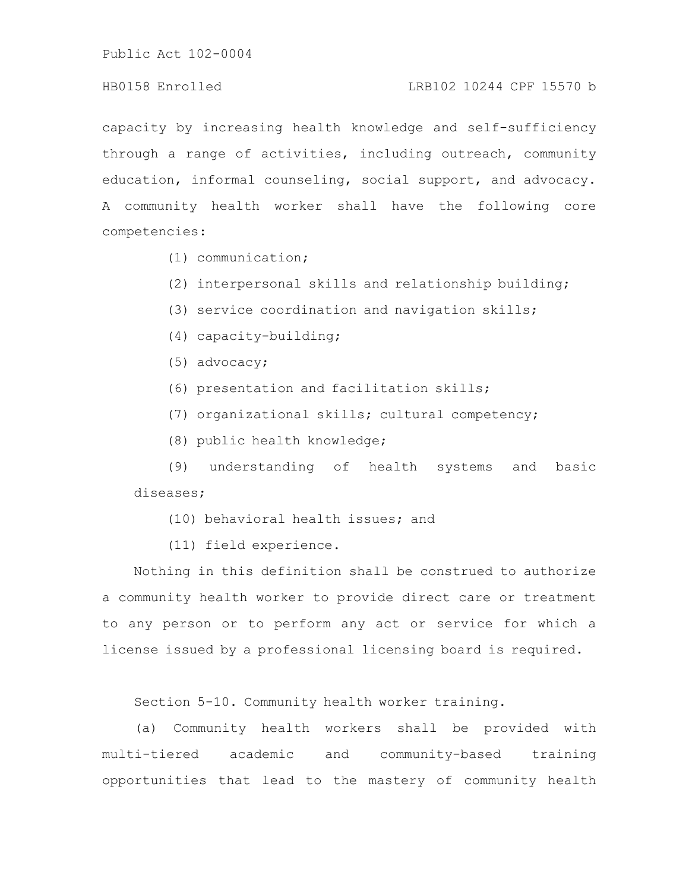# HB0158 Enrolled LRB102 10244 CPF 15570 b

capacity by increasing health knowledge and self-sufficiency through a range of activities, including outreach, community education, informal counseling, social support, and advocacy. A community health worker shall have the following core competencies:

- (1) communication;
- (2) interpersonal skills and relationship building;
- (3) service coordination and navigation skills;
- (4) capacity-building;
- (5) advocacy;
- (6) presentation and facilitation skills;
- (7) organizational skills; cultural competency;
- (8) public health knowledge;

(9) understanding of health systems and basic diseases;

- (10) behavioral health issues; and
- (11) field experience.

Nothing in this definition shall be construed to authorize a community health worker to provide direct care or treatment to any person or to perform any act or service for which a license issued by a professional licensing board is required.

Section 5-10. Community health worker training.

(a) Community health workers shall be provided with multi-tiered academic and community-based training opportunities that lead to the mastery of community health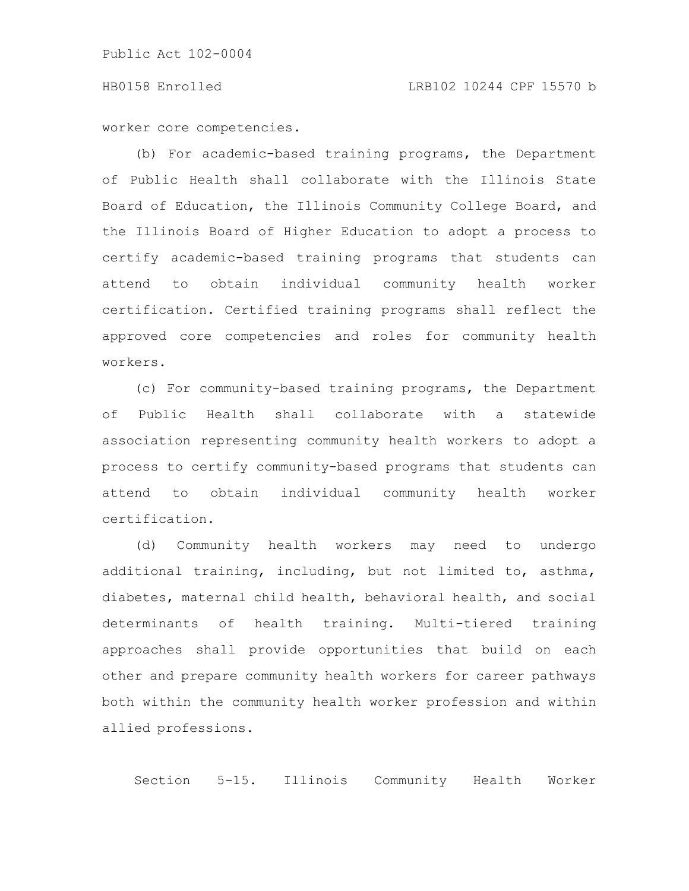#### HB0158 Enrolled LRB102 10244 CPF 15570 b

worker core competencies.

(b) For academic-based training programs, the Department of Public Health shall collaborate with the Illinois State Board of Education, the Illinois Community College Board, and the Illinois Board of Higher Education to adopt a process to certify academic-based training programs that students can attend to obtain individual community health worker certification. Certified training programs shall reflect the approved core competencies and roles for community health workers.

(c) For community-based training programs, the Department of Public Health shall collaborate with a statewide association representing community health workers to adopt a process to certify community-based programs that students can attend to obtain individual community health worker certification.

(d) Community health workers may need to undergo additional training, including, but not limited to, asthma, diabetes, maternal child health, behavioral health, and social determinants of health training. Multi-tiered training approaches shall provide opportunities that build on each other and prepare community health workers for career pathways both within the community health worker profession and within allied professions.

Section 5-15. Illinois Community Health Worker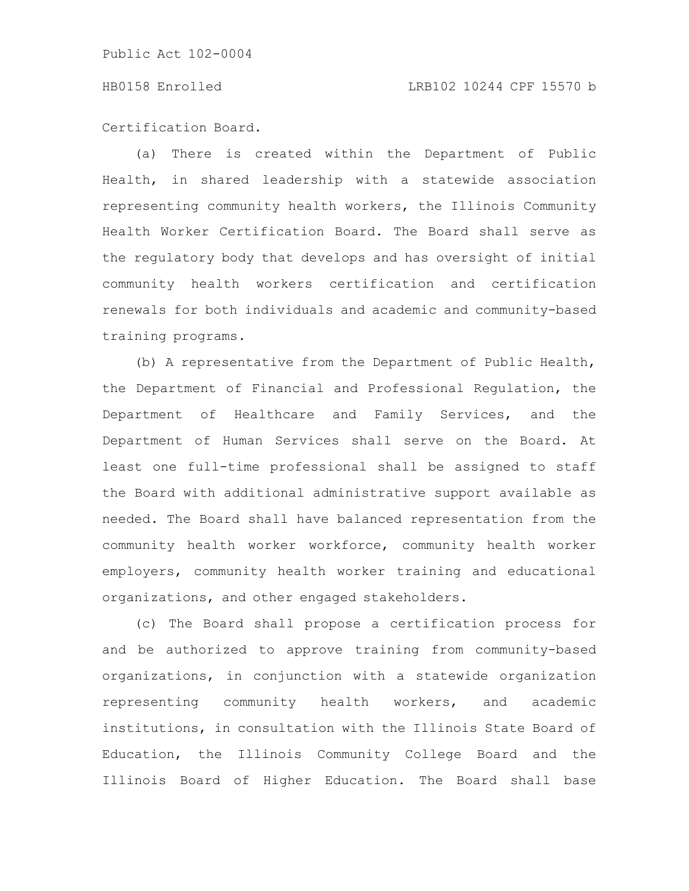### HB0158 Enrolled LRB102 10244 CPF 15570 b

Certification Board.

(a) There is created within the Department of Public Health, in shared leadership with a statewide association representing community health workers, the Illinois Community Health Worker Certification Board. The Board shall serve as the regulatory body that develops and has oversight of initial community health workers certification and certification renewals for both individuals and academic and community-based training programs.

(b) A representative from the Department of Public Health, the Department of Financial and Professional Regulation, the Department of Healthcare and Family Services, and the Department of Human Services shall serve on the Board. At least one full-time professional shall be assigned to staff the Board with additional administrative support available as needed. The Board shall have balanced representation from the community health worker workforce, community health worker employers, community health worker training and educational organizations, and other engaged stakeholders.

(c) The Board shall propose a certification process for and be authorized to approve training from community-based organizations, in conjunction with a statewide organization representing community health workers, and academic institutions, in consultation with the Illinois State Board of Education, the Illinois Community College Board and the Illinois Board of Higher Education. The Board shall base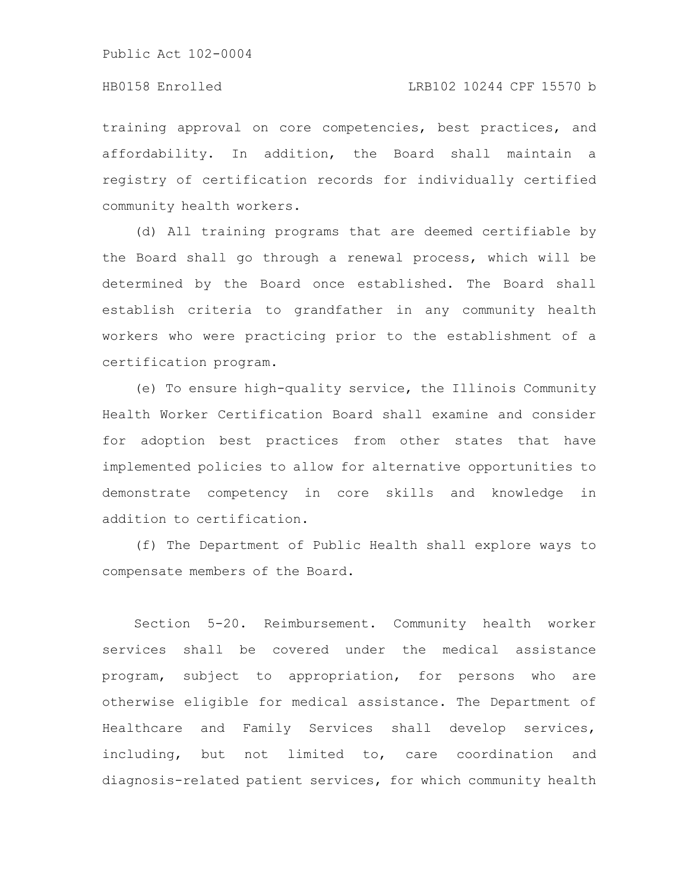training approval on core competencies, best practices, and affordability. In addition, the Board shall maintain a registry of certification records for individually certified community health workers.

(d) All training programs that are deemed certifiable by the Board shall go through a renewal process, which will be determined by the Board once established. The Board shall establish criteria to grandfather in any community health workers who were practicing prior to the establishment of a certification program.

(e) To ensure high-quality service, the Illinois Community Health Worker Certification Board shall examine and consider for adoption best practices from other states that have implemented policies to allow for alternative opportunities to demonstrate competency in core skills and knowledge in addition to certification.

(f) The Department of Public Health shall explore ways to compensate members of the Board.

Section 5-20. Reimbursement. Community health worker services shall be covered under the medical assistance program, subject to appropriation, for persons who are otherwise eligible for medical assistance. The Department of Healthcare and Family Services shall develop services, including, but not limited to, care coordination and diagnosis-related patient services, for which community health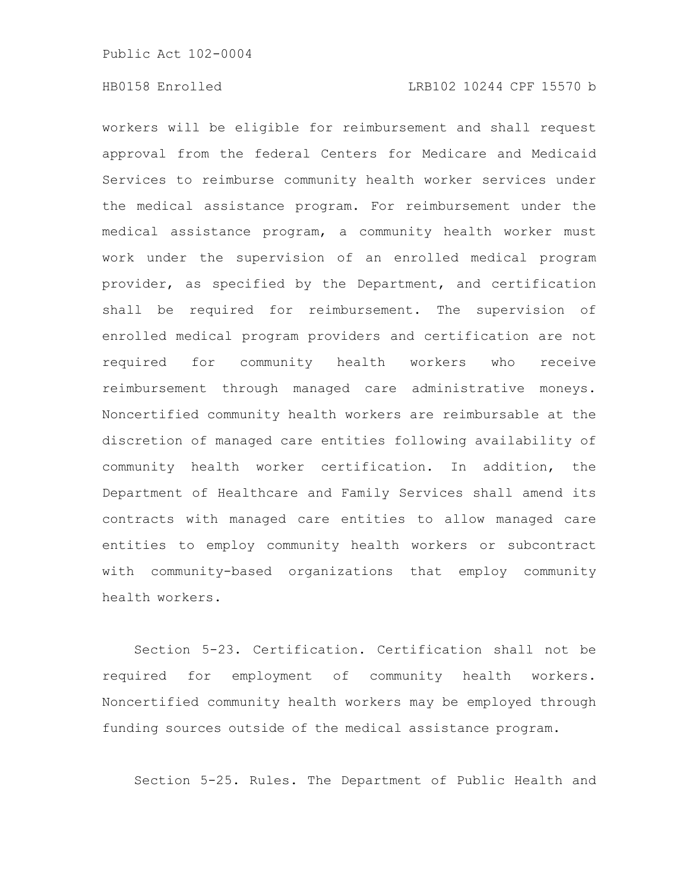# HB0158 Enrolled LRB102 10244 CPF 15570 b

workers will be eligible for reimbursement and shall request approval from the federal Centers for Medicare and Medicaid Services to reimburse community health worker services under the medical assistance program. For reimbursement under the medical assistance program, a community health worker must work under the supervision of an enrolled medical program provider, as specified by the Department, and certification shall be required for reimbursement. The supervision of enrolled medical program providers and certification are not required for community health workers who receive reimbursement through managed care administrative moneys. Noncertified community health workers are reimbursable at the discretion of managed care entities following availability of community health worker certification. In addition, the Department of Healthcare and Family Services shall amend its contracts with managed care entities to allow managed care entities to employ community health workers or subcontract with community-based organizations that employ community health workers.

Section 5-23. Certification. Certification shall not be required for employment of community health workers. Noncertified community health workers may be employed through funding sources outside of the medical assistance program.

Section 5-25. Rules. The Department of Public Health and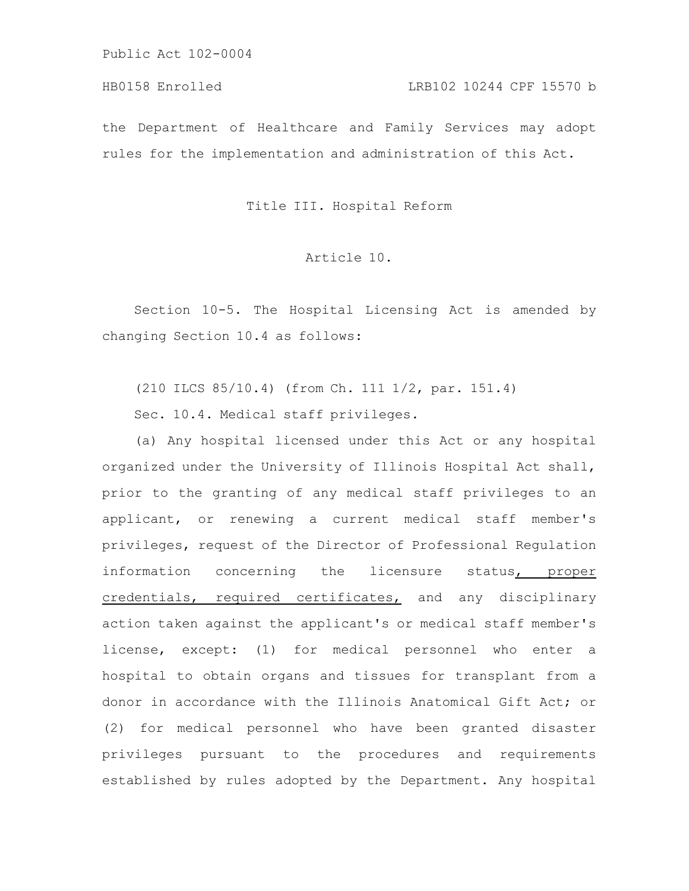the Department of Healthcare and Family Services may adopt rules for the implementation and administration of this Act.

Title III. Hospital Reform

# Article 10.

Section 10-5. The Hospital Licensing Act is amended by changing Section 10.4 as follows:

(210 ILCS 85/10.4) (from Ch. 111 1/2, par. 151.4)

Sec. 10.4. Medical staff privileges.

(a) Any hospital licensed under this Act or any hospital organized under the University of Illinois Hospital Act shall, prior to the granting of any medical staff privileges to an applicant, or renewing a current medical staff member's privileges, request of the Director of Professional Regulation information concerning the licensure status, proper credentials, required certificates, and any disciplinary action taken against the applicant's or medical staff member's license, except: (1) for medical personnel who enter a hospital to obtain organs and tissues for transplant from a donor in accordance with the Illinois Anatomical Gift Act; or (2) for medical personnel who have been granted disaster privileges pursuant to the procedures and requirements established by rules adopted by the Department. Any hospital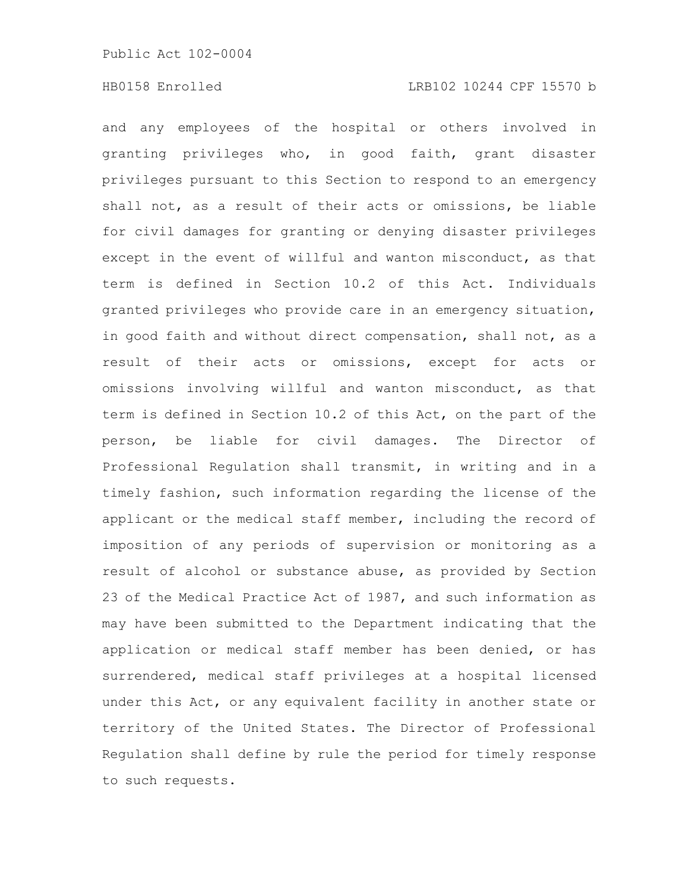and any employees of the hospital or others involved in granting privileges who, in good faith, grant disaster privileges pursuant to this Section to respond to an emergency shall not, as a result of their acts or omissions, be liable for civil damages for granting or denying disaster privileges except in the event of willful and wanton misconduct, as that term is defined in Section 10.2 of this Act. Individuals granted privileges who provide care in an emergency situation, in good faith and without direct compensation, shall not, as a result of their acts or omissions, except for acts or omissions involving willful and wanton misconduct, as that term is defined in Section 10.2 of this Act, on the part of the person, be liable for civil damages. The Director of Professional Regulation shall transmit, in writing and in a timely fashion, such information regarding the license of the applicant or the medical staff member, including the record of imposition of any periods of supervision or monitoring as a result of alcohol or substance abuse, as provided by Section 23 of the Medical Practice Act of 1987, and such information as may have been submitted to the Department indicating that the application or medical staff member has been denied, or has surrendered, medical staff privileges at a hospital licensed under this Act, or any equivalent facility in another state or territory of the United States. The Director of Professional Regulation shall define by rule the period for timely response to such requests.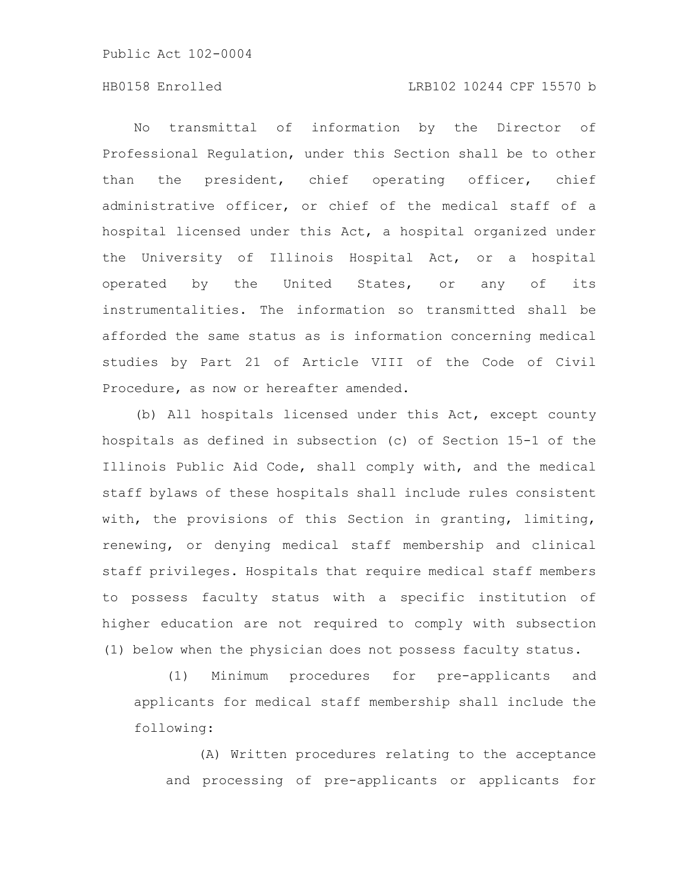### HB0158 Enrolled LRB102 10244 CPF 15570 b

No transmittal of information by the Director of Professional Regulation, under this Section shall be to other than the president, chief operating officer, chief administrative officer, or chief of the medical staff of a hospital licensed under this Act, a hospital organized under the University of Illinois Hospital Act, or a hospital operated by the United States, or any of its instrumentalities. The information so transmitted shall be afforded the same status as is information concerning medical studies by Part 21 of Article VIII of the Code of Civil Procedure, as now or hereafter amended.

(b) All hospitals licensed under this Act, except county hospitals as defined in subsection (c) of Section 15-1 of the Illinois Public Aid Code, shall comply with, and the medical staff bylaws of these hospitals shall include rules consistent with, the provisions of this Section in granting, limiting, renewing, or denying medical staff membership and clinical staff privileges. Hospitals that require medical staff members to possess faculty status with a specific institution of higher education are not required to comply with subsection (1) below when the physician does not possess faculty status.

(1) Minimum procedures for pre-applicants and applicants for medical staff membership shall include the following:

(A) Written procedures relating to the acceptance and processing of pre-applicants or applicants for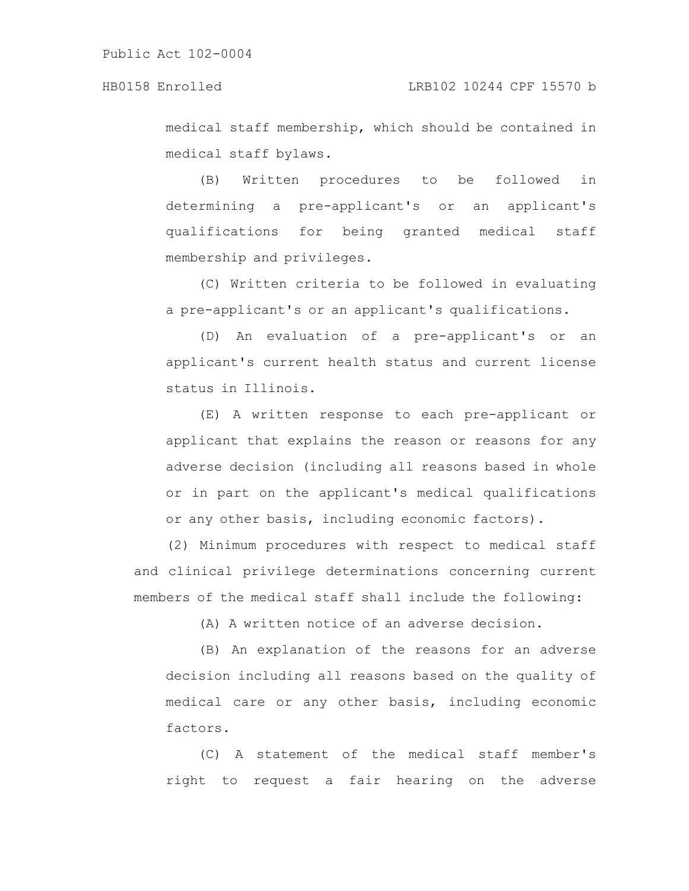medical staff membership, which should be contained in medical staff bylaws.

(B) Written procedures to be followed in determining a pre-applicant's or an applicant's qualifications for being granted medical staff membership and privileges.

(C) Written criteria to be followed in evaluating a pre-applicant's or an applicant's qualifications.

(D) An evaluation of a pre-applicant's or an applicant's current health status and current license status in Illinois.

(E) A written response to each pre-applicant or applicant that explains the reason or reasons for any adverse decision (including all reasons based in whole or in part on the applicant's medical qualifications or any other basis, including economic factors).

(2) Minimum procedures with respect to medical staff and clinical privilege determinations concerning current members of the medical staff shall include the following:

(A) A written notice of an adverse decision.

(B) An explanation of the reasons for an adverse decision including all reasons based on the quality of medical care or any other basis, including economic factors.

(C) A statement of the medical staff member's right to request a fair hearing on the adverse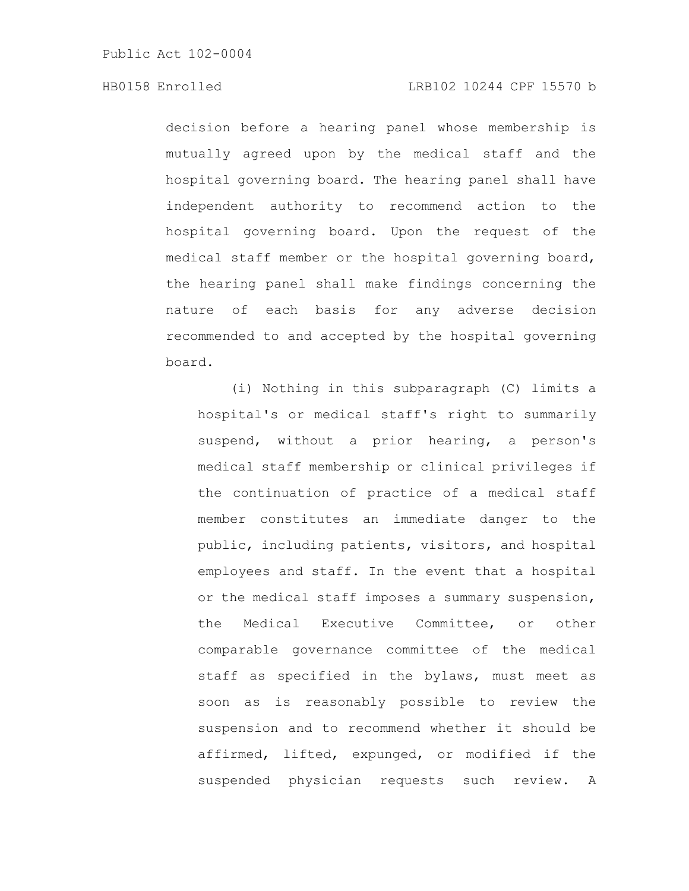# HB0158 Enrolled LRB102 10244 CPF 15570 b

decision before a hearing panel whose membership is mutually agreed upon by the medical staff and the hospital governing board. The hearing panel shall have independent authority to recommend action to the hospital governing board. Upon the request of the medical staff member or the hospital governing board, the hearing panel shall make findings concerning the nature of each basis for any adverse decision recommended to and accepted by the hospital governing board.

(i) Nothing in this subparagraph (C) limits a hospital's or medical staff's right to summarily suspend, without a prior hearing, a person's medical staff membership or clinical privileges if the continuation of practice of a medical staff member constitutes an immediate danger to the public, including patients, visitors, and hospital employees and staff. In the event that a hospital or the medical staff imposes a summary suspension, the Medical Executive Committee, or other comparable governance committee of the medical staff as specified in the bylaws, must meet as soon as is reasonably possible to review the suspension and to recommend whether it should be affirmed, lifted, expunged, or modified if the suspended physician requests such review. A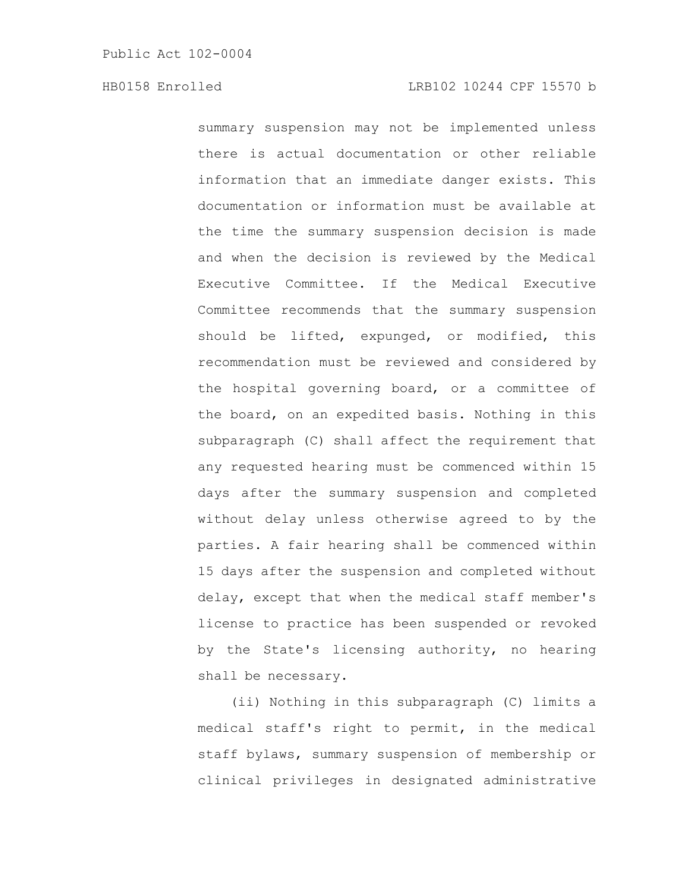summary suspension may not be implemented unless there is actual documentation or other reliable information that an immediate danger exists. This documentation or information must be available at the time the summary suspension decision is made and when the decision is reviewed by the Medical Executive Committee. If the Medical Executive Committee recommends that the summary suspension should be lifted, expunged, or modified, this recommendation must be reviewed and considered by the hospital governing board, or a committee of the board, on an expedited basis. Nothing in this subparagraph (C) shall affect the requirement that any requested hearing must be commenced within 15 days after the summary suspension and completed without delay unless otherwise agreed to by the parties. A fair hearing shall be commenced within 15 days after the suspension and completed without delay, except that when the medical staff member's license to practice has been suspended or revoked by the State's licensing authority, no hearing shall be necessary.

(ii) Nothing in this subparagraph (C) limits a medical staff's right to permit, in the medical staff bylaws, summary suspension of membership or clinical privileges in designated administrative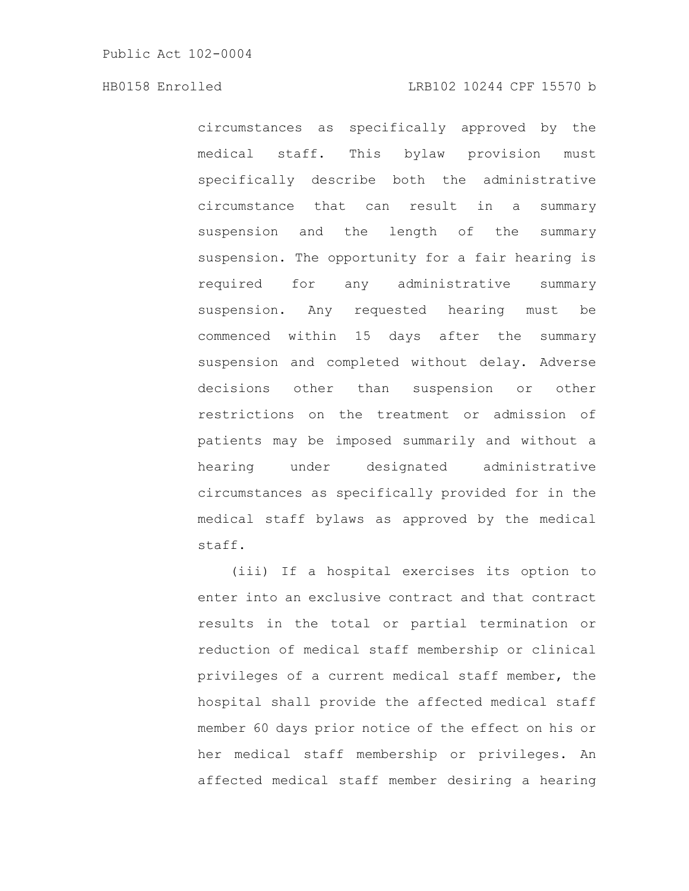HB0158 Enrolled LRB102 10244 CPF 15570 b

circumstances as specifically approved by the medical staff. This bylaw provision must specifically describe both the administrative circumstance that can result in a summary suspension and the length of the summary suspension. The opportunity for a fair hearing is required for any administrative summary suspension. Any requested hearing must be commenced within 15 days after the summary suspension and completed without delay. Adverse decisions other than suspension or other restrictions on the treatment or admission of patients may be imposed summarily and without a hearing under designated administrative circumstances as specifically provided for in the medical staff bylaws as approved by the medical staff.

(iii) If a hospital exercises its option to enter into an exclusive contract and that contract results in the total or partial termination or reduction of medical staff membership or clinical privileges of a current medical staff member, the hospital shall provide the affected medical staff member 60 days prior notice of the effect on his or her medical staff membership or privileges. An affected medical staff member desiring a hearing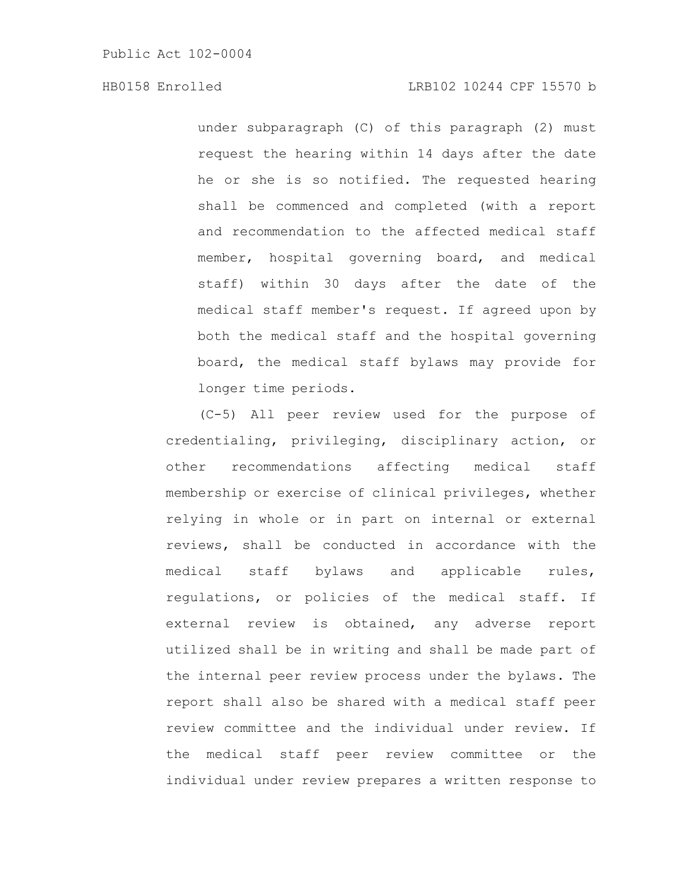# HB0158 Enrolled LRB102 10244 CPF 15570 b

under subparagraph (C) of this paragraph (2) must request the hearing within 14 days after the date he or she is so notified. The requested hearing shall be commenced and completed (with a report and recommendation to the affected medical staff member, hospital governing board, and medical staff) within 30 days after the date of the medical staff member's request. If agreed upon by both the medical staff and the hospital governing board, the medical staff bylaws may provide for longer time periods.

(C-5) All peer review used for the purpose of credentialing, privileging, disciplinary action, or other recommendations affecting medical staff membership or exercise of clinical privileges, whether relying in whole or in part on internal or external reviews, shall be conducted in accordance with the medical staff bylaws and applicable rules, regulations, or policies of the medical staff. If external review is obtained, any adverse report utilized shall be in writing and shall be made part of the internal peer review process under the bylaws. The report shall also be shared with a medical staff peer review committee and the individual under review. If the medical staff peer review committee or the individual under review prepares a written response to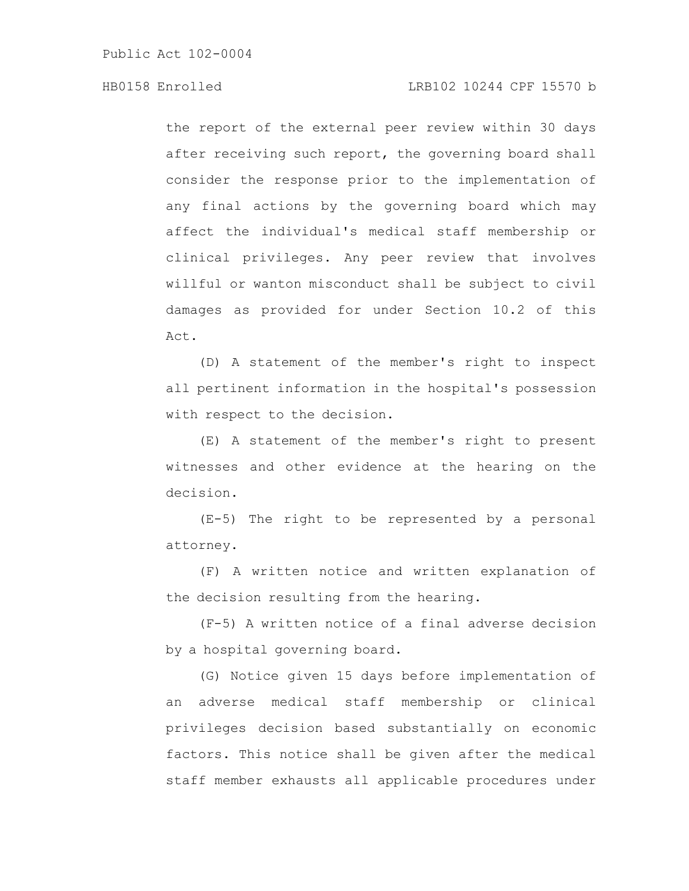# HB0158 Enrolled LRB102 10244 CPF 15570 b

the report of the external peer review within 30 days after receiving such report, the governing board shall consider the response prior to the implementation of any final actions by the governing board which may affect the individual's medical staff membership or clinical privileges. Any peer review that involves willful or wanton misconduct shall be subject to civil damages as provided for under Section 10.2 of this Act.

(D) A statement of the member's right to inspect all pertinent information in the hospital's possession with respect to the decision.

(E) A statement of the member's right to present witnesses and other evidence at the hearing on the decision.

(E-5) The right to be represented by a personal attorney.

(F) A written notice and written explanation of the decision resulting from the hearing.

(F-5) A written notice of a final adverse decision by a hospital governing board.

(G) Notice given 15 days before implementation of an adverse medical staff membership or clinical privileges decision based substantially on economic factors. This notice shall be given after the medical staff member exhausts all applicable procedures under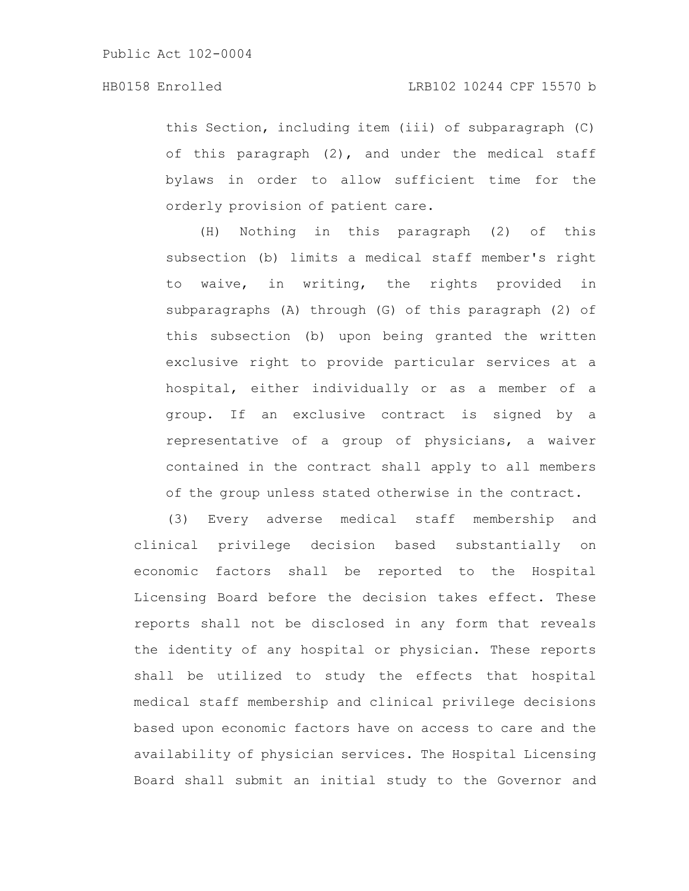this Section, including item (iii) of subparagraph (C) of this paragraph (2), and under the medical staff bylaws in order to allow sufficient time for the orderly provision of patient care.

(H) Nothing in this paragraph (2) of this subsection (b) limits a medical staff member's right to waive, in writing, the rights provided in subparagraphs (A) through (G) of this paragraph (2) of this subsection (b) upon being granted the written exclusive right to provide particular services at a hospital, either individually or as a member of a group. If an exclusive contract is signed by a representative of a group of physicians, a waiver contained in the contract shall apply to all members of the group unless stated otherwise in the contract.

(3) Every adverse medical staff membership and clinical privilege decision based substantially on economic factors shall be reported to the Hospital Licensing Board before the decision takes effect. These reports shall not be disclosed in any form that reveals the identity of any hospital or physician. These reports shall be utilized to study the effects that hospital medical staff membership and clinical privilege decisions based upon economic factors have on access to care and the availability of physician services. The Hospital Licensing Board shall submit an initial study to the Governor and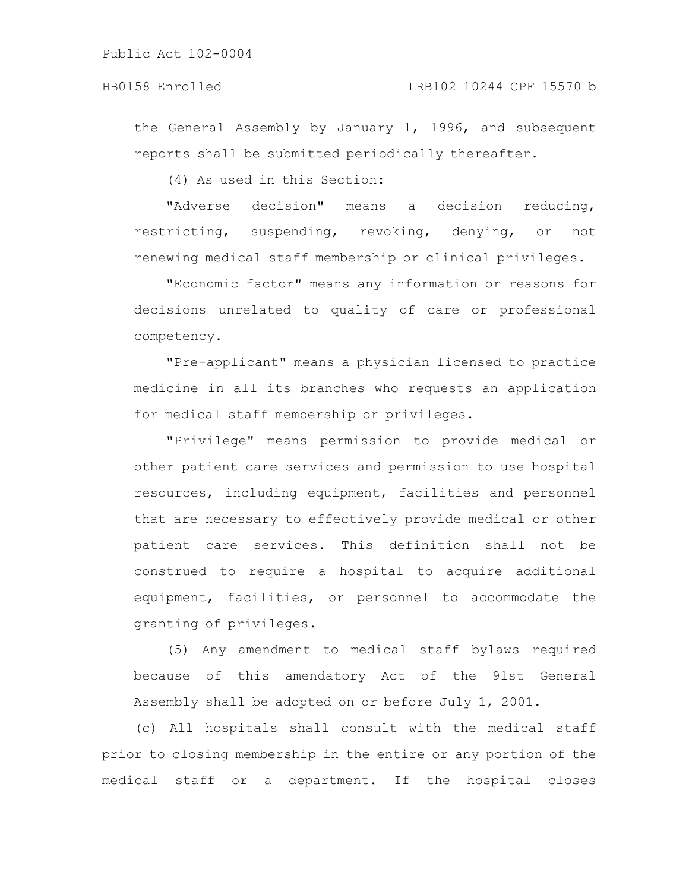the General Assembly by January 1, 1996, and subsequent reports shall be submitted periodically thereafter.

(4) As used in this Section:

"Adverse decision" means a decision reducing, restricting, suspending, revoking, denying, or not renewing medical staff membership or clinical privileges.

"Economic factor" means any information or reasons for decisions unrelated to quality of care or professional competency.

"Pre-applicant" means a physician licensed to practice medicine in all its branches who requests an application for medical staff membership or privileges.

"Privilege" means permission to provide medical or other patient care services and permission to use hospital resources, including equipment, facilities and personnel that are necessary to effectively provide medical or other patient care services. This definition shall not be construed to require a hospital to acquire additional equipment, facilities, or personnel to accommodate the granting of privileges.

(5) Any amendment to medical staff bylaws required because of this amendatory Act of the 91st General Assembly shall be adopted on or before July 1, 2001.

(c) All hospitals shall consult with the medical staff prior to closing membership in the entire or any portion of the medical staff or a department. If the hospital closes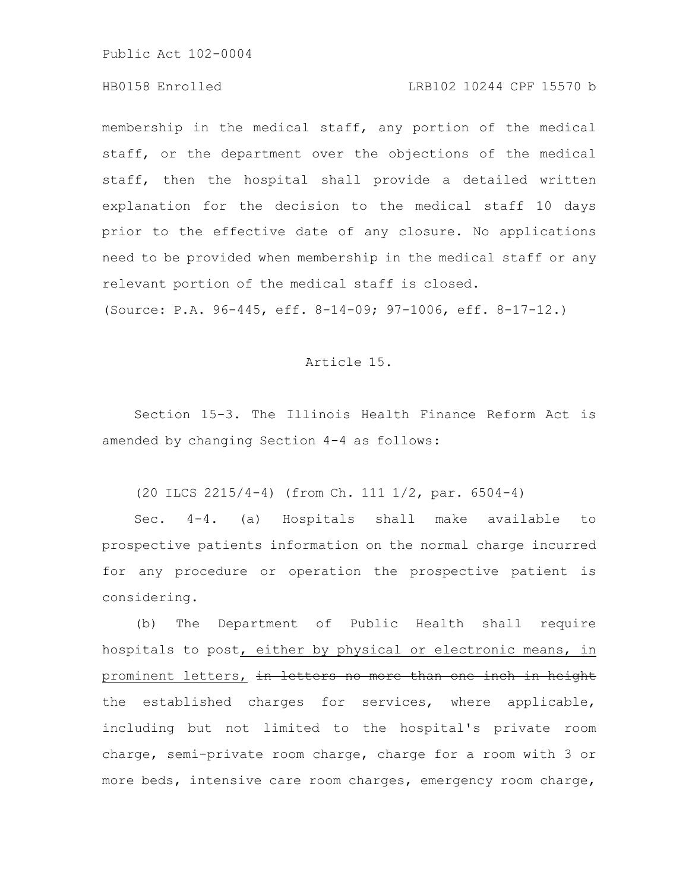# HB0158 Enrolled LRB102 10244 CPF 15570 b

membership in the medical staff, any portion of the medical staff, or the department over the objections of the medical staff, then the hospital shall provide a detailed written explanation for the decision to the medical staff 10 days prior to the effective date of any closure. No applications need to be provided when membership in the medical staff or any relevant portion of the medical staff is closed.

(Source: P.A. 96-445, eff. 8-14-09; 97-1006, eff. 8-17-12.)

#### Article 15.

Section 15-3. The Illinois Health Finance Reform Act is amended by changing Section 4-4 as follows:

(20 ILCS 2215/4-4) (from Ch. 111 1/2, par. 6504-4)

Sec. 4-4. (a) Hospitals shall make available to prospective patients information on the normal charge incurred for any procedure or operation the prospective patient is considering.

(b) The Department of Public Health shall require hospitals to post, either by physical or electronic means, in prominent letters, in letters no more than one inch in height the established charges for services, where applicable, including but not limited to the hospital's private room charge, semi-private room charge, charge for a room with 3 or more beds, intensive care room charges, emergency room charge,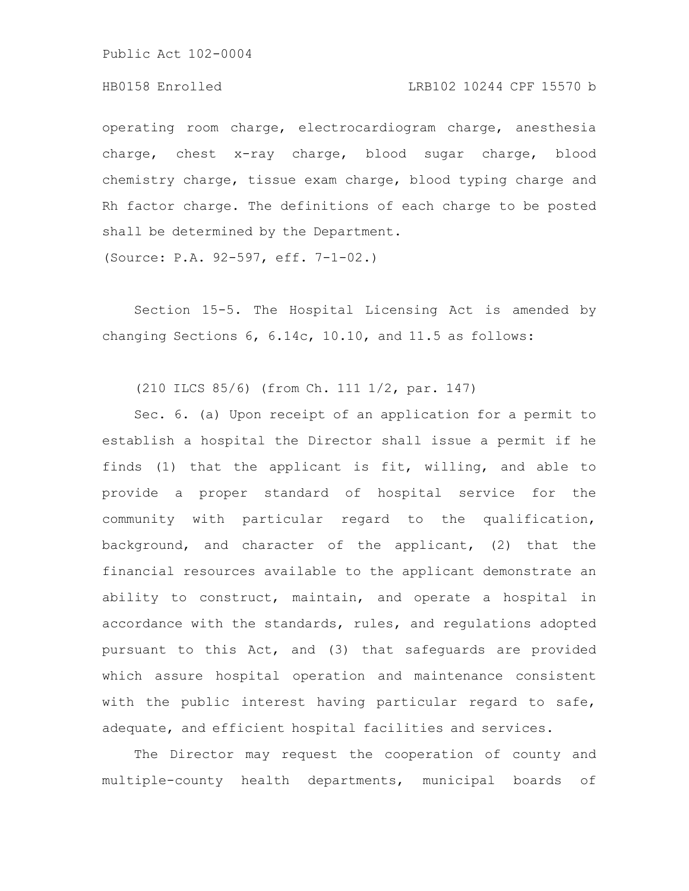# HB0158 Enrolled LRB102 10244 CPF 15570 b

operating room charge, electrocardiogram charge, anesthesia charge, chest x-ray charge, blood sugar charge, blood chemistry charge, tissue exam charge, blood typing charge and Rh factor charge. The definitions of each charge to be posted shall be determined by the Department.

(Source: P.A. 92-597, eff. 7-1-02.)

Section 15-5. The Hospital Licensing Act is amended by changing Sections 6, 6.14c, 10.10, and 11.5 as follows:

(210 ILCS 85/6) (from Ch. 111 1/2, par. 147)

Sec. 6. (a) Upon receipt of an application for a permit to establish a hospital the Director shall issue a permit if he finds (1) that the applicant is fit, willing, and able to provide a proper standard of hospital service for the community with particular regard to the qualification, background, and character of the applicant, (2) that the financial resources available to the applicant demonstrate an ability to construct, maintain, and operate a hospital in accordance with the standards, rules, and regulations adopted pursuant to this Act, and (3) that safeguards are provided which assure hospital operation and maintenance consistent with the public interest having particular regard to safe, adequate, and efficient hospital facilities and services.

The Director may request the cooperation of county and multiple-county health departments, municipal boards of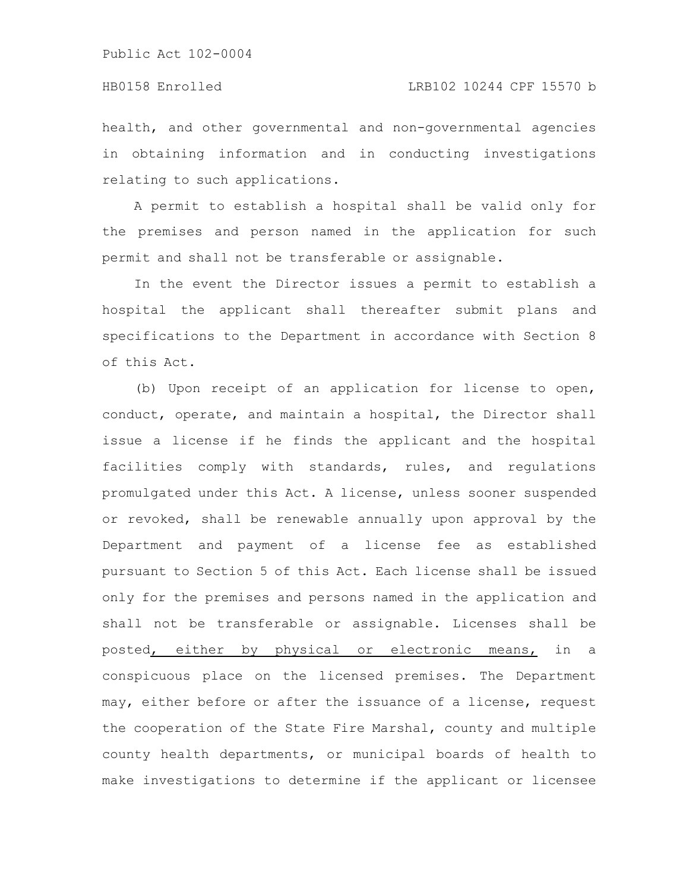#### HB0158 Enrolled LRB102 10244 CPF 15570 b

health, and other governmental and non-governmental agencies in obtaining information and in conducting investigations relating to such applications.

A permit to establish a hospital shall be valid only for the premises and person named in the application for such permit and shall not be transferable or assignable.

In the event the Director issues a permit to establish a hospital the applicant shall thereafter submit plans and specifications to the Department in accordance with Section 8 of this Act.

(b) Upon receipt of an application for license to open, conduct, operate, and maintain a hospital, the Director shall issue a license if he finds the applicant and the hospital facilities comply with standards, rules, and regulations promulgated under this Act. A license, unless sooner suspended or revoked, shall be renewable annually upon approval by the Department and payment of a license fee as established pursuant to Section 5 of this Act. Each license shall be issued only for the premises and persons named in the application and shall not be transferable or assignable. Licenses shall be posted, either by physical or electronic means, in a conspicuous place on the licensed premises. The Department may, either before or after the issuance of a license, request the cooperation of the State Fire Marshal, county and multiple county health departments, or municipal boards of health to make investigations to determine if the applicant or licensee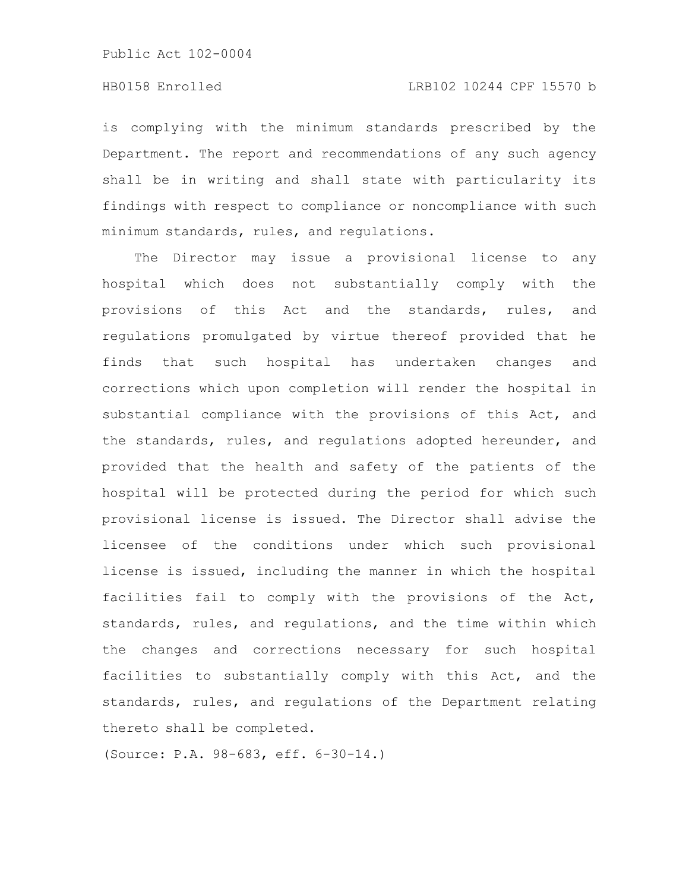is complying with the minimum standards prescribed by the Department. The report and recommendations of any such agency shall be in writing and shall state with particularity its findings with respect to compliance or noncompliance with such minimum standards, rules, and regulations.

The Director may issue a provisional license to any hospital which does not substantially comply with the provisions of this Act and the standards, rules, and regulations promulgated by virtue thereof provided that he finds that such hospital has undertaken changes and corrections which upon completion will render the hospital in substantial compliance with the provisions of this Act, and the standards, rules, and regulations adopted hereunder, and provided that the health and safety of the patients of the hospital will be protected during the period for which such provisional license is issued. The Director shall advise the licensee of the conditions under which such provisional license is issued, including the manner in which the hospital facilities fail to comply with the provisions of the Act, standards, rules, and regulations, and the time within which the changes and corrections necessary for such hospital facilities to substantially comply with this Act, and the standards, rules, and regulations of the Department relating thereto shall be completed.

(Source: P.A. 98-683, eff. 6-30-14.)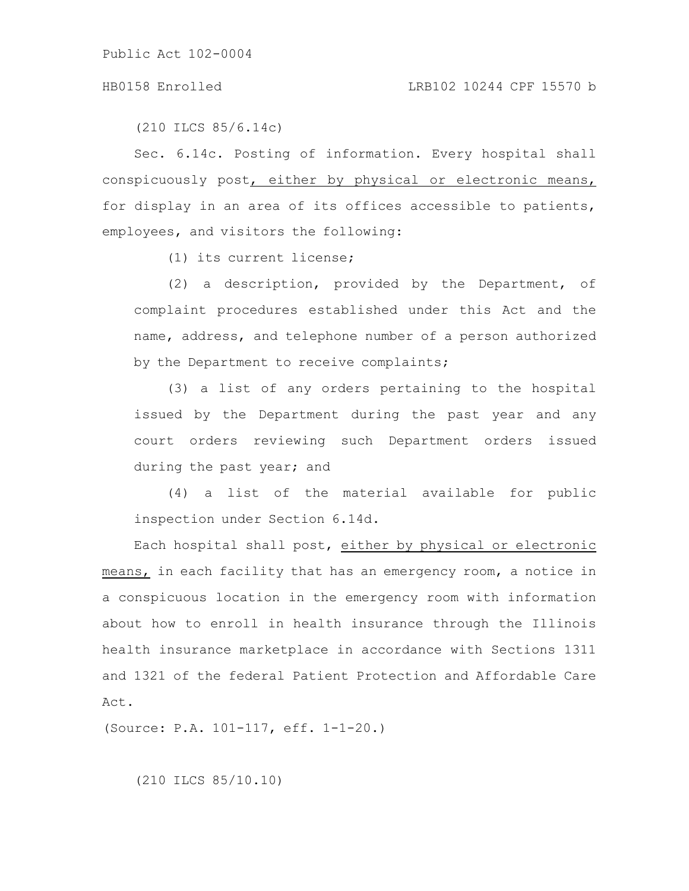(210 ILCS 85/6.14c)

Sec. 6.14c. Posting of information. Every hospital shall conspicuously post, either by physical or electronic means, for display in an area of its offices accessible to patients, employees, and visitors the following:

(1) its current license;

(2) a description, provided by the Department, of complaint procedures established under this Act and the name, address, and telephone number of a person authorized by the Department to receive complaints;

(3) a list of any orders pertaining to the hospital issued by the Department during the past year and any court orders reviewing such Department orders issued during the past year; and

(4) a list of the material available for public inspection under Section 6.14d.

Each hospital shall post, either by physical or electronic means, in each facility that has an emergency room, a notice in a conspicuous location in the emergency room with information about how to enroll in health insurance through the Illinois health insurance marketplace in accordance with Sections 1311 and 1321 of the federal Patient Protection and Affordable Care Act.

(Source: P.A. 101-117, eff. 1-1-20.)

(210 ILCS 85/10.10)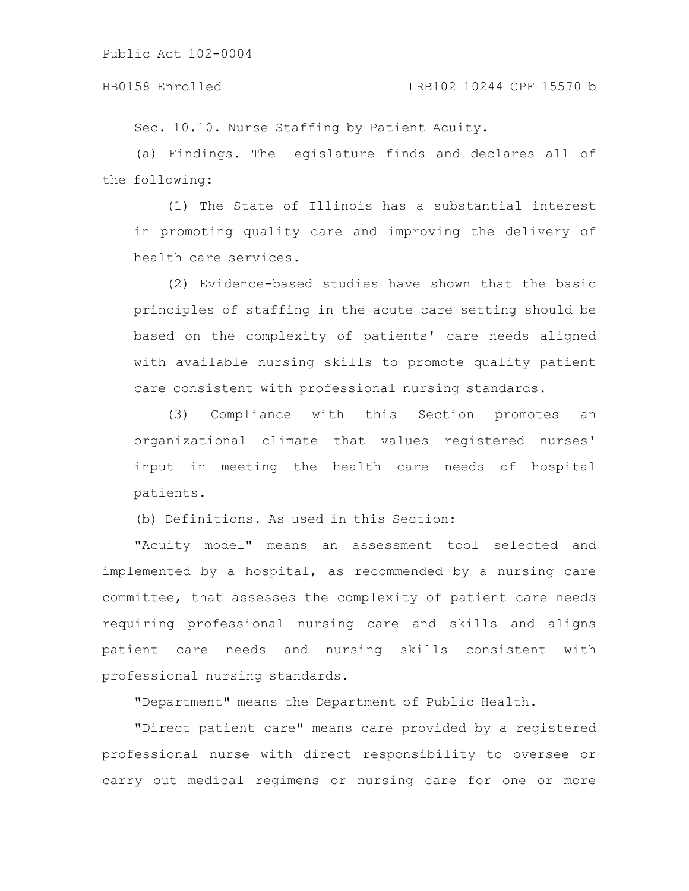#### HB0158 Enrolled LRB102 10244 CPF 15570 b

Sec. 10.10. Nurse Staffing by Patient Acuity.

(a) Findings. The Legislature finds and declares all of the following:

(1) The State of Illinois has a substantial interest in promoting quality care and improving the delivery of health care services.

(2) Evidence-based studies have shown that the basic principles of staffing in the acute care setting should be based on the complexity of patients' care needs aligned with available nursing skills to promote quality patient care consistent with professional nursing standards.

(3) Compliance with this Section promotes an organizational climate that values registered nurses' input in meeting the health care needs of hospital patients.

(b) Definitions. As used in this Section:

"Acuity model" means an assessment tool selected and implemented by a hospital, as recommended by a nursing care committee, that assesses the complexity of patient care needs requiring professional nursing care and skills and aligns patient care needs and nursing skills consistent with professional nursing standards.

"Department" means the Department of Public Health.

"Direct patient care" means care provided by a registered professional nurse with direct responsibility to oversee or carry out medical regimens or nursing care for one or more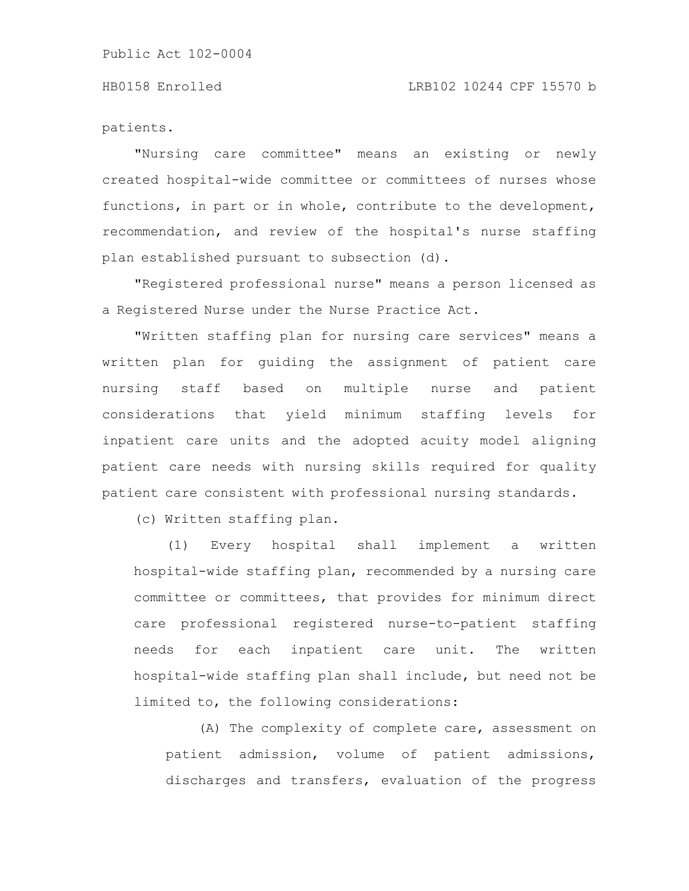patients.

"Nursing care committee" means an existing or newly created hospital-wide committee or committees of nurses whose functions, in part or in whole, contribute to the development, recommendation, and review of the hospital's nurse staffing plan established pursuant to subsection (d).

"Registered professional nurse" means a person licensed as a Registered Nurse under the Nurse Practice Act.

"Written staffing plan for nursing care services" means a written plan for guiding the assignment of patient care nursing staff based on multiple nurse and patient considerations that yield minimum staffing levels for inpatient care units and the adopted acuity model aligning patient care needs with nursing skills required for quality patient care consistent with professional nursing standards.

(c) Written staffing plan.

(1) Every hospital shall implement a written hospital-wide staffing plan, recommended by a nursing care committee or committees, that provides for minimum direct care professional registered nurse-to-patient staffing needs for each inpatient care unit. The written hospital-wide staffing plan shall include, but need not be limited to, the following considerations:

(A) The complexity of complete care, assessment on patient admission, volume of patient admissions, discharges and transfers, evaluation of the progress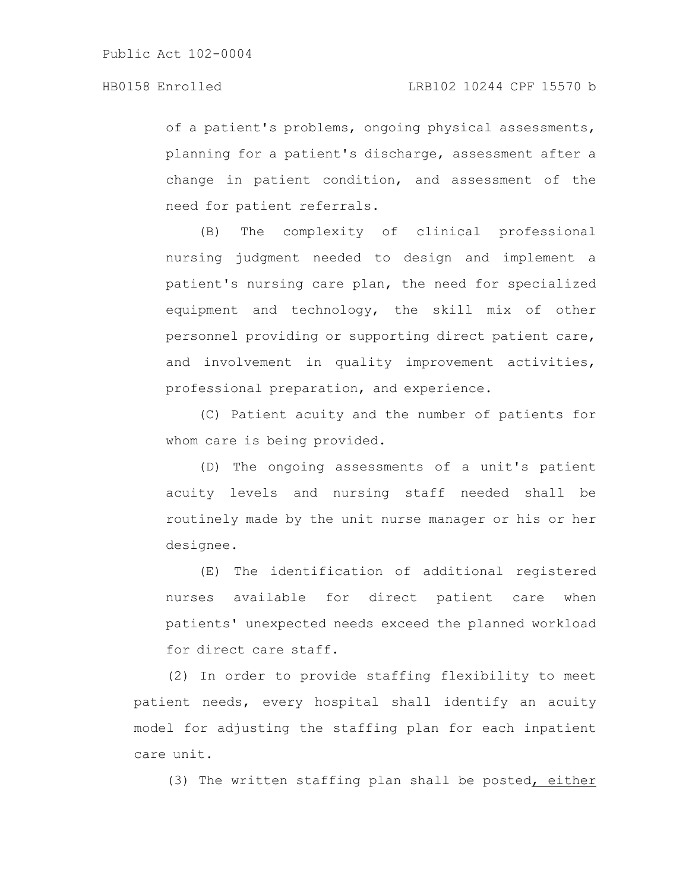of a patient's problems, ongoing physical assessments, planning for a patient's discharge, assessment after a change in patient condition, and assessment of the need for patient referrals.

(B) The complexity of clinical professional nursing judgment needed to design and implement a patient's nursing care plan, the need for specialized equipment and technology, the skill mix of other personnel providing or supporting direct patient care, and involvement in quality improvement activities, professional preparation, and experience.

(C) Patient acuity and the number of patients for whom care is being provided.

(D) The ongoing assessments of a unit's patient acuity levels and nursing staff needed shall be routinely made by the unit nurse manager or his or her designee.

(E) The identification of additional registered nurses available for direct patient care when patients' unexpected needs exceed the planned workload for direct care staff.

(2) In order to provide staffing flexibility to meet patient needs, every hospital shall identify an acuity model for adjusting the staffing plan for each inpatient care unit.

(3) The written staffing plan shall be posted, either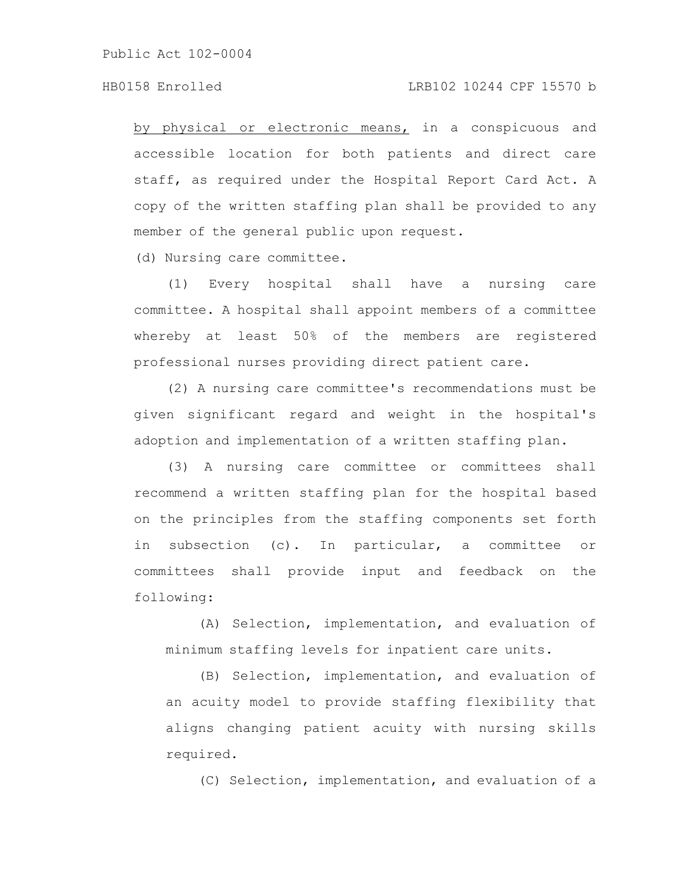# HB0158 Enrolled LRB102 10244 CPF 15570 b

by physical or electronic means, in a conspicuous and accessible location for both patients and direct care staff, as required under the Hospital Report Card Act. A copy of the written staffing plan shall be provided to any member of the general public upon request.

(d) Nursing care committee.

(1) Every hospital shall have a nursing care committee. A hospital shall appoint members of a committee whereby at least 50% of the members are registered professional nurses providing direct patient care.

(2) A nursing care committee's recommendations must be given significant regard and weight in the hospital's adoption and implementation of a written staffing plan.

(3) A nursing care committee or committees shall recommend a written staffing plan for the hospital based on the principles from the staffing components set forth in subsection (c). In particular, a committee or committees shall provide input and feedback on the following:

(A) Selection, implementation, and evaluation of minimum staffing levels for inpatient care units.

(B) Selection, implementation, and evaluation of an acuity model to provide staffing flexibility that aligns changing patient acuity with nursing skills required.

(C) Selection, implementation, and evaluation of a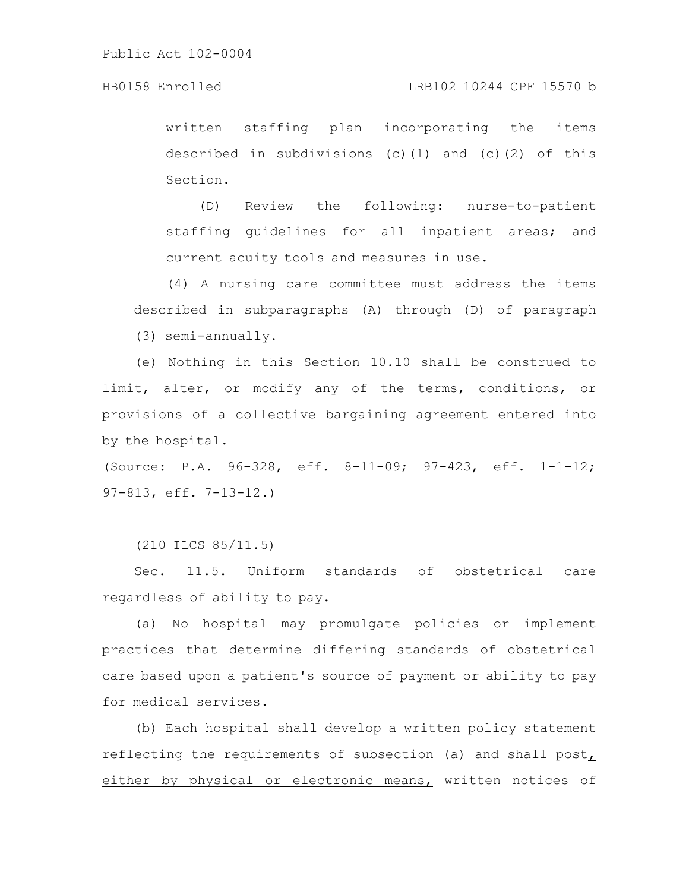#### HB0158 Enrolled LRB102 10244 CPF 15570 b

written staffing plan incorporating the items described in subdivisions (c)(1) and (c)(2) of this Section.

(D) Review the following: nurse-to-patient staffing guidelines for all inpatient areas; and current acuity tools and measures in use.

(4) A nursing care committee must address the items described in subparagraphs (A) through (D) of paragraph

(3) semi-annually.

(e) Nothing in this Section 10.10 shall be construed to limit, alter, or modify any of the terms, conditions, or provisions of a collective bargaining agreement entered into by the hospital.

(Source: P.A. 96-328, eff. 8-11-09; 97-423, eff. 1-1-12; 97-813, eff. 7-13-12.)

(210 ILCS 85/11.5)

Sec. 11.5. Uniform standards of obstetrical care regardless of ability to pay.

(a) No hospital may promulgate policies or implement practices that determine differing standards of obstetrical care based upon a patient's source of payment or ability to pay for medical services.

(b) Each hospital shall develop a written policy statement reflecting the requirements of subsection (a) and shall post, either by physical or electronic means, written notices of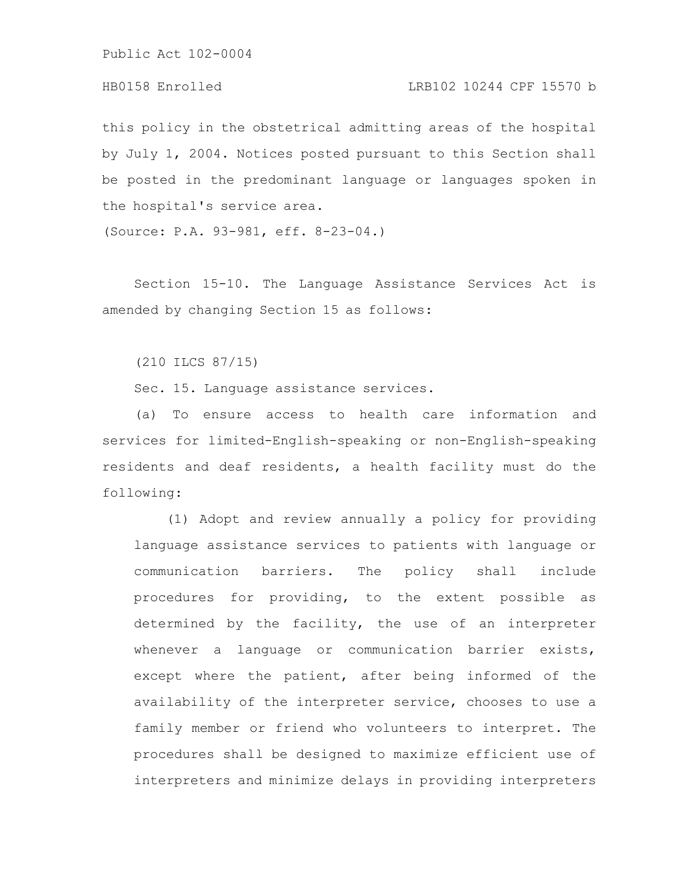# HB0158 Enrolled LRB102 10244 CPF 15570 b

this policy in the obstetrical admitting areas of the hospital by July 1, 2004. Notices posted pursuant to this Section shall be posted in the predominant language or languages spoken in the hospital's service area.

(Source: P.A. 93-981, eff. 8-23-04.)

Section 15-10. The Language Assistance Services Act is amended by changing Section 15 as follows:

(210 ILCS 87/15)

Sec. 15. Language assistance services.

(a) To ensure access to health care information and services for limited-English-speaking or non-English-speaking residents and deaf residents, a health facility must do the following:

(1) Adopt and review annually a policy for providing language assistance services to patients with language or communication barriers. The policy shall include procedures for providing, to the extent possible as determined by the facility, the use of an interpreter whenever a language or communication barrier exists, except where the patient, after being informed of the availability of the interpreter service, chooses to use a family member or friend who volunteers to interpret. The procedures shall be designed to maximize efficient use of interpreters and minimize delays in providing interpreters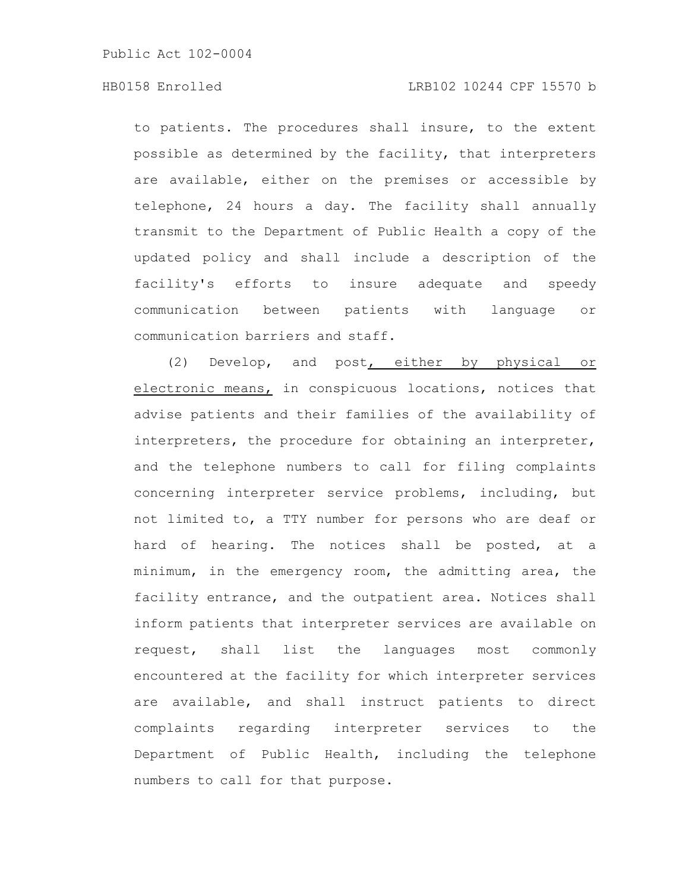# HB0158 Enrolled LRB102 10244 CPF 15570 b

to patients. The procedures shall insure, to the extent possible as determined by the facility, that interpreters are available, either on the premises or accessible by telephone, 24 hours a day. The facility shall annually transmit to the Department of Public Health a copy of the updated policy and shall include a description of the facility's efforts to insure adequate and speedy communication between patients with language or communication barriers and staff.

(2) Develop, and post, either by physical or electronic means, in conspicuous locations, notices that advise patients and their families of the availability of interpreters, the procedure for obtaining an interpreter, and the telephone numbers to call for filing complaints concerning interpreter service problems, including, but not limited to, a TTY number for persons who are deaf or hard of hearing. The notices shall be posted, at a minimum, in the emergency room, the admitting area, the facility entrance, and the outpatient area. Notices shall inform patients that interpreter services are available on request, shall list the languages most commonly encountered at the facility for which interpreter services are available, and shall instruct patients to direct complaints regarding interpreter services to the Department of Public Health, including the telephone numbers to call for that purpose.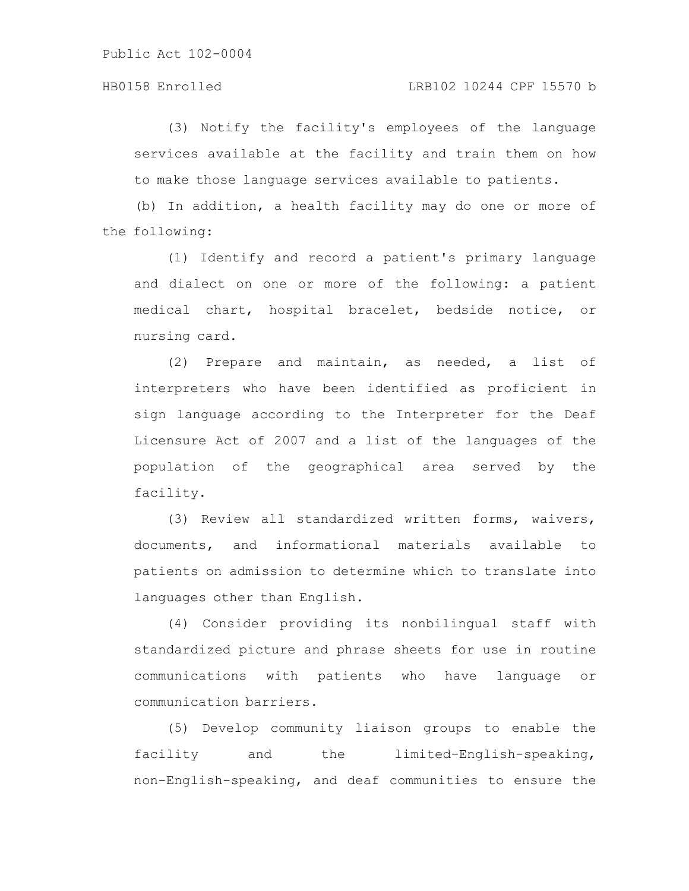(3) Notify the facility's employees of the language services available at the facility and train them on how to make those language services available to patients.

(b) In addition, a health facility may do one or more of the following:

(1) Identify and record a patient's primary language and dialect on one or more of the following: a patient medical chart, hospital bracelet, bedside notice, or nursing card.

(2) Prepare and maintain, as needed, a list of interpreters who have been identified as proficient in sign language according to the Interpreter for the Deaf Licensure Act of 2007 and a list of the languages of the population of the geographical area served by the facility.

(3) Review all standardized written forms, waivers, documents, and informational materials available to patients on admission to determine which to translate into languages other than English.

(4) Consider providing its nonbilingual staff with standardized picture and phrase sheets for use in routine communications with patients who have language or communication barriers.

(5) Develop community liaison groups to enable the facility and the limited-English-speaking, non-English-speaking, and deaf communities to ensure the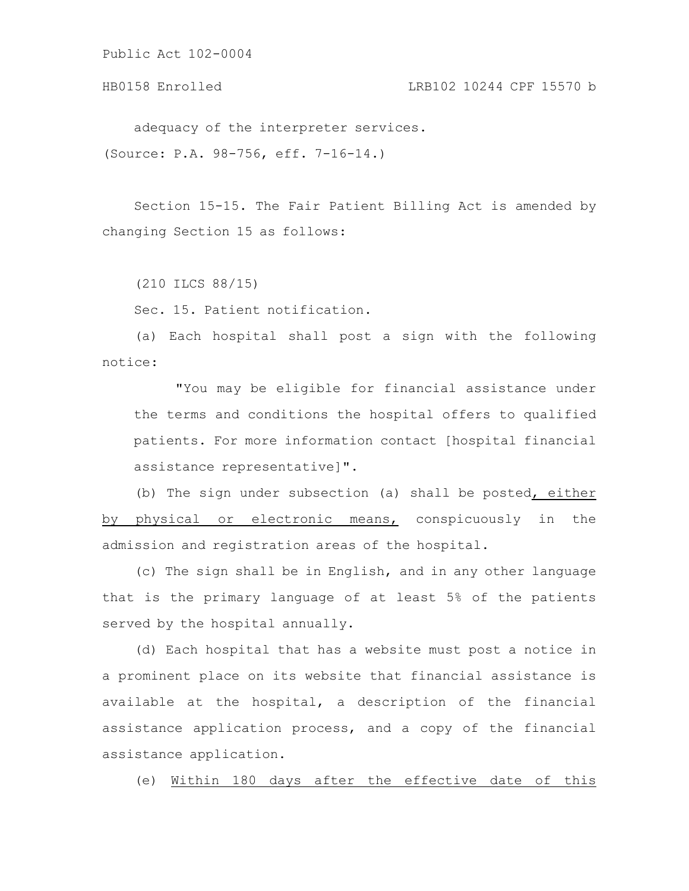adequacy of the interpreter services. (Source: P.A. 98-756, eff. 7-16-14.)

Section 15-15. The Fair Patient Billing Act is amended by changing Section 15 as follows:

(210 ILCS 88/15)

Sec. 15. Patient notification.

(a) Each hospital shall post a sign with the following notice:

"You may be eligible for financial assistance under the terms and conditions the hospital offers to qualified patients. For more information contact [hospital financial assistance representative]".

(b) The sign under subsection (a) shall be posted, either by physical or electronic means, conspicuously in the admission and registration areas of the hospital.

(c) The sign shall be in English, and in any other language that is the primary language of at least 5% of the patients served by the hospital annually.

(d) Each hospital that has a website must post a notice in a prominent place on its website that financial assistance is available at the hospital, a description of the financial assistance application process, and a copy of the financial assistance application.

(e) Within 180 days after the effective date of this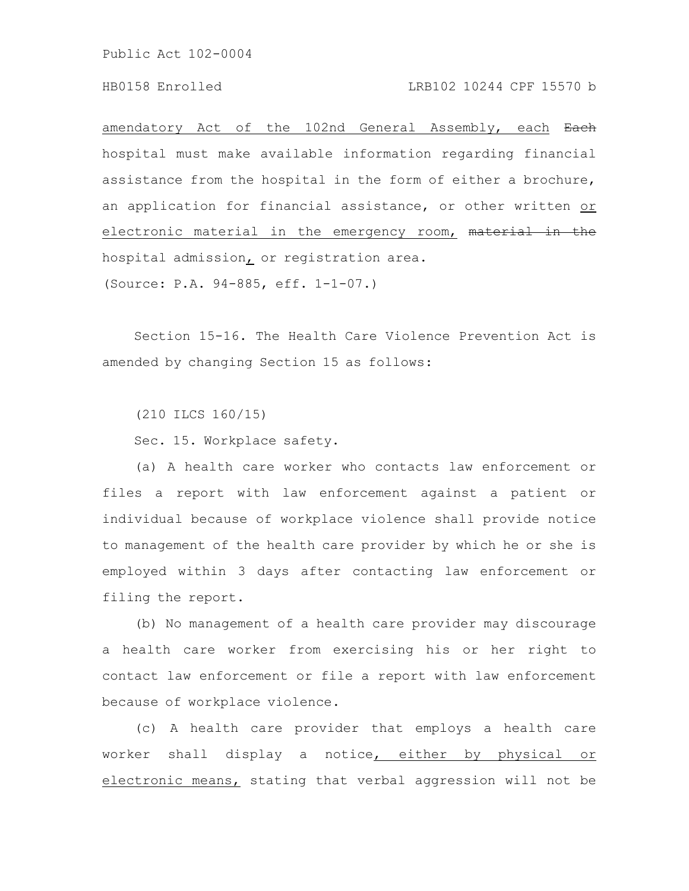### HB0158 Enrolled LRB102 10244 CPF 15570 b

amendatory Act of the 102nd General Assembly, each Each hospital must make available information regarding financial assistance from the hospital in the form of either a brochure, an application for financial assistance, or other written or electronic material in the emergency room, material in the hospital admission, or registration area.

(Source: P.A. 94-885, eff. 1-1-07.)

Section 15-16. The Health Care Violence Prevention Act is amended by changing Section 15 as follows:

(210 ILCS 160/15)

Sec. 15. Workplace safety.

(a) A health care worker who contacts law enforcement or files a report with law enforcement against a patient or individual because of workplace violence shall provide notice to management of the health care provider by which he or she is employed within 3 days after contacting law enforcement or filing the report.

(b) No management of a health care provider may discourage a health care worker from exercising his or her right to contact law enforcement or file a report with law enforcement because of workplace violence.

(c) A health care provider that employs a health care worker shall display a notice, either by physical or electronic means, stating that verbal aggression will not be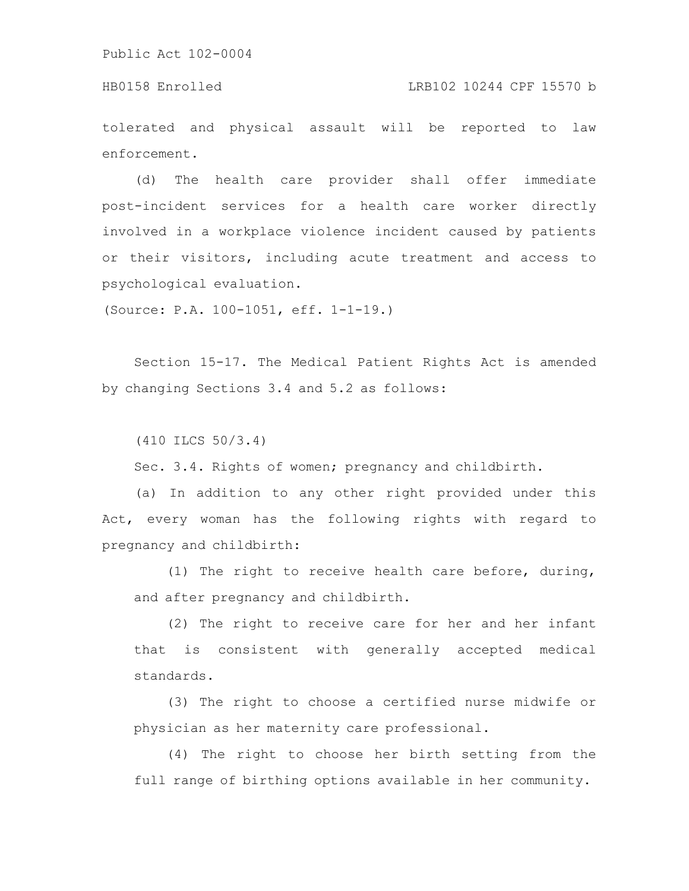HB0158 Enrolled LRB102 10244 CPF 15570 b

tolerated and physical assault will be reported to law enforcement.

(d) The health care provider shall offer immediate post-incident services for a health care worker directly involved in a workplace violence incident caused by patients or their visitors, including acute treatment and access to psychological evaluation.

(Source: P.A. 100-1051, eff. 1-1-19.)

Section 15-17. The Medical Patient Rights Act is amended by changing Sections 3.4 and 5.2 as follows:

(410 ILCS 50/3.4)

Sec. 3.4. Rights of women; pregnancy and childbirth.

(a) In addition to any other right provided under this Act, every woman has the following rights with regard to pregnancy and childbirth:

(1) The right to receive health care before, during, and after pregnancy and childbirth.

(2) The right to receive care for her and her infant that is consistent with generally accepted medical standards.

(3) The right to choose a certified nurse midwife or physician as her maternity care professional.

(4) The right to choose her birth setting from the full range of birthing options available in her community.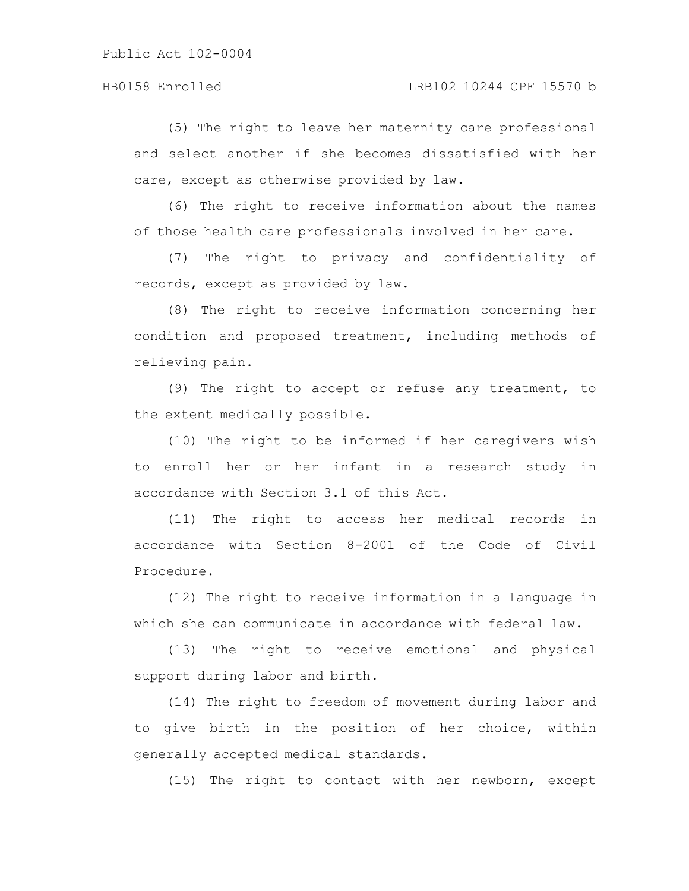(5) The right to leave her maternity care professional and select another if she becomes dissatisfied with her care, except as otherwise provided by law.

(6) The right to receive information about the names of those health care professionals involved in her care.

(7) The right to privacy and confidentiality of records, except as provided by law.

(8) The right to receive information concerning her condition and proposed treatment, including methods of relieving pain.

(9) The right to accept or refuse any treatment, to the extent medically possible.

(10) The right to be informed if her caregivers wish to enroll her or her infant in a research study in accordance with Section 3.1 of this Act.

(11) The right to access her medical records in accordance with Section 8-2001 of the Code of Civil Procedure.

(12) The right to receive information in a language in which she can communicate in accordance with federal law.

(13) The right to receive emotional and physical support during labor and birth.

(14) The right to freedom of movement during labor and to give birth in the position of her choice, within generally accepted medical standards.

(15) The right to contact with her newborn, except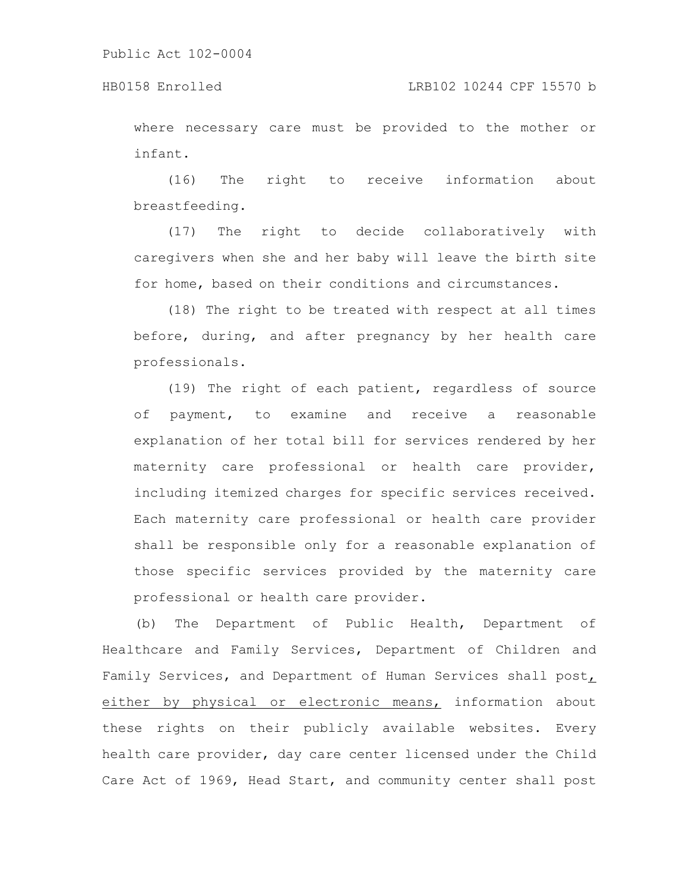where necessary care must be provided to the mother or infant.

(16) The right to receive information about breastfeeding.

(17) The right to decide collaboratively with caregivers when she and her baby will leave the birth site for home, based on their conditions and circumstances.

(18) The right to be treated with respect at all times before, during, and after pregnancy by her health care professionals.

(19) The right of each patient, regardless of source of payment, to examine and receive a reasonable explanation of her total bill for services rendered by her maternity care professional or health care provider, including itemized charges for specific services received. Each maternity care professional or health care provider shall be responsible only for a reasonable explanation of those specific services provided by the maternity care professional or health care provider.

(b) The Department of Public Health, Department of Healthcare and Family Services, Department of Children and Family Services, and Department of Human Services shall post, either by physical or electronic means, information about these rights on their publicly available websites. Every health care provider, day care center licensed under the Child Care Act of 1969, Head Start, and community center shall post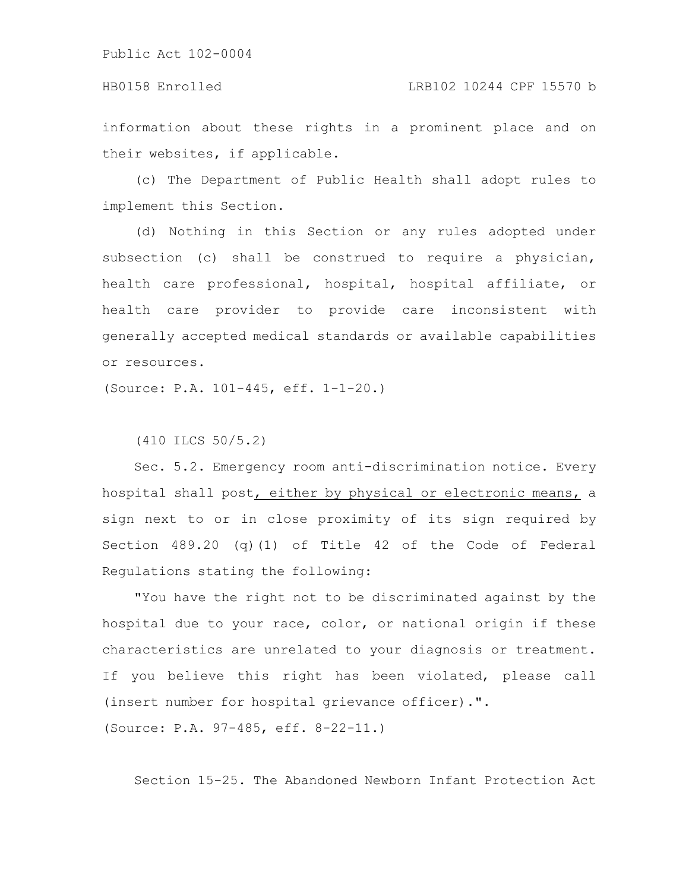## HB0158 Enrolled LRB102 10244 CPF 15570 b

information about these rights in a prominent place and on their websites, if applicable.

(c) The Department of Public Health shall adopt rules to implement this Section.

(d) Nothing in this Section or any rules adopted under subsection (c) shall be construed to require a physician, health care professional, hospital, hospital affiliate, or health care provider to provide care inconsistent with generally accepted medical standards or available capabilities or resources.

(Source: P.A. 101-445, eff. 1-1-20.)

(410 ILCS 50/5.2)

Sec. 5.2. Emergency room anti-discrimination notice. Every hospital shall post, either by physical or electronic means, a sign next to or in close proximity of its sign required by Section 489.20 (q)(1) of Title 42 of the Code of Federal Regulations stating the following:

"You have the right not to be discriminated against by the hospital due to your race, color, or national origin if these characteristics are unrelated to your diagnosis or treatment. If you believe this right has been violated, please call (insert number for hospital grievance officer).". (Source: P.A. 97-485, eff. 8-22-11.)

Section 15-25. The Abandoned Newborn Infant Protection Act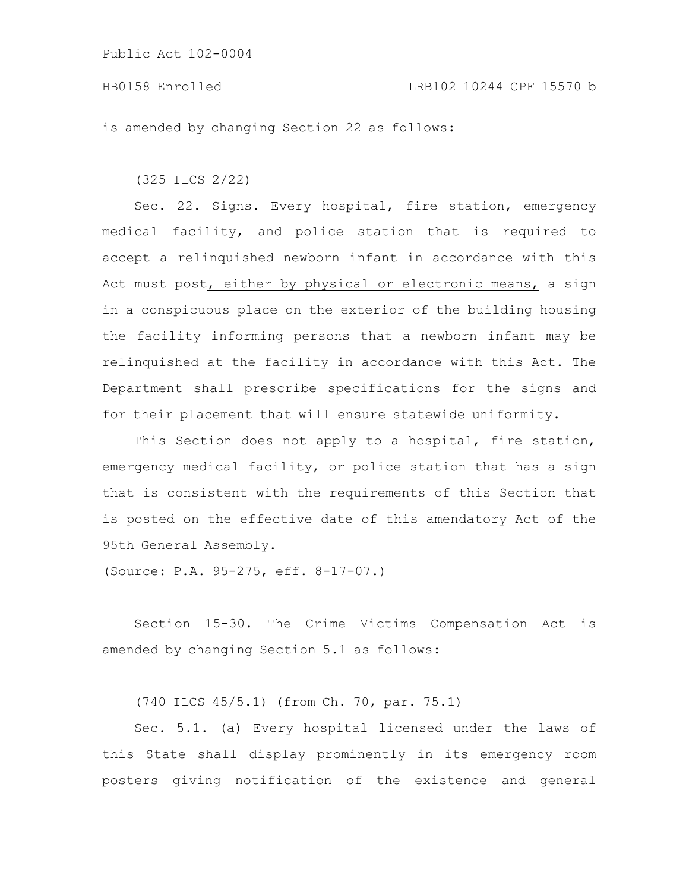is amended by changing Section 22 as follows:

(325 ILCS 2/22)

Sec. 22. Signs. Every hospital, fire station, emergency medical facility, and police station that is required to accept a relinquished newborn infant in accordance with this Act must post, either by physical or electronic means, a sign in a conspicuous place on the exterior of the building housing the facility informing persons that a newborn infant may be relinquished at the facility in accordance with this Act. The Department shall prescribe specifications for the signs and for their placement that will ensure statewide uniformity.

This Section does not apply to a hospital, fire station, emergency medical facility, or police station that has a sign that is consistent with the requirements of this Section that is posted on the effective date of this amendatory Act of the 95th General Assembly.

(Source: P.A. 95-275, eff. 8-17-07.)

Section 15-30. The Crime Victims Compensation Act is amended by changing Section 5.1 as follows:

(740 ILCS 45/5.1) (from Ch. 70, par. 75.1)

Sec. 5.1. (a) Every hospital licensed under the laws of this State shall display prominently in its emergency room posters giving notification of the existence and general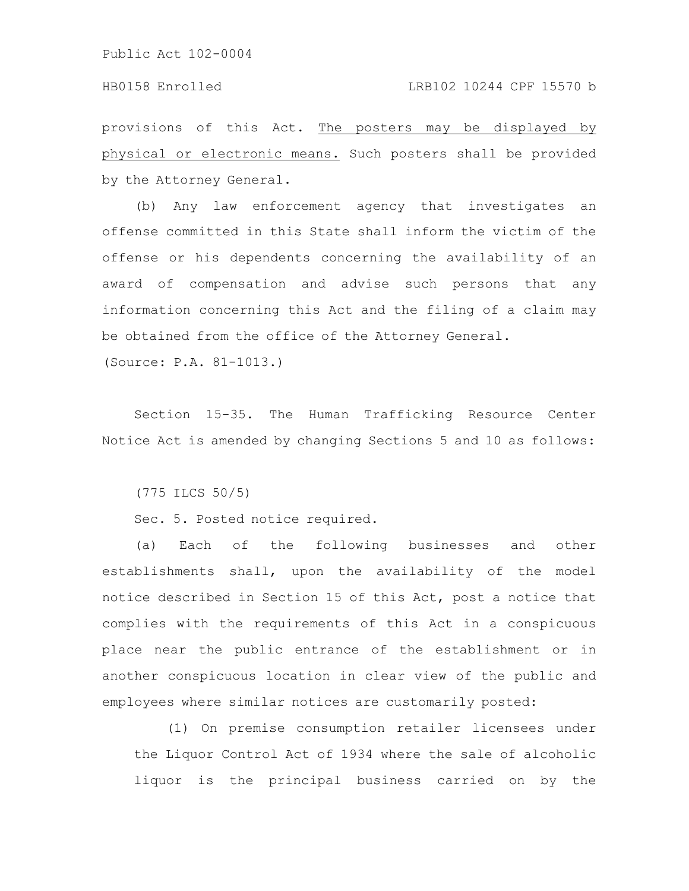### HB0158 Enrolled LRB102 10244 CPF 15570 b

provisions of this Act. The posters may be displayed by physical or electronic means. Such posters shall be provided by the Attorney General.

(b) Any law enforcement agency that investigates an offense committed in this State shall inform the victim of the offense or his dependents concerning the availability of an award of compensation and advise such persons that any information concerning this Act and the filing of a claim may be obtained from the office of the Attorney General.

(Source: P.A. 81-1013.)

Section 15-35. The Human Trafficking Resource Center Notice Act is amended by changing Sections 5 and 10 as follows:

(775 ILCS 50/5)

Sec. 5. Posted notice required.

(a) Each of the following businesses and other establishments shall, upon the availability of the model notice described in Section 15 of this Act, post a notice that complies with the requirements of this Act in a conspicuous place near the public entrance of the establishment or in another conspicuous location in clear view of the public and employees where similar notices are customarily posted:

(1) On premise consumption retailer licensees under the Liquor Control Act of 1934 where the sale of alcoholic liquor is the principal business carried on by the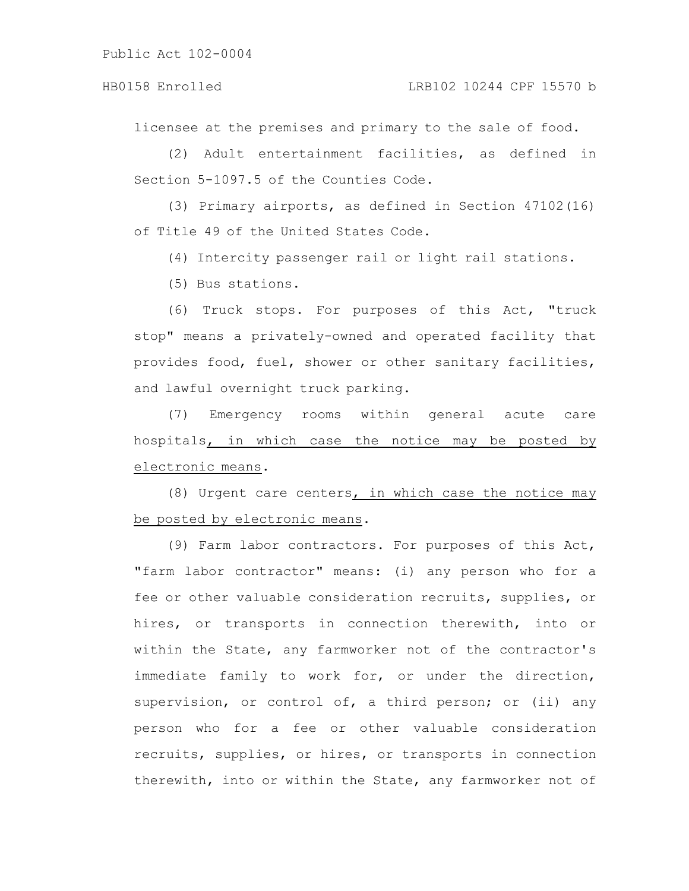licensee at the premises and primary to the sale of food.

(2) Adult entertainment facilities, as defined in Section 5-1097.5 of the Counties Code.

(3) Primary airports, as defined in Section 47102(16) of Title 49 of the United States Code.

(4) Intercity passenger rail or light rail stations.

(5) Bus stations.

(6) Truck stops. For purposes of this Act, "truck stop" means a privately-owned and operated facility that provides food, fuel, shower or other sanitary facilities, and lawful overnight truck parking.

(7) Emergency rooms within general acute care hospitals, in which case the notice may be posted by electronic means.

(8) Urgent care centers, in which case the notice may be posted by electronic means.

(9) Farm labor contractors. For purposes of this Act, "farm labor contractor" means: (i) any person who for a fee or other valuable consideration recruits, supplies, or hires, or transports in connection therewith, into or within the State, any farmworker not of the contractor's immediate family to work for, or under the direction, supervision, or control of, a third person; or (ii) any person who for a fee or other valuable consideration recruits, supplies, or hires, or transports in connection therewith, into or within the State, any farmworker not of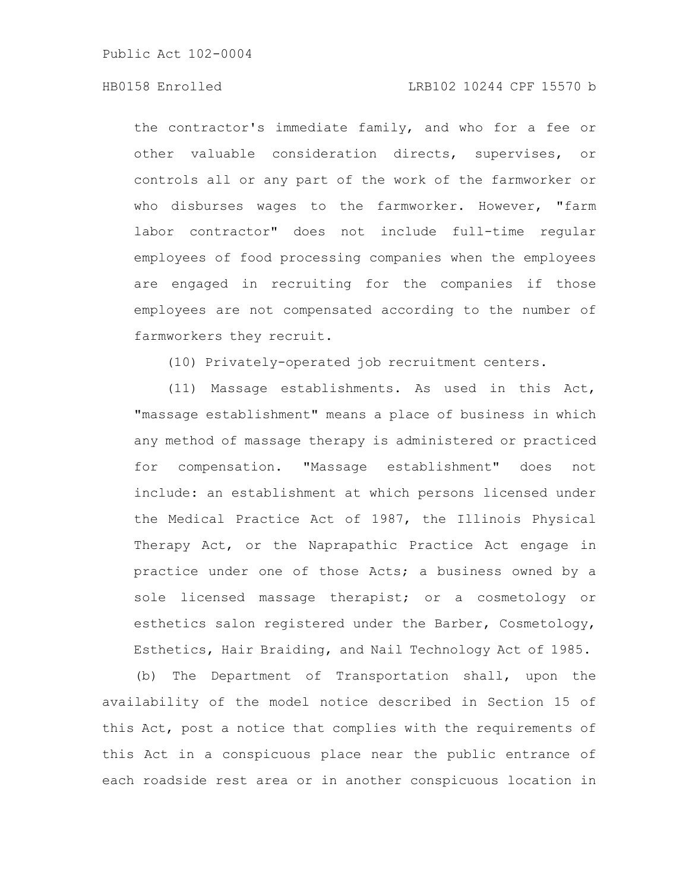## HB0158 Enrolled LRB102 10244 CPF 15570 b

the contractor's immediate family, and who for a fee or other valuable consideration directs, supervises, or controls all or any part of the work of the farmworker or who disburses wages to the farmworker. However, "farm labor contractor" does not include full-time regular employees of food processing companies when the employees are engaged in recruiting for the companies if those employees are not compensated according to the number of farmworkers they recruit.

(10) Privately-operated job recruitment centers.

(11) Massage establishments. As used in this Act, "massage establishment" means a place of business in which any method of massage therapy is administered or practiced for compensation. "Massage establishment" does not include: an establishment at which persons licensed under the Medical Practice Act of 1987, the Illinois Physical Therapy Act, or the Naprapathic Practice Act engage in practice under one of those Acts; a business owned by a sole licensed massage therapist; or a cosmetology or esthetics salon registered under the Barber, Cosmetology, Esthetics, Hair Braiding, and Nail Technology Act of 1985.

(b) The Department of Transportation shall, upon the availability of the model notice described in Section 15 of this Act, post a notice that complies with the requirements of this Act in a conspicuous place near the public entrance of each roadside rest area or in another conspicuous location in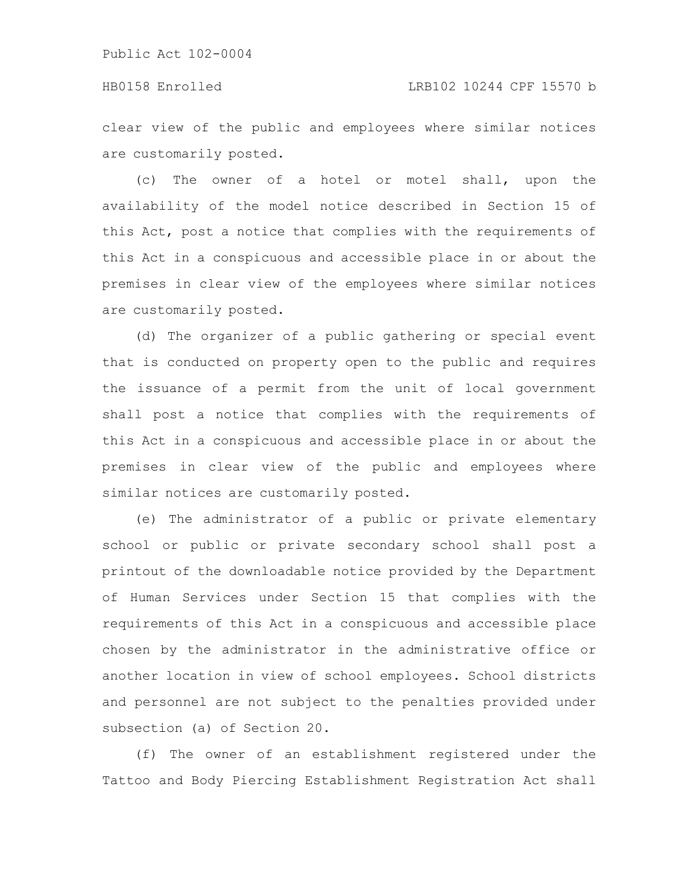clear view of the public and employees where similar notices are customarily posted.

(c) The owner of a hotel or motel shall, upon the availability of the model notice described in Section 15 of this Act, post a notice that complies with the requirements of this Act in a conspicuous and accessible place in or about the premises in clear view of the employees where similar notices are customarily posted.

(d) The organizer of a public gathering or special event that is conducted on property open to the public and requires the issuance of a permit from the unit of local government shall post a notice that complies with the requirements of this Act in a conspicuous and accessible place in or about the premises in clear view of the public and employees where similar notices are customarily posted.

(e) The administrator of a public or private elementary school or public or private secondary school shall post a printout of the downloadable notice provided by the Department of Human Services under Section 15 that complies with the requirements of this Act in a conspicuous and accessible place chosen by the administrator in the administrative office or another location in view of school employees. School districts and personnel are not subject to the penalties provided under subsection (a) of Section 20.

(f) The owner of an establishment registered under the Tattoo and Body Piercing Establishment Registration Act shall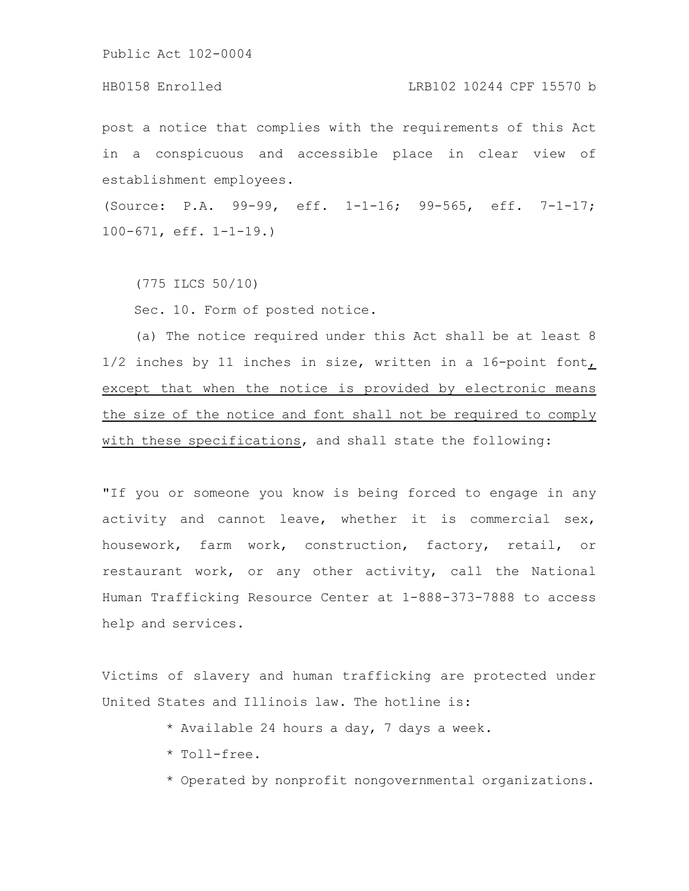### HB0158 Enrolled LRB102 10244 CPF 15570 b

post a notice that complies with the requirements of this Act in a conspicuous and accessible place in clear view of establishment employees.

(Source: P.A. 99-99, eff. 1-1-16; 99-565, eff. 7-1-17; 100-671, eff. 1-1-19.)

(775 ILCS 50/10)

Sec. 10. Form of posted notice.

(a) The notice required under this Act shall be at least 8 1/2 inches by 11 inches in size, written in a 16-point font, except that when the notice is provided by electronic means the size of the notice and font shall not be required to comply with these specifications, and shall state the following:

"If you or someone you know is being forced to engage in any activity and cannot leave, whether it is commercial sex, housework, farm work, construction, factory, retail, or restaurant work, or any other activity, call the National Human Trafficking Resource Center at 1-888-373-7888 to access help and services.

Victims of slavery and human trafficking are protected under United States and Illinois law. The hotline is:

- \* Available 24 hours a day, 7 days a week.
- \* Toll-free.
- \* Operated by nonprofit nongovernmental organizations.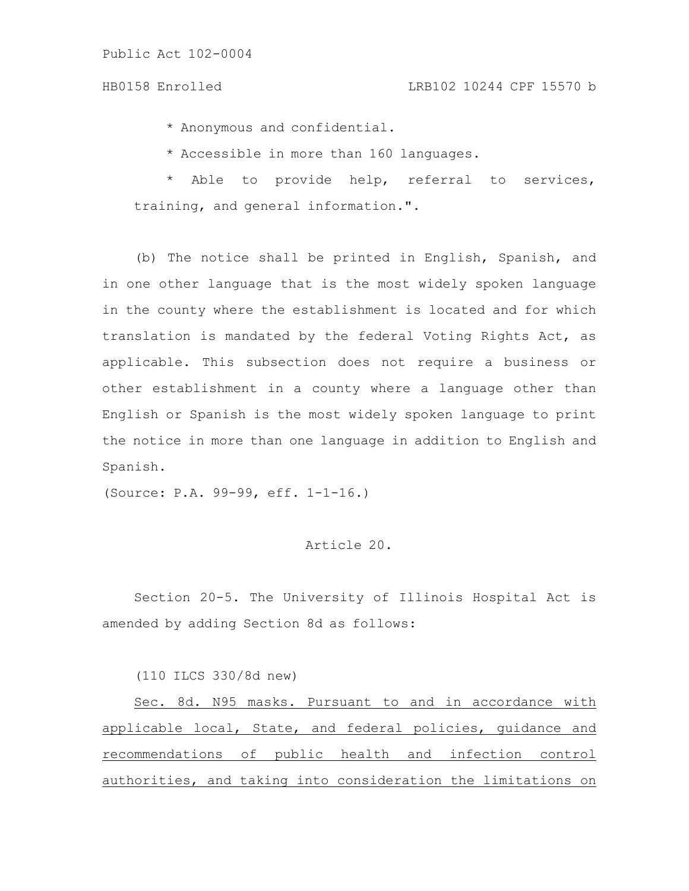\* Anonymous and confidential.

\* Accessible in more than 160 languages.

\* Able to provide help, referral to services, training, and general information.".

(b) The notice shall be printed in English, Spanish, and in one other language that is the most widely spoken language in the county where the establishment is located and for which translation is mandated by the federal Voting Rights Act, as applicable. This subsection does not require a business or other establishment in a county where a language other than English or Spanish is the most widely spoken language to print the notice in more than one language in addition to English and Spanish.

(Source: P.A. 99-99, eff. 1-1-16.)

# Article 20.

Section 20-5. The University of Illinois Hospital Act is amended by adding Section 8d as follows:

(110 ILCS 330/8d new)

Sec. 8d. N95 masks. Pursuant to and in accordance with applicable local, State, and federal policies, guidance and recommendations of public health and infection control authorities, and taking into consideration the limitations on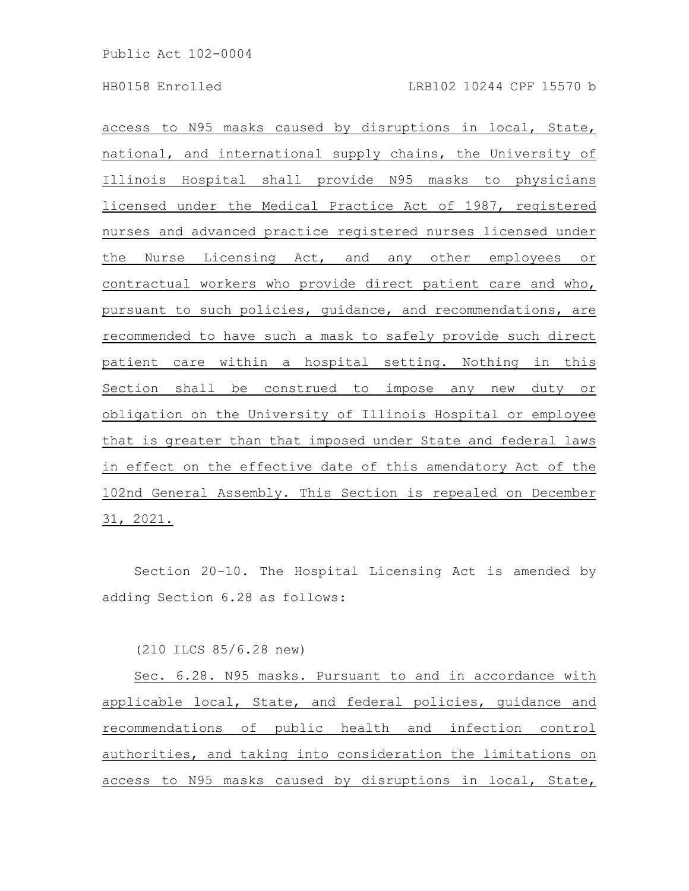access to N95 masks caused by disruptions in local, State, national, and international supply chains, the University of Illinois Hospital shall provide N95 masks to physicians licensed under the Medical Practice Act of 1987, registered nurses and advanced practice registered nurses licensed under the Nurse Licensing Act, and any other employees or contractual workers who provide direct patient care and who, pursuant to such policies, guidance, and recommendations, are recommended to have such a mask to safely provide such direct patient care within a hospital setting. Nothing in this Section shall be construed to impose any new duty or obligation on the University of Illinois Hospital or employee that is greater than that imposed under State and federal laws in effect on the effective date of this amendatory Act of the 102nd General Assembly. This Section is repealed on December 31, 2021.

Section 20-10. The Hospital Licensing Act is amended by adding Section 6.28 as follows:

(210 ILCS 85/6.28 new)

Sec. 6.28. N95 masks. Pursuant to and in accordance with applicable local, State, and federal policies, guidance and recommendations of public health and infection control authorities, and taking into consideration the limitations on access to N95 masks caused by disruptions in local, State,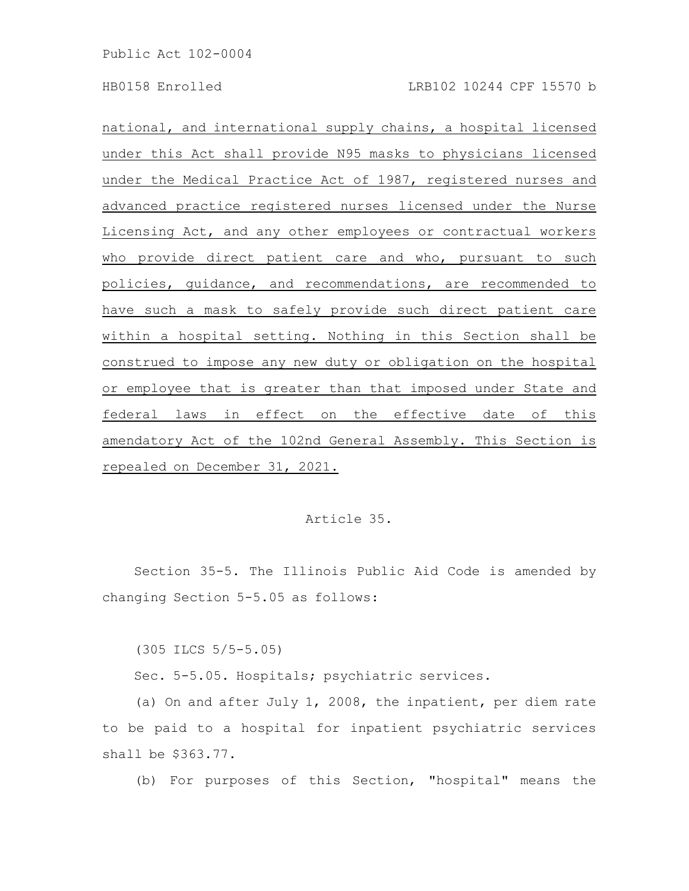national, and international supply chains, a hospital licensed under this Act shall provide N95 masks to physicians licensed under the Medical Practice Act of 1987, registered nurses and advanced practice registered nurses licensed under the Nurse Licensing Act, and any other employees or contractual workers who provide direct patient care and who, pursuant to such policies, guidance, and recommendations, are recommended to have such a mask to safely provide such direct patient care within a hospital setting. Nothing in this Section shall be construed to impose any new duty or obligation on the hospital or employee that is greater than that imposed under State and federal laws in effect on the effective date of this amendatory Act of the 102nd General Assembly. This Section is repealed on December 31, 2021.

# Article 35.

Section 35-5. The Illinois Public Aid Code is amended by changing Section 5-5.05 as follows:

(305 ILCS 5/5-5.05)

Sec. 5-5.05. Hospitals; psychiatric services.

(a) On and after July 1, 2008, the inpatient, per diem rate to be paid to a hospital for inpatient psychiatric services shall be \$363.77.

(b) For purposes of this Section, "hospital" means the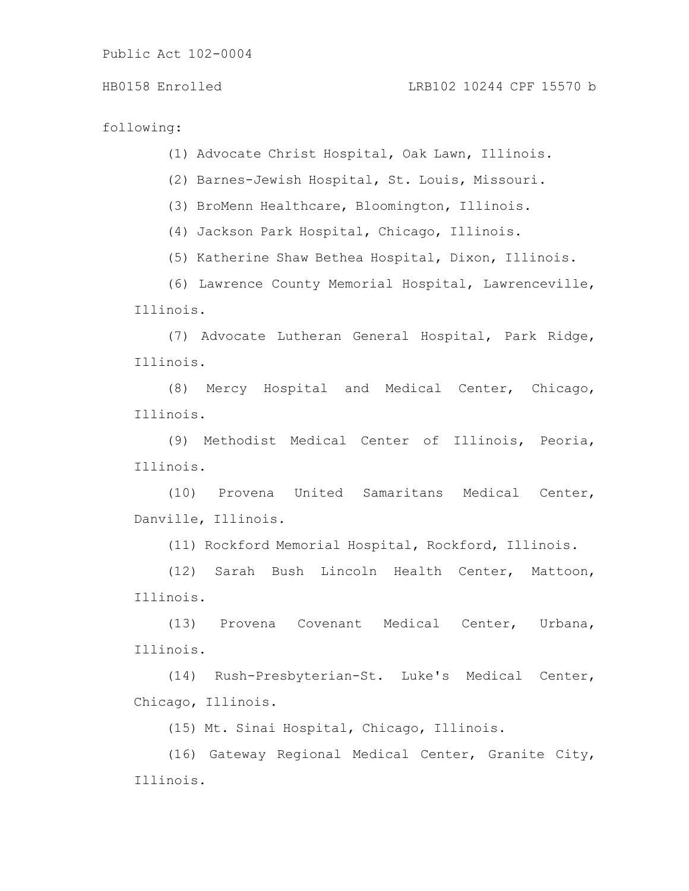following:

(1) Advocate Christ Hospital, Oak Lawn, Illinois.

(2) Barnes-Jewish Hospital, St. Louis, Missouri.

(3) BroMenn Healthcare, Bloomington, Illinois.

(4) Jackson Park Hospital, Chicago, Illinois.

(5) Katherine Shaw Bethea Hospital, Dixon, Illinois.

(6) Lawrence County Memorial Hospital, Lawrenceville, Illinois.

(7) Advocate Lutheran General Hospital, Park Ridge, Illinois.

(8) Mercy Hospital and Medical Center, Chicago, Illinois.

(9) Methodist Medical Center of Illinois, Peoria, Illinois.

(10) Provena United Samaritans Medical Center, Danville, Illinois.

(11) Rockford Memorial Hospital, Rockford, Illinois.

(12) Sarah Bush Lincoln Health Center, Mattoon, Illinois.

(13) Provena Covenant Medical Center, Urbana, Illinois.

(14) Rush-Presbyterian-St. Luke's Medical Center, Chicago, Illinois.

(15) Mt. Sinai Hospital, Chicago, Illinois.

(16) Gateway Regional Medical Center, Granite City, Illinois.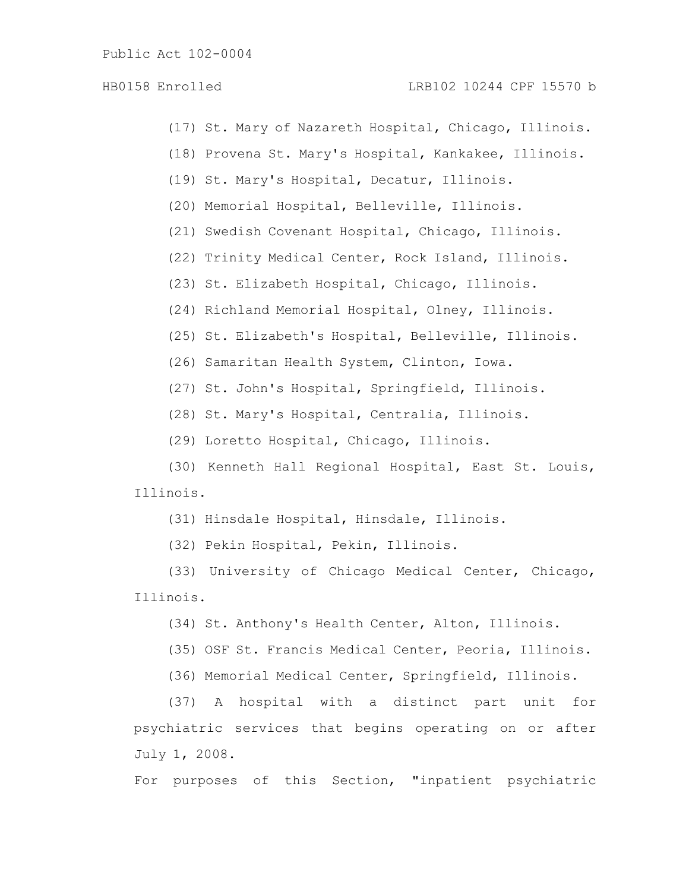HB0158 Enrolled LRB102 10244 CPF 15570 b

- (17) St. Mary of Nazareth Hospital, Chicago, Illinois.
- (18) Provena St. Mary's Hospital, Kankakee, Illinois.
- (19) St. Mary's Hospital, Decatur, Illinois.
- (20) Memorial Hospital, Belleville, Illinois.
- (21) Swedish Covenant Hospital, Chicago, Illinois.
- (22) Trinity Medical Center, Rock Island, Illinois.
- (23) St. Elizabeth Hospital, Chicago, Illinois.
- (24) Richland Memorial Hospital, Olney, Illinois.
- (25) St. Elizabeth's Hospital, Belleville, Illinois.
- (26) Samaritan Health System, Clinton, Iowa.
- (27) St. John's Hospital, Springfield, Illinois.
- (28) St. Mary's Hospital, Centralia, Illinois.
- (29) Loretto Hospital, Chicago, Illinois.

(30) Kenneth Hall Regional Hospital, East St. Louis, Illinois.

- (31) Hinsdale Hospital, Hinsdale, Illinois.
- (32) Pekin Hospital, Pekin, Illinois.
- (33) University of Chicago Medical Center, Chicago, Illinois.
	- (34) St. Anthony's Health Center, Alton, Illinois.
	- (35) OSF St. Francis Medical Center, Peoria, Illinois.
	- (36) Memorial Medical Center, Springfield, Illinois.

(37) A hospital with a distinct part unit for psychiatric services that begins operating on or after July 1, 2008.

For purposes of this Section, "inpatient psychiatric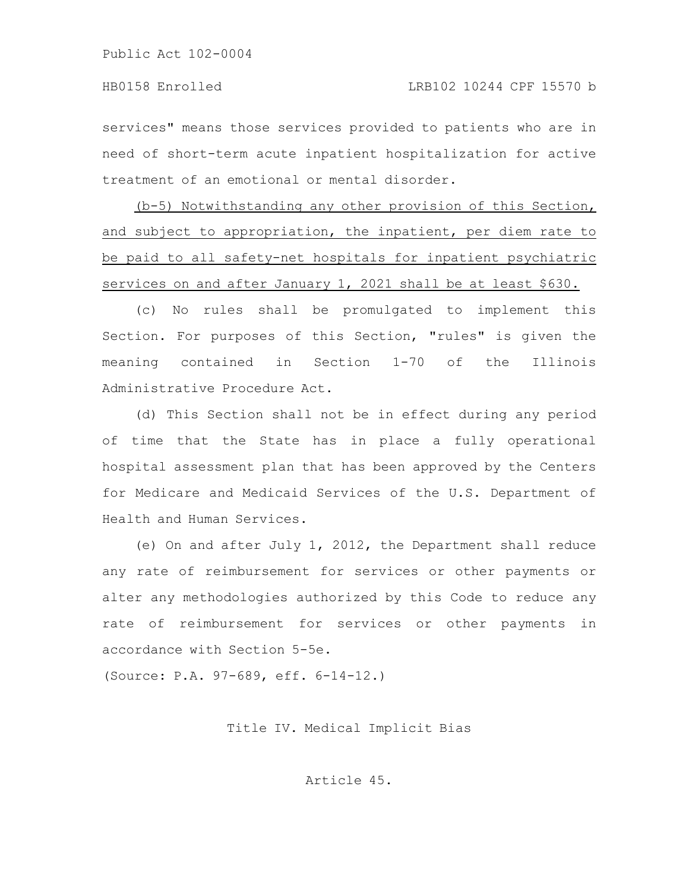services" means those services provided to patients who are in need of short-term acute inpatient hospitalization for active treatment of an emotional or mental disorder.

(b-5) Notwithstanding any other provision of this Section, and subject to appropriation, the inpatient, per diem rate to be paid to all safety-net hospitals for inpatient psychiatric services on and after January 1, 2021 shall be at least \$630.

(c) No rules shall be promulgated to implement this Section. For purposes of this Section, "rules" is given the meaning contained in Section 1-70 of the Illinois Administrative Procedure Act.

(d) This Section shall not be in effect during any period of time that the State has in place a fully operational hospital assessment plan that has been approved by the Centers for Medicare and Medicaid Services of the U.S. Department of Health and Human Services.

(e) On and after July 1, 2012, the Department shall reduce any rate of reimbursement for services or other payments or alter any methodologies authorized by this Code to reduce any rate of reimbursement for services or other payments in accordance with Section 5-5e.

(Source: P.A. 97-689, eff. 6-14-12.)

Title IV. Medical Implicit Bias

Article 45.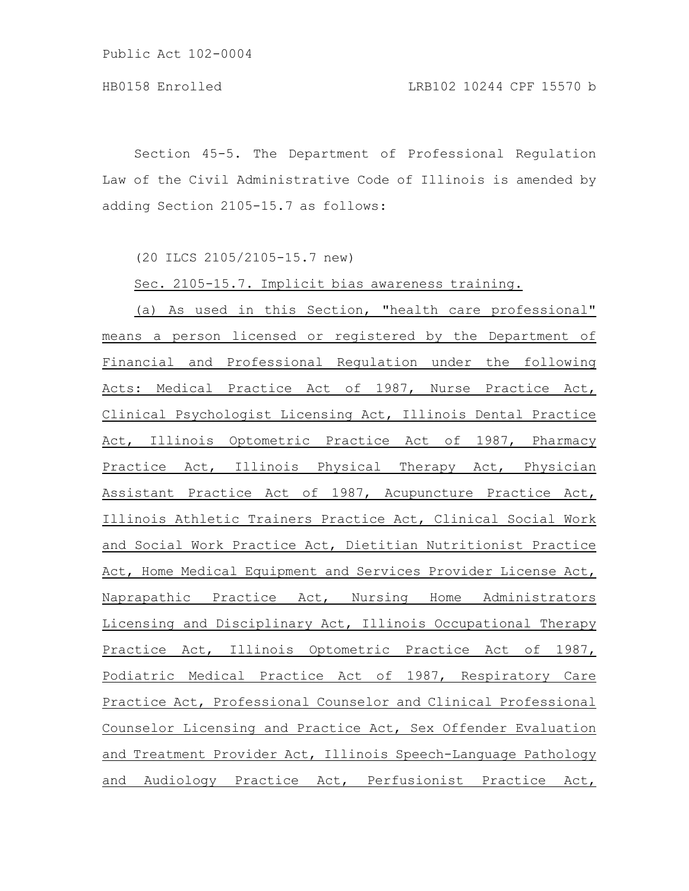Section 45-5. The Department of Professional Regulation Law of the Civil Administrative Code of Illinois is amended by adding Section 2105-15.7 as follows:

(20 ILCS 2105/2105-15.7 new)

Sec. 2105-15.7. Implicit bias awareness training.

(a) As used in this Section, "health care professional" means a person licensed or registered by the Department of Financial and Professional Regulation under the following Acts: Medical Practice Act of 1987, Nurse Practice Act, Clinical Psychologist Licensing Act, Illinois Dental Practice Act, Illinois Optometric Practice Act of 1987, Pharmacy Practice Act, Illinois Physical Therapy Act, Physician Assistant Practice Act of 1987, Acupuncture Practice Act, Illinois Athletic Trainers Practice Act, Clinical Social Work and Social Work Practice Act, Dietitian Nutritionist Practice Act, Home Medical Equipment and Services Provider License Act, Naprapathic Practice Act, Nursing Home Administrators Licensing and Disciplinary Act, Illinois Occupational Therapy Practice Act, Illinois Optometric Practice Act of 1987, Podiatric Medical Practice Act of 1987, Respiratory Care Practice Act, Professional Counselor and Clinical Professional Counselor Licensing and Practice Act, Sex Offender Evaluation and Treatment Provider Act, Illinois Speech-Language Pathology and Audiology Practice Act, Perfusionist Practice Act,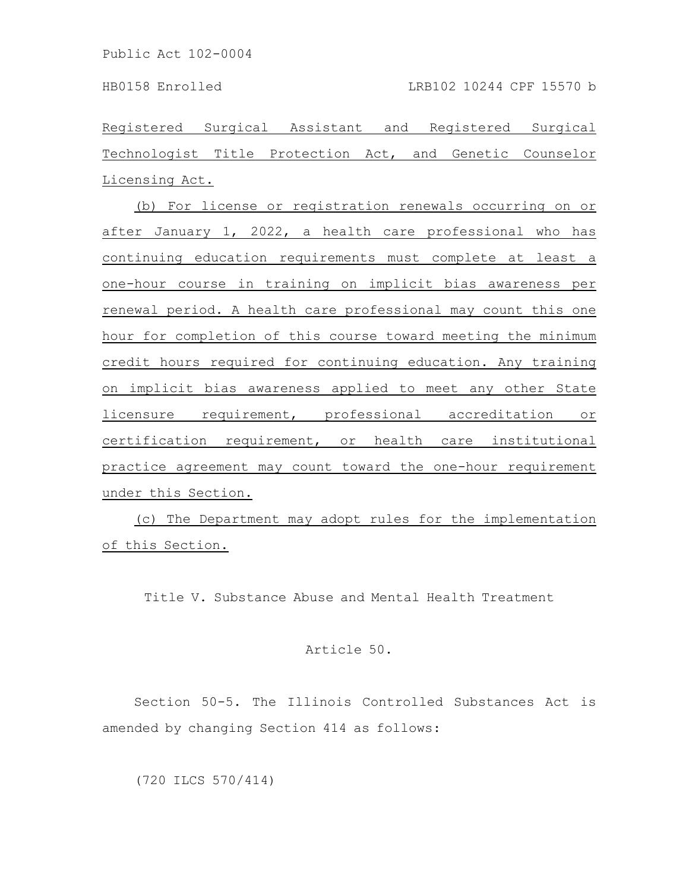Registered Surgical Assistant and Registered Surgical Technologist Title Protection Act, and Genetic Counselor Licensing Act.

(b) For license or registration renewals occurring on or after January 1, 2022, a health care professional who has continuing education requirements must complete at least a one-hour course in training on implicit bias awareness per renewal period. A health care professional may count this one hour for completion of this course toward meeting the minimum credit hours required for continuing education. Any training on implicit bias awareness applied to meet any other State licensure requirement, professional accreditation or certification requirement, or health care institutional practice agreement may count toward the one-hour requirement under this Section.

(c) The Department may adopt rules for the implementation of this Section.

Title V. Substance Abuse and Mental Health Treatment

# Article 50.

Section 50-5. The Illinois Controlled Substances Act is amended by changing Section 414 as follows:

(720 ILCS 570/414)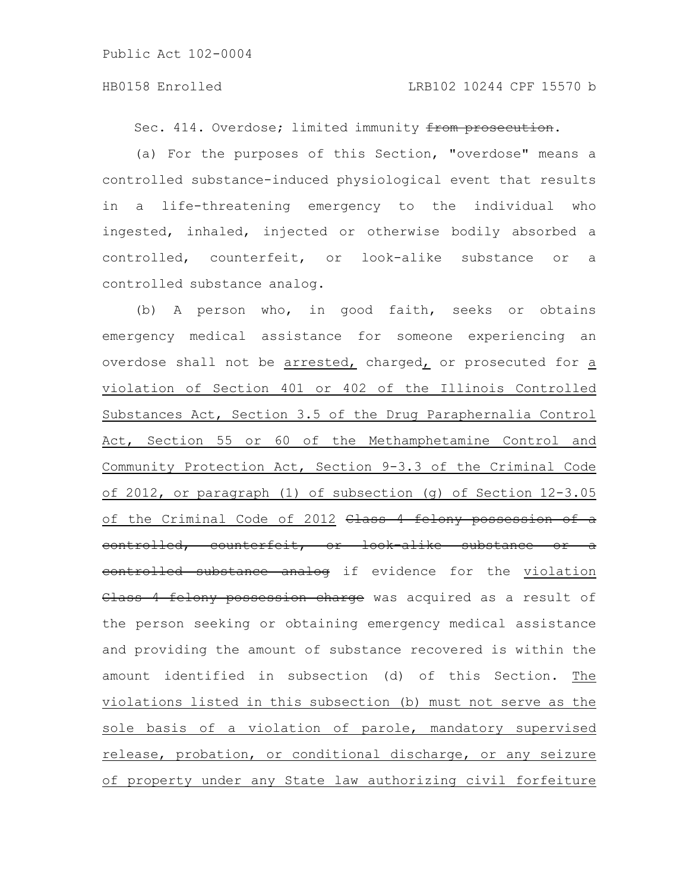### HB0158 Enrolled LRB102 10244 CPF 15570 b

Sec. 414. Overdose; limited immunity from prosecution.

(a) For the purposes of this Section, "overdose" means a controlled substance-induced physiological event that results in a life-threatening emergency to the individual who ingested, inhaled, injected or otherwise bodily absorbed a controlled, counterfeit, or look-alike substance or a controlled substance analog.

(b) A person who, in good faith, seeks or obtains emergency medical assistance for someone experiencing an overdose shall not be arrested, charged, or prosecuted for a violation of Section 401 or 402 of the Illinois Controlled Substances Act, Section 3.5 of the Drug Paraphernalia Control Act, Section 55 or 60 of the Methamphetamine Control and Community Protection Act, Section 9-3.3 of the Criminal Code of 2012, or paragraph (1) of subsection (g) of Section 12-3.05 of the Criminal Code of 2012 Class 4 felony possession of a controlled, counterfeit, or look-alike substance or a controlled substance analog if evidence for the violation Class 4 felony possession charge was acquired as a result of the person seeking or obtaining emergency medical assistance and providing the amount of substance recovered is within the amount identified in subsection (d) of this Section. The violations listed in this subsection (b) must not serve as the sole basis of a violation of parole, mandatory supervised release, probation, or conditional discharge, or any seizure of property under any State law authorizing civil forfeiture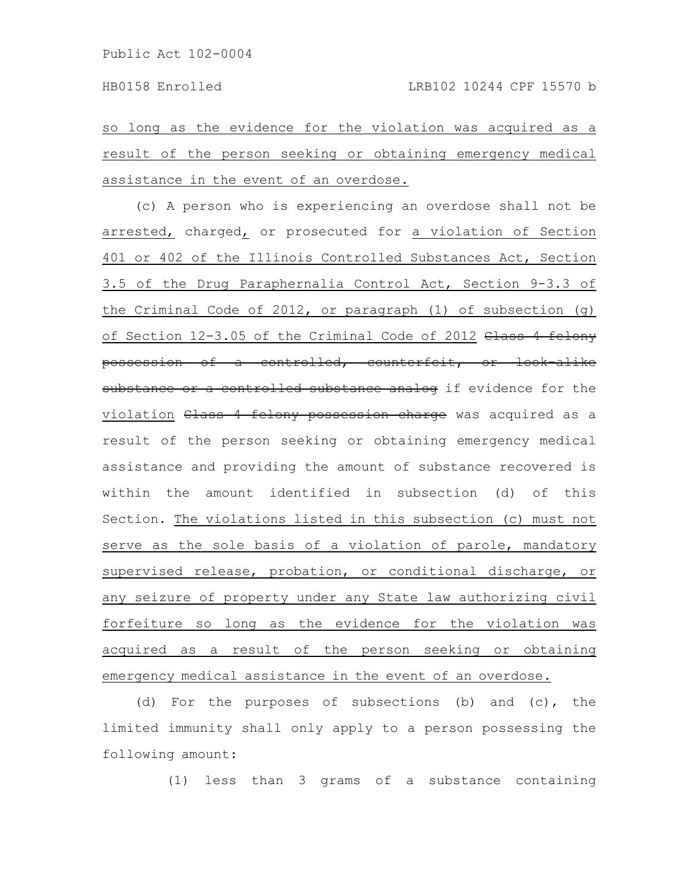so long as the evidence for the violation was acquired as a result of the person seeking or obtaining emergency medical assistance in the event of an overdose.

(c) A person who is experiencing an overdose shall not be arrested, charged, or prosecuted for a violation of Section 401 or 402 of the Illinois Controlled Substances Act, Section 3.5 of the Drug Paraphernalia Control Act, Section 9-3.3 of the Criminal Code of 2012, or paragraph (1) of subsection (g) of Section 12-3.05 of the Criminal Code of 2012 Class 4 felony possession of a controlled, counterfeit, or look-alike substance or a controlled substance analog if evidence for the violation Class 4 felony possession charge was acquired as a result of the person seeking or obtaining emergency medical assistance and providing the amount of substance recovered is within the amount identified in subsection (d) of this Section. The violations listed in this subsection (c) must not serve as the sole basis of a violation of parole, mandatory supervised release, probation, or conditional discharge, or any seizure of property under any State law authorizing civil forfeiture so long as the evidence for the violation was acquired as a result of the person seeking or obtaining emergency medical assistance in the event of an overdose.

(d) For the purposes of subsections (b) and (c), the limited immunity shall only apply to a person possessing the following amount:

(1) less than 3 grams of a substance containing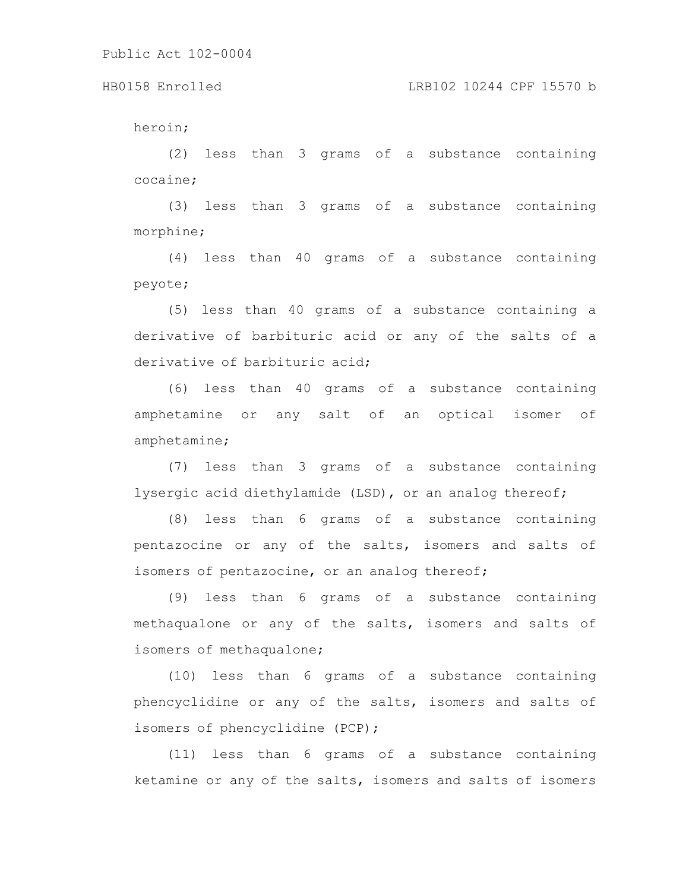HB0158 Enrolled LRB102 10244 CPF 15570 b

heroin;

(2) less than 3 grams of a substance containing cocaine;

(3) less than 3 grams of a substance containing morphine;

(4) less than 40 grams of a substance containing peyote;

(5) less than 40 grams of a substance containing a derivative of barbituric acid or any of the salts of a derivative of barbituric acid:

(6) less than 40 grams of a substance containing amphetamine or any salt of an optical isomer of amphetamine;

(7) less than 3 grams of a substance containing lysergic acid diethylamide (LSD), or an analog thereof;

(8) less than 6 grams of a substance containing pentazocine or any of the salts, isomers and salts of isomers of pentazocine, or an analog thereof;

(9) less than 6 grams of a substance containing methaqualone or any of the salts, isomers and salts of isomers of methaqualone;

(10) less than 6 grams of a substance containing phencyclidine or any of the salts, isomers and salts of isomers of phencyclidine (PCP);

(11) less than 6 grams of a substance containing ketamine or any of the salts, isomers and salts of isomers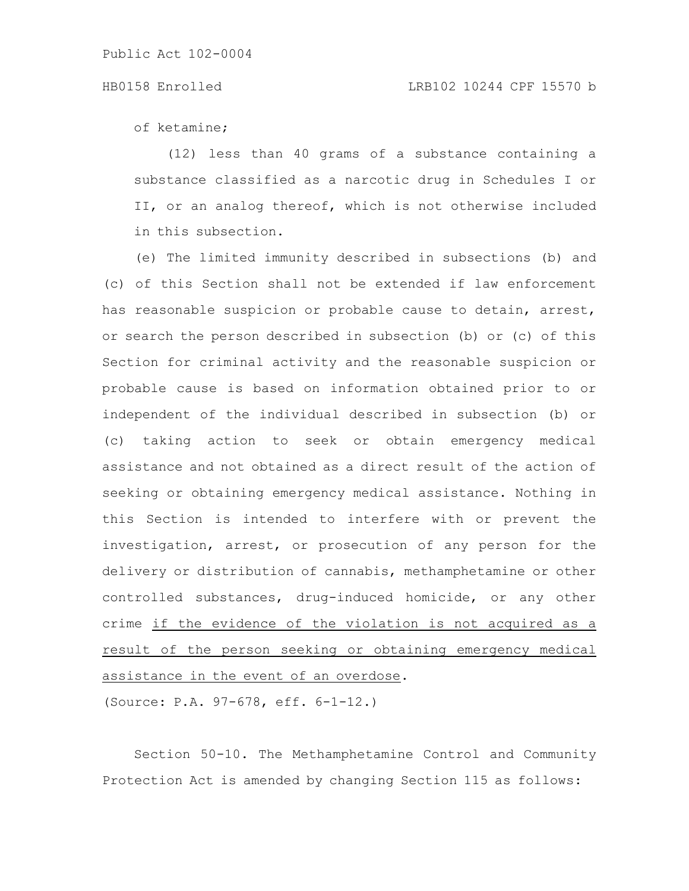### HB0158 Enrolled LRB102 10244 CPF 15570 b

of ketamine;

(12) less than 40 grams of a substance containing a substance classified as a narcotic drug in Schedules I or II, or an analog thereof, which is not otherwise included in this subsection.

(e) The limited immunity described in subsections (b) and (c) of this Section shall not be extended if law enforcement has reasonable suspicion or probable cause to detain, arrest, or search the person described in subsection (b) or (c) of this Section for criminal activity and the reasonable suspicion or probable cause is based on information obtained prior to or independent of the individual described in subsection (b) or (c) taking action to seek or obtain emergency medical assistance and not obtained as a direct result of the action of seeking or obtaining emergency medical assistance. Nothing in this Section is intended to interfere with or prevent the investigation, arrest, or prosecution of any person for the delivery or distribution of cannabis, methamphetamine or other controlled substances, drug-induced homicide, or any other crime if the evidence of the violation is not acquired as a result of the person seeking or obtaining emergency medical assistance in the event of an overdose.

(Source: P.A. 97-678, eff. 6-1-12.)

Section 50-10. The Methamphetamine Control and Community Protection Act is amended by changing Section 115 as follows: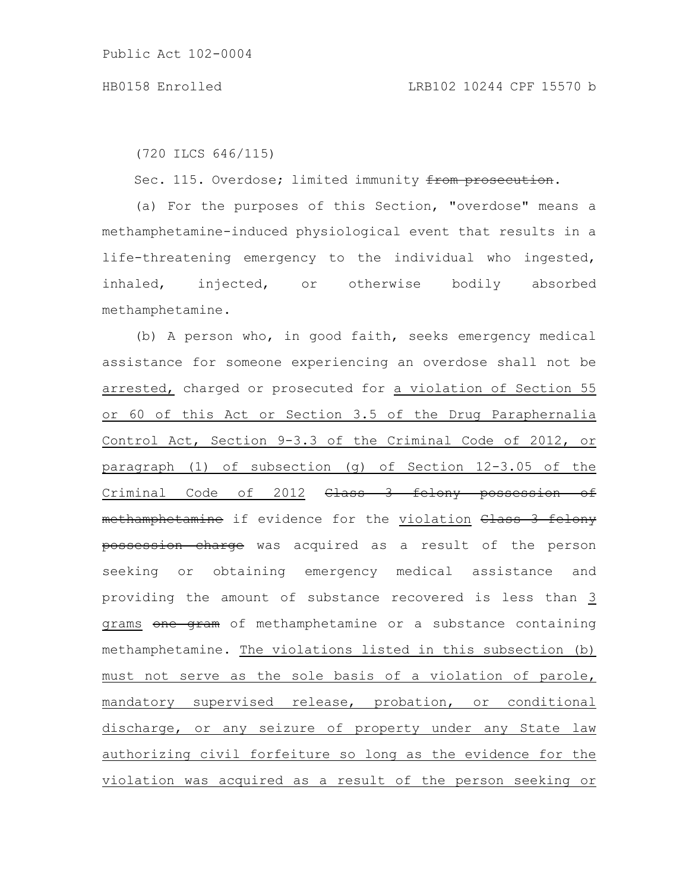(720 ILCS 646/115)

Sec. 115. Overdose; limited immunity from prosecution.

(a) For the purposes of this Section, "overdose" means a methamphetamine-induced physiological event that results in a life-threatening emergency to the individual who ingested, inhaled, injected, or otherwise bodily absorbed methamphetamine.

(b) A person who, in good faith, seeks emergency medical assistance for someone experiencing an overdose shall not be arrested, charged or prosecuted for a violation of Section 55 or 60 of this Act or Section 3.5 of the Drug Paraphernalia Control Act, Section 9-3.3 of the Criminal Code of 2012, or paragraph (1) of subsection (g) of Section 12-3.05 of the Criminal Code of 2012 <del>Class 3 felony possession of</del> methamphetamine if evidence for the violation Class 3 felony possession charge was acquired as a result of the person seeking or obtaining emergency medical assistance and providing the amount of substance recovered is less than 3 grams one gram of methamphetamine or a substance containing methamphetamine. The violations listed in this subsection (b) must not serve as the sole basis of a violation of parole, mandatory supervised release, probation, or conditional discharge, or any seizure of property under any State law authorizing civil forfeiture so long as the evidence for the violation was acquired as a result of the person seeking or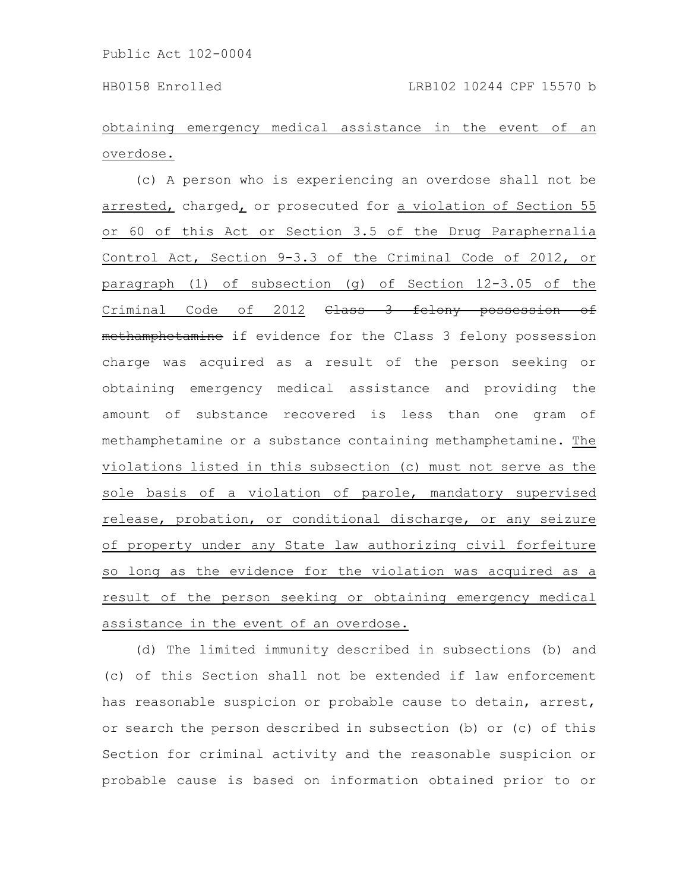# obtaining emergency medical assistance in the event of an overdose.

(c) A person who is experiencing an overdose shall not be arrested, charged, or prosecuted for a violation of Section 55 or 60 of this Act or Section 3.5 of the Drug Paraphernalia Control Act, Section 9-3.3 of the Criminal Code of 2012, or paragraph (1) of subsection (g) of Section 12-3.05 of the Criminal Code of 2012 <del>Class 3 felony possession of</del> methamphetamine if evidence for the Class 3 felony possession charge was acquired as a result of the person seeking or obtaining emergency medical assistance and providing the amount of substance recovered is less than one gram of methamphetamine or a substance containing methamphetamine. The violations listed in this subsection (c) must not serve as the sole basis of a violation of parole, mandatory supervised release, probation, or conditional discharge, or any seizure of property under any State law authorizing civil forfeiture so long as the evidence for the violation was acquired as a result of the person seeking or obtaining emergency medical assistance in the event of an overdose.

(d) The limited immunity described in subsections (b) and (c) of this Section shall not be extended if law enforcement has reasonable suspicion or probable cause to detain, arrest, or search the person described in subsection (b) or (c) of this Section for criminal activity and the reasonable suspicion or probable cause is based on information obtained prior to or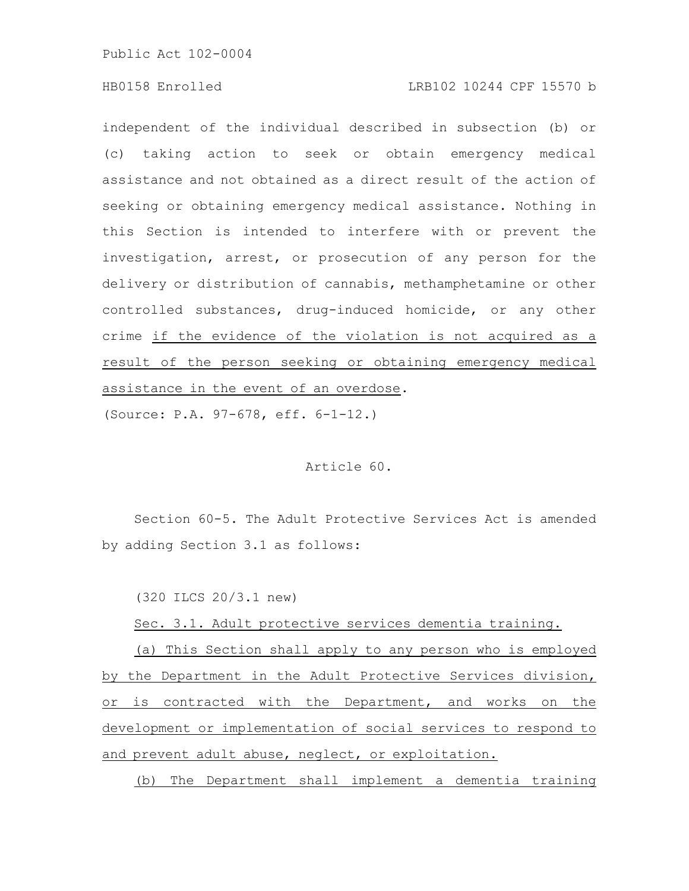# HB0158 Enrolled LRB102 10244 CPF 15570 b

independent of the individual described in subsection (b) or (c) taking action to seek or obtain emergency medical assistance and not obtained as a direct result of the action of seeking or obtaining emergency medical assistance. Nothing in this Section is intended to interfere with or prevent the investigation, arrest, or prosecution of any person for the delivery or distribution of cannabis, methamphetamine or other controlled substances, drug-induced homicide, or any other crime if the evidence of the violation is not acquired as a result of the person seeking or obtaining emergency medical assistance in the event of an overdose.

(Source: P.A. 97-678, eff. 6-1-12.)

### Article 60.

Section 60-5. The Adult Protective Services Act is amended by adding Section 3.1 as follows:

(320 ILCS 20/3.1 new)

Sec. 3.1. Adult protective services dementia training.

(a) This Section shall apply to any person who is employed by the Department in the Adult Protective Services division, or is contracted with the Department, and works on the development or implementation of social services to respond to and prevent adult abuse, neglect, or exploitation.

(b) The Department shall implement a dementia training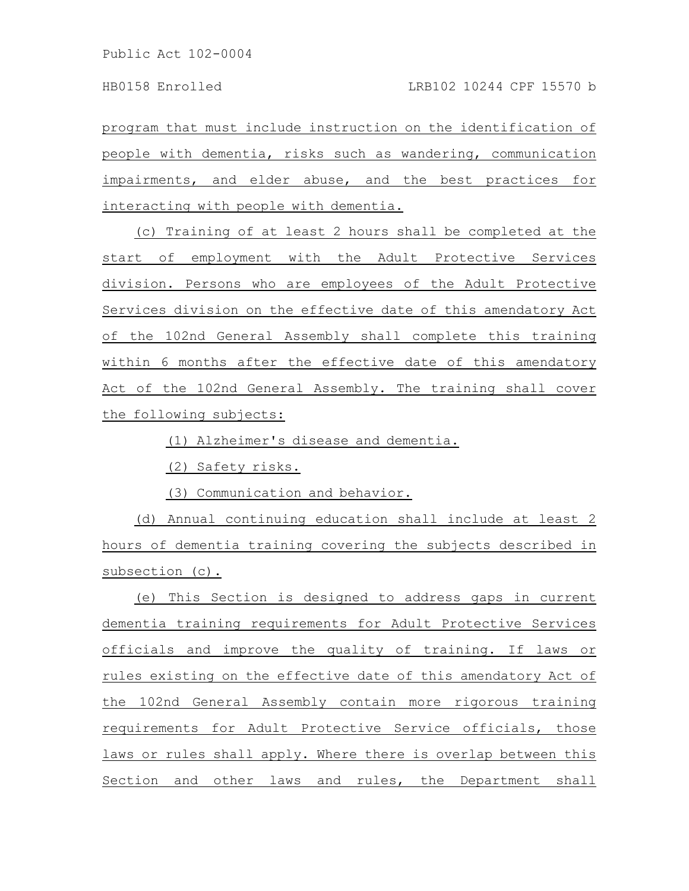program that must include instruction on the identification of people with dementia, risks such as wandering, communication impairments, and elder abuse, and the best practices for interacting with people with dementia.

(c) Training of at least 2 hours shall be completed at the start of employment with the Adult Protective Services division. Persons who are employees of the Adult Protective Services division on the effective date of this amendatory Act of the 102nd General Assembly shall complete this training within 6 months after the effective date of this amendatory Act of the 102nd General Assembly. The training shall cover the following subjects:

(1) Alzheimer's disease and dementia.

(2) Safety risks.

(3) Communication and behavior.

(d) Annual continuing education shall include at least 2 hours of dementia training covering the subjects described in subsection (c).

(e) This Section is designed to address gaps in current dementia training requirements for Adult Protective Services officials and improve the quality of training. If laws or rules existing on the effective date of this amendatory Act of the 102nd General Assembly contain more rigorous training requirements for Adult Protective Service officials, those laws or rules shall apply. Where there is overlap between this Section and other laws and rules, the Department shall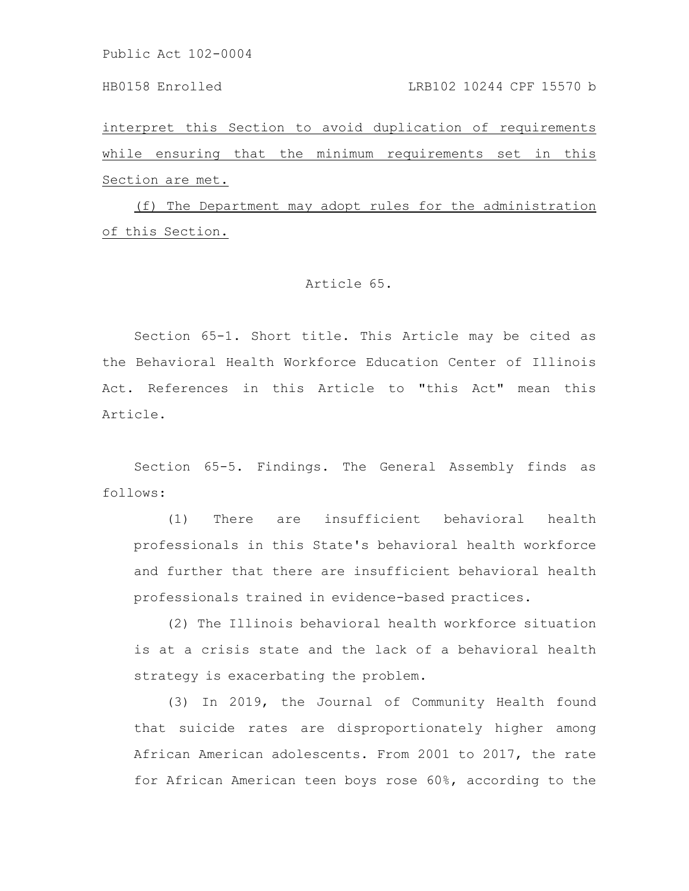HB0158 Enrolled LRB102 10244 CPF 15570 b

interpret this Section to avoid duplication of requirements while ensuring that the minimum requirements set in this Section are met.

(f) The Department may adopt rules for the administration of this Section.

### Article 65.

Section 65-1. Short title. This Article may be cited as the Behavioral Health Workforce Education Center of Illinois Act. References in this Article to "this Act" mean this Article.

Section 65-5. Findings. The General Assembly finds as follows:

(1) There are insufficient behavioral health professionals in this State's behavioral health workforce and further that there are insufficient behavioral health professionals trained in evidence-based practices.

(2) The Illinois behavioral health workforce situation is at a crisis state and the lack of a behavioral health strategy is exacerbating the problem.

(3) In 2019, the Journal of Community Health found that suicide rates are disproportionately higher among African American adolescents. From 2001 to 2017, the rate for African American teen boys rose 60%, according to the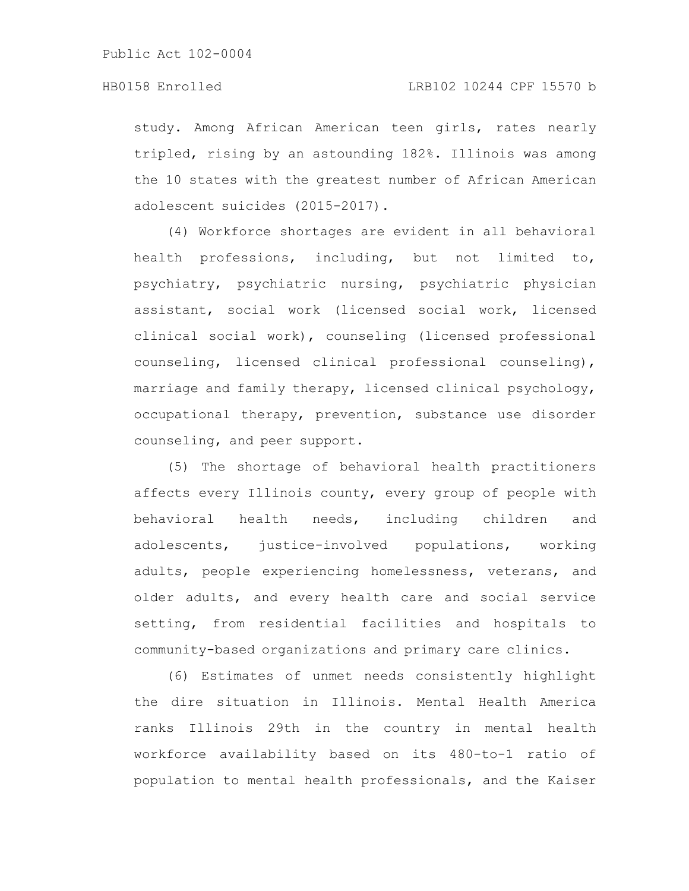study. Among African American teen girls, rates nearly tripled, rising by an astounding 182%. Illinois was among the 10 states with the greatest number of African American adolescent suicides (2015-2017).

(4) Workforce shortages are evident in all behavioral health professions, including, but not limited to, psychiatry, psychiatric nursing, psychiatric physician assistant, social work (licensed social work, licensed clinical social work), counseling (licensed professional counseling, licensed clinical professional counseling), marriage and family therapy, licensed clinical psychology, occupational therapy, prevention, substance use disorder counseling, and peer support.

(5) The shortage of behavioral health practitioners affects every Illinois county, every group of people with behavioral health needs, including children and adolescents, justice-involved populations, working adults, people experiencing homelessness, veterans, and older adults, and every health care and social service setting, from residential facilities and hospitals to community-based organizations and primary care clinics.

(6) Estimates of unmet needs consistently highlight the dire situation in Illinois. Mental Health America ranks Illinois 29th in the country in mental health workforce availability based on its 480-to-1 ratio of population to mental health professionals, and the Kaiser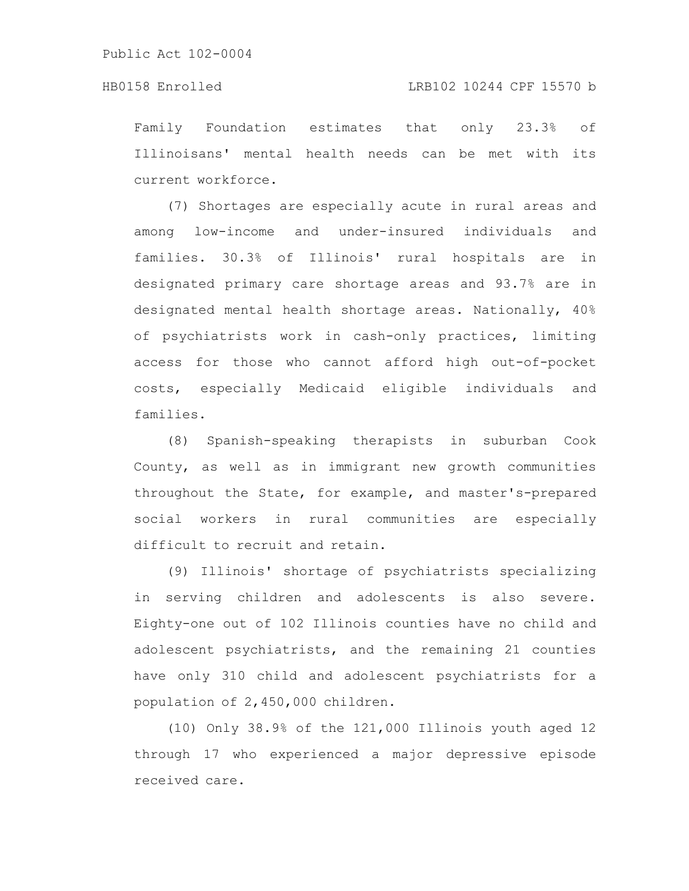## HB0158 Enrolled LRB102 10244 CPF 15570 b

Family Foundation estimates that only 23.3% of Illinoisans' mental health needs can be met with its current workforce.

(7) Shortages are especially acute in rural areas and among low-income and under-insured individuals and families. 30.3% of Illinois' rural hospitals are in designated primary care shortage areas and 93.7% are in designated mental health shortage areas. Nationally, 40% of psychiatrists work in cash-only practices, limiting access for those who cannot afford high out-of-pocket costs, especially Medicaid eligible individuals and families.

(8) Spanish-speaking therapists in suburban Cook County, as well as in immigrant new growth communities throughout the State, for example, and master's-prepared social workers in rural communities are especially difficult to recruit and retain.

(9) Illinois' shortage of psychiatrists specializing in serving children and adolescents is also severe. Eighty-one out of 102 Illinois counties have no child and adolescent psychiatrists, and the remaining 21 counties have only 310 child and adolescent psychiatrists for a population of 2,450,000 children.

(10) Only 38.9% of the 121,000 Illinois youth aged 12 through 17 who experienced a major depressive episode received care.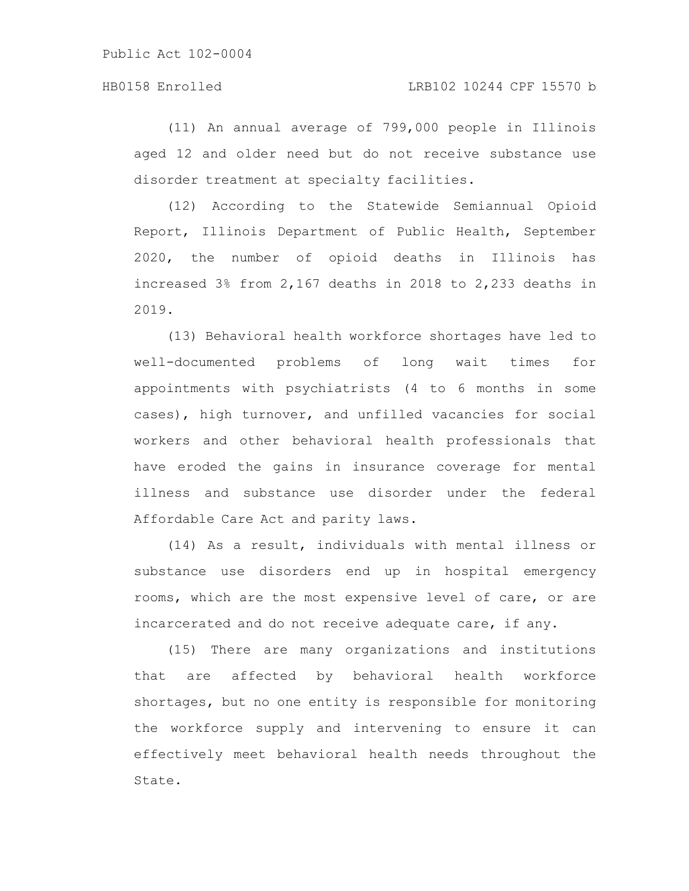(11) An annual average of 799,000 people in Illinois aged 12 and older need but do not receive substance use disorder treatment at specialty facilities.

(12) According to the Statewide Semiannual Opioid Report, Illinois Department of Public Health, September 2020, the number of opioid deaths in Illinois has increased 3% from 2,167 deaths in 2018 to 2,233 deaths in 2019.

(13) Behavioral health workforce shortages have led to well-documented problems of long wait times for appointments with psychiatrists (4 to 6 months in some cases), high turnover, and unfilled vacancies for social workers and other behavioral health professionals that have eroded the gains in insurance coverage for mental illness and substance use disorder under the federal Affordable Care Act and parity laws.

(14) As a result, individuals with mental illness or substance use disorders end up in hospital emergency rooms, which are the most expensive level of care, or are incarcerated and do not receive adequate care, if any.

(15) There are many organizations and institutions that are affected by behavioral health workforce shortages, but no one entity is responsible for monitoring the workforce supply and intervening to ensure it can effectively meet behavioral health needs throughout the State.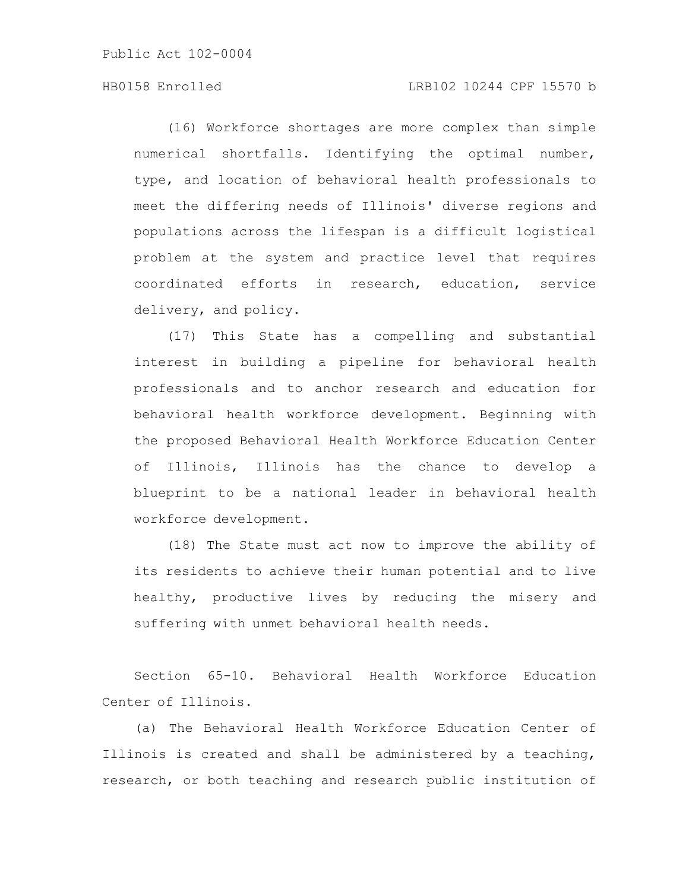# HB0158 Enrolled LRB102 10244 CPF 15570 b

(16) Workforce shortages are more complex than simple numerical shortfalls. Identifying the optimal number, type, and location of behavioral health professionals to meet the differing needs of Illinois' diverse regions and populations across the lifespan is a difficult logistical problem at the system and practice level that requires coordinated efforts in research, education, service delivery, and policy.

(17) This State has a compelling and substantial interest in building a pipeline for behavioral health professionals and to anchor research and education for behavioral health workforce development. Beginning with the proposed Behavioral Health Workforce Education Center of Illinois, Illinois has the chance to develop a blueprint to be a national leader in behavioral health workforce development.

(18) The State must act now to improve the ability of its residents to achieve their human potential and to live healthy, productive lives by reducing the misery and suffering with unmet behavioral health needs.

Section 65-10. Behavioral Health Workforce Education Center of Illinois.

(a) The Behavioral Health Workforce Education Center of Illinois is created and shall be administered by a teaching, research, or both teaching and research public institution of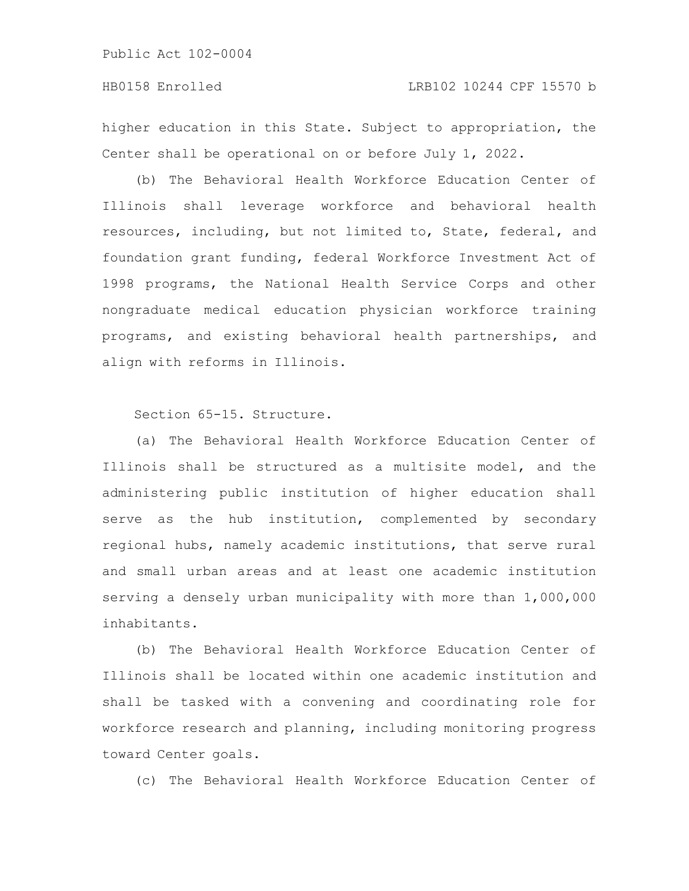higher education in this State. Subject to appropriation, the Center shall be operational on or before July 1, 2022.

(b) The Behavioral Health Workforce Education Center of Illinois shall leverage workforce and behavioral health resources, including, but not limited to, State, federal, and foundation grant funding, federal Workforce Investment Act of 1998 programs, the National Health Service Corps and other nongraduate medical education physician workforce training programs, and existing behavioral health partnerships, and align with reforms in Illinois.

Section 65-15. Structure.

(a) The Behavioral Health Workforce Education Center of Illinois shall be structured as a multisite model, and the administering public institution of higher education shall serve as the hub institution, complemented by secondary regional hubs, namely academic institutions, that serve rural and small urban areas and at least one academic institution serving a densely urban municipality with more than 1,000,000 inhabitants.

(b) The Behavioral Health Workforce Education Center of Illinois shall be located within one academic institution and shall be tasked with a convening and coordinating role for workforce research and planning, including monitoring progress toward Center goals.

(c) The Behavioral Health Workforce Education Center of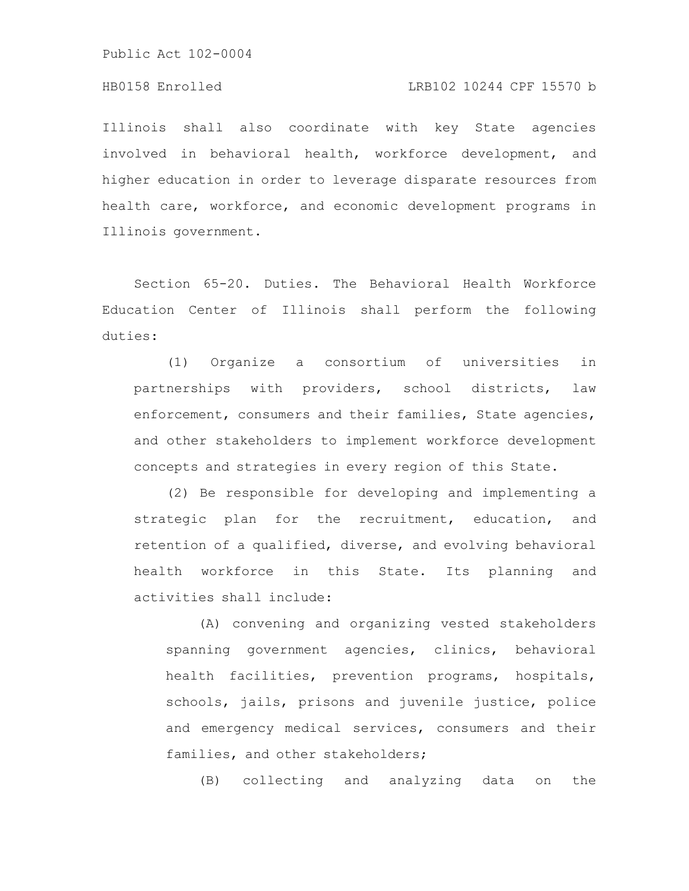# HB0158 Enrolled LRB102 10244 CPF 15570 b

Illinois shall also coordinate with key State agencies involved in behavioral health, workforce development, and higher education in order to leverage disparate resources from health care, workforce, and economic development programs in Illinois government.

Section 65-20. Duties. The Behavioral Health Workforce Education Center of Illinois shall perform the following duties:

(1) Organize a consortium of universities in partnerships with providers, school districts, law enforcement, consumers and their families, State agencies, and other stakeholders to implement workforce development concepts and strategies in every region of this State.

(2) Be responsible for developing and implementing a strategic plan for the recruitment, education, and retention of a qualified, diverse, and evolving behavioral health workforce in this State. Its planning and activities shall include:

(A) convening and organizing vested stakeholders spanning government agencies, clinics, behavioral health facilities, prevention programs, hospitals, schools, jails, prisons and juvenile justice, police and emergency medical services, consumers and their families, and other stakeholders;

(B) collecting and analyzing data on the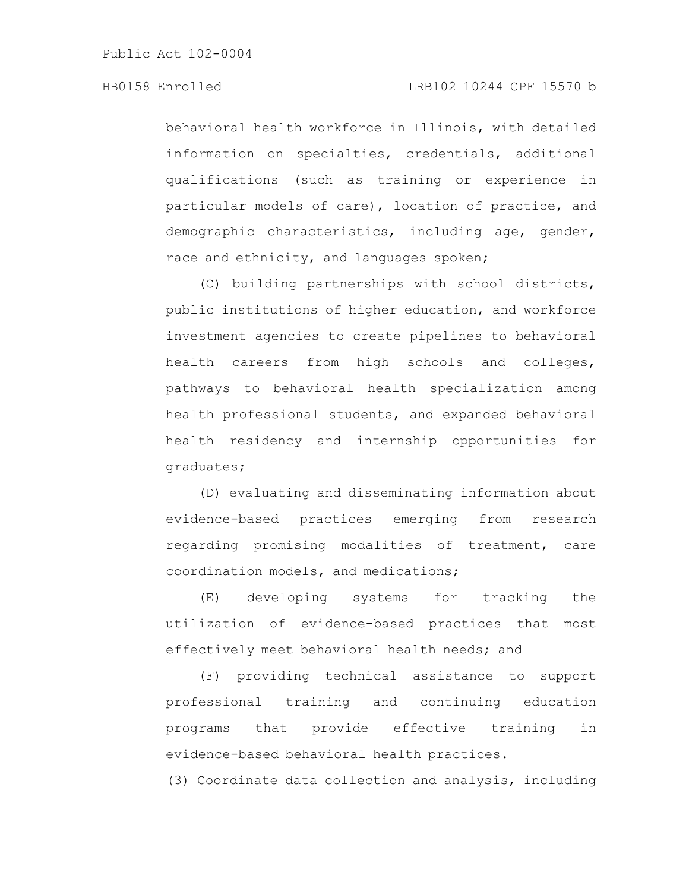behavioral health workforce in Illinois, with detailed information on specialties, credentials, additional qualifications (such as training or experience in particular models of care), location of practice, and demographic characteristics, including age, gender, race and ethnicity, and languages spoken;

(C) building partnerships with school districts, public institutions of higher education, and workforce investment agencies to create pipelines to behavioral health careers from high schools and colleges, pathways to behavioral health specialization among health professional students, and expanded behavioral health residency and internship opportunities for graduates;

(D) evaluating and disseminating information about evidence-based practices emerging from research regarding promising modalities of treatment, care coordination models, and medications;

(E) developing systems for tracking the utilization of evidence-based practices that most effectively meet behavioral health needs; and

(F) providing technical assistance to support professional training and continuing education programs that provide effective training in evidence-based behavioral health practices.

(3) Coordinate data collection and analysis, including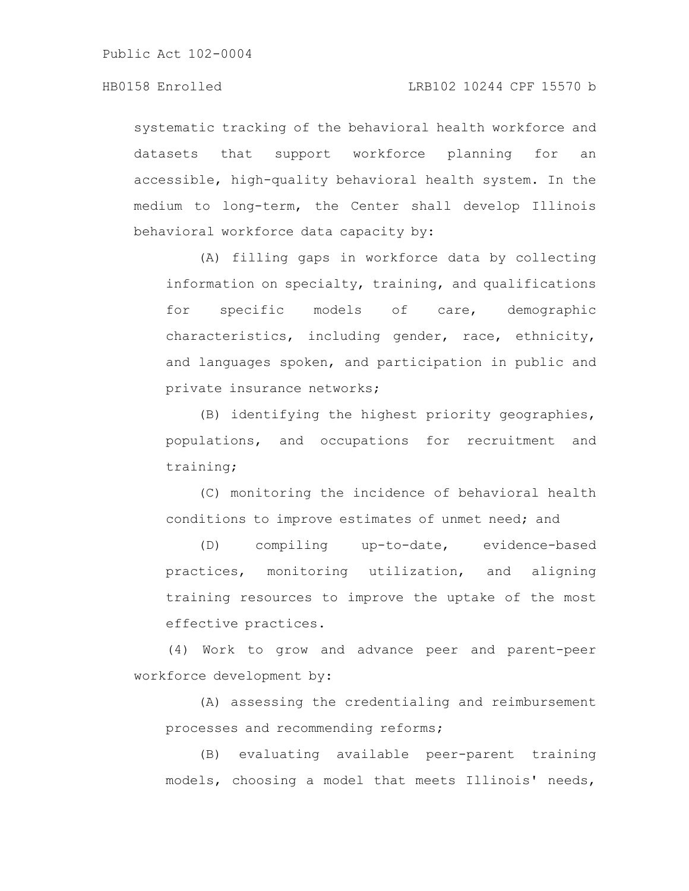systematic tracking of the behavioral health workforce and datasets that support workforce planning for an accessible, high-quality behavioral health system. In the medium to long-term, the Center shall develop Illinois behavioral workforce data capacity by:

(A) filling gaps in workforce data by collecting information on specialty, training, and qualifications for specific models of care, demographic characteristics, including gender, race, ethnicity, and languages spoken, and participation in public and private insurance networks;

(B) identifying the highest priority geographies, populations, and occupations for recruitment and training;

(C) monitoring the incidence of behavioral health conditions to improve estimates of unmet need; and

(D) compiling up-to-date, evidence-based practices, monitoring utilization, and aligning training resources to improve the uptake of the most effective practices.

(4) Work to grow and advance peer and parent-peer workforce development by:

(A) assessing the credentialing and reimbursement processes and recommending reforms;

(B) evaluating available peer-parent training models, choosing a model that meets Illinois' needs,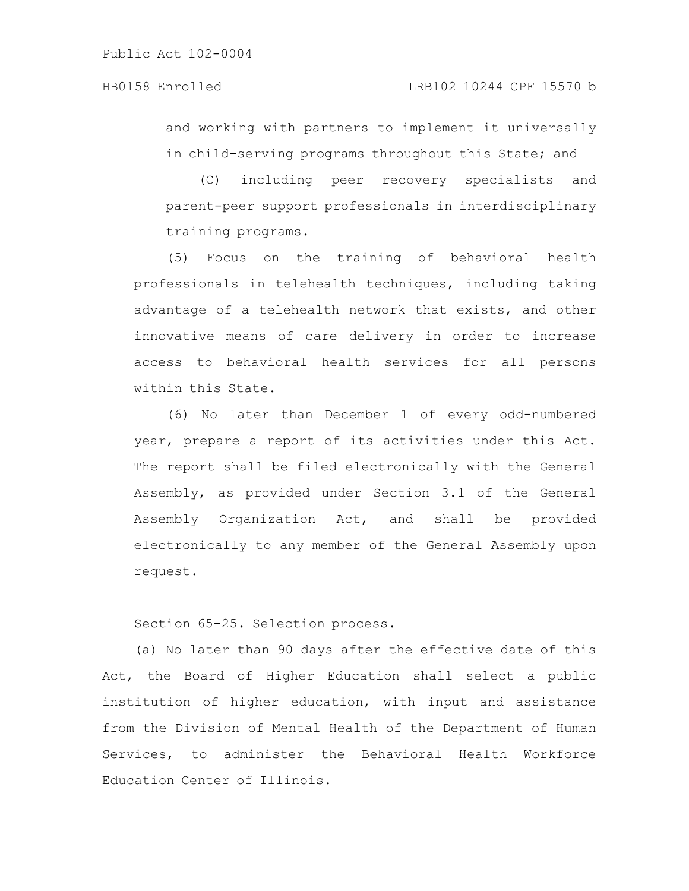and working with partners to implement it universally in child-serving programs throughout this State; and

(C) including peer recovery specialists and parent-peer support professionals in interdisciplinary training programs.

(5) Focus on the training of behavioral health professionals in telehealth techniques, including taking advantage of a telehealth network that exists, and other innovative means of care delivery in order to increase access to behavioral health services for all persons within this State.

(6) No later than December 1 of every odd-numbered year, prepare a report of its activities under this Act. The report shall be filed electronically with the General Assembly, as provided under Section 3.1 of the General Assembly Organization Act, and shall be provided electronically to any member of the General Assembly upon request.

Section 65-25. Selection process.

(a) No later than 90 days after the effective date of this Act, the Board of Higher Education shall select a public institution of higher education, with input and assistance from the Division of Mental Health of the Department of Human Services, to administer the Behavioral Health Workforce Education Center of Illinois.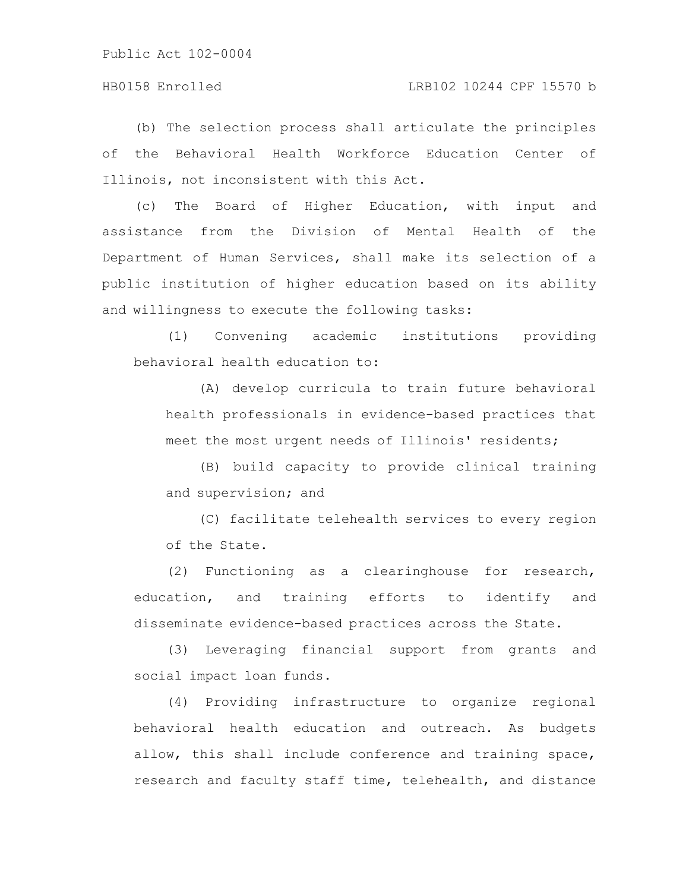(b) The selection process shall articulate the principles of the Behavioral Health Workforce Education Center of Illinois, not inconsistent with this Act.

(c) The Board of Higher Education, with input and assistance from the Division of Mental Health of the Department of Human Services, shall make its selection of a public institution of higher education based on its ability and willingness to execute the following tasks:

(1) Convening academic institutions providing behavioral health education to:

(A) develop curricula to train future behavioral health professionals in evidence-based practices that meet the most urgent needs of Illinois' residents;

(B) build capacity to provide clinical training and supervision; and

(C) facilitate telehealth services to every region of the State.

(2) Functioning as a clearinghouse for research, education, and training efforts to identify and disseminate evidence-based practices across the State.

(3) Leveraging financial support from grants and social impact loan funds.

(4) Providing infrastructure to organize regional behavioral health education and outreach. As budgets allow, this shall include conference and training space, research and faculty staff time, telehealth, and distance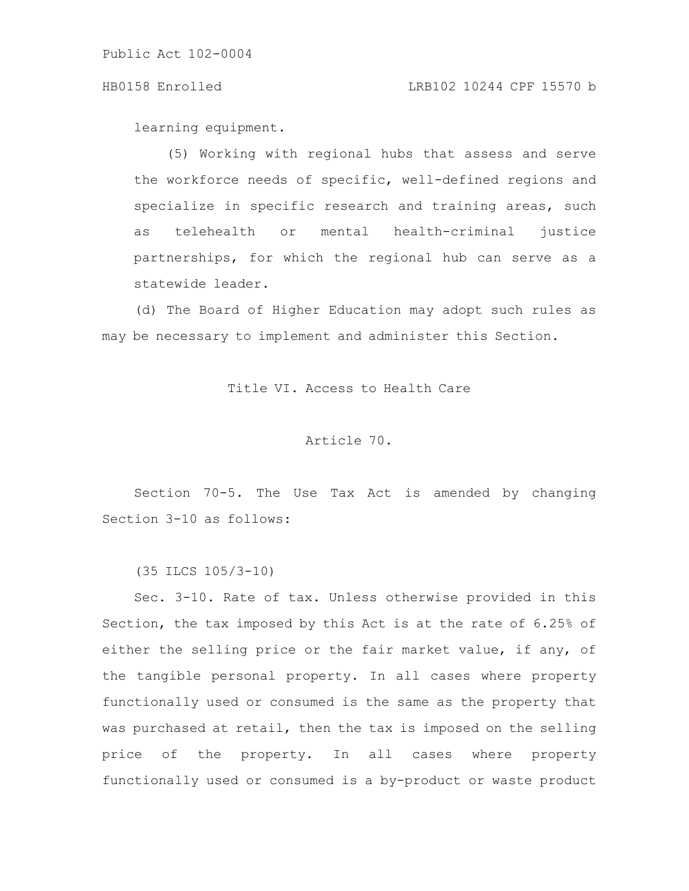#### HB0158 Enrolled LRB102 10244 CPF 15570 b

learning equipment.

(5) Working with regional hubs that assess and serve the workforce needs of specific, well-defined regions and specialize in specific research and training areas, such as telehealth or mental health-criminal justice partnerships, for which the regional hub can serve as a statewide leader.

(d) The Board of Higher Education may adopt such rules as may be necessary to implement and administer this Section.

Title VI. Access to Health Care

#### Article 70.

Section 70-5. The Use Tax Act is amended by changing Section 3-10 as follows:

(35 ILCS 105/3-10)

Sec. 3-10. Rate of tax. Unless otherwise provided in this Section, the tax imposed by this Act is at the rate of 6.25% of either the selling price or the fair market value, if any, of the tangible personal property. In all cases where property functionally used or consumed is the same as the property that was purchased at retail, then the tax is imposed on the selling price of the property. In all cases where property functionally used or consumed is a by-product or waste product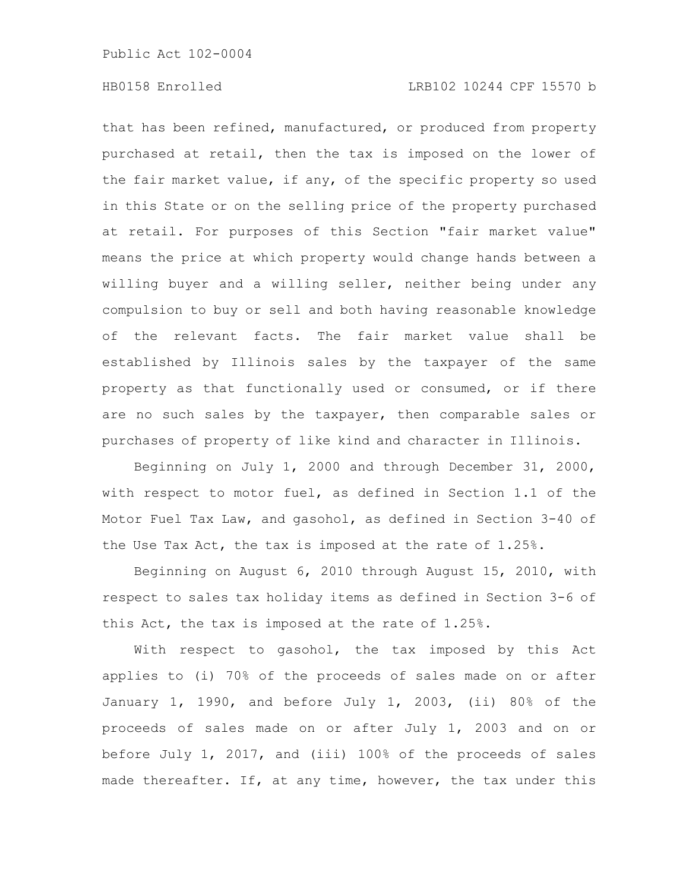## HB0158 Enrolled LRB102 10244 CPF 15570 b

that has been refined, manufactured, or produced from property purchased at retail, then the tax is imposed on the lower of the fair market value, if any, of the specific property so used in this State or on the selling price of the property purchased at retail. For purposes of this Section "fair market value" means the price at which property would change hands between a willing buyer and a willing seller, neither being under any compulsion to buy or sell and both having reasonable knowledge of the relevant facts. The fair market value shall be established by Illinois sales by the taxpayer of the same property as that functionally used or consumed, or if there are no such sales by the taxpayer, then comparable sales or purchases of property of like kind and character in Illinois.

Beginning on July 1, 2000 and through December 31, 2000, with respect to motor fuel, as defined in Section 1.1 of the Motor Fuel Tax Law, and gasohol, as defined in Section 3-40 of the Use Tax Act, the tax is imposed at the rate of 1.25%.

Beginning on August 6, 2010 through August 15, 2010, with respect to sales tax holiday items as defined in Section 3-6 of this Act, the tax is imposed at the rate of 1.25%.

With respect to gasohol, the tax imposed by this Act applies to (i) 70% of the proceeds of sales made on or after January 1, 1990, and before July 1, 2003, (ii) 80% of the proceeds of sales made on or after July 1, 2003 and on or before July 1, 2017, and (iii) 100% of the proceeds of sales made thereafter. If, at any time, however, the tax under this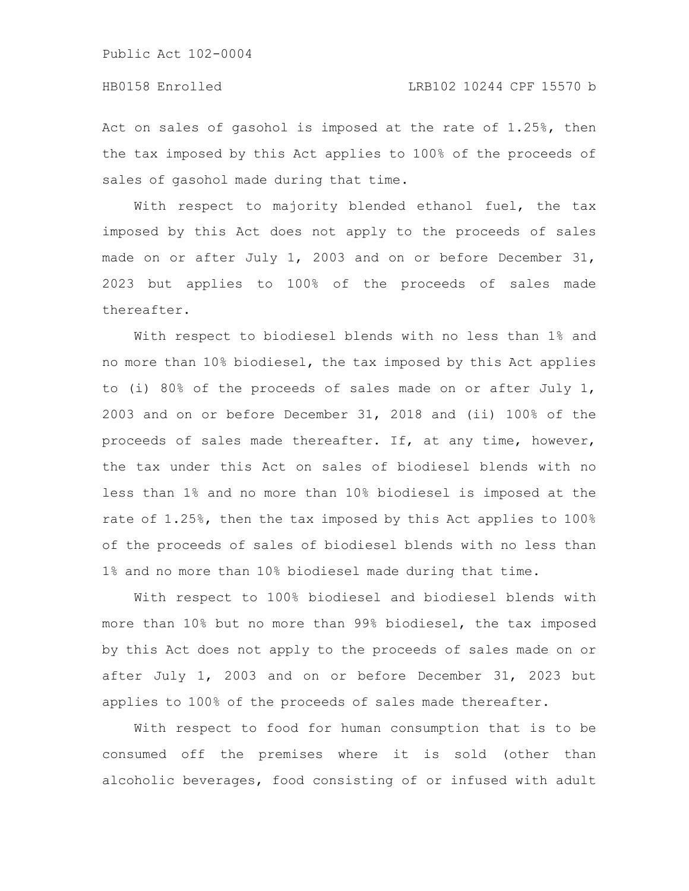Act on sales of gasohol is imposed at the rate of 1.25%, then the tax imposed by this Act applies to 100% of the proceeds of sales of gasohol made during that time.

With respect to majority blended ethanol fuel, the tax imposed by this Act does not apply to the proceeds of sales made on or after July 1, 2003 and on or before December 31, 2023 but applies to 100% of the proceeds of sales made thereafter.

With respect to biodiesel blends with no less than 1% and no more than 10% biodiesel, the tax imposed by this Act applies to (i) 80% of the proceeds of sales made on or after July 1, 2003 and on or before December 31, 2018 and (ii) 100% of the proceeds of sales made thereafter. If, at any time, however, the tax under this Act on sales of biodiesel blends with no less than 1% and no more than 10% biodiesel is imposed at the rate of 1.25%, then the tax imposed by this Act applies to 100% of the proceeds of sales of biodiesel blends with no less than 1% and no more than 10% biodiesel made during that time.

With respect to 100% biodiesel and biodiesel blends with more than 10% but no more than 99% biodiesel, the tax imposed by this Act does not apply to the proceeds of sales made on or after July 1, 2003 and on or before December 31, 2023 but applies to 100% of the proceeds of sales made thereafter.

With respect to food for human consumption that is to be consumed off the premises where it is sold (other than alcoholic beverages, food consisting of or infused with adult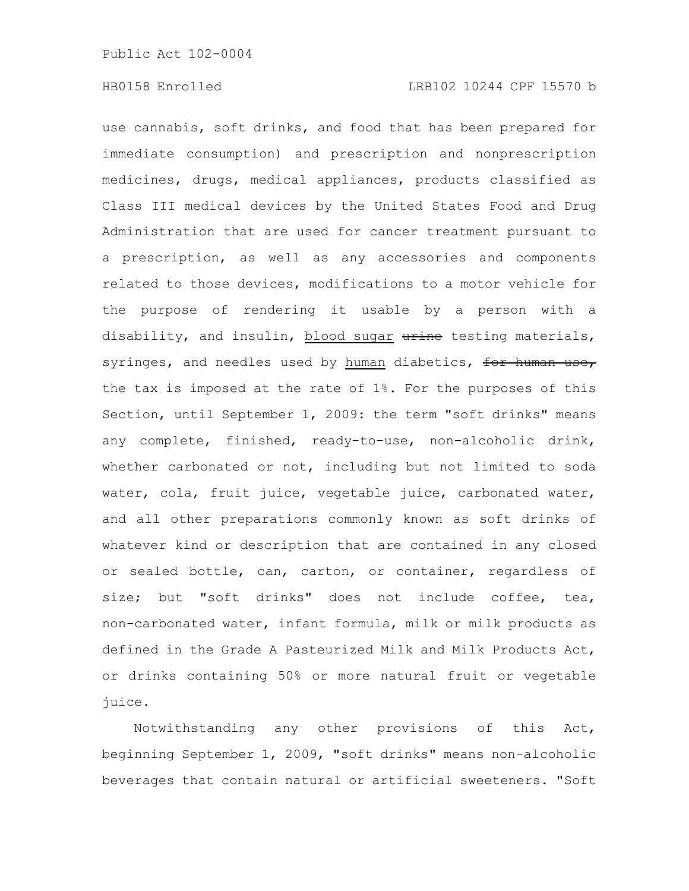use cannabis, soft drinks, and food that has been prepared for immediate consumption) and prescription and nonprescription medicines, drugs, medical appliances, products classified as Class III medical devices by the United States Food and Drug Administration that are used for cancer treatment pursuant to a prescription, as well as any accessories and components related to those devices, modifications to a motor vehicle for the purpose of rendering it usable by a person with a disability, and insulin, blood sugar urine testing materials, syringes, and needles used by human diabetics, for human use, the tax is imposed at the rate of 1%. For the purposes of this Section, until September 1, 2009: the term "soft drinks" means any complete, finished, ready-to-use, non-alcoholic drink, whether carbonated or not, including but not limited to soda water, cola, fruit juice, vegetable juice, carbonated water, and all other preparations commonly known as soft drinks of whatever kind or description that are contained in any closed or sealed bottle, can, carton, or container, regardless of size; but "soft drinks" does not include coffee, tea, non-carbonated water, infant formula, milk or milk products as defined in the Grade A Pasteurized Milk and Milk Products Act, or drinks containing 50% or more natural fruit or vegetable juice.

Notwithstanding any other provisions of this Act, beginning September 1, 2009, "soft drinks" means non-alcoholic beverages that contain natural or artificial sweeteners. "Soft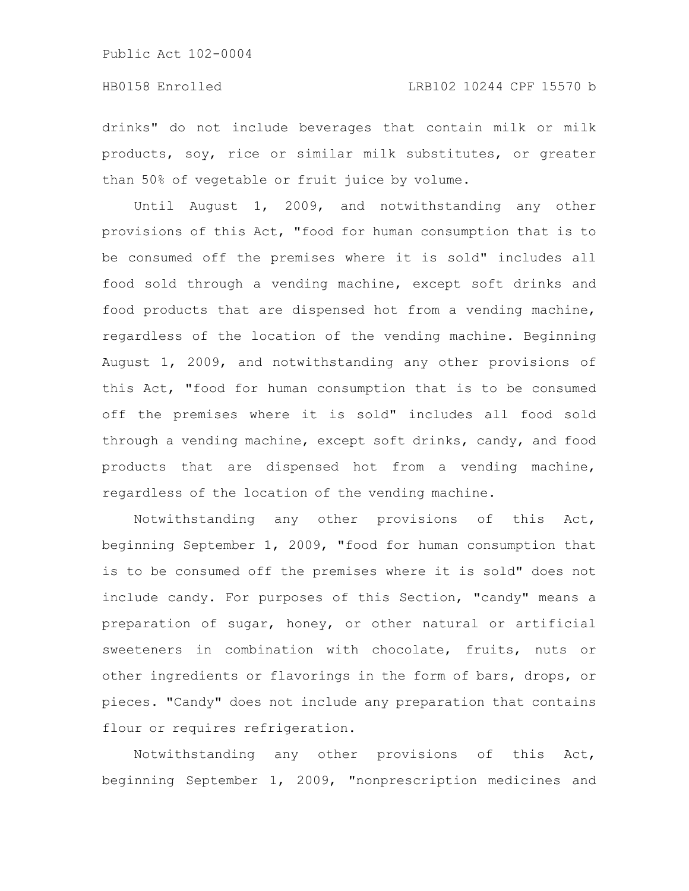drinks" do not include beverages that contain milk or milk products, soy, rice or similar milk substitutes, or greater than 50% of vegetable or fruit juice by volume.

Until August 1, 2009, and notwithstanding any other provisions of this Act, "food for human consumption that is to be consumed off the premises where it is sold" includes all food sold through a vending machine, except soft drinks and food products that are dispensed hot from a vending machine, regardless of the location of the vending machine. Beginning August 1, 2009, and notwithstanding any other provisions of this Act, "food for human consumption that is to be consumed off the premises where it is sold" includes all food sold through a vending machine, except soft drinks, candy, and food products that are dispensed hot from a vending machine, regardless of the location of the vending machine.

Notwithstanding any other provisions of this Act, beginning September 1, 2009, "food for human consumption that is to be consumed off the premises where it is sold" does not include candy. For purposes of this Section, "candy" means a preparation of sugar, honey, or other natural or artificial sweeteners in combination with chocolate, fruits, nuts or other ingredients or flavorings in the form of bars, drops, or pieces. "Candy" does not include any preparation that contains flour or requires refrigeration.

Notwithstanding any other provisions of this Act, beginning September 1, 2009, "nonprescription medicines and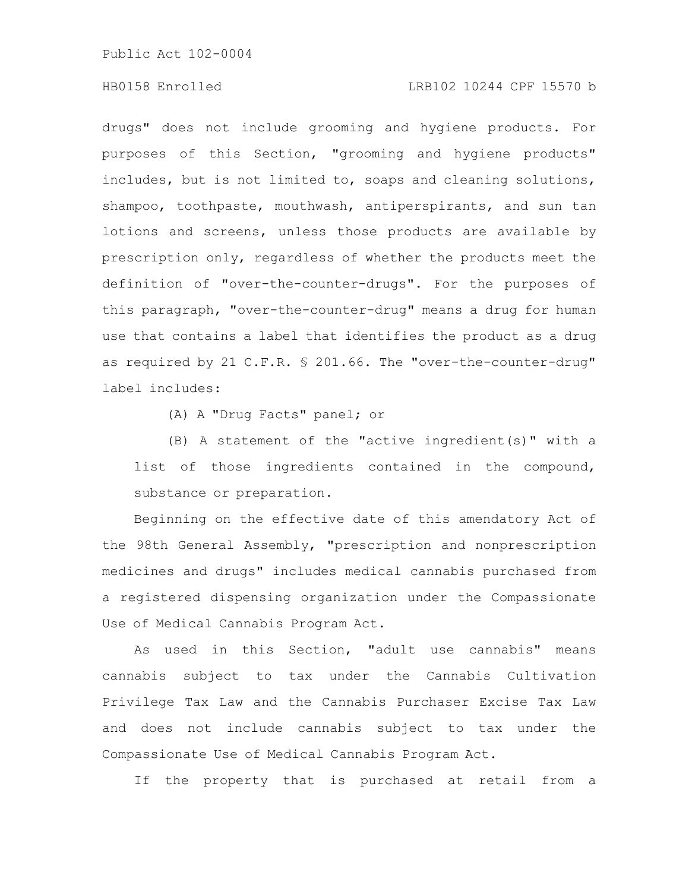# HB0158 Enrolled LRB102 10244 CPF 15570 b

drugs" does not include grooming and hygiene products. For purposes of this Section, "grooming and hygiene products" includes, but is not limited to, soaps and cleaning solutions, shampoo, toothpaste, mouthwash, antiperspirants, and sun tan lotions and screens, unless those products are available by prescription only, regardless of whether the products meet the definition of "over-the-counter-drugs". For the purposes of this paragraph, "over-the-counter-drug" means a drug for human use that contains a label that identifies the product as a drug as required by 21 C.F.R. § 201.66. The "over-the-counter-drug" label includes:

(A) A "Drug Facts" panel; or

(B) A statement of the "active ingredient(s)" with a list of those ingredients contained in the compound, substance or preparation.

Beginning on the effective date of this amendatory Act of the 98th General Assembly, "prescription and nonprescription medicines and drugs" includes medical cannabis purchased from a registered dispensing organization under the Compassionate Use of Medical Cannabis Program Act.

As used in this Section, "adult use cannabis" means cannabis subject to tax under the Cannabis Cultivation Privilege Tax Law and the Cannabis Purchaser Excise Tax Law and does not include cannabis subject to tax under the Compassionate Use of Medical Cannabis Program Act.

If the property that is purchased at retail from a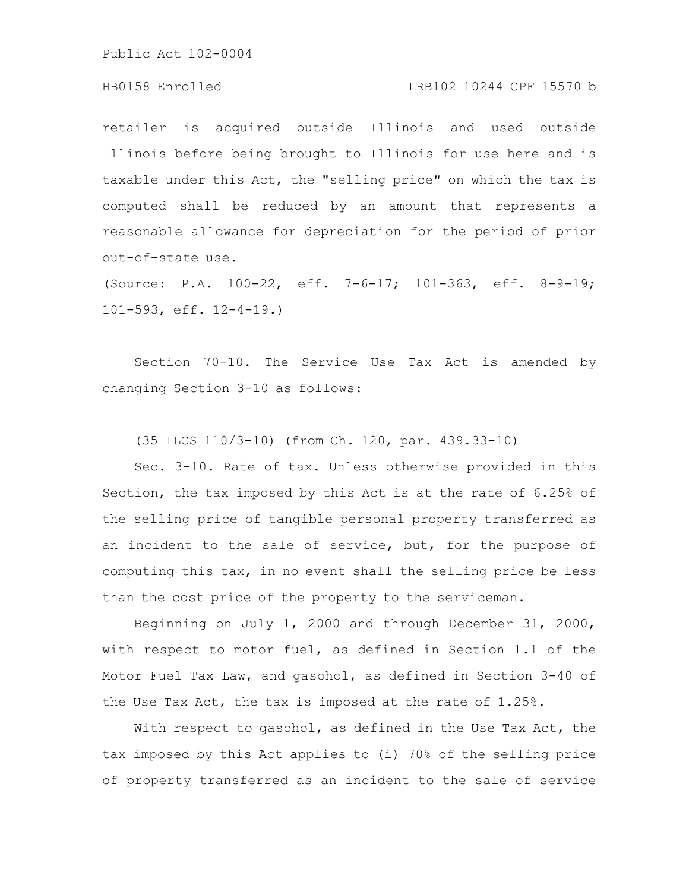## HB0158 Enrolled LRB102 10244 CPF 15570 b

retailer is acquired outside Illinois and used outside Illinois before being brought to Illinois for use here and is taxable under this Act, the "selling price" on which the tax is computed shall be reduced by an amount that represents a reasonable allowance for depreciation for the period of prior out-of-state use.

(Source: P.A. 100-22, eff. 7-6-17; 101-363, eff. 8-9-19; 101-593, eff. 12-4-19.)

Section 70-10. The Service Use Tax Act is amended by changing Section 3-10 as follows:

(35 ILCS 110/3-10) (from Ch. 120, par. 439.33-10)

Sec. 3-10. Rate of tax. Unless otherwise provided in this Section, the tax imposed by this Act is at the rate of 6.25% of the selling price of tangible personal property transferred as an incident to the sale of service, but, for the purpose of computing this tax, in no event shall the selling price be less than the cost price of the property to the serviceman.

Beginning on July 1, 2000 and through December 31, 2000, with respect to motor fuel, as defined in Section 1.1 of the Motor Fuel Tax Law, and gasohol, as defined in Section 3-40 of the Use Tax Act, the tax is imposed at the rate of 1.25%.

With respect to gasohol, as defined in the Use Tax Act, the tax imposed by this Act applies to (i) 70% of the selling price of property transferred as an incident to the sale of service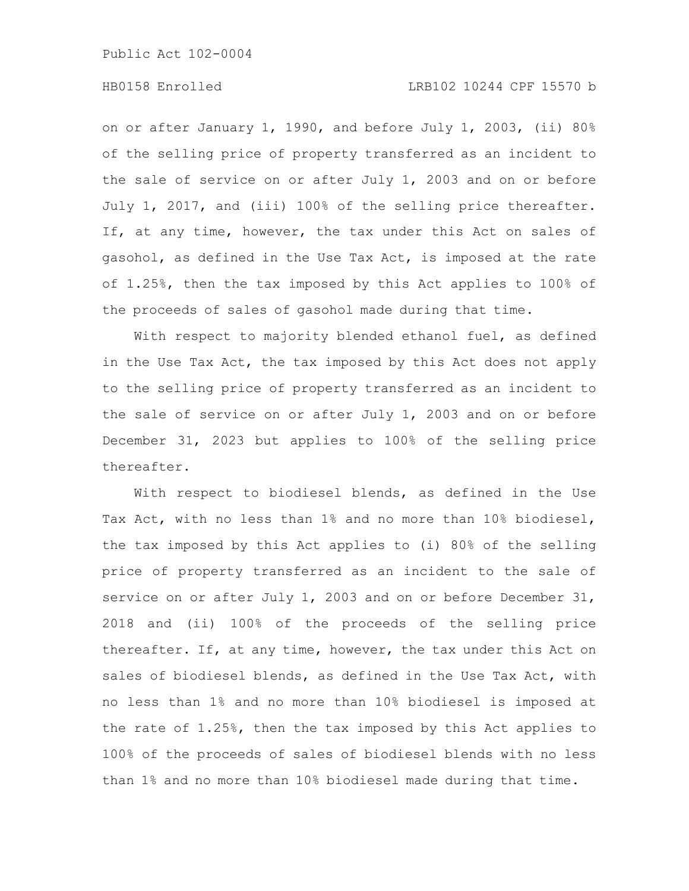# HB0158 Enrolled LRB102 10244 CPF 15570 b

on or after January 1, 1990, and before July 1, 2003, (ii) 80% of the selling price of property transferred as an incident to the sale of service on or after July 1, 2003 and on or before July 1, 2017, and (iii) 100% of the selling price thereafter. If, at any time, however, the tax under this Act on sales of gasohol, as defined in the Use Tax Act, is imposed at the rate of 1.25%, then the tax imposed by this Act applies to 100% of the proceeds of sales of gasohol made during that time.

With respect to majority blended ethanol fuel, as defined in the Use Tax Act, the tax imposed by this Act does not apply to the selling price of property transferred as an incident to the sale of service on or after July 1, 2003 and on or before December 31, 2023 but applies to 100% of the selling price thereafter.

With respect to biodiesel blends, as defined in the Use Tax Act, with no less than 1% and no more than 10% biodiesel, the tax imposed by this Act applies to (i) 80% of the selling price of property transferred as an incident to the sale of service on or after July 1, 2003 and on or before December 31, 2018 and (ii) 100% of the proceeds of the selling price thereafter. If, at any time, however, the tax under this Act on sales of biodiesel blends, as defined in the Use Tax Act, with no less than 1% and no more than 10% biodiesel is imposed at the rate of 1.25%, then the tax imposed by this Act applies to 100% of the proceeds of sales of biodiesel blends with no less than 1% and no more than 10% biodiesel made during that time.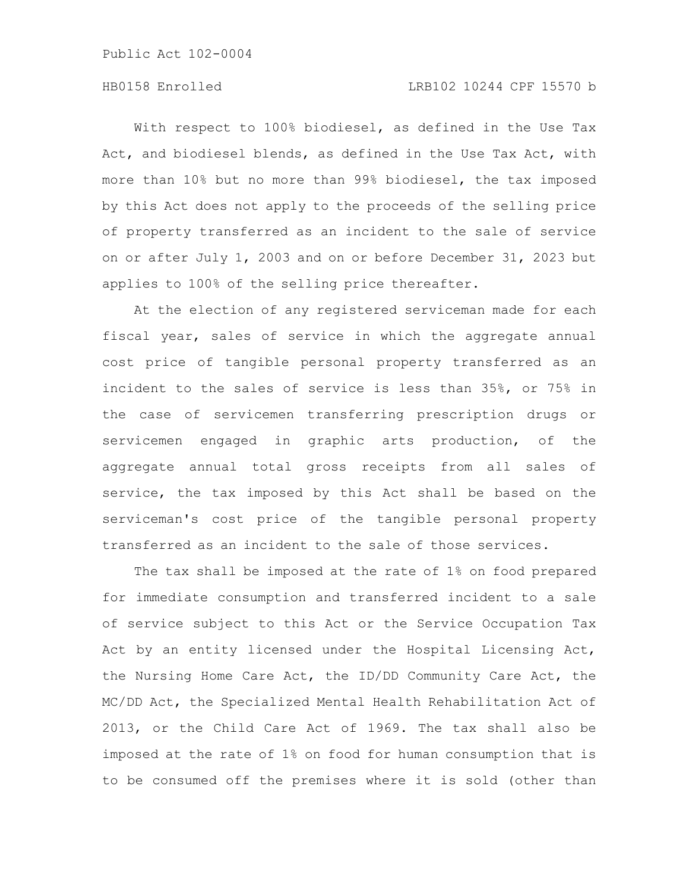With respect to 100% biodiesel, as defined in the Use Tax Act, and biodiesel blends, as defined in the Use Tax Act, with more than 10% but no more than 99% biodiesel, the tax imposed by this Act does not apply to the proceeds of the selling price of property transferred as an incident to the sale of service on or after July 1, 2003 and on or before December 31, 2023 but applies to 100% of the selling price thereafter.

At the election of any registered serviceman made for each fiscal year, sales of service in which the aggregate annual cost price of tangible personal property transferred as an incident to the sales of service is less than 35%, or 75% in the case of servicemen transferring prescription drugs or servicemen engaged in graphic arts production, of the aggregate annual total gross receipts from all sales of service, the tax imposed by this Act shall be based on the serviceman's cost price of the tangible personal property transferred as an incident to the sale of those services.

The tax shall be imposed at the rate of 1% on food prepared for immediate consumption and transferred incident to a sale of service subject to this Act or the Service Occupation Tax Act by an entity licensed under the Hospital Licensing Act, the Nursing Home Care Act, the ID/DD Community Care Act, the MC/DD Act, the Specialized Mental Health Rehabilitation Act of 2013, or the Child Care Act of 1969. The tax shall also be imposed at the rate of 1% on food for human consumption that is to be consumed off the premises where it is sold (other than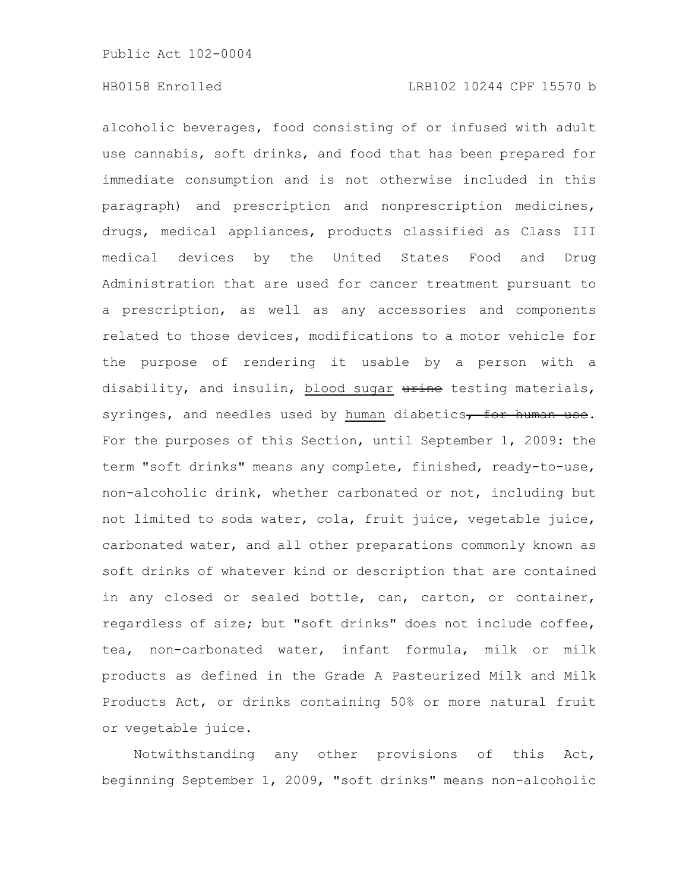alcoholic beverages, food consisting of or infused with adult use cannabis, soft drinks, and food that has been prepared for immediate consumption and is not otherwise included in this paragraph) and prescription and nonprescription medicines, drugs, medical appliances, products classified as Class III medical devices by the United States Food and Drug Administration that are used for cancer treatment pursuant to a prescription, as well as any accessories and components related to those devices, modifications to a motor vehicle for the purpose of rendering it usable by a person with a disability, and insulin, blood sugar wat testing materials, syringes, and needles used by human diabetics, for human use. For the purposes of this Section, until September 1, 2009: the term "soft drinks" means any complete, finished, ready-to-use, non-alcoholic drink, whether carbonated or not, including but not limited to soda water, cola, fruit juice, vegetable juice, carbonated water, and all other preparations commonly known as soft drinks of whatever kind or description that are contained in any closed or sealed bottle, can, carton, or container, regardless of size; but "soft drinks" does not include coffee, tea, non-carbonated water, infant formula, milk or milk products as defined in the Grade A Pasteurized Milk and Milk Products Act, or drinks containing 50% or more natural fruit or vegetable juice.

Notwithstanding any other provisions of this Act, beginning September 1, 2009, "soft drinks" means non-alcoholic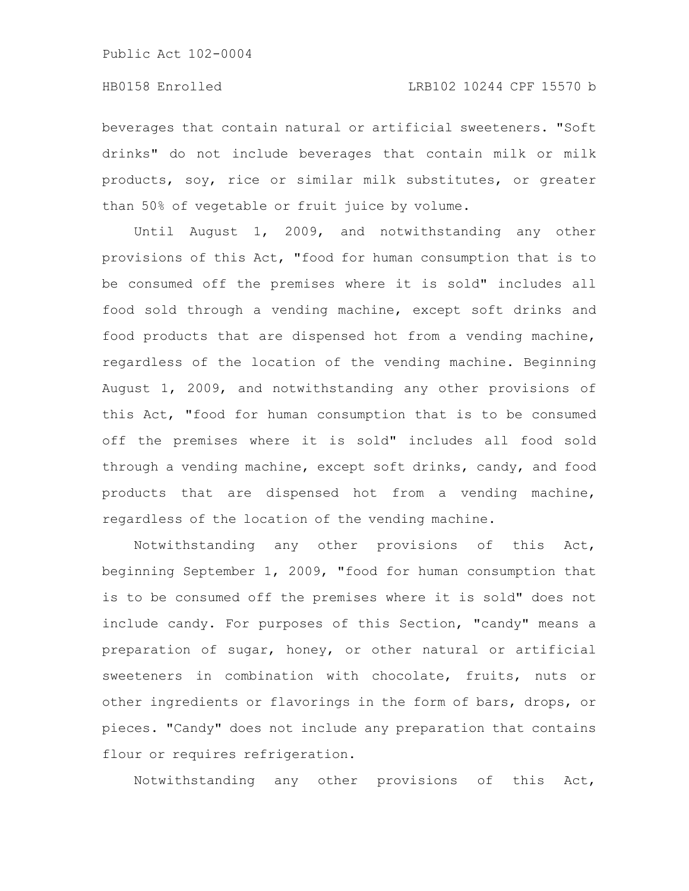beverages that contain natural or artificial sweeteners. "Soft drinks" do not include beverages that contain milk or milk products, soy, rice or similar milk substitutes, or greater than 50% of vegetable or fruit juice by volume.

Until August 1, 2009, and notwithstanding any other provisions of this Act, "food for human consumption that is to be consumed off the premises where it is sold" includes all food sold through a vending machine, except soft drinks and food products that are dispensed hot from a vending machine, regardless of the location of the vending machine. Beginning August 1, 2009, and notwithstanding any other provisions of this Act, "food for human consumption that is to be consumed off the premises where it is sold" includes all food sold through a vending machine, except soft drinks, candy, and food products that are dispensed hot from a vending machine, regardless of the location of the vending machine.

Notwithstanding any other provisions of this Act, beginning September 1, 2009, "food for human consumption that is to be consumed off the premises where it is sold" does not include candy. For purposes of this Section, "candy" means a preparation of sugar, honey, or other natural or artificial sweeteners in combination with chocolate, fruits, nuts or other ingredients or flavorings in the form of bars, drops, or pieces. "Candy" does not include any preparation that contains flour or requires refrigeration.

Notwithstanding any other provisions of this Act,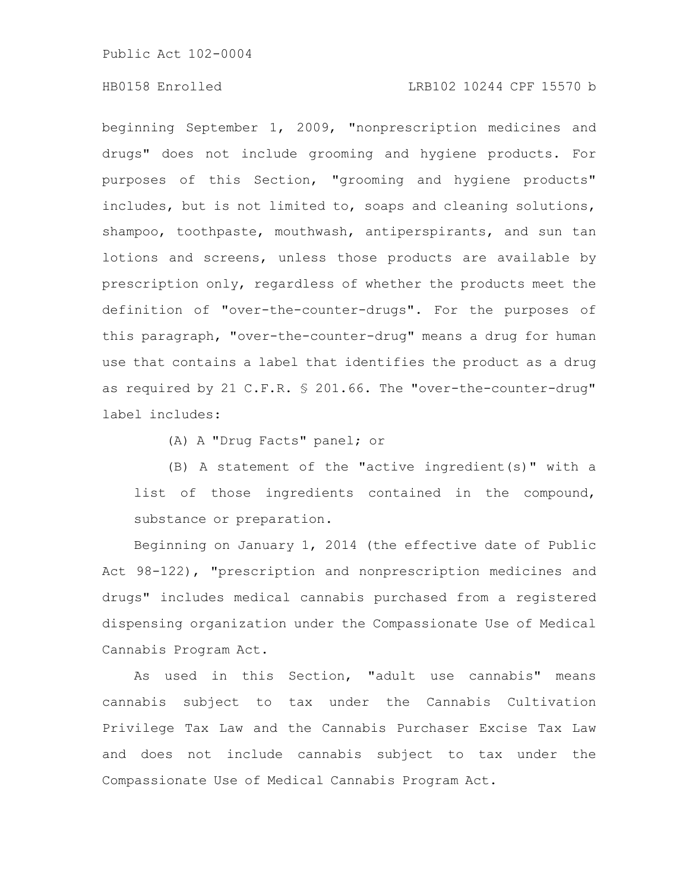# HB0158 Enrolled LRB102 10244 CPF 15570 b

beginning September 1, 2009, "nonprescription medicines and drugs" does not include grooming and hygiene products. For purposes of this Section, "grooming and hygiene products" includes, but is not limited to, soaps and cleaning solutions, shampoo, toothpaste, mouthwash, antiperspirants, and sun tan lotions and screens, unless those products are available by prescription only, regardless of whether the products meet the definition of "over-the-counter-drugs". For the purposes of this paragraph, "over-the-counter-drug" means a drug for human use that contains a label that identifies the product as a drug as required by 21 C.F.R. § 201.66. The "over-the-counter-drug" label includes:

(A) A "Drug Facts" panel; or

(B) A statement of the "active ingredient(s)" with a list of those ingredients contained in the compound, substance or preparation.

Beginning on January 1, 2014 (the effective date of Public Act 98-122), "prescription and nonprescription medicines and drugs" includes medical cannabis purchased from a registered dispensing organization under the Compassionate Use of Medical Cannabis Program Act.

As used in this Section, "adult use cannabis" means cannabis subject to tax under the Cannabis Cultivation Privilege Tax Law and the Cannabis Purchaser Excise Tax Law and does not include cannabis subject to tax under the Compassionate Use of Medical Cannabis Program Act.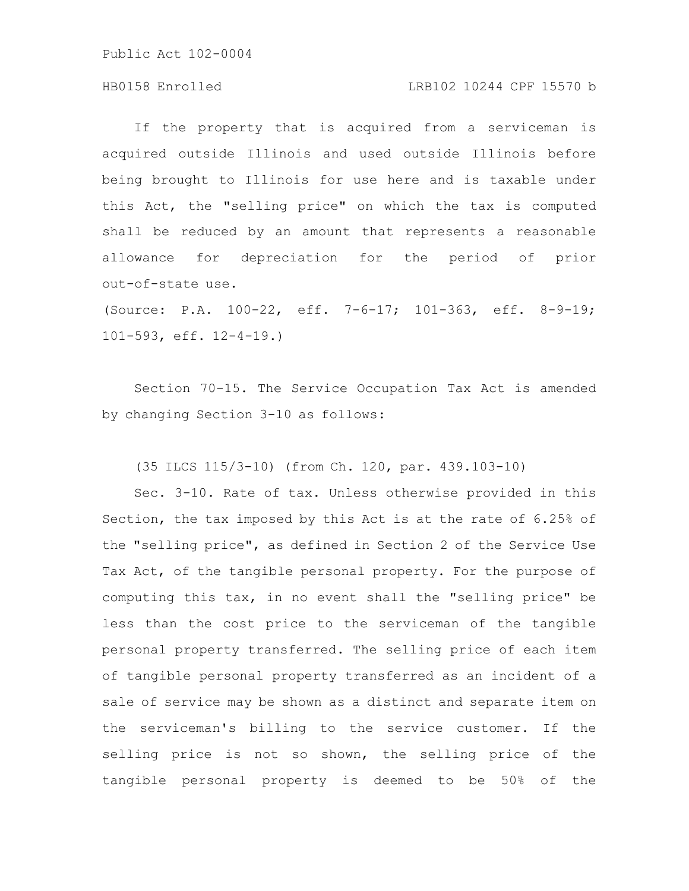## HB0158 Enrolled LRB102 10244 CPF 15570 b

If the property that is acquired from a serviceman is acquired outside Illinois and used outside Illinois before being brought to Illinois for use here and is taxable under this Act, the "selling price" on which the tax is computed shall be reduced by an amount that represents a reasonable allowance for depreciation for the period of prior out-of-state use.

(Source: P.A. 100-22, eff. 7-6-17; 101-363, eff. 8-9-19; 101-593, eff. 12-4-19.)

Section 70-15. The Service Occupation Tax Act is amended by changing Section 3-10 as follows:

(35 ILCS 115/3-10) (from Ch. 120, par. 439.103-10)

Sec. 3-10. Rate of tax. Unless otherwise provided in this Section, the tax imposed by this Act is at the rate of 6.25% of the "selling price", as defined in Section 2 of the Service Use Tax Act, of the tangible personal property. For the purpose of computing this tax, in no event shall the "selling price" be less than the cost price to the serviceman of the tangible personal property transferred. The selling price of each item of tangible personal property transferred as an incident of a sale of service may be shown as a distinct and separate item on the serviceman's billing to the service customer. If the selling price is not so shown, the selling price of the tangible personal property is deemed to be 50% of the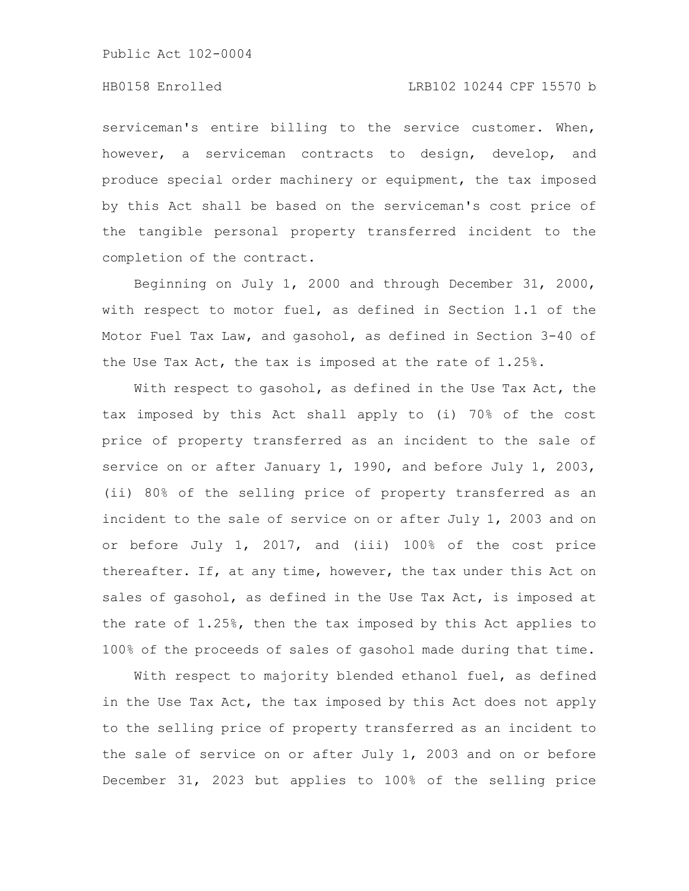## HB0158 Enrolled LRB102 10244 CPF 15570 b

serviceman's entire billing to the service customer. When, however, a serviceman contracts to design, develop, and produce special order machinery or equipment, the tax imposed by this Act shall be based on the serviceman's cost price of the tangible personal property transferred incident to the completion of the contract.

Beginning on July 1, 2000 and through December 31, 2000, with respect to motor fuel, as defined in Section 1.1 of the Motor Fuel Tax Law, and gasohol, as defined in Section 3-40 of the Use Tax Act, the tax is imposed at the rate of 1.25%.

With respect to gasohol, as defined in the Use Tax Act, the tax imposed by this Act shall apply to (i) 70% of the cost price of property transferred as an incident to the sale of service on or after January 1, 1990, and before July 1, 2003, (ii) 80% of the selling price of property transferred as an incident to the sale of service on or after July 1, 2003 and on or before July 1, 2017, and (iii) 100% of the cost price thereafter. If, at any time, however, the tax under this Act on sales of gasohol, as defined in the Use Tax Act, is imposed at the rate of 1.25%, then the tax imposed by this Act applies to 100% of the proceeds of sales of gasohol made during that time.

With respect to majority blended ethanol fuel, as defined in the Use Tax Act, the tax imposed by this Act does not apply to the selling price of property transferred as an incident to the sale of service on or after July 1, 2003 and on or before December 31, 2023 but applies to 100% of the selling price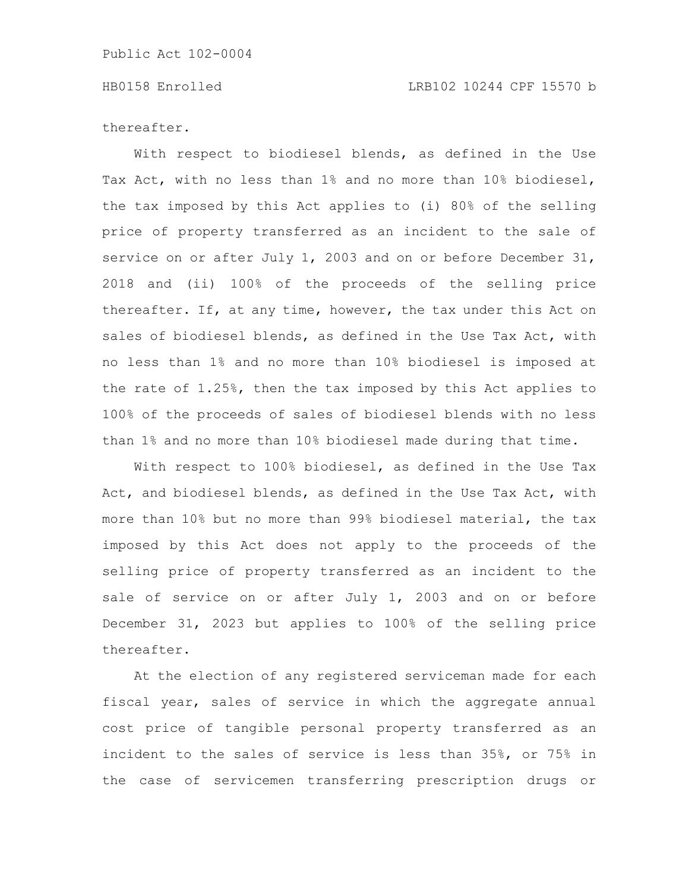# HB0158 Enrolled LRB102 10244 CPF 15570 b

thereafter.

With respect to biodiesel blends, as defined in the Use Tax Act, with no less than 1% and no more than 10% biodiesel, the tax imposed by this Act applies to (i) 80% of the selling price of property transferred as an incident to the sale of service on or after July 1, 2003 and on or before December 31, 2018 and (ii) 100% of the proceeds of the selling price thereafter. If, at any time, however, the tax under this Act on sales of biodiesel blends, as defined in the Use Tax Act, with no less than 1% and no more than 10% biodiesel is imposed at the rate of 1.25%, then the tax imposed by this Act applies to 100% of the proceeds of sales of biodiesel blends with no less than 1% and no more than 10% biodiesel made during that time.

With respect to 100% biodiesel, as defined in the Use Tax Act, and biodiesel blends, as defined in the Use Tax Act, with more than 10% but no more than 99% biodiesel material, the tax imposed by this Act does not apply to the proceeds of the selling price of property transferred as an incident to the sale of service on or after July 1, 2003 and on or before December 31, 2023 but applies to 100% of the selling price thereafter.

At the election of any registered serviceman made for each fiscal year, sales of service in which the aggregate annual cost price of tangible personal property transferred as an incident to the sales of service is less than 35%, or 75% in the case of servicemen transferring prescription drugs or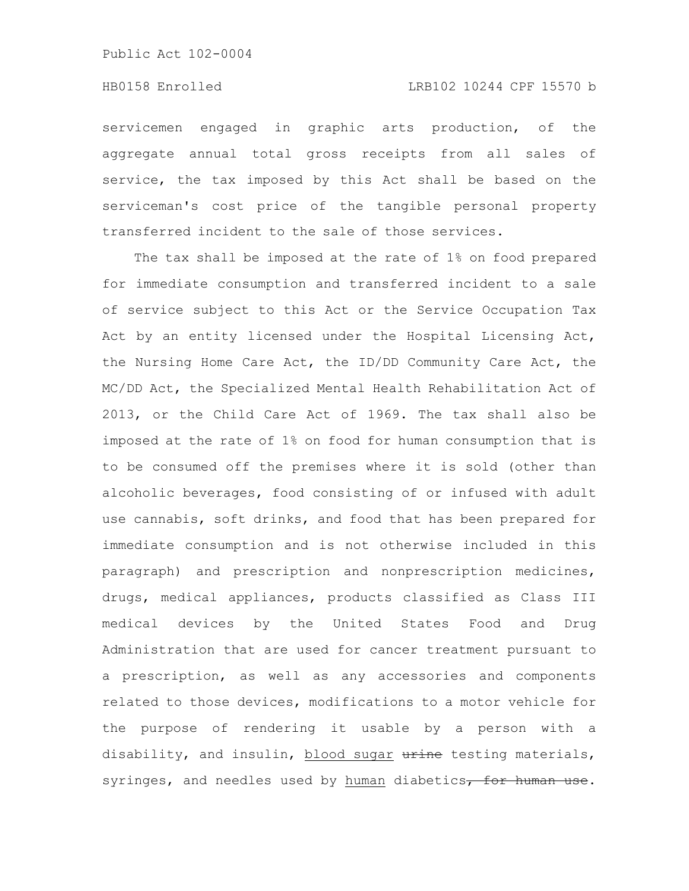servicemen engaged in graphic arts production, of the aggregate annual total gross receipts from all sales of service, the tax imposed by this Act shall be based on the serviceman's cost price of the tangible personal property transferred incident to the sale of those services.

The tax shall be imposed at the rate of 1% on food prepared for immediate consumption and transferred incident to a sale of service subject to this Act or the Service Occupation Tax Act by an entity licensed under the Hospital Licensing Act, the Nursing Home Care Act, the ID/DD Community Care Act, the MC/DD Act, the Specialized Mental Health Rehabilitation Act of 2013, or the Child Care Act of 1969. The tax shall also be imposed at the rate of 1% on food for human consumption that is to be consumed off the premises where it is sold (other than alcoholic beverages, food consisting of or infused with adult use cannabis, soft drinks, and food that has been prepared for immediate consumption and is not otherwise included in this paragraph) and prescription and nonprescription medicines, drugs, medical appliances, products classified as Class III medical devices by the United States Food and Drug Administration that are used for cancer treatment pursuant to a prescription, as well as any accessories and components related to those devices, modifications to a motor vehicle for the purpose of rendering it usable by a person with a disability, and insulin, blood sugar urine testing materials, syringes, and needles used by human diabetics, for human use.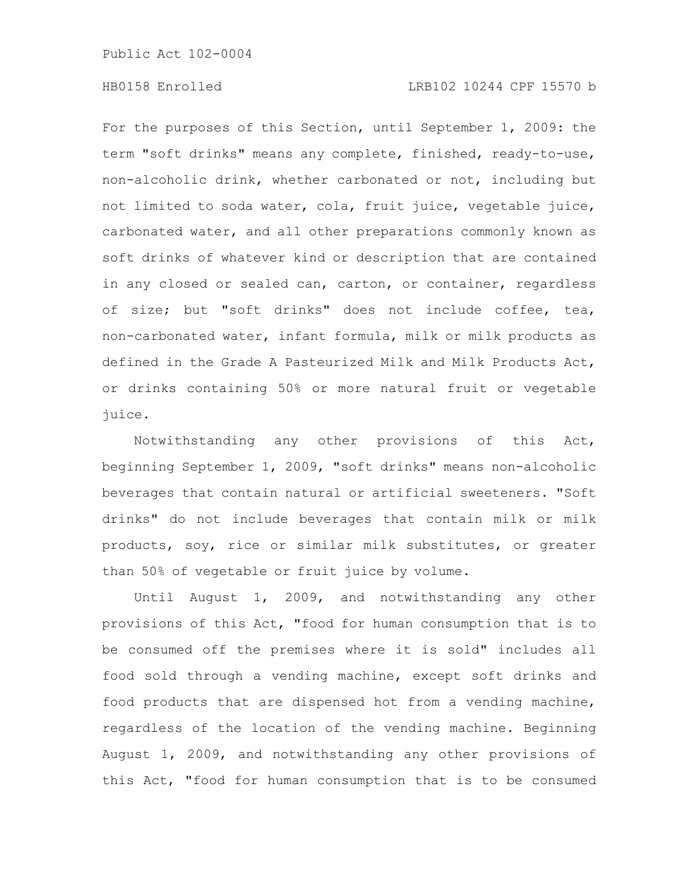For the purposes of this Section, until September 1, 2009: the term "soft drinks" means any complete, finished, ready-to-use, non-alcoholic drink, whether carbonated or not, including but not limited to soda water, cola, fruit juice, vegetable juice, carbonated water, and all other preparations commonly known as soft drinks of whatever kind or description that are contained in any closed or sealed can, carton, or container, regardless of size; but "soft drinks" does not include coffee, tea, non-carbonated water, infant formula, milk or milk products as defined in the Grade A Pasteurized Milk and Milk Products Act, or drinks containing 50% or more natural fruit or vegetable juice.

Notwithstanding any other provisions of this Act, beginning September 1, 2009, "soft drinks" means non-alcoholic beverages that contain natural or artificial sweeteners. "Soft drinks" do not include beverages that contain milk or milk products, soy, rice or similar milk substitutes, or greater than 50% of vegetable or fruit juice by volume.

Until August 1, 2009, and notwithstanding any other provisions of this Act, "food for human consumption that is to be consumed off the premises where it is sold" includes all food sold through a vending machine, except soft drinks and food products that are dispensed hot from a vending machine, regardless of the location of the vending machine. Beginning August 1, 2009, and notwithstanding any other provisions of this Act, "food for human consumption that is to be consumed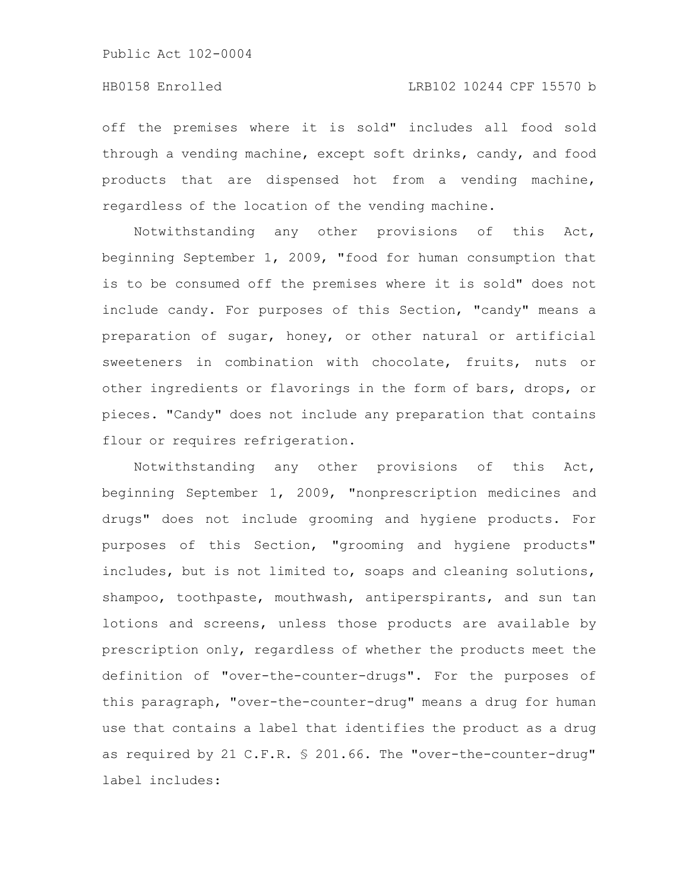off the premises where it is sold" includes all food sold through a vending machine, except soft drinks, candy, and food products that are dispensed hot from a vending machine, regardless of the location of the vending machine.

Notwithstanding any other provisions of this Act, beginning September 1, 2009, "food for human consumption that is to be consumed off the premises where it is sold" does not include candy. For purposes of this Section, "candy" means a preparation of sugar, honey, or other natural or artificial sweeteners in combination with chocolate, fruits, nuts or other ingredients or flavorings in the form of bars, drops, or pieces. "Candy" does not include any preparation that contains flour or requires refrigeration.

Notwithstanding any other provisions of this Act, beginning September 1, 2009, "nonprescription medicines and drugs" does not include grooming and hygiene products. For purposes of this Section, "grooming and hygiene products" includes, but is not limited to, soaps and cleaning solutions, shampoo, toothpaste, mouthwash, antiperspirants, and sun tan lotions and screens, unless those products are available by prescription only, regardless of whether the products meet the definition of "over-the-counter-drugs". For the purposes of this paragraph, "over-the-counter-drug" means a drug for human use that contains a label that identifies the product as a drug as required by 21 C.F.R. § 201.66. The "over-the-counter-drug" label includes: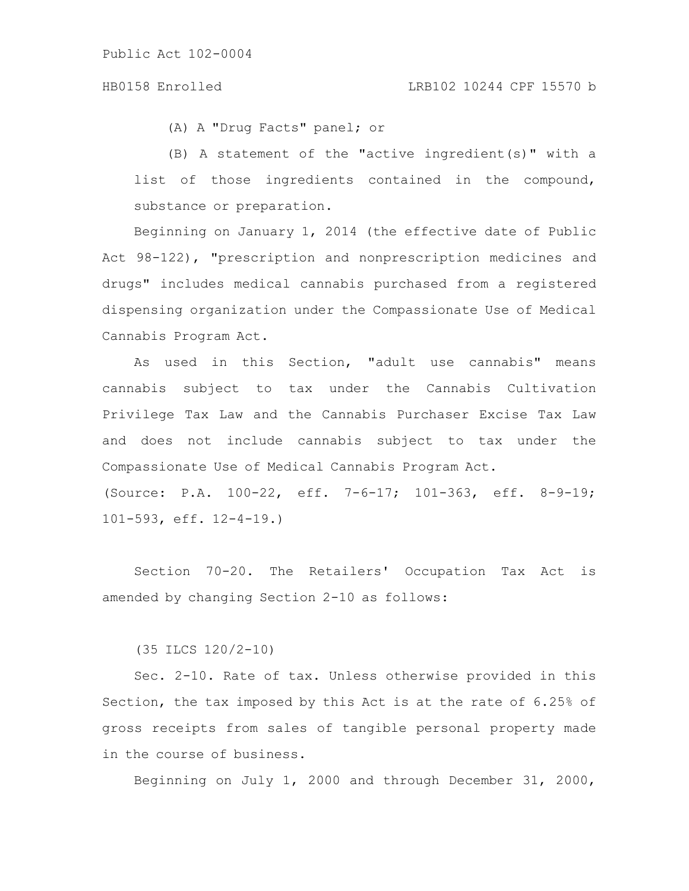(A) A "Drug Facts" panel; or

(B) A statement of the "active ingredient(s)" with a list of those ingredients contained in the compound, substance or preparation.

Beginning on January 1, 2014 (the effective date of Public Act 98-122), "prescription and nonprescription medicines and drugs" includes medical cannabis purchased from a registered dispensing organization under the Compassionate Use of Medical Cannabis Program Act.

As used in this Section, "adult use cannabis" means cannabis subject to tax under the Cannabis Cultivation Privilege Tax Law and the Cannabis Purchaser Excise Tax Law and does not include cannabis subject to tax under the Compassionate Use of Medical Cannabis Program Act. (Source: P.A. 100-22, eff. 7-6-17; 101-363, eff. 8-9-19; 101-593, eff. 12-4-19.)

Section 70-20. The Retailers' Occupation Tax Act is amended by changing Section 2-10 as follows:

(35 ILCS 120/2-10)

Sec. 2-10. Rate of tax. Unless otherwise provided in this Section, the tax imposed by this Act is at the rate of 6.25% of gross receipts from sales of tangible personal property made in the course of business.

Beginning on July 1, 2000 and through December 31, 2000,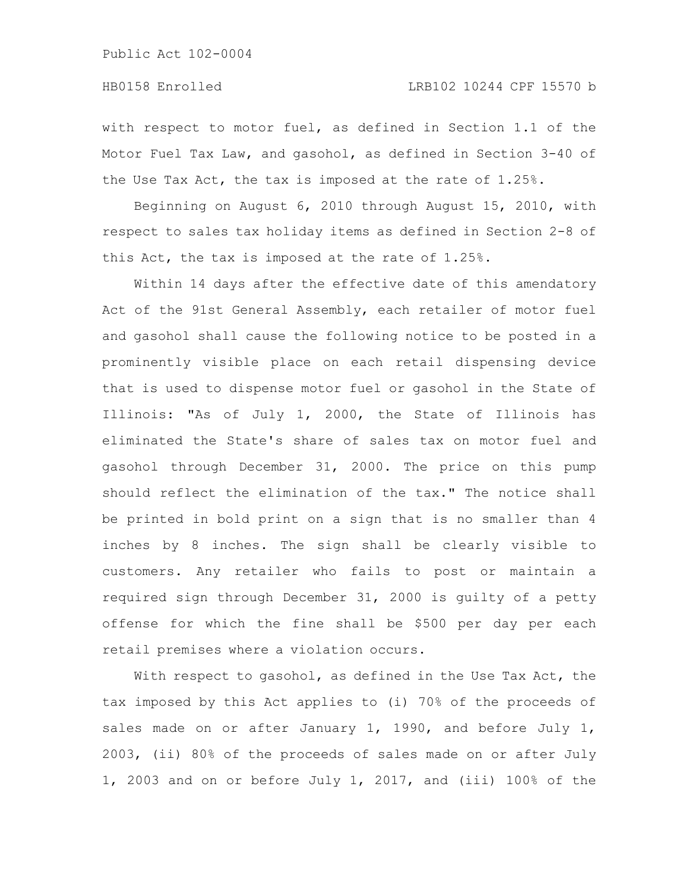# HB0158 Enrolled LRB102 10244 CPF 15570 b

with respect to motor fuel, as defined in Section 1.1 of the Motor Fuel Tax Law, and gasohol, as defined in Section 3-40 of the Use Tax Act, the tax is imposed at the rate of 1.25%.

Beginning on August 6, 2010 through August 15, 2010, with respect to sales tax holiday items as defined in Section 2-8 of this Act, the tax is imposed at the rate of 1.25%.

Within 14 days after the effective date of this amendatory Act of the 91st General Assembly, each retailer of motor fuel and gasohol shall cause the following notice to be posted in a prominently visible place on each retail dispensing device that is used to dispense motor fuel or gasohol in the State of Illinois: "As of July 1, 2000, the State of Illinois has eliminated the State's share of sales tax on motor fuel and gasohol through December 31, 2000. The price on this pump should reflect the elimination of the tax." The notice shall be printed in bold print on a sign that is no smaller than 4 inches by 8 inches. The sign shall be clearly visible to customers. Any retailer who fails to post or maintain a required sign through December 31, 2000 is guilty of a petty offense for which the fine shall be \$500 per day per each retail premises where a violation occurs.

With respect to gasohol, as defined in the Use Tax Act, the tax imposed by this Act applies to (i) 70% of the proceeds of sales made on or after January 1, 1990, and before July 1, 2003, (ii) 80% of the proceeds of sales made on or after July 1, 2003 and on or before July 1, 2017, and (iii) 100% of the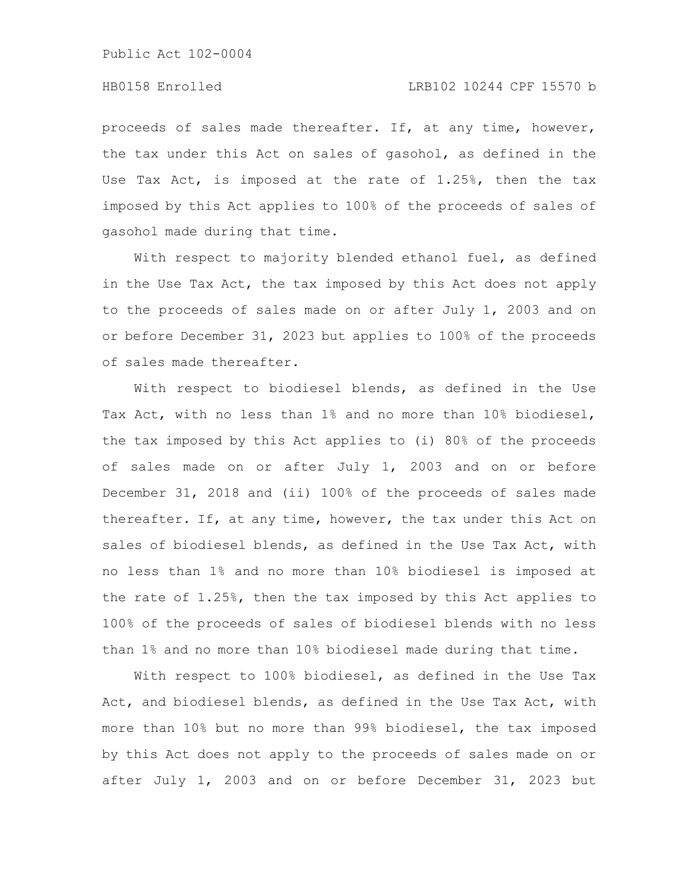## HB0158 Enrolled LRB102 10244 CPF 15570 b

proceeds of sales made thereafter. If, at any time, however, the tax under this Act on sales of gasohol, as defined in the Use Tax Act, is imposed at the rate of 1.25%, then the tax imposed by this Act applies to 100% of the proceeds of sales of gasohol made during that time.

With respect to majority blended ethanol fuel, as defined in the Use Tax Act, the tax imposed by this Act does not apply to the proceeds of sales made on or after July 1, 2003 and on or before December 31, 2023 but applies to 100% of the proceeds of sales made thereafter.

With respect to biodiesel blends, as defined in the Use Tax Act, with no less than 1% and no more than 10% biodiesel, the tax imposed by this Act applies to (i) 80% of the proceeds of sales made on or after July 1, 2003 and on or before December 31, 2018 and (ii) 100% of the proceeds of sales made thereafter. If, at any time, however, the tax under this Act on sales of biodiesel blends, as defined in the Use Tax Act, with no less than 1% and no more than 10% biodiesel is imposed at the rate of 1.25%, then the tax imposed by this Act applies to 100% of the proceeds of sales of biodiesel blends with no less than 1% and no more than 10% biodiesel made during that time.

With respect to 100% biodiesel, as defined in the Use Tax Act, and biodiesel blends, as defined in the Use Tax Act, with more than 10% but no more than 99% biodiesel, the tax imposed by this Act does not apply to the proceeds of sales made on or after July 1, 2003 and on or before December 31, 2023 but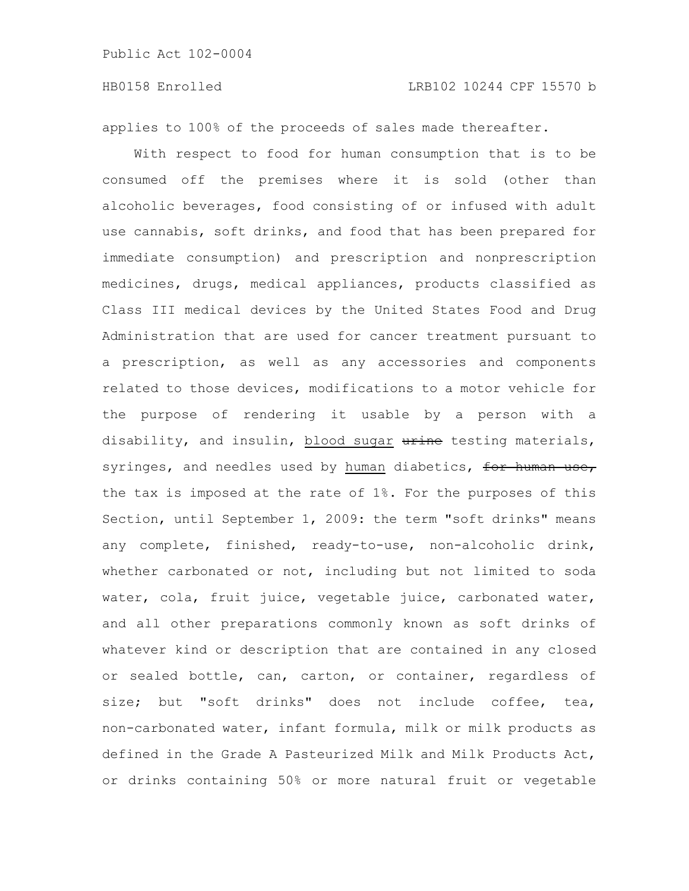applies to 100% of the proceeds of sales made thereafter.

With respect to food for human consumption that is to be consumed off the premises where it is sold (other than alcoholic beverages, food consisting of or infused with adult use cannabis, soft drinks, and food that has been prepared for immediate consumption) and prescription and nonprescription medicines, drugs, medical appliances, products classified as Class III medical devices by the United States Food and Drug Administration that are used for cancer treatment pursuant to a prescription, as well as any accessories and components related to those devices, modifications to a motor vehicle for the purpose of rendering it usable by a person with a disability, and insulin, blood sugar wat testing materials, syringes, and needles used by human diabetics, for human use, the tax is imposed at the rate of 1%. For the purposes of this Section, until September 1, 2009: the term "soft drinks" means any complete, finished, ready-to-use, non-alcoholic drink, whether carbonated or not, including but not limited to soda water, cola, fruit juice, vegetable juice, carbonated water, and all other preparations commonly known as soft drinks of whatever kind or description that are contained in any closed or sealed bottle, can, carton, or container, regardless of size; but "soft drinks" does not include coffee, tea, non-carbonated water, infant formula, milk or milk products as defined in the Grade A Pasteurized Milk and Milk Products Act, or drinks containing 50% or more natural fruit or vegetable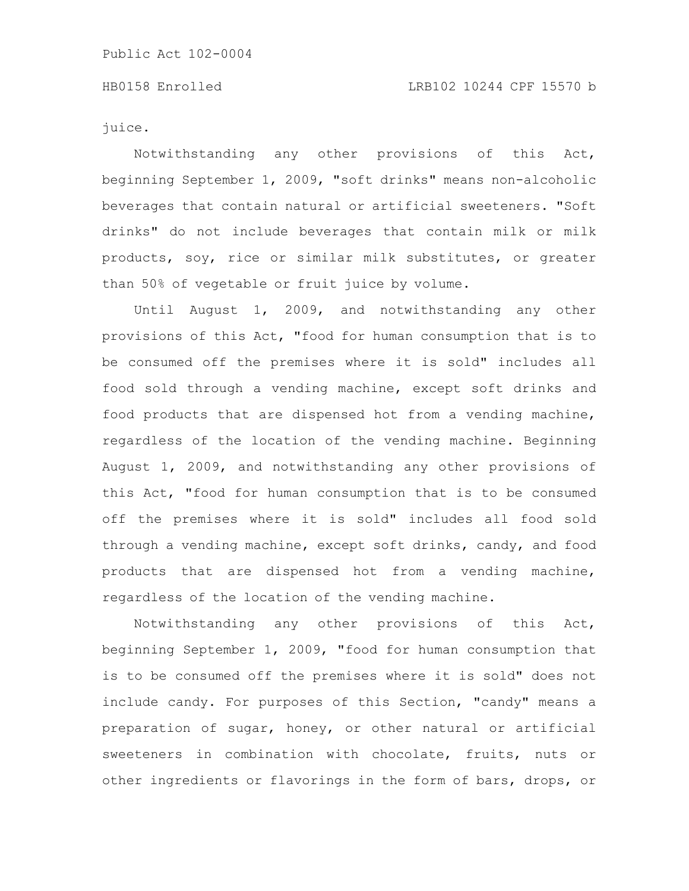juice.

Notwithstanding any other provisions of this Act, beginning September 1, 2009, "soft drinks" means non-alcoholic beverages that contain natural or artificial sweeteners. "Soft drinks" do not include beverages that contain milk or milk products, soy, rice or similar milk substitutes, or greater than 50% of vegetable or fruit juice by volume.

Until August 1, 2009, and notwithstanding any other provisions of this Act, "food for human consumption that is to be consumed off the premises where it is sold" includes all food sold through a vending machine, except soft drinks and food products that are dispensed hot from a vending machine, regardless of the location of the vending machine. Beginning August 1, 2009, and notwithstanding any other provisions of this Act, "food for human consumption that is to be consumed off the premises where it is sold" includes all food sold through a vending machine, except soft drinks, candy, and food products that are dispensed hot from a vending machine, regardless of the location of the vending machine.

Notwithstanding any other provisions of this Act, beginning September 1, 2009, "food for human consumption that is to be consumed off the premises where it is sold" does not include candy. For purposes of this Section, "candy" means a preparation of sugar, honey, or other natural or artificial sweeteners in combination with chocolate, fruits, nuts or other ingredients or flavorings in the form of bars, drops, or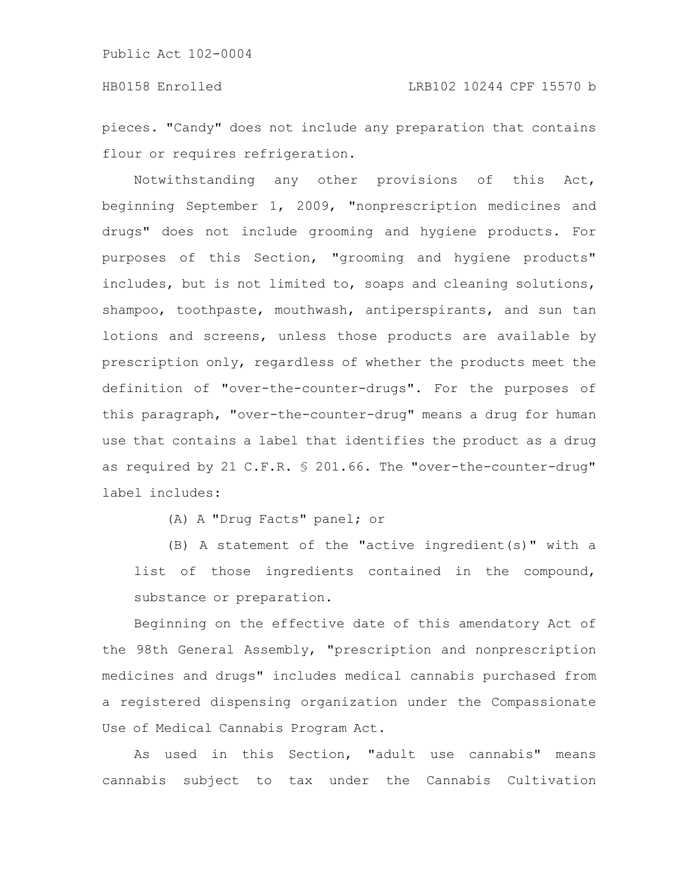pieces. "Candy" does not include any preparation that contains flour or requires refrigeration.

Notwithstanding any other provisions of this Act, beginning September 1, 2009, "nonprescription medicines and drugs" does not include grooming and hygiene products. For purposes of this Section, "grooming and hygiene products" includes, but is not limited to, soaps and cleaning solutions, shampoo, toothpaste, mouthwash, antiperspirants, and sun tan lotions and screens, unless those products are available by prescription only, regardless of whether the products meet the definition of "over-the-counter-drugs". For the purposes of this paragraph, "over-the-counter-drug" means a drug for human use that contains a label that identifies the product as a drug as required by 21 C.F.R. § 201.66. The "over-the-counter-drug" label includes:

(A) A "Drug Facts" panel; or

(B) A statement of the "active ingredient(s)" with a list of those ingredients contained in the compound, substance or preparation.

Beginning on the effective date of this amendatory Act of the 98th General Assembly, "prescription and nonprescription medicines and drugs" includes medical cannabis purchased from a registered dispensing organization under the Compassionate Use of Medical Cannabis Program Act.

As used in this Section, "adult use cannabis" means cannabis subject to tax under the Cannabis Cultivation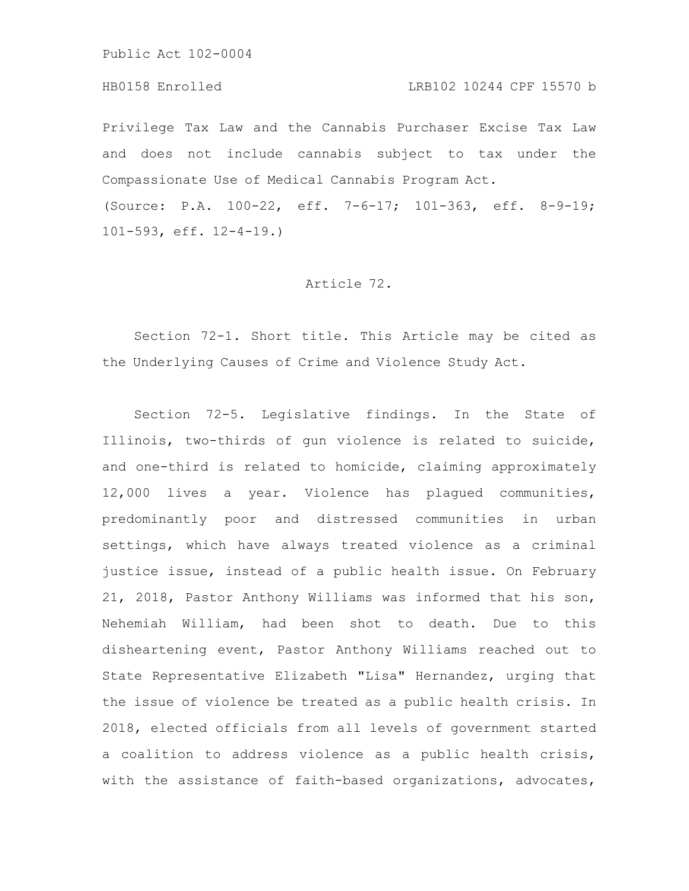# HB0158 Enrolled LRB102 10244 CPF 15570 b

Privilege Tax Law and the Cannabis Purchaser Excise Tax Law and does not include cannabis subject to tax under the Compassionate Use of Medical Cannabis Program Act. (Source: P.A. 100-22, eff. 7-6-17; 101-363, eff. 8-9-19; 101-593, eff. 12-4-19.)

#### Article 72.

Section 72-1. Short title. This Article may be cited as the Underlying Causes of Crime and Violence Study Act.

Section 72-5. Legislative findings. In the State of Illinois, two-thirds of gun violence is related to suicide, and one-third is related to homicide, claiming approximately 12,000 lives a year. Violence has plagued communities, predominantly poor and distressed communities in urban settings, which have always treated violence as a criminal justice issue, instead of a public health issue. On February 21, 2018, Pastor Anthony Williams was informed that his son, Nehemiah William, had been shot to death. Due to this disheartening event, Pastor Anthony Williams reached out to State Representative Elizabeth "Lisa" Hernandez, urging that the issue of violence be treated as a public health crisis. In 2018, elected officials from all levels of government started a coalition to address violence as a public health crisis, with the assistance of faith-based organizations, advocates,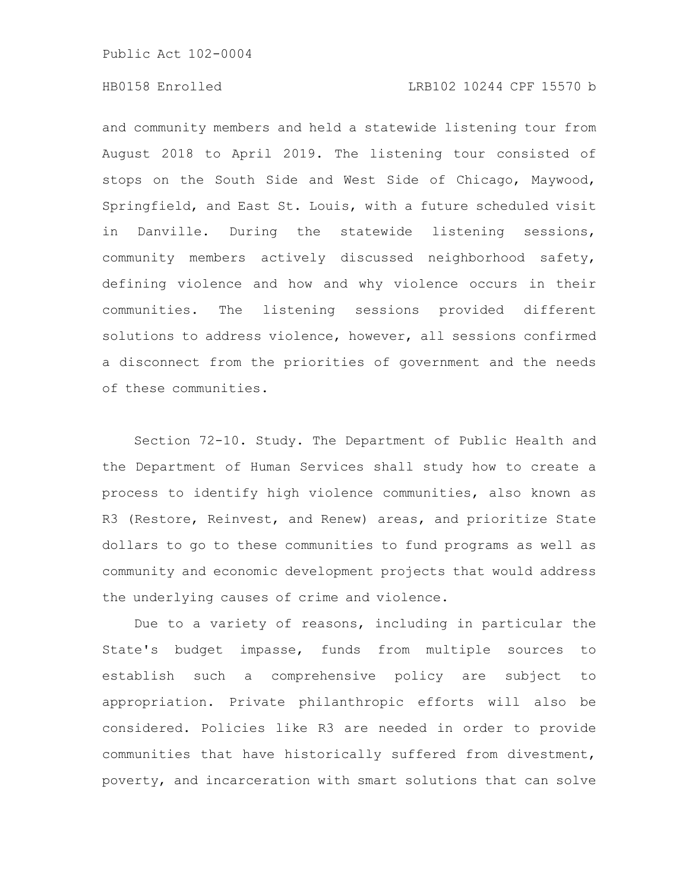# HB0158 Enrolled LRB102 10244 CPF 15570 b

and community members and held a statewide listening tour from August 2018 to April 2019. The listening tour consisted of stops on the South Side and West Side of Chicago, Maywood, Springfield, and East St. Louis, with a future scheduled visit in Danville. During the statewide listening sessions, community members actively discussed neighborhood safety, defining violence and how and why violence occurs in their communities. The listening sessions provided different solutions to address violence, however, all sessions confirmed a disconnect from the priorities of government and the needs of these communities.

Section 72-10. Study. The Department of Public Health and the Department of Human Services shall study how to create a process to identify high violence communities, also known as R3 (Restore, Reinvest, and Renew) areas, and prioritize State dollars to go to these communities to fund programs as well as community and economic development projects that would address the underlying causes of crime and violence.

Due to a variety of reasons, including in particular the State's budget impasse, funds from multiple sources to establish such a comprehensive policy are subject to appropriation. Private philanthropic efforts will also be considered. Policies like R3 are needed in order to provide communities that have historically suffered from divestment, poverty, and incarceration with smart solutions that can solve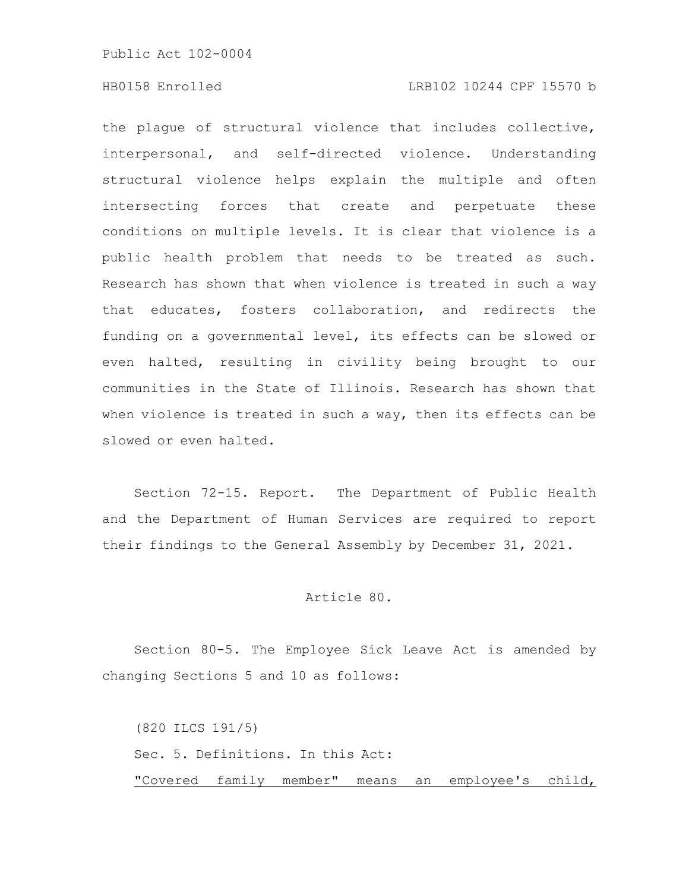## HB0158 Enrolled LRB102 10244 CPF 15570 b

the plague of structural violence that includes collective, interpersonal, and self-directed violence. Understanding structural violence helps explain the multiple and often intersecting forces that create and perpetuate these conditions on multiple levels. It is clear that violence is a public health problem that needs to be treated as such. Research has shown that when violence is treated in such a way that educates, fosters collaboration, and redirects the funding on a governmental level, its effects can be slowed or even halted, resulting in civility being brought to our communities in the State of Illinois. Research has shown that when violence is treated in such a way, then its effects can be slowed or even halted.

Section 72-15. Report. The Department of Public Health and the Department of Human Services are required to report their findings to the General Assembly by December 31, 2021.

#### Article 80.

Section 80-5. The Employee Sick Leave Act is amended by changing Sections 5 and 10 as follows:

(820 ILCS 191/5) Sec. 5. Definitions. In this Act: "Covered family member" means an employee's child,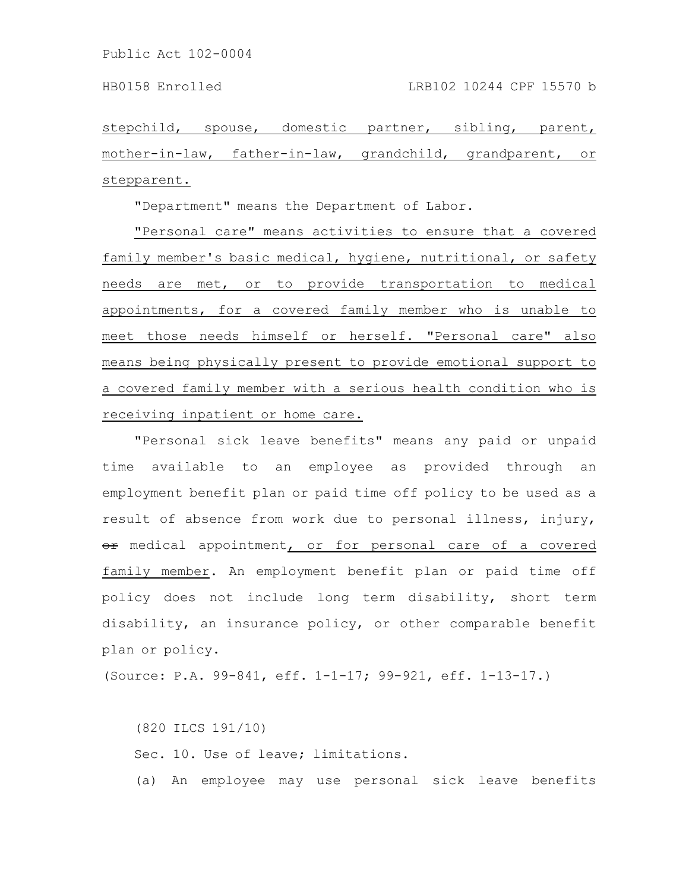stepchild, spouse, domestic partner, sibling, parent, mother-in-law, father-in-law, grandchild, grandparent, or stepparent.

"Department" means the Department of Labor.

"Personal care" means activities to ensure that a covered family member's basic medical, hygiene, nutritional, or safety needs are met, or to provide transportation to medical appointments, for a covered family member who is unable to meet those needs himself or herself. "Personal care" also means being physically present to provide emotional support to a covered family member with a serious health condition who is receiving inpatient or home care.

"Personal sick leave benefits" means any paid or unpaid time available to an employee as provided through an employment benefit plan or paid time off policy to be used as a result of absence from work due to personal illness, injury, or medical appointment, or for personal care of a covered family member. An employment benefit plan or paid time off policy does not include long term disability, short term disability, an insurance policy, or other comparable benefit plan or policy.

(Source: P.A. 99-841, eff. 1-1-17; 99-921, eff. 1-13-17.)

(820 ILCS 191/10) Sec. 10. Use of leave; limitations. (a) An employee may use personal sick leave benefits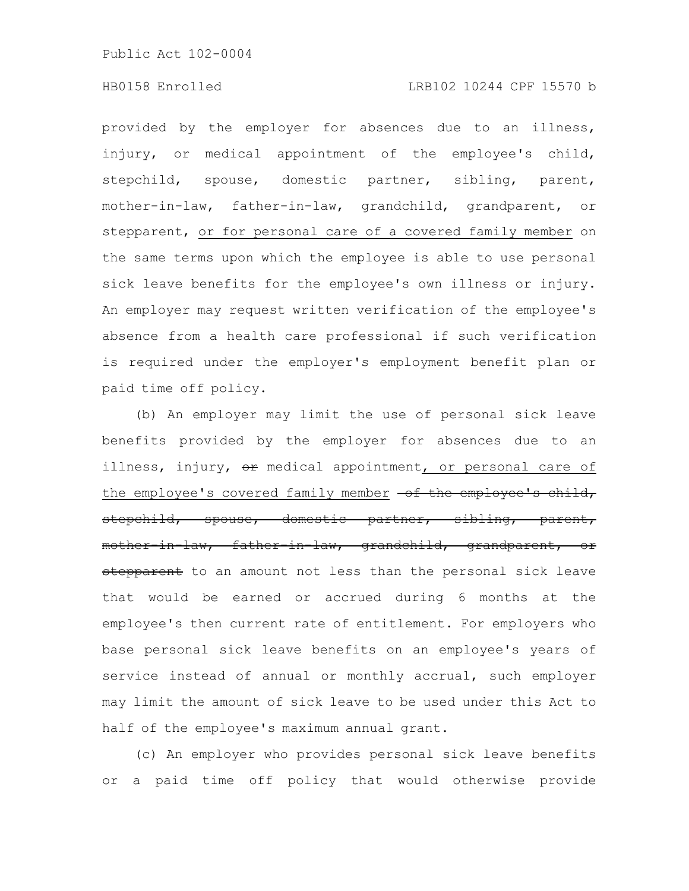## HB0158 Enrolled LRB102 10244 CPF 15570 b

provided by the employer for absences due to an illness, injury, or medical appointment of the employee's child, stepchild, spouse, domestic partner, sibling, parent, mother-in-law, father-in-law, grandchild, grandparent, or stepparent, or for personal care of a covered family member on the same terms upon which the employee is able to use personal sick leave benefits for the employee's own illness or injury. An employer may request written verification of the employee's absence from a health care professional if such verification is required under the employer's employment benefit plan or paid time off policy.

(b) An employer may limit the use of personal sick leave benefits provided by the employer for absences due to an illness, injury,  $e_{\text{F}}$  medical appointment, or personal care of the employee's covered family member -of the employee's child, stepchild, spouse, domestic partner, sibling, parent, mother in law, father in law, grandchild, grandparent, or stepparent to an amount not less than the personal sick leave that would be earned or accrued during 6 months at the employee's then current rate of entitlement. For employers who base personal sick leave benefits on an employee's years of service instead of annual or monthly accrual, such employer may limit the amount of sick leave to be used under this Act to half of the employee's maximum annual grant.

(c) An employer who provides personal sick leave benefits or a paid time off policy that would otherwise provide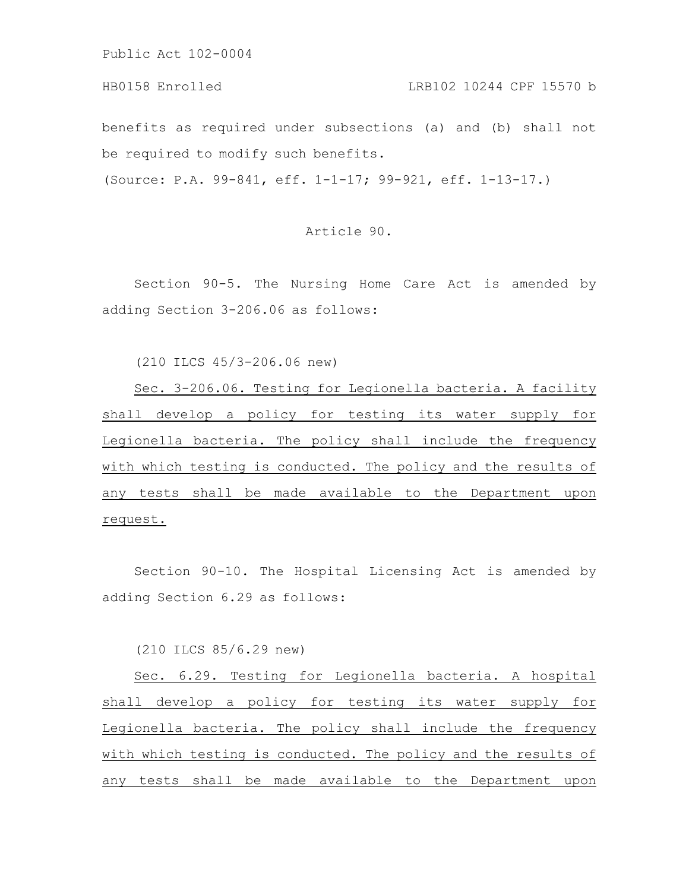HB0158 Enrolled LRB102 10244 CPF 15570 b

benefits as required under subsections (a) and (b) shall not be required to modify such benefits.

(Source: P.A. 99-841, eff. 1-1-17; 99-921, eff. 1-13-17.)

Article 90.

Section 90-5. The Nursing Home Care Act is amended by adding Section 3-206.06 as follows:

(210 ILCS 45/3-206.06 new)

Sec. 3-206.06. Testing for Legionella bacteria. A facility shall develop a policy for testing its water supply for Legionella bacteria. The policy shall include the frequency with which testing is conducted. The policy and the results of any tests shall be made available to the Department upon request.

Section 90-10. The Hospital Licensing Act is amended by adding Section 6.29 as follows:

(210 ILCS 85/6.29 new)

Sec. 6.29. Testing for Legionella bacteria. A hospital shall develop a policy for testing its water supply for Legionella bacteria. The policy shall include the frequency with which testing is conducted. The policy and the results of any tests shall be made available to the Department upon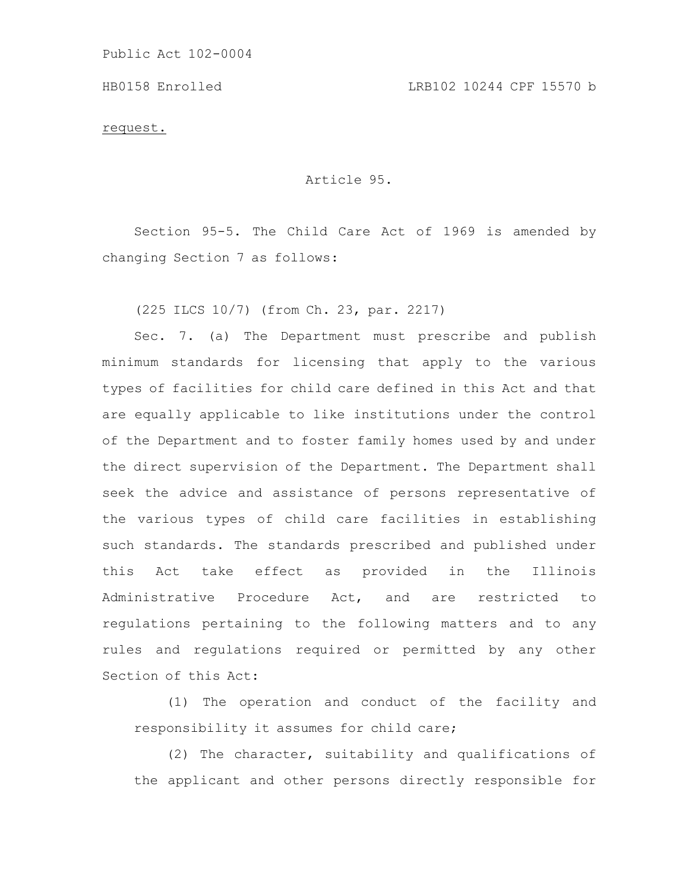request.

Article 95.

Section 95-5. The Child Care Act of 1969 is amended by changing Section 7 as follows:

(225 ILCS 10/7) (from Ch. 23, par. 2217)

Sec. 7. (a) The Department must prescribe and publish minimum standards for licensing that apply to the various types of facilities for child care defined in this Act and that are equally applicable to like institutions under the control of the Department and to foster family homes used by and under the direct supervision of the Department. The Department shall seek the advice and assistance of persons representative of the various types of child care facilities in establishing such standards. The standards prescribed and published under this Act take effect as provided in the Illinois Administrative Procedure Act, and are restricted to regulations pertaining to the following matters and to any rules and regulations required or permitted by any other Section of this Act:

(1) The operation and conduct of the facility and responsibility it assumes for child care;

(2) The character, suitability and qualifications of the applicant and other persons directly responsible for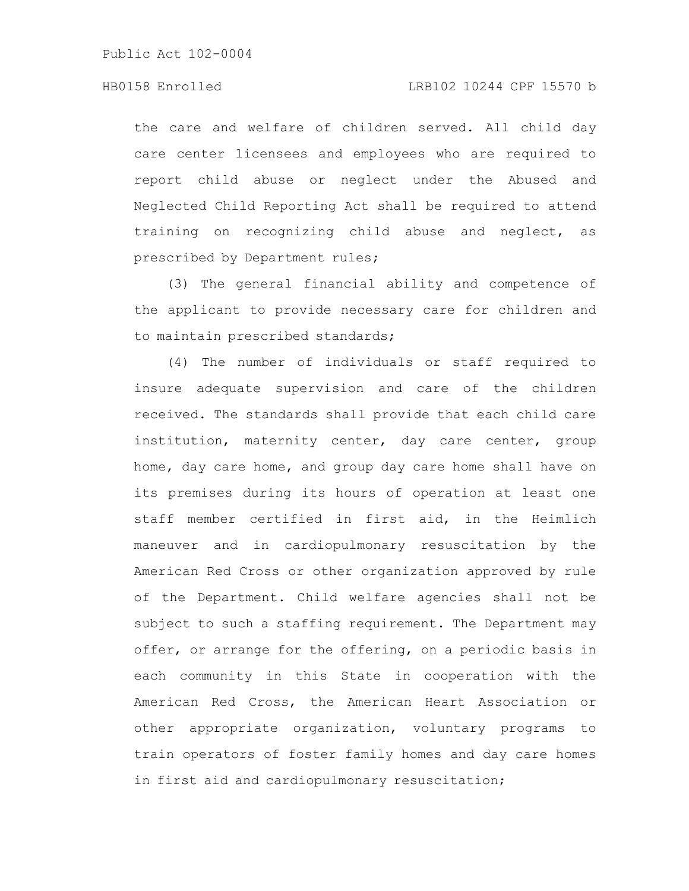# HB0158 Enrolled LRB102 10244 CPF 15570 b

the care and welfare of children served. All child day care center licensees and employees who are required to report child abuse or neglect under the Abused and Neglected Child Reporting Act shall be required to attend training on recognizing child abuse and neglect, as prescribed by Department rules;

(3) The general financial ability and competence of the applicant to provide necessary care for children and to maintain prescribed standards;

(4) The number of individuals or staff required to insure adequate supervision and care of the children received. The standards shall provide that each child care institution, maternity center, day care center, group home, day care home, and group day care home shall have on its premises during its hours of operation at least one staff member certified in first aid, in the Heimlich maneuver and in cardiopulmonary resuscitation by the American Red Cross or other organization approved by rule of the Department. Child welfare agencies shall not be subject to such a staffing requirement. The Department may offer, or arrange for the offering, on a periodic basis in each community in this State in cooperation with the American Red Cross, the American Heart Association or other appropriate organization, voluntary programs to train operators of foster family homes and day care homes in first aid and cardiopulmonary resuscitation;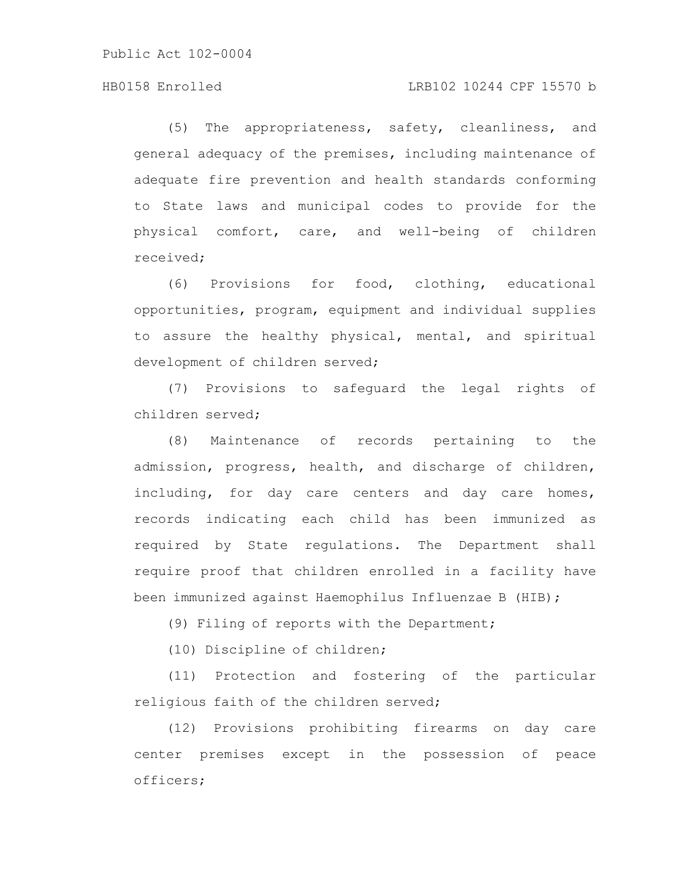#### HB0158 Enrolled LRB102 10244 CPF 15570 b

(5) The appropriateness, safety, cleanliness, and general adequacy of the premises, including maintenance of adequate fire prevention and health standards conforming to State laws and municipal codes to provide for the physical comfort, care, and well-being of children received;

(6) Provisions for food, clothing, educational opportunities, program, equipment and individual supplies to assure the healthy physical, mental, and spiritual development of children served;

(7) Provisions to safeguard the legal rights of children served;

(8) Maintenance of records pertaining to the admission, progress, health, and discharge of children, including, for day care centers and day care homes, records indicating each child has been immunized as required by State regulations. The Department shall require proof that children enrolled in a facility have been immunized against Haemophilus Influenzae B (HIB);

(9) Filing of reports with the Department;

(10) Discipline of children;

(11) Protection and fostering of the particular religious faith of the children served;

(12) Provisions prohibiting firearms on day care center premises except in the possession of peace officers;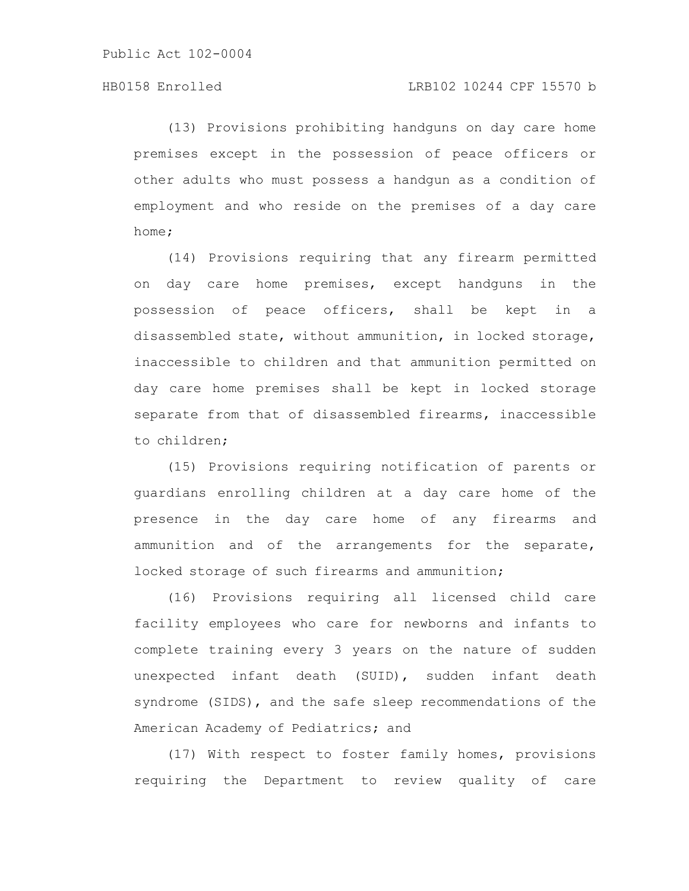## HB0158 Enrolled LRB102 10244 CPF 15570 b

(13) Provisions prohibiting handguns on day care home premises except in the possession of peace officers or other adults who must possess a handgun as a condition of employment and who reside on the premises of a day care home;

(14) Provisions requiring that any firearm permitted on day care home premises, except handguns in the possession of peace officers, shall be kept in a disassembled state, without ammunition, in locked storage, inaccessible to children and that ammunition permitted on day care home premises shall be kept in locked storage separate from that of disassembled firearms, inaccessible to children;

(15) Provisions requiring notification of parents or guardians enrolling children at a day care home of the presence in the day care home of any firearms and ammunition and of the arrangements for the separate, locked storage of such firearms and ammunition;

(16) Provisions requiring all licensed child care facility employees who care for newborns and infants to complete training every 3 years on the nature of sudden unexpected infant death (SUID), sudden infant death syndrome (SIDS), and the safe sleep recommendations of the American Academy of Pediatrics; and

(17) With respect to foster family homes, provisions requiring the Department to review quality of care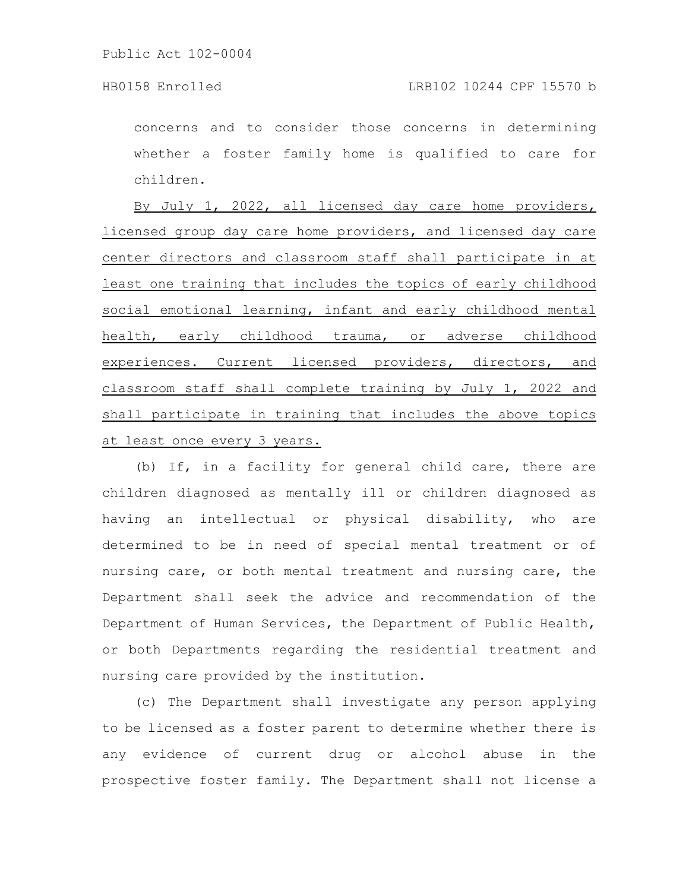#### HB0158 Enrolled LRB102 10244 CPF 15570 b

concerns and to consider those concerns in determining whether a foster family home is qualified to care for children.

By July 1, 2022, all licensed day care home providers, licensed group day care home providers, and licensed day care center directors and classroom staff shall participate in at least one training that includes the topics of early childhood social emotional learning, infant and early childhood mental health, early childhood trauma, or adverse childhood experiences. Current licensed providers, directors, and classroom staff shall complete training by July 1, 2022 and shall participate in training that includes the above topics at least once every 3 years.

(b) If, in a facility for general child care, there are children diagnosed as mentally ill or children diagnosed as having an intellectual or physical disability, who are determined to be in need of special mental treatment or of nursing care, or both mental treatment and nursing care, the Department shall seek the advice and recommendation of the Department of Human Services, the Department of Public Health, or both Departments regarding the residential treatment and nursing care provided by the institution.

(c) The Department shall investigate any person applying to be licensed as a foster parent to determine whether there is any evidence of current drug or alcohol abuse in the prospective foster family. The Department shall not license a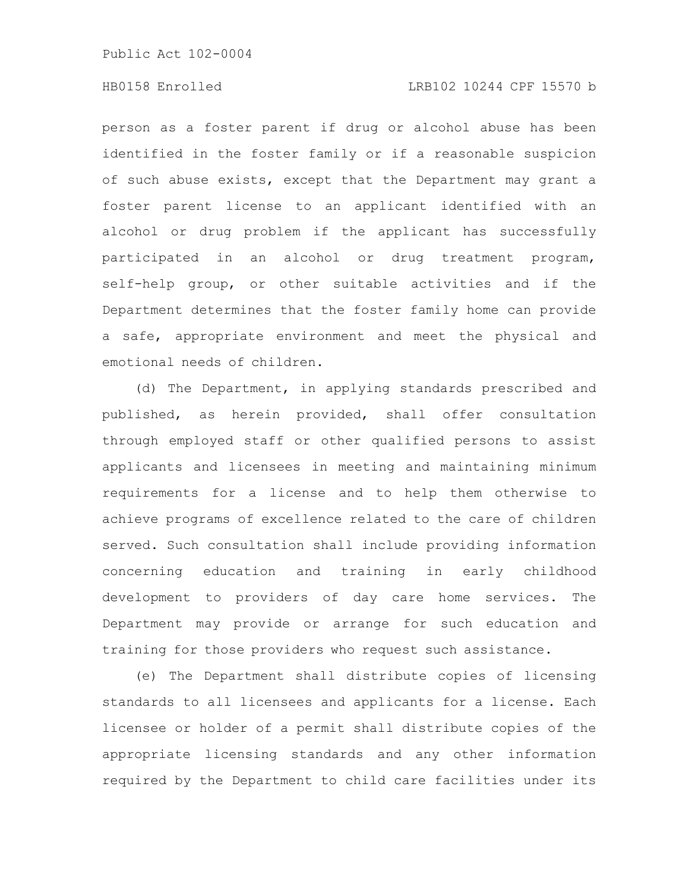## HB0158 Enrolled LRB102 10244 CPF 15570 b

person as a foster parent if drug or alcohol abuse has been identified in the foster family or if a reasonable suspicion of such abuse exists, except that the Department may grant a foster parent license to an applicant identified with an alcohol or drug problem if the applicant has successfully participated in an alcohol or drug treatment program, self-help group, or other suitable activities and if the Department determines that the foster family home can provide a safe, appropriate environment and meet the physical and emotional needs of children.

(d) The Department, in applying standards prescribed and published, as herein provided, shall offer consultation through employed staff or other qualified persons to assist applicants and licensees in meeting and maintaining minimum requirements for a license and to help them otherwise to achieve programs of excellence related to the care of children served. Such consultation shall include providing information concerning education and training in early childhood development to providers of day care home services. The Department may provide or arrange for such education and training for those providers who request such assistance.

(e) The Department shall distribute copies of licensing standards to all licensees and applicants for a license. Each licensee or holder of a permit shall distribute copies of the appropriate licensing standards and any other information required by the Department to child care facilities under its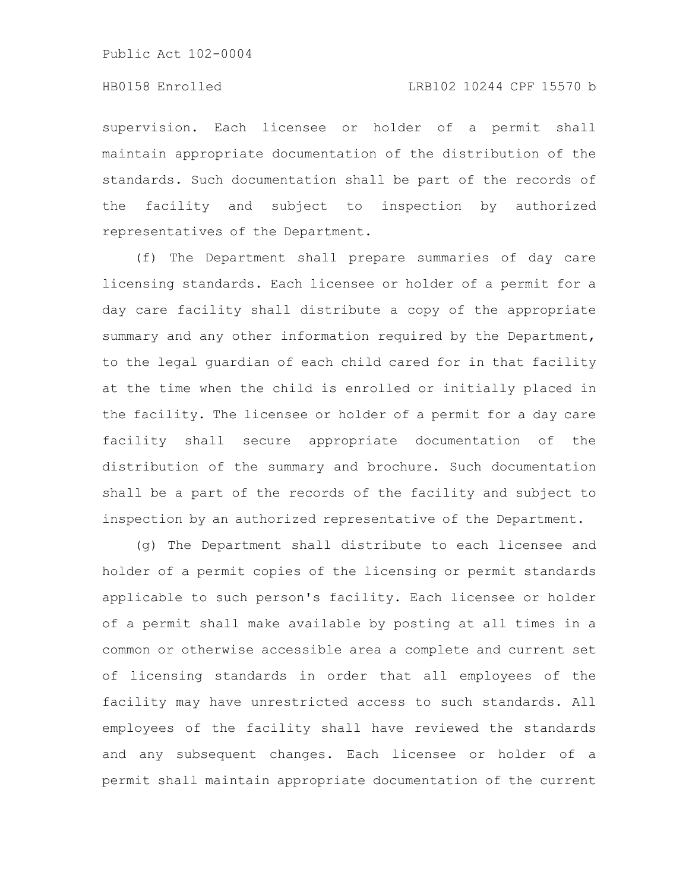supervision. Each licensee or holder of a permit shall maintain appropriate documentation of the distribution of the standards. Such documentation shall be part of the records of the facility and subject to inspection by authorized representatives of the Department.

(f) The Department shall prepare summaries of day care licensing standards. Each licensee or holder of a permit for a day care facility shall distribute a copy of the appropriate summary and any other information required by the Department, to the legal guardian of each child cared for in that facility at the time when the child is enrolled or initially placed in the facility. The licensee or holder of a permit for a day care facility shall secure appropriate documentation of the distribution of the summary and brochure. Such documentation shall be a part of the records of the facility and subject to inspection by an authorized representative of the Department.

(g) The Department shall distribute to each licensee and holder of a permit copies of the licensing or permit standards applicable to such person's facility. Each licensee or holder of a permit shall make available by posting at all times in a common or otherwise accessible area a complete and current set of licensing standards in order that all employees of the facility may have unrestricted access to such standards. All employees of the facility shall have reviewed the standards and any subsequent changes. Each licensee or holder of a permit shall maintain appropriate documentation of the current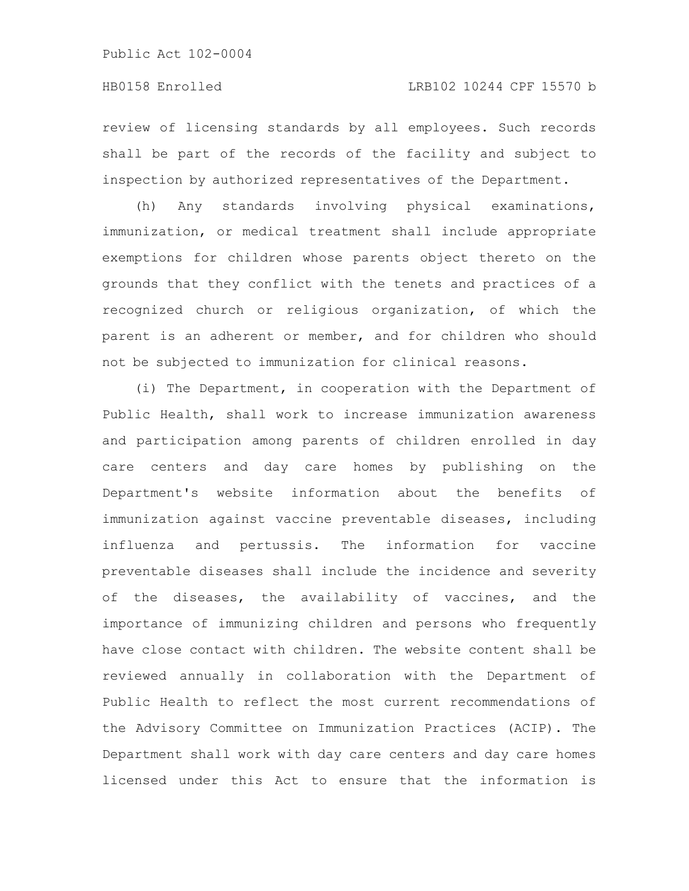review of licensing standards by all employees. Such records shall be part of the records of the facility and subject to inspection by authorized representatives of the Department.

(h) Any standards involving physical examinations, immunization, or medical treatment shall include appropriate exemptions for children whose parents object thereto on the grounds that they conflict with the tenets and practices of a recognized church or religious organization, of which the parent is an adherent or member, and for children who should not be subjected to immunization for clinical reasons.

(i) The Department, in cooperation with the Department of Public Health, shall work to increase immunization awareness and participation among parents of children enrolled in day care centers and day care homes by publishing on the Department's website information about the benefits of immunization against vaccine preventable diseases, including influenza and pertussis. The information for vaccine preventable diseases shall include the incidence and severity of the diseases, the availability of vaccines, and the importance of immunizing children and persons who frequently have close contact with children. The website content shall be reviewed annually in collaboration with the Department of Public Health to reflect the most current recommendations of the Advisory Committee on Immunization Practices (ACIP). The Department shall work with day care centers and day care homes licensed under this Act to ensure that the information is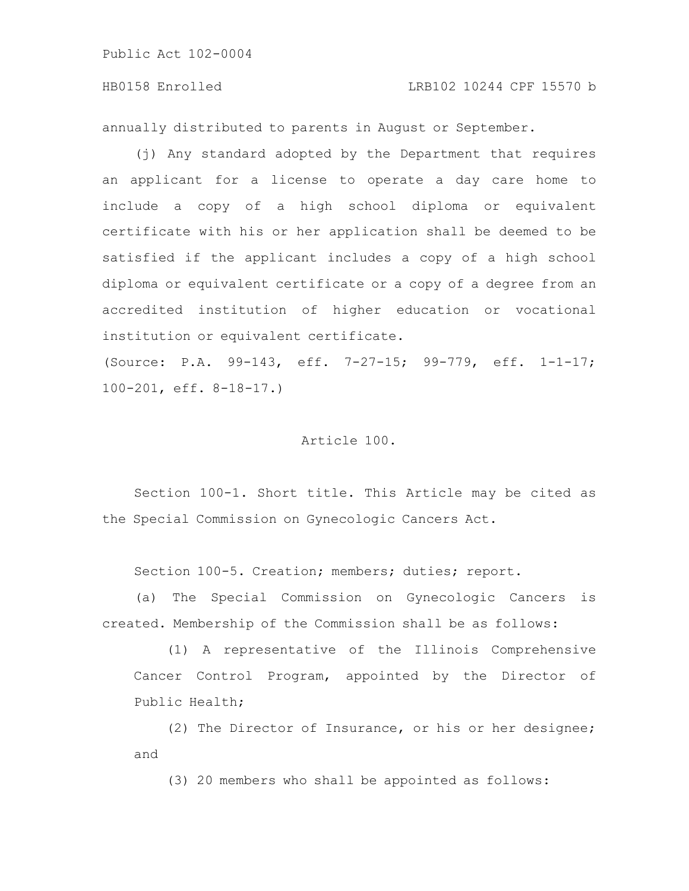#### HB0158 Enrolled LRB102 10244 CPF 15570 b

annually distributed to parents in August or September.

(j) Any standard adopted by the Department that requires an applicant for a license to operate a day care home to include a copy of a high school diploma or equivalent certificate with his or her application shall be deemed to be satisfied if the applicant includes a copy of a high school diploma or equivalent certificate or a copy of a degree from an accredited institution of higher education or vocational institution or equivalent certificate.

(Source: P.A. 99-143, eff. 7-27-15; 99-779, eff. 1-1-17; 100-201, eff. 8-18-17.)

#### Article 100.

Section 100-1. Short title. This Article may be cited as the Special Commission on Gynecologic Cancers Act.

Section 100-5. Creation; members; duties; report.

(a) The Special Commission on Gynecologic Cancers is created. Membership of the Commission shall be as follows:

(1) A representative of the Illinois Comprehensive Cancer Control Program, appointed by the Director of Public Health;

(2) The Director of Insurance, or his or her designee; and

(3) 20 members who shall be appointed as follows: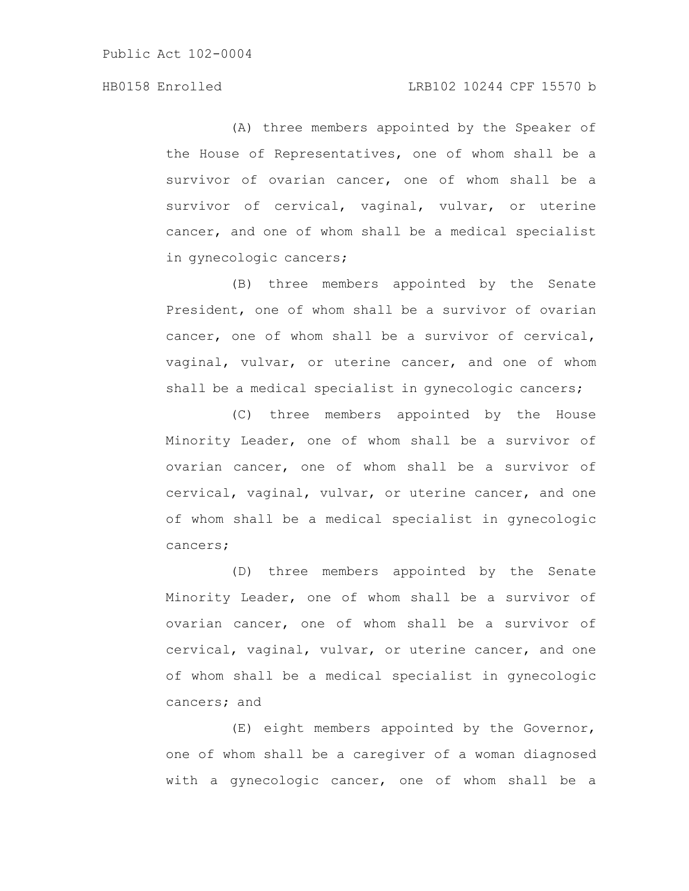## HB0158 Enrolled LRB102 10244 CPF 15570 b

(A) three members appointed by the Speaker of the House of Representatives, one of whom shall be a survivor of ovarian cancer, one of whom shall be a survivor of cervical, vaginal, vulvar, or uterine cancer, and one of whom shall be a medical specialist in gynecologic cancers;

(B) three members appointed by the Senate President, one of whom shall be a survivor of ovarian cancer, one of whom shall be a survivor of cervical, vaginal, vulvar, or uterine cancer, and one of whom shall be a medical specialist in gynecologic cancers;

(C) three members appointed by the House Minority Leader, one of whom shall be a survivor of ovarian cancer, one of whom shall be a survivor of cervical, vaginal, vulvar, or uterine cancer, and one of whom shall be a medical specialist in gynecologic cancers;

(D) three members appointed by the Senate Minority Leader, one of whom shall be a survivor of ovarian cancer, one of whom shall be a survivor of cervical, vaginal, vulvar, or uterine cancer, and one of whom shall be a medical specialist in gynecologic cancers; and

(E) eight members appointed by the Governor, one of whom shall be a caregiver of a woman diagnosed with a gynecologic cancer, one of whom shall be a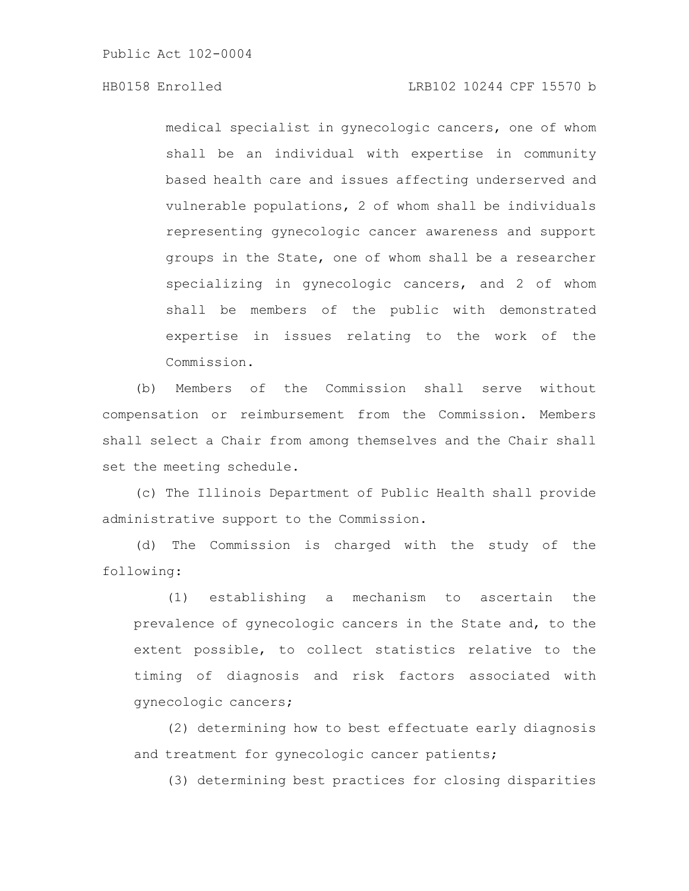## HB0158 Enrolled LRB102 10244 CPF 15570 b

medical specialist in gynecologic cancers, one of whom shall be an individual with expertise in community based health care and issues affecting underserved and vulnerable populations, 2 of whom shall be individuals representing gynecologic cancer awareness and support groups in the State, one of whom shall be a researcher specializing in gynecologic cancers, and 2 of whom shall be members of the public with demonstrated expertise in issues relating to the work of the Commission.

(b) Members of the Commission shall serve without compensation or reimbursement from the Commission. Members shall select a Chair from among themselves and the Chair shall set the meeting schedule.

(c) The Illinois Department of Public Health shall provide administrative support to the Commission.

(d) The Commission is charged with the study of the following:

(1) establishing a mechanism to ascertain the prevalence of gynecologic cancers in the State and, to the extent possible, to collect statistics relative to the timing of diagnosis and risk factors associated with gynecologic cancers;

(2) determining how to best effectuate early diagnosis and treatment for gynecologic cancer patients;

(3) determining best practices for closing disparities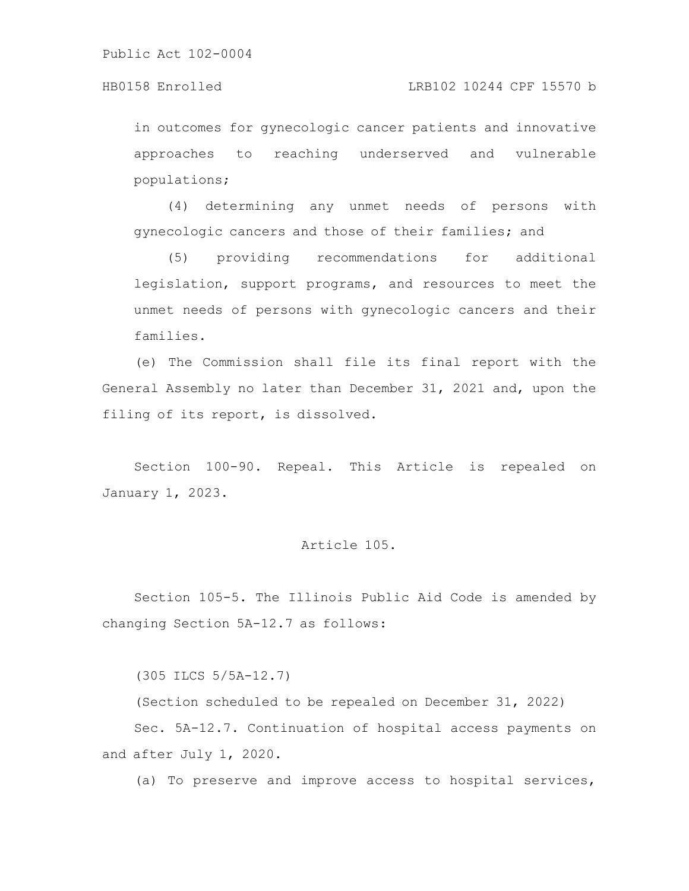#### HB0158 Enrolled LRB102 10244 CPF 15570 b

in outcomes for gynecologic cancer patients and innovative approaches to reaching underserved and vulnerable populations;

(4) determining any unmet needs of persons with gynecologic cancers and those of their families; and

(5) providing recommendations for additional legislation, support programs, and resources to meet the unmet needs of persons with gynecologic cancers and their families.

(e) The Commission shall file its final report with the General Assembly no later than December 31, 2021 and, upon the filing of its report, is dissolved.

Section 100-90. Repeal. This Article is repealed on January 1, 2023.

# Article 105.

Section 105-5. The Illinois Public Aid Code is amended by changing Section 5A-12.7 as follows:

(305 ILCS 5/5A-12.7)

(Section scheduled to be repealed on December 31, 2022)

Sec. 5A-12.7. Continuation of hospital access payments on and after July 1, 2020.

(a) To preserve and improve access to hospital services,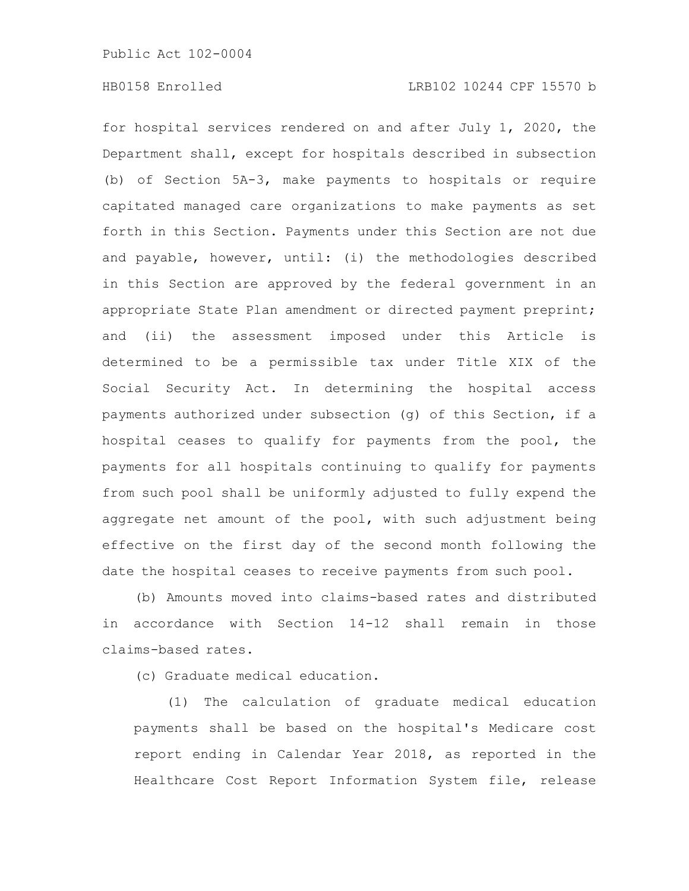for hospital services rendered on and after July 1, 2020, the Department shall, except for hospitals described in subsection (b) of Section 5A-3, make payments to hospitals or require capitated managed care organizations to make payments as set forth in this Section. Payments under this Section are not due and payable, however, until: (i) the methodologies described in this Section are approved by the federal government in an appropriate State Plan amendment or directed payment preprint; and (ii) the assessment imposed under this Article is determined to be a permissible tax under Title XIX of the Social Security Act. In determining the hospital access payments authorized under subsection (g) of this Section, if a hospital ceases to qualify for payments from the pool, the payments for all hospitals continuing to qualify for payments from such pool shall be uniformly adjusted to fully expend the aggregate net amount of the pool, with such adjustment being effective on the first day of the second month following the date the hospital ceases to receive payments from such pool.

(b) Amounts moved into claims-based rates and distributed in accordance with Section 14-12 shall remain in those claims-based rates.

(c) Graduate medical education.

(1) The calculation of graduate medical education payments shall be based on the hospital's Medicare cost report ending in Calendar Year 2018, as reported in the Healthcare Cost Report Information System file, release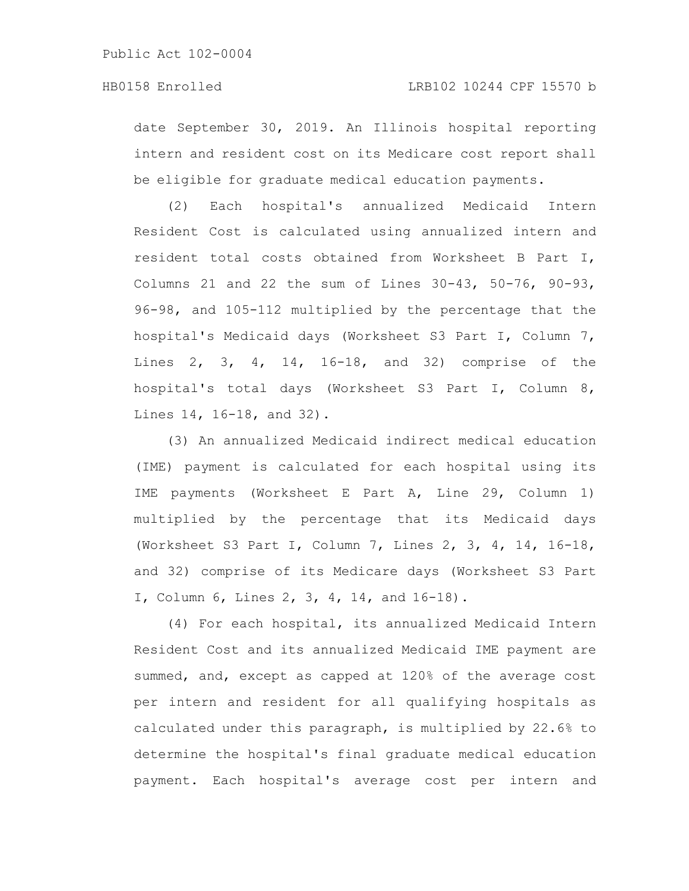date September 30, 2019. An Illinois hospital reporting intern and resident cost on its Medicare cost report shall be eligible for graduate medical education payments.

(2) Each hospital's annualized Medicaid Intern Resident Cost is calculated using annualized intern and resident total costs obtained from Worksheet B Part I, Columns 21 and 22 the sum of Lines 30-43, 50-76, 90-93, 96-98, and 105-112 multiplied by the percentage that the hospital's Medicaid days (Worksheet S3 Part I, Column 7, Lines 2, 3, 4, 14, 16-18, and 32) comprise of the hospital's total days (Worksheet S3 Part I, Column 8, Lines 14, 16-18, and 32).

(3) An annualized Medicaid indirect medical education (IME) payment is calculated for each hospital using its IME payments (Worksheet E Part A, Line 29, Column 1) multiplied by the percentage that its Medicaid days (Worksheet S3 Part I, Column 7, Lines 2, 3, 4, 14, 16-18, and 32) comprise of its Medicare days (Worksheet S3 Part I, Column 6, Lines 2, 3, 4, 14, and 16-18).

(4) For each hospital, its annualized Medicaid Intern Resident Cost and its annualized Medicaid IME payment are summed, and, except as capped at 120% of the average cost per intern and resident for all qualifying hospitals as calculated under this paragraph, is multiplied by 22.6% to determine the hospital's final graduate medical education payment. Each hospital's average cost per intern and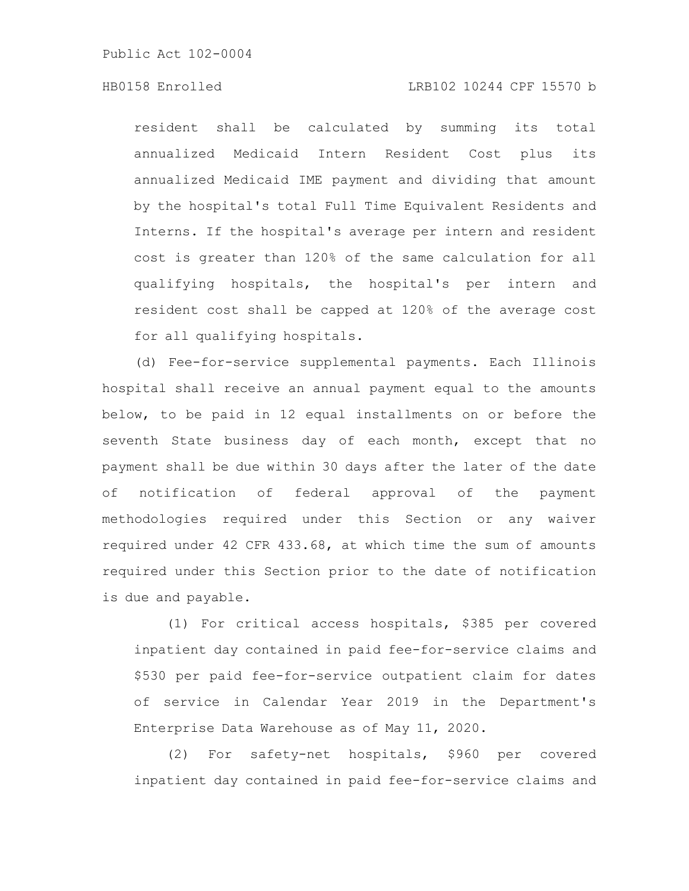## HB0158 Enrolled LRB102 10244 CPF 15570 b

resident shall be calculated by summing its total annualized Medicaid Intern Resident Cost plus its annualized Medicaid IME payment and dividing that amount by the hospital's total Full Time Equivalent Residents and Interns. If the hospital's average per intern and resident cost is greater than 120% of the same calculation for all qualifying hospitals, the hospital's per intern and resident cost shall be capped at 120% of the average cost for all qualifying hospitals.

(d) Fee-for-service supplemental payments. Each Illinois hospital shall receive an annual payment equal to the amounts below, to be paid in 12 equal installments on or before the seventh State business day of each month, except that no payment shall be due within 30 days after the later of the date of notification of federal approval of the payment methodologies required under this Section or any waiver required under 42 CFR 433.68, at which time the sum of amounts required under this Section prior to the date of notification is due and payable.

(1) For critical access hospitals, \$385 per covered inpatient day contained in paid fee-for-service claims and \$530 per paid fee-for-service outpatient claim for dates of service in Calendar Year 2019 in the Department's Enterprise Data Warehouse as of May 11, 2020.

(2) For safety-net hospitals, \$960 per covered inpatient day contained in paid fee-for-service claims and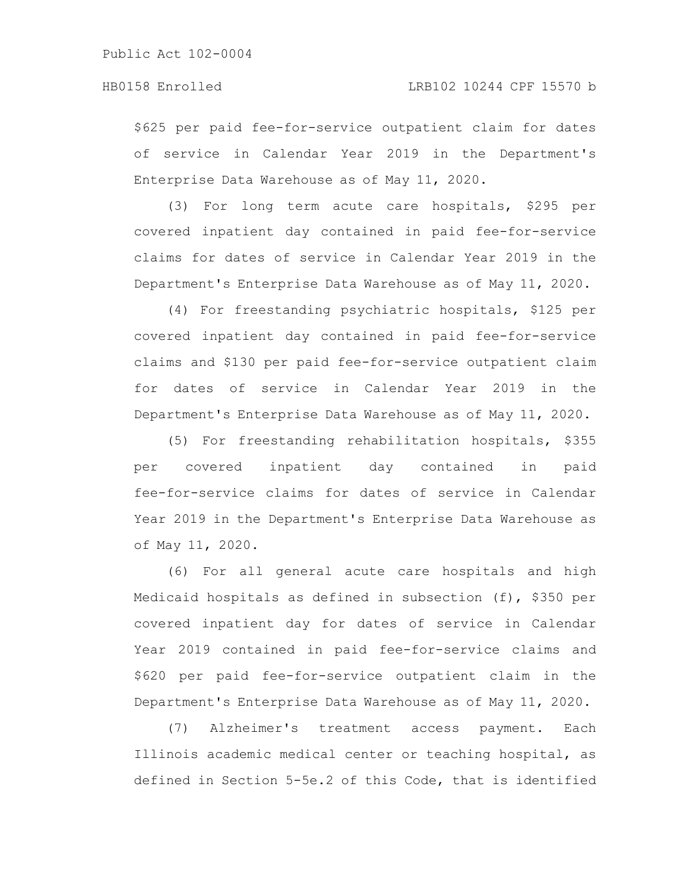\$625 per paid fee-for-service outpatient claim for dates of service in Calendar Year 2019 in the Department's Enterprise Data Warehouse as of May 11, 2020.

(3) For long term acute care hospitals, \$295 per covered inpatient day contained in paid fee-for-service claims for dates of service in Calendar Year 2019 in the Department's Enterprise Data Warehouse as of May 11, 2020.

(4) For freestanding psychiatric hospitals, \$125 per covered inpatient day contained in paid fee-for-service claims and \$130 per paid fee-for-service outpatient claim for dates of service in Calendar Year 2019 in the Department's Enterprise Data Warehouse as of May 11, 2020.

(5) For freestanding rehabilitation hospitals, \$355 per covered inpatient day contained in paid fee-for-service claims for dates of service in Calendar Year 2019 in the Department's Enterprise Data Warehouse as of May 11, 2020.

(6) For all general acute care hospitals and high Medicaid hospitals as defined in subsection (f), \$350 per covered inpatient day for dates of service in Calendar Year 2019 contained in paid fee-for-service claims and \$620 per paid fee-for-service outpatient claim in the Department's Enterprise Data Warehouse as of May 11, 2020.

(7) Alzheimer's treatment access payment. Each Illinois academic medical center or teaching hospital, as defined in Section 5-5e.2 of this Code, that is identified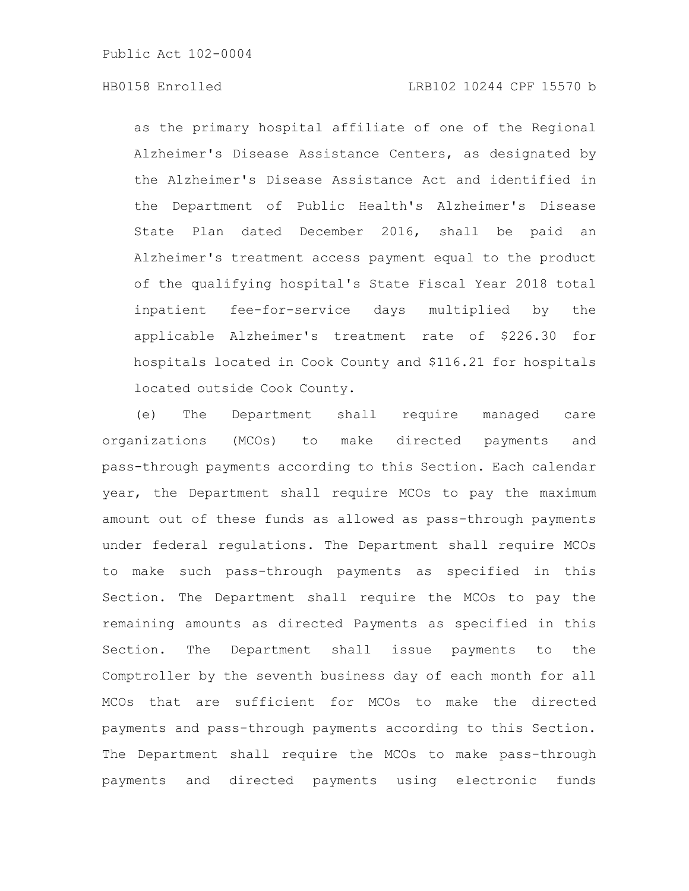as the primary hospital affiliate of one of the Regional Alzheimer's Disease Assistance Centers, as designated by the Alzheimer's Disease Assistance Act and identified in the Department of Public Health's Alzheimer's Disease State Plan dated December 2016, shall be paid an Alzheimer's treatment access payment equal to the product of the qualifying hospital's State Fiscal Year 2018 total inpatient fee-for-service days multiplied by the applicable Alzheimer's treatment rate of \$226.30 for hospitals located in Cook County and \$116.21 for hospitals located outside Cook County.

(e) The Department shall require managed care organizations (MCOs) to make directed payments and pass-through payments according to this Section. Each calendar year, the Department shall require MCOs to pay the maximum amount out of these funds as allowed as pass-through payments under federal regulations. The Department shall require MCOs to make such pass-through payments as specified in this Section. The Department shall require the MCOs to pay the remaining amounts as directed Payments as specified in this Section. The Department shall issue payments to the Comptroller by the seventh business day of each month for all MCOs that are sufficient for MCOs to make the directed payments and pass-through payments according to this Section. The Department shall require the MCOs to make pass-through payments and directed payments using electronic funds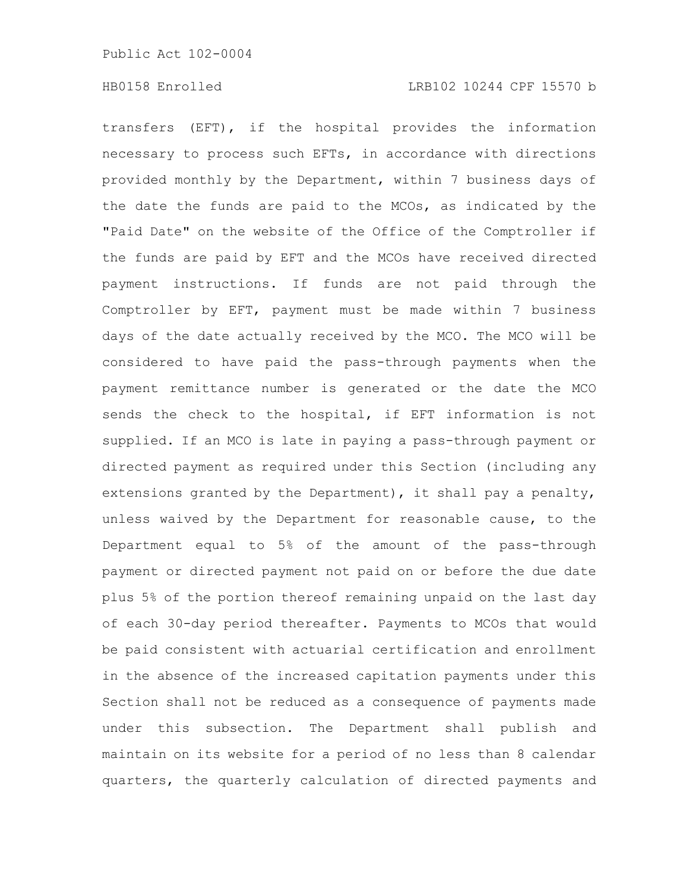transfers (EFT), if the hospital provides the information necessary to process such EFTs, in accordance with directions provided monthly by the Department, within 7 business days of the date the funds are paid to the MCOs, as indicated by the "Paid Date" on the website of the Office of the Comptroller if the funds are paid by EFT and the MCOs have received directed payment instructions. If funds are not paid through the Comptroller by EFT, payment must be made within 7 business days of the date actually received by the MCO. The MCO will be considered to have paid the pass-through payments when the payment remittance number is generated or the date the MCO sends the check to the hospital, if EFT information is not supplied. If an MCO is late in paying a pass-through payment or directed payment as required under this Section (including any extensions granted by the Department), it shall pay a penalty, unless waived by the Department for reasonable cause, to the Department equal to 5% of the amount of the pass-through payment or directed payment not paid on or before the due date plus 5% of the portion thereof remaining unpaid on the last day of each 30-day period thereafter. Payments to MCOs that would be paid consistent with actuarial certification and enrollment in the absence of the increased capitation payments under this Section shall not be reduced as a consequence of payments made under this subsection. The Department shall publish and maintain on its website for a period of no less than 8 calendar quarters, the quarterly calculation of directed payments and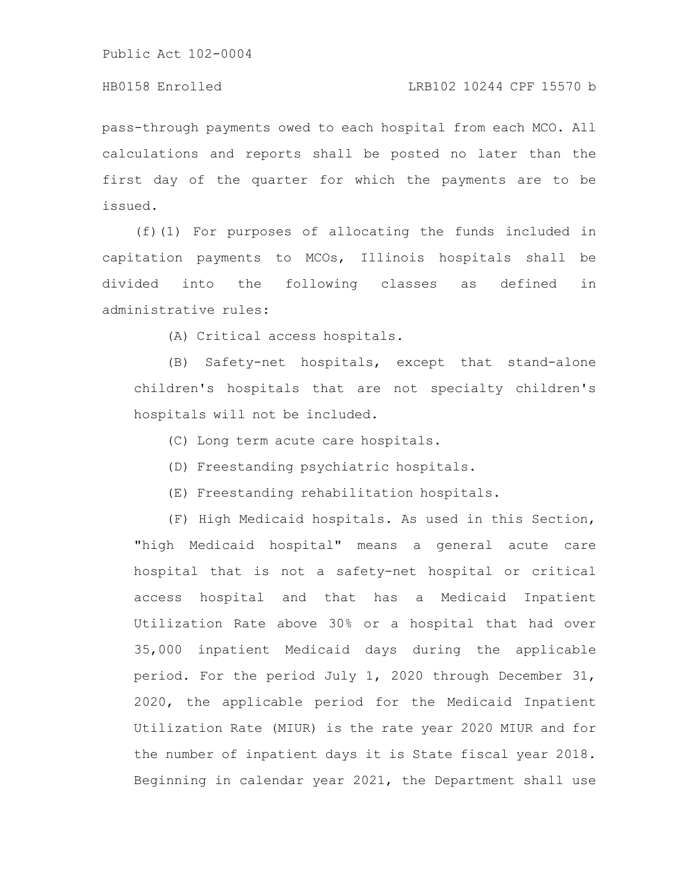### HB0158 Enrolled LRB102 10244 CPF 15570 b

pass-through payments owed to each hospital from each MCO. All calculations and reports shall be posted no later than the first day of the quarter for which the payments are to be issued.

(f)(1) For purposes of allocating the funds included in capitation payments to MCOs, Illinois hospitals shall be divided into the following classes as defined in administrative rules:

(A) Critical access hospitals.

(B) Safety-net hospitals, except that stand-alone children's hospitals that are not specialty children's hospitals will not be included.

(C) Long term acute care hospitals.

(D) Freestanding psychiatric hospitals.

(E) Freestanding rehabilitation hospitals.

(F) High Medicaid hospitals. As used in this Section, "high Medicaid hospital" means a general acute care hospital that is not a safety-net hospital or critical access hospital and that has a Medicaid Inpatient Utilization Rate above 30% or a hospital that had over 35,000 inpatient Medicaid days during the applicable period. For the period July 1, 2020 through December 31, 2020, the applicable period for the Medicaid Inpatient Utilization Rate (MIUR) is the rate year 2020 MIUR and for the number of inpatient days it is State fiscal year 2018. Beginning in calendar year 2021, the Department shall use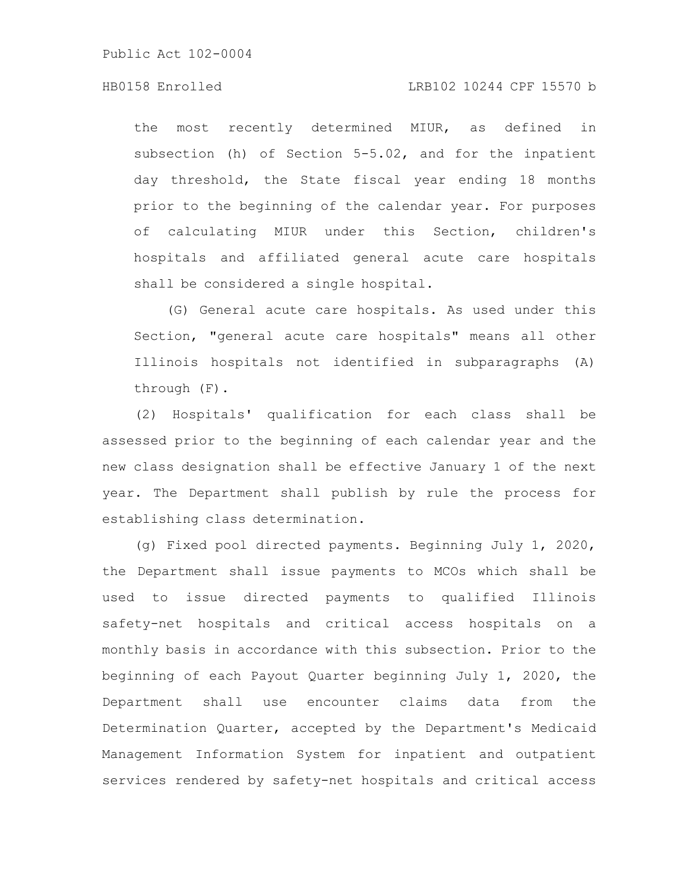### HB0158 Enrolled LRB102 10244 CPF 15570 b

the most recently determined MIUR, as defined in subsection (h) of Section 5-5.02, and for the inpatient day threshold, the State fiscal year ending 18 months prior to the beginning of the calendar year. For purposes of calculating MIUR under this Section, children's hospitals and affiliated general acute care hospitals shall be considered a single hospital.

(G) General acute care hospitals. As used under this Section, "general acute care hospitals" means all other Illinois hospitals not identified in subparagraphs (A) through (F).

(2) Hospitals' qualification for each class shall be assessed prior to the beginning of each calendar year and the new class designation shall be effective January 1 of the next year. The Department shall publish by rule the process for establishing class determination.

(g) Fixed pool directed payments. Beginning July 1, 2020, the Department shall issue payments to MCOs which shall be used to issue directed payments to qualified Illinois safety-net hospitals and critical access hospitals on a monthly basis in accordance with this subsection. Prior to the beginning of each Payout Quarter beginning July 1, 2020, the Department shall use encounter claims data from the Determination Quarter, accepted by the Department's Medicaid Management Information System for inpatient and outpatient services rendered by safety-net hospitals and critical access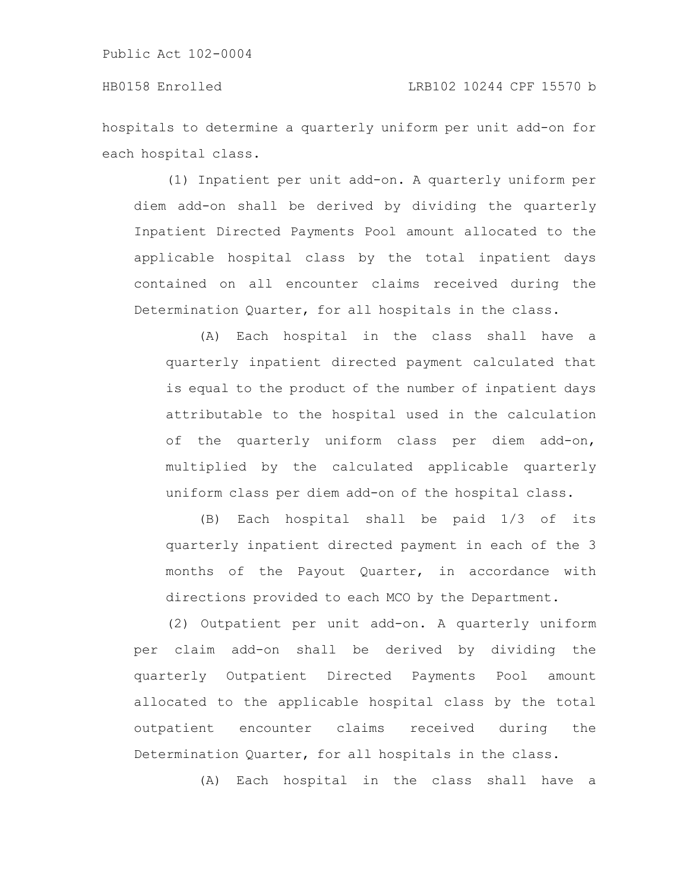hospitals to determine a quarterly uniform per unit add-on for each hospital class.

(1) Inpatient per unit add-on. A quarterly uniform per diem add-on shall be derived by dividing the quarterly Inpatient Directed Payments Pool amount allocated to the applicable hospital class by the total inpatient days contained on all encounter claims received during the Determination Quarter, for all hospitals in the class.

(A) Each hospital in the class shall have a quarterly inpatient directed payment calculated that is equal to the product of the number of inpatient days attributable to the hospital used in the calculation of the quarterly uniform class per diem add-on, multiplied by the calculated applicable quarterly uniform class per diem add-on of the hospital class.

(B) Each hospital shall be paid 1/3 of its quarterly inpatient directed payment in each of the 3 months of the Payout Quarter, in accordance with directions provided to each MCO by the Department.

(2) Outpatient per unit add-on. A quarterly uniform per claim add-on shall be derived by dividing the quarterly Outpatient Directed Payments Pool amount allocated to the applicable hospital class by the total outpatient encounter claims received during the Determination Quarter, for all hospitals in the class.

(A) Each hospital in the class shall have a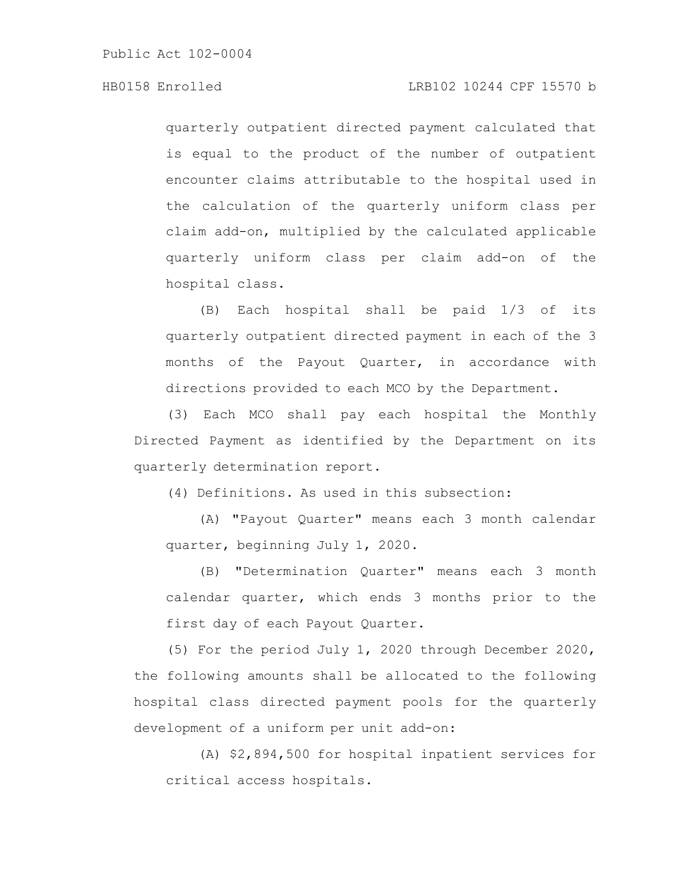## HB0158 Enrolled LRB102 10244 CPF 15570 b

quarterly outpatient directed payment calculated that is equal to the product of the number of outpatient encounter claims attributable to the hospital used in the calculation of the quarterly uniform class per claim add-on, multiplied by the calculated applicable quarterly uniform class per claim add-on of the hospital class.

(B) Each hospital shall be paid 1/3 of its quarterly outpatient directed payment in each of the 3 months of the Payout Quarter, in accordance with directions provided to each MCO by the Department.

(3) Each MCO shall pay each hospital the Monthly Directed Payment as identified by the Department on its quarterly determination report.

(4) Definitions. As used in this subsection:

(A) "Payout Quarter" means each 3 month calendar quarter, beginning July 1, 2020.

(B) "Determination Quarter" means each 3 month calendar quarter, which ends 3 months prior to the first day of each Payout Quarter.

(5) For the period July 1, 2020 through December 2020, the following amounts shall be allocated to the following hospital class directed payment pools for the quarterly development of a uniform per unit add-on:

(A) \$2,894,500 for hospital inpatient services for critical access hospitals.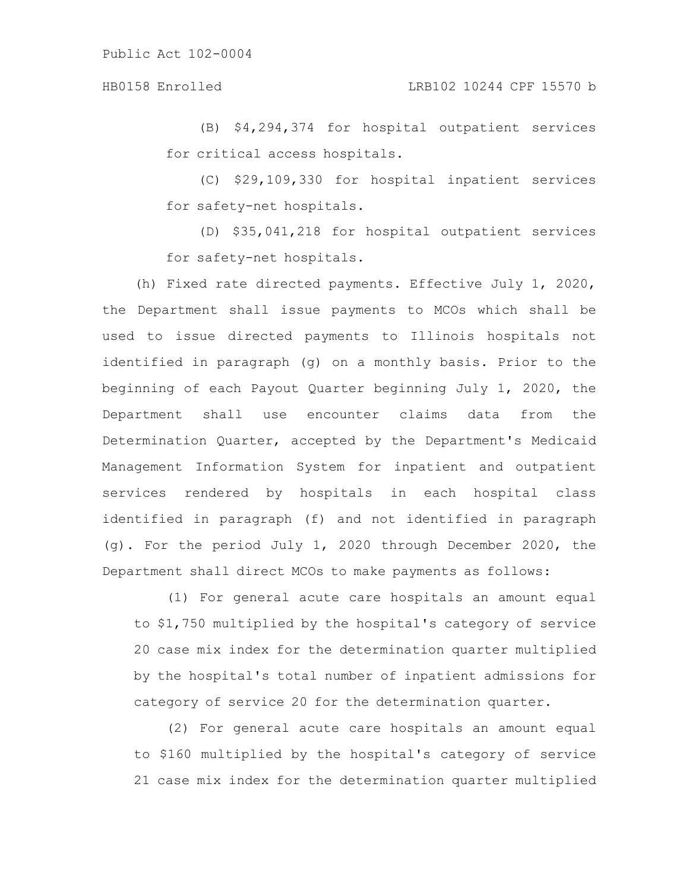(B) \$4,294,374 for hospital outpatient services for critical access hospitals.

(C) \$29,109,330 for hospital inpatient services for safety-net hospitals.

(D) \$35,041,218 for hospital outpatient services for safety-net hospitals.

(h) Fixed rate directed payments. Effective July 1, 2020, the Department shall issue payments to MCOs which shall be used to issue directed payments to Illinois hospitals not identified in paragraph (g) on a monthly basis. Prior to the beginning of each Payout Quarter beginning July 1, 2020, the Department shall use encounter claims data from the Determination Quarter, accepted by the Department's Medicaid Management Information System for inpatient and outpatient services rendered by hospitals in each hospital class identified in paragraph (f) and not identified in paragraph (g). For the period July 1, 2020 through December 2020, the Department shall direct MCOs to make payments as follows:

(1) For general acute care hospitals an amount equal to \$1,750 multiplied by the hospital's category of service 20 case mix index for the determination quarter multiplied by the hospital's total number of inpatient admissions for category of service 20 for the determination quarter.

(2) For general acute care hospitals an amount equal to \$160 multiplied by the hospital's category of service 21 case mix index for the determination quarter multiplied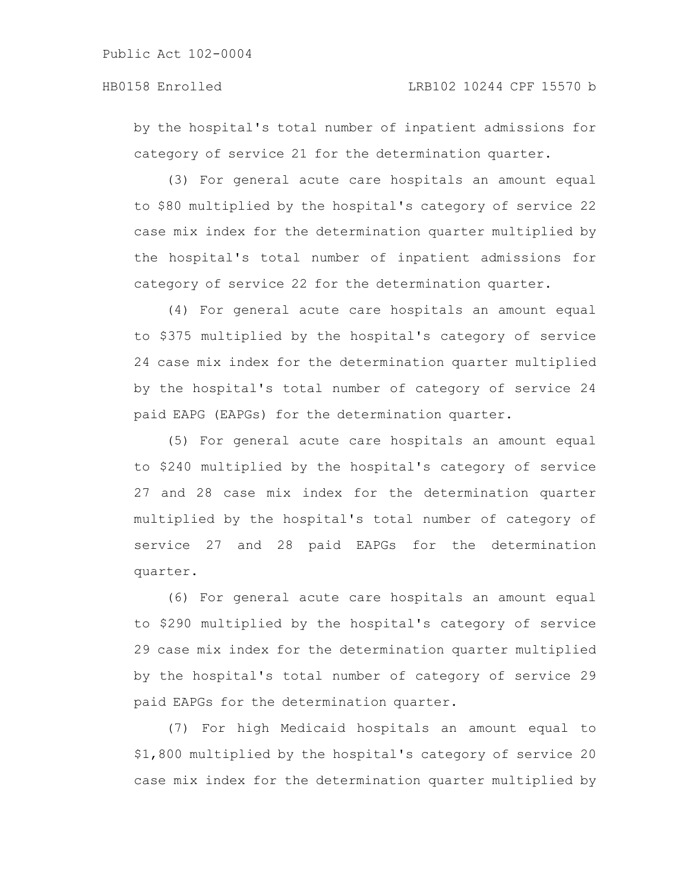## HB0158 Enrolled LRB102 10244 CPF 15570 b

by the hospital's total number of inpatient admissions for category of service 21 for the determination quarter.

(3) For general acute care hospitals an amount equal to \$80 multiplied by the hospital's category of service 22 case mix index for the determination quarter multiplied by the hospital's total number of inpatient admissions for category of service 22 for the determination quarter.

(4) For general acute care hospitals an amount equal to \$375 multiplied by the hospital's category of service 24 case mix index for the determination quarter multiplied by the hospital's total number of category of service 24 paid EAPG (EAPGs) for the determination quarter.

(5) For general acute care hospitals an amount equal to \$240 multiplied by the hospital's category of service 27 and 28 case mix index for the determination quarter multiplied by the hospital's total number of category of service 27 and 28 paid EAPGs for the determination quarter.

(6) For general acute care hospitals an amount equal to \$290 multiplied by the hospital's category of service 29 case mix index for the determination quarter multiplied by the hospital's total number of category of service 29 paid EAPGs for the determination quarter.

(7) For high Medicaid hospitals an amount equal to \$1,800 multiplied by the hospital's category of service 20 case mix index for the determination quarter multiplied by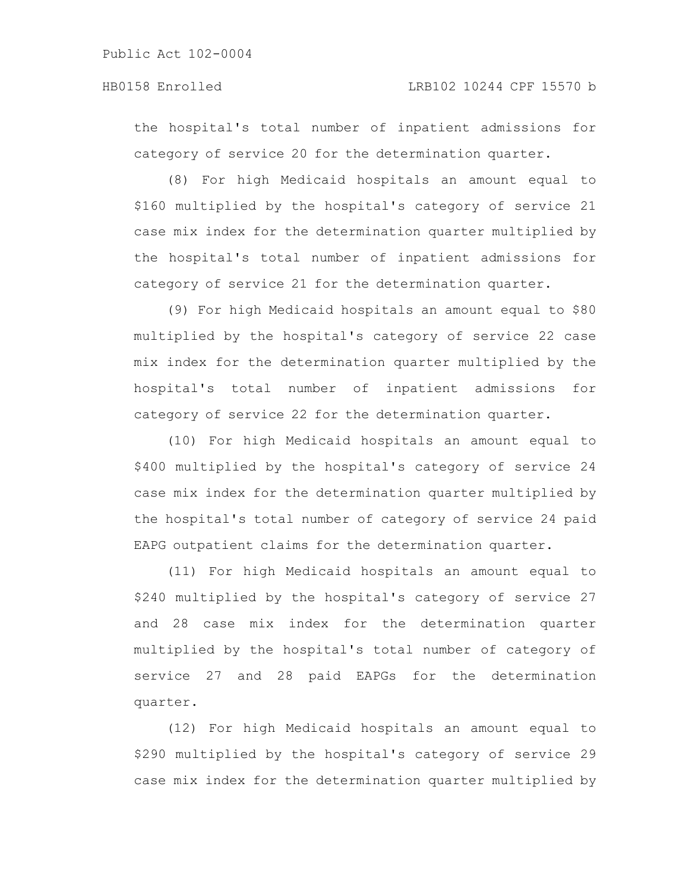the hospital's total number of inpatient admissions for category of service 20 for the determination quarter.

(8) For high Medicaid hospitals an amount equal to \$160 multiplied by the hospital's category of service 21 case mix index for the determination quarter multiplied by the hospital's total number of inpatient admissions for category of service 21 for the determination quarter.

(9) For high Medicaid hospitals an amount equal to \$80 multiplied by the hospital's category of service 22 case mix index for the determination quarter multiplied by the hospital's total number of inpatient admissions for category of service 22 for the determination quarter.

(10) For high Medicaid hospitals an amount equal to \$400 multiplied by the hospital's category of service 24 case mix index for the determination quarter multiplied by the hospital's total number of category of service 24 paid EAPG outpatient claims for the determination quarter.

(11) For high Medicaid hospitals an amount equal to \$240 multiplied by the hospital's category of service 27 and 28 case mix index for the determination quarter multiplied by the hospital's total number of category of service 27 and 28 paid EAPGs for the determination quarter.

(12) For high Medicaid hospitals an amount equal to \$290 multiplied by the hospital's category of service 29 case mix index for the determination quarter multiplied by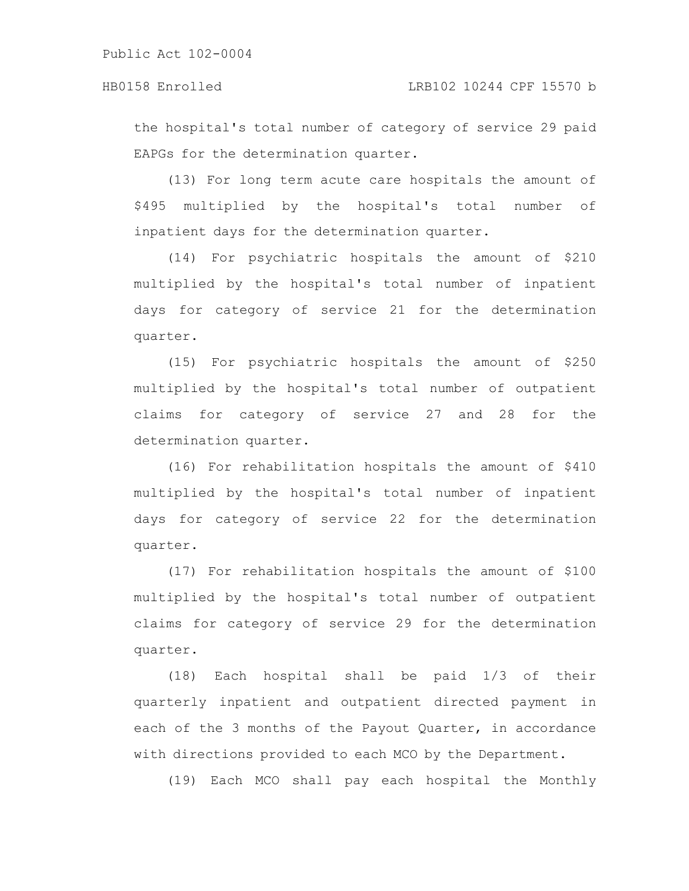the hospital's total number of category of service 29 paid EAPGs for the determination quarter.

(13) For long term acute care hospitals the amount of \$495 multiplied by the hospital's total number of inpatient days for the determination quarter.

(14) For psychiatric hospitals the amount of \$210 multiplied by the hospital's total number of inpatient days for category of service 21 for the determination quarter.

(15) For psychiatric hospitals the amount of \$250 multiplied by the hospital's total number of outpatient claims for category of service 27 and 28 for the determination quarter.

(16) For rehabilitation hospitals the amount of \$410 multiplied by the hospital's total number of inpatient days for category of service 22 for the determination quarter.

(17) For rehabilitation hospitals the amount of \$100 multiplied by the hospital's total number of outpatient claims for category of service 29 for the determination quarter.

(18) Each hospital shall be paid 1/3 of their quarterly inpatient and outpatient directed payment in each of the 3 months of the Payout Quarter, in accordance with directions provided to each MCO by the Department.

(19) Each MCO shall pay each hospital the Monthly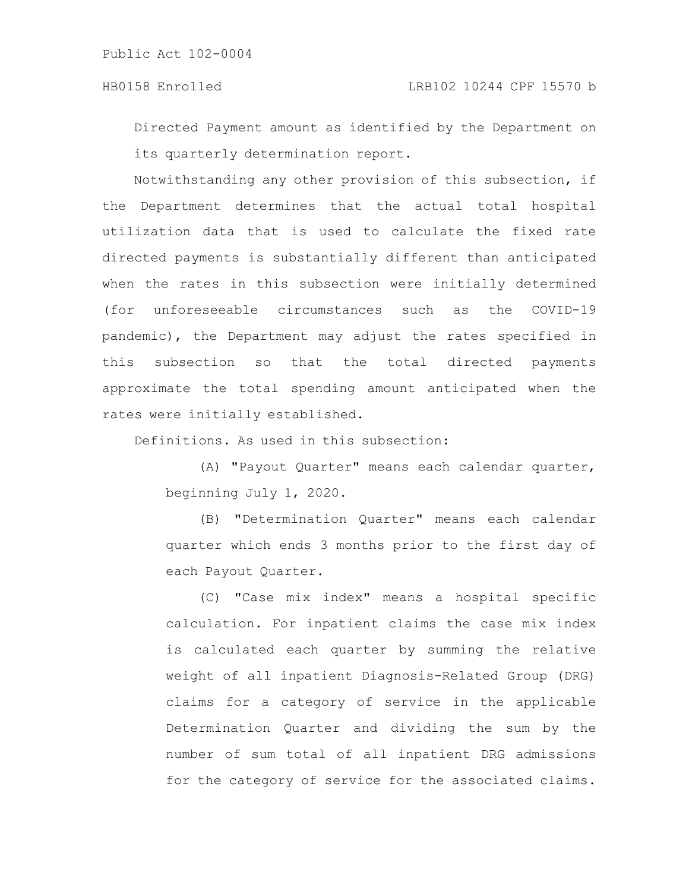Directed Payment amount as identified by the Department on its quarterly determination report.

Notwithstanding any other provision of this subsection, if the Department determines that the actual total hospital utilization data that is used to calculate the fixed rate directed payments is substantially different than anticipated when the rates in this subsection were initially determined (for unforeseeable circumstances such as the COVID-19 pandemic), the Department may adjust the rates specified in this subsection so that the total directed payments approximate the total spending amount anticipated when the rates were initially established.

Definitions. As used in this subsection:

(A) "Payout Quarter" means each calendar quarter, beginning July 1, 2020.

(B) "Determination Quarter" means each calendar quarter which ends 3 months prior to the first day of each Payout Quarter.

(C) "Case mix index" means a hospital specific calculation. For inpatient claims the case mix index is calculated each quarter by summing the relative weight of all inpatient Diagnosis-Related Group (DRG) claims for a category of service in the applicable Determination Quarter and dividing the sum by the number of sum total of all inpatient DRG admissions for the category of service for the associated claims.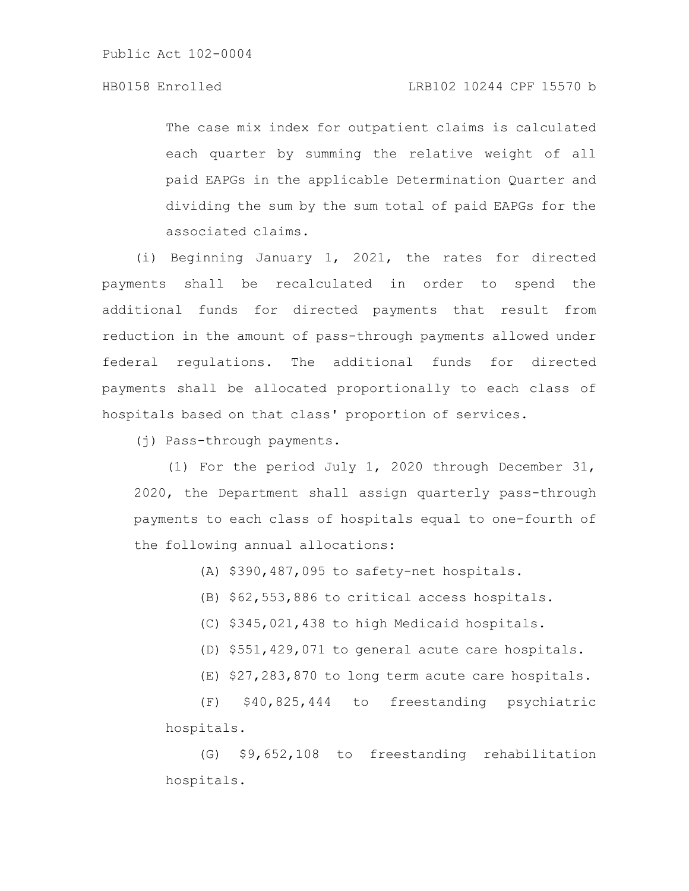The case mix index for outpatient claims is calculated each quarter by summing the relative weight of all paid EAPGs in the applicable Determination Quarter and dividing the sum by the sum total of paid EAPGs for the associated claims.

(i) Beginning January 1, 2021, the rates for directed payments shall be recalculated in order to spend the additional funds for directed payments that result from reduction in the amount of pass-through payments allowed under federal regulations. The additional funds for directed payments shall be allocated proportionally to each class of hospitals based on that class' proportion of services.

(j) Pass-through payments.

(1) For the period July 1, 2020 through December 31, 2020, the Department shall assign quarterly pass-through payments to each class of hospitals equal to one-fourth of the following annual allocations:

(A) \$390,487,095 to safety-net hospitals.

(B) \$62,553,886 to critical access hospitals.

- (C) \$345,021,438 to high Medicaid hospitals.
- (D) \$551,429,071 to general acute care hospitals.
- (E) \$27,283,870 to long term acute care hospitals.

(F) \$40,825,444 to freestanding psychiatric hospitals.

(G) \$9,652,108 to freestanding rehabilitation hospitals.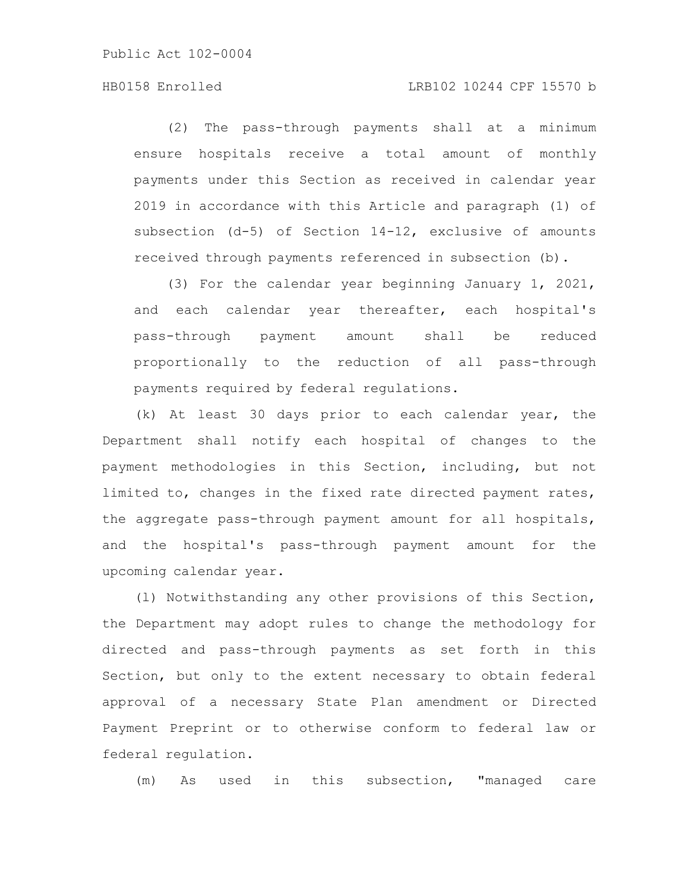## HB0158 Enrolled LRB102 10244 CPF 15570 b

(2) The pass-through payments shall at a minimum ensure hospitals receive a total amount of monthly payments under this Section as received in calendar year 2019 in accordance with this Article and paragraph (1) of subsection (d-5) of Section 14-12, exclusive of amounts received through payments referenced in subsection (b).

(3) For the calendar year beginning January 1, 2021, and each calendar year thereafter, each hospital's pass-through payment amount shall be reduced proportionally to the reduction of all pass-through payments required by federal regulations.

(k) At least 30 days prior to each calendar year, the Department shall notify each hospital of changes to the payment methodologies in this Section, including, but not limited to, changes in the fixed rate directed payment rates, the aggregate pass-through payment amount for all hospitals, and the hospital's pass-through payment amount for the upcoming calendar year.

(l) Notwithstanding any other provisions of this Section, the Department may adopt rules to change the methodology for directed and pass-through payments as set forth in this Section, but only to the extent necessary to obtain federal approval of a necessary State Plan amendment or Directed Payment Preprint or to otherwise conform to federal law or federal regulation.

(m) As used in this subsection, "managed care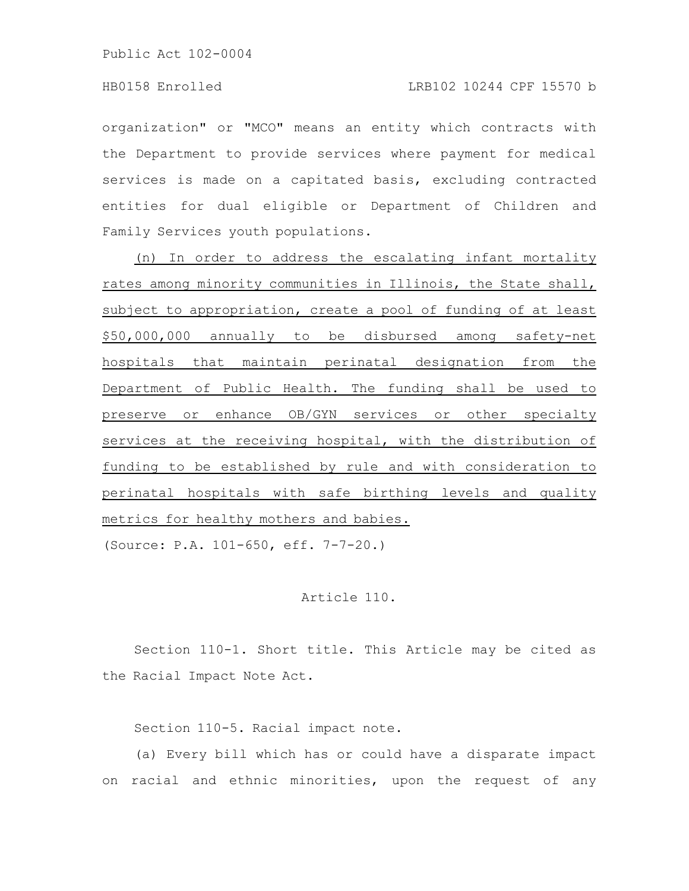organization" or "MCO" means an entity which contracts with the Department to provide services where payment for medical services is made on a capitated basis, excluding contracted entities for dual eligible or Department of Children and Family Services youth populations.

(n) In order to address the escalating infant mortality rates among minority communities in Illinois, the State shall, subject to appropriation, create a pool of funding of at least \$50,000,000 annually to be disbursed among safety-net hospitals that maintain perinatal designation from the Department of Public Health. The funding shall be used to preserve or enhance OB/GYN services or other specialty services at the receiving hospital, with the distribution of funding to be established by rule and with consideration to perinatal hospitals with safe birthing levels and quality metrics for healthy mothers and babies.

(Source: P.A. 101-650, eff. 7-7-20.)

#### Article 110.

Section 110-1. Short title. This Article may be cited as the Racial Impact Note Act.

Section 110-5. Racial impact note.

(a) Every bill which has or could have a disparate impact on racial and ethnic minorities, upon the request of any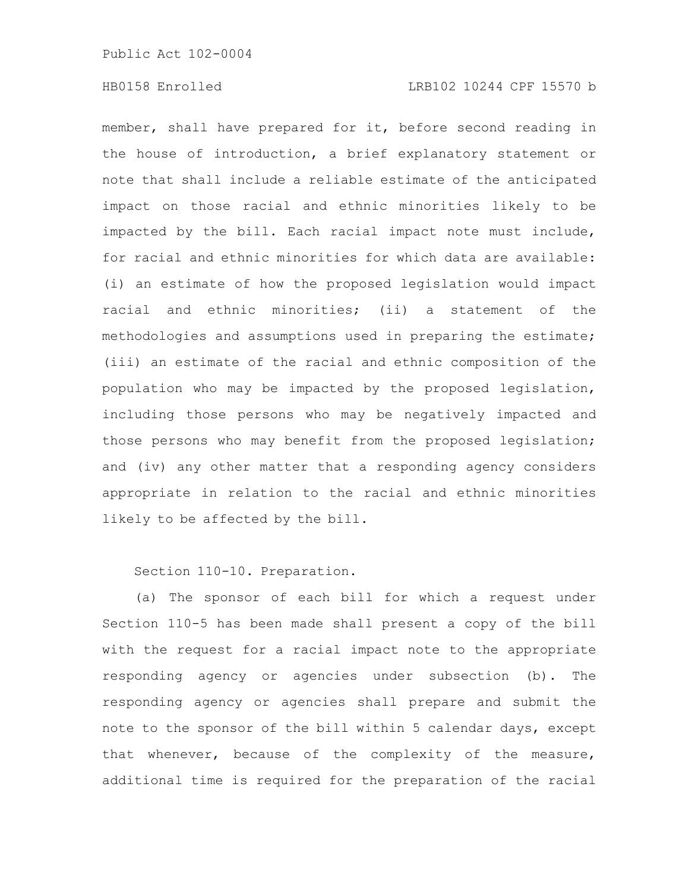## HB0158 Enrolled LRB102 10244 CPF 15570 b

member, shall have prepared for it, before second reading in the house of introduction, a brief explanatory statement or note that shall include a reliable estimate of the anticipated impact on those racial and ethnic minorities likely to be impacted by the bill. Each racial impact note must include, for racial and ethnic minorities for which data are available: (i) an estimate of how the proposed legislation would impact racial and ethnic minorities; (ii) a statement of the methodologies and assumptions used in preparing the estimate; (iii) an estimate of the racial and ethnic composition of the population who may be impacted by the proposed legislation, including those persons who may be negatively impacted and those persons who may benefit from the proposed legislation; and (iv) any other matter that a responding agency considers appropriate in relation to the racial and ethnic minorities likely to be affected by the bill.

Section 110-10. Preparation.

(a) The sponsor of each bill for which a request under Section 110-5 has been made shall present a copy of the bill with the request for a racial impact note to the appropriate responding agency or agencies under subsection (b). The responding agency or agencies shall prepare and submit the note to the sponsor of the bill within 5 calendar days, except that whenever, because of the complexity of the measure, additional time is required for the preparation of the racial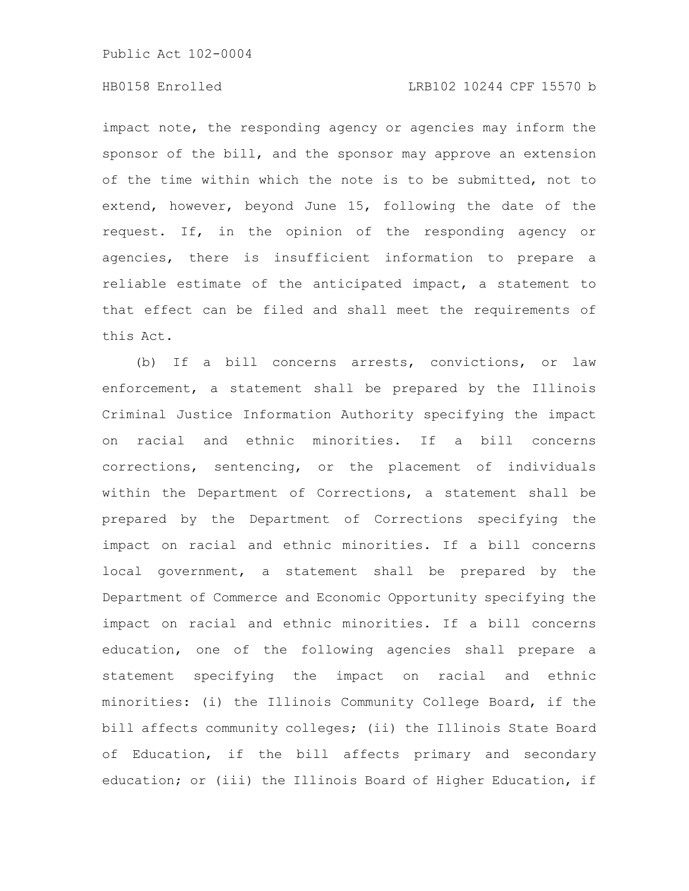## HB0158 Enrolled LRB102 10244 CPF 15570 b

impact note, the responding agency or agencies may inform the sponsor of the bill, and the sponsor may approve an extension of the time within which the note is to be submitted, not to extend, however, beyond June 15, following the date of the request. If, in the opinion of the responding agency or agencies, there is insufficient information to prepare a reliable estimate of the anticipated impact, a statement to that effect can be filed and shall meet the requirements of this Act.

(b) If a bill concerns arrests, convictions, or law enforcement, a statement shall be prepared by the Illinois Criminal Justice Information Authority specifying the impact on racial and ethnic minorities. If a bill concerns corrections, sentencing, or the placement of individuals within the Department of Corrections, a statement shall be prepared by the Department of Corrections specifying the impact on racial and ethnic minorities. If a bill concerns local government, a statement shall be prepared by the Department of Commerce and Economic Opportunity specifying the impact on racial and ethnic minorities. If a bill concerns education, one of the following agencies shall prepare a statement specifying the impact on racial and ethnic minorities: (i) the Illinois Community College Board, if the bill affects community colleges; (ii) the Illinois State Board of Education, if the bill affects primary and secondary education; or (iii) the Illinois Board of Higher Education, if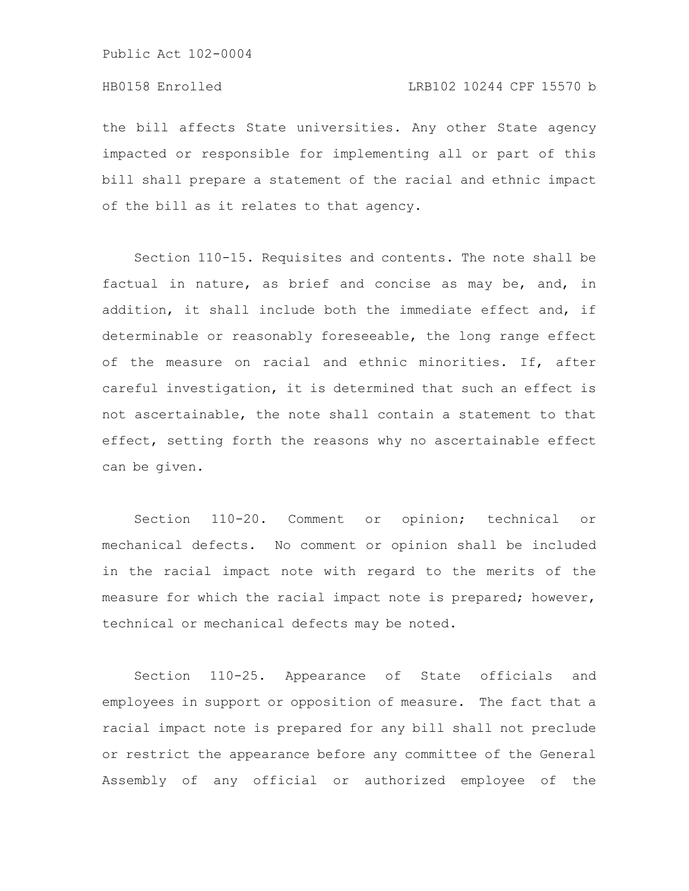the bill affects State universities. Any other State agency impacted or responsible for implementing all or part of this bill shall prepare a statement of the racial and ethnic impact of the bill as it relates to that agency.

Section 110-15. Requisites and contents. The note shall be factual in nature, as brief and concise as may be, and, in addition, it shall include both the immediate effect and, if determinable or reasonably foreseeable, the long range effect of the measure on racial and ethnic minorities. If, after careful investigation, it is determined that such an effect is not ascertainable, the note shall contain a statement to that effect, setting forth the reasons why no ascertainable effect can be given.

Section 110-20. Comment or opinion; technical or mechanical defects. No comment or opinion shall be included in the racial impact note with regard to the merits of the measure for which the racial impact note is prepared; however, technical or mechanical defects may be noted.

Section 110-25. Appearance of State officials and employees in support or opposition of measure. The fact that a racial impact note is prepared for any bill shall not preclude or restrict the appearance before any committee of the General Assembly of any official or authorized employee of the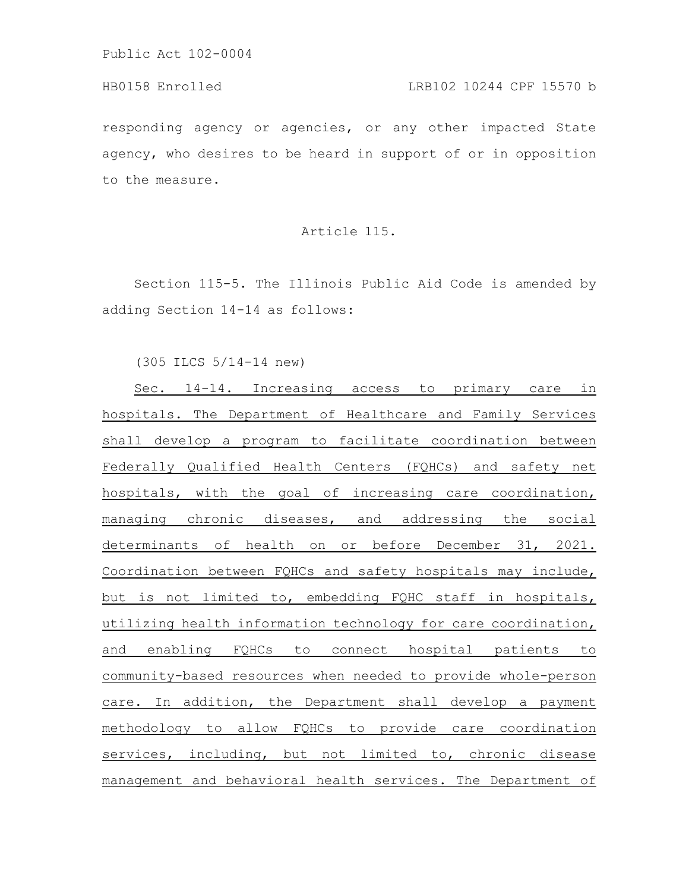HB0158 Enrolled LRB102 10244 CPF 15570 b

responding agency or agencies, or any other impacted State agency, who desires to be heard in support of or in opposition to the measure.

#### Article 115.

Section 115-5. The Illinois Public Aid Code is amended by adding Section 14-14 as follows:

(305 ILCS 5/14-14 new)

Sec. 14-14. Increasing access to primary care in hospitals. The Department of Healthcare and Family Services shall develop a program to facilitate coordination between Federally Qualified Health Centers (FQHCs) and safety net hospitals, with the goal of increasing care coordination, managing chronic diseases, and addressing the social determinants of health on or before December 31, 2021. Coordination between FQHCs and safety hospitals may include, but is not limited to, embedding FQHC staff in hospitals, utilizing health information technology for care coordination, and enabling FQHCs to connect hospital patients to community-based resources when needed to provide whole-person care. In addition, the Department shall develop a payment methodology to allow FQHCs to provide care coordination services, including, but not limited to, chronic disease management and behavioral health services. The Department of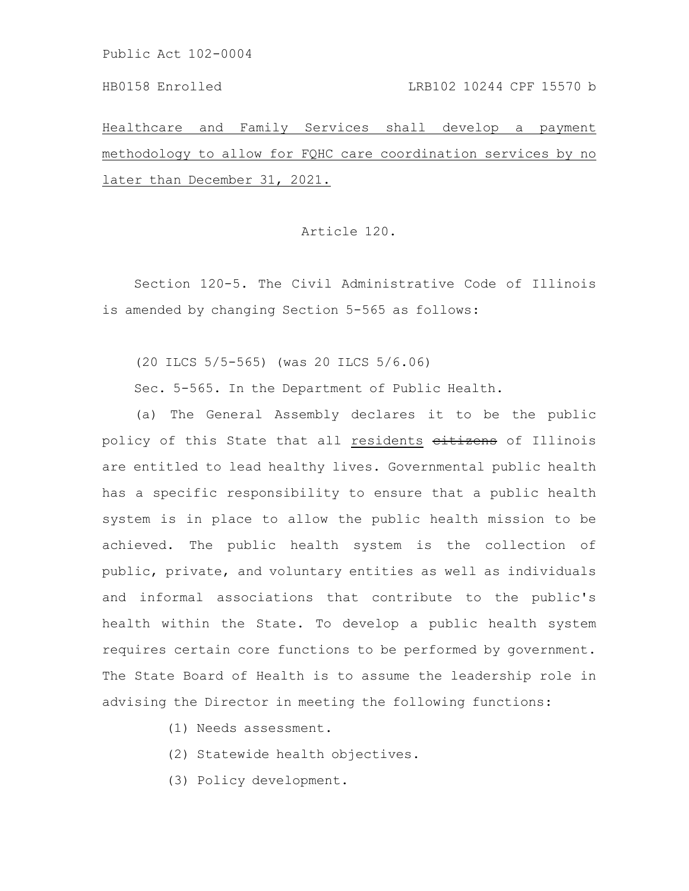#### HB0158 Enrolled LRB102 10244 CPF 15570 b

Healthcare and Family Services shall develop a payment methodology to allow for FQHC care coordination services by no later than December 31, 2021.

#### Article 120.

Section 120-5. The Civil Administrative Code of Illinois is amended by changing Section 5-565 as follows:

(20 ILCS 5/5-565) (was 20 ILCS 5/6.06)

Sec. 5-565. In the Department of Public Health.

(a) The General Assembly declares it to be the public policy of this State that all residents eitizens of Illinois are entitled to lead healthy lives. Governmental public health has a specific responsibility to ensure that a public health system is in place to allow the public health mission to be achieved. The public health system is the collection of public, private, and voluntary entities as well as individuals and informal associations that contribute to the public's health within the State. To develop a public health system requires certain core functions to be performed by government. The State Board of Health is to assume the leadership role in advising the Director in meeting the following functions:

(1) Needs assessment.

(2) Statewide health objectives.

(3) Policy development.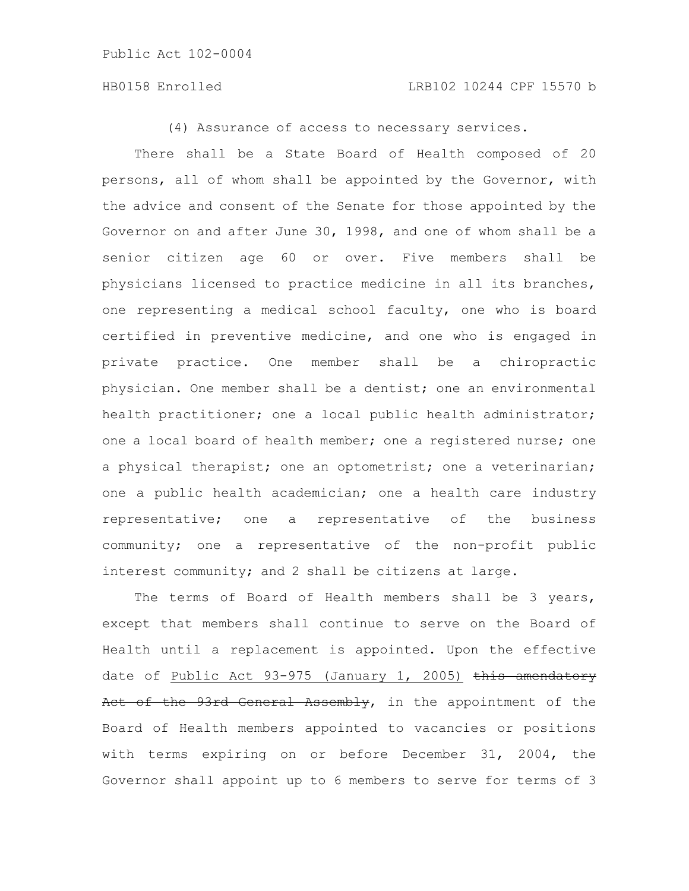(4) Assurance of access to necessary services.

There shall be a State Board of Health composed of 20 persons, all of whom shall be appointed by the Governor, with the advice and consent of the Senate for those appointed by the Governor on and after June 30, 1998, and one of whom shall be a senior citizen age 60 or over. Five members shall be physicians licensed to practice medicine in all its branches, one representing a medical school faculty, one who is board certified in preventive medicine, and one who is engaged in private practice. One member shall be a chiropractic physician. One member shall be a dentist; one an environmental health practitioner; one a local public health administrator; one a local board of health member; one a registered nurse; one a physical therapist; one an optometrist; one a veterinarian; one a public health academician; one a health care industry representative; one a representative of the business community; one a representative of the non-profit public interest community; and 2 shall be citizens at large.

The terms of Board of Health members shall be 3 years, except that members shall continue to serve on the Board of Health until a replacement is appointed. Upon the effective date of Public Act 93-975 (January 1, 2005) this amendatory Act of the 93rd General Assembly, in the appointment of the Board of Health members appointed to vacancies or positions with terms expiring on or before December 31, 2004, the Governor shall appoint up to 6 members to serve for terms of 3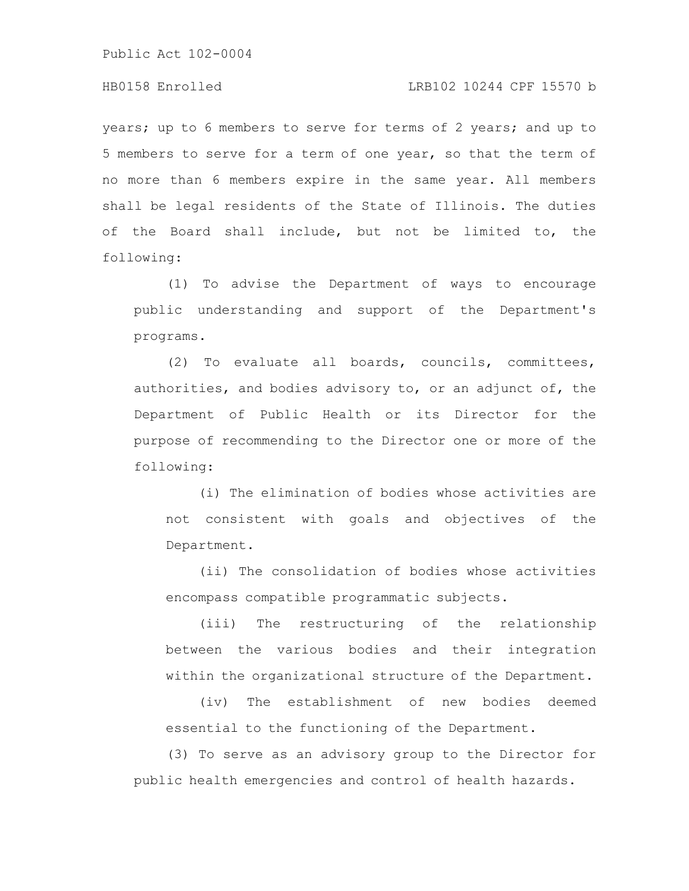## HB0158 Enrolled LRB102 10244 CPF 15570 b

years; up to 6 members to serve for terms of 2 years; and up to 5 members to serve for a term of one year, so that the term of no more than 6 members expire in the same year. All members shall be legal residents of the State of Illinois. The duties of the Board shall include, but not be limited to, the following:

(1) To advise the Department of ways to encourage public understanding and support of the Department's programs.

(2) To evaluate all boards, councils, committees, authorities, and bodies advisory to, or an adjunct of, the Department of Public Health or its Director for the purpose of recommending to the Director one or more of the following:

(i) The elimination of bodies whose activities are not consistent with goals and objectives of the Department.

(ii) The consolidation of bodies whose activities encompass compatible programmatic subjects.

(iii) The restructuring of the relationship between the various bodies and their integration within the organizational structure of the Department.

(iv) The establishment of new bodies deemed essential to the functioning of the Department.

(3) To serve as an advisory group to the Director for public health emergencies and control of health hazards.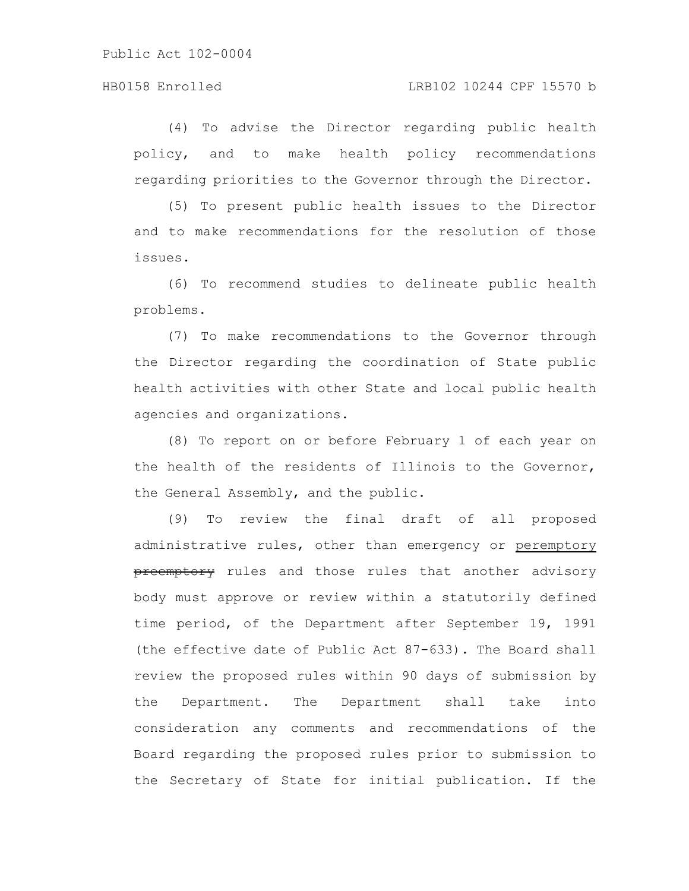## HB0158 Enrolled LRB102 10244 CPF 15570 b

(4) To advise the Director regarding public health policy, and to make health policy recommendations regarding priorities to the Governor through the Director.

(5) To present public health issues to the Director and to make recommendations for the resolution of those issues.

(6) To recommend studies to delineate public health problems.

(7) To make recommendations to the Governor through the Director regarding the coordination of State public health activities with other State and local public health agencies and organizations.

(8) To report on or before February 1 of each year on the health of the residents of Illinois to the Governor, the General Assembly, and the public.

(9) To review the final draft of all proposed administrative rules, other than emergency or peremptory preemptory rules and those rules that another advisory body must approve or review within a statutorily defined time period, of the Department after September 19, 1991 (the effective date of Public Act 87-633). The Board shall review the proposed rules within 90 days of submission by the Department. The Department shall take into consideration any comments and recommendations of the Board regarding the proposed rules prior to submission to the Secretary of State for initial publication. If the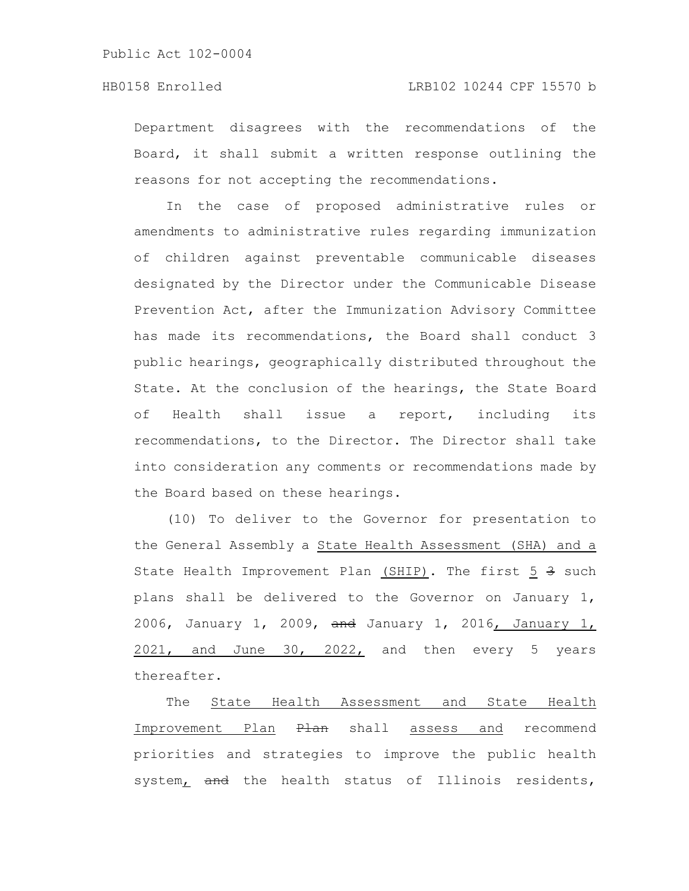Department disagrees with the recommendations of the Board, it shall submit a written response outlining the reasons for not accepting the recommendations.

In the case of proposed administrative rules or amendments to administrative rules regarding immunization of children against preventable communicable diseases designated by the Director under the Communicable Disease Prevention Act, after the Immunization Advisory Committee has made its recommendations, the Board shall conduct 3 public hearings, geographically distributed throughout the State. At the conclusion of the hearings, the State Board of Health shall issue a report, including its recommendations, to the Director. The Director shall take into consideration any comments or recommendations made by the Board based on these hearings.

(10) To deliver to the Governor for presentation to the General Assembly a State Health Assessment (SHA) and a State Health Improvement Plan (SHIP). The first  $5 \div 3$  such plans shall be delivered to the Governor on January 1, 2006, January 1, 2009, and January 1, 2016, January 1, 2021, and June 30, 2022, and then every 5 years thereafter.

The State Health Assessment and State Health Improvement Plan <del>Plan</del> shall assess and recommend priorities and strategies to improve the public health system<sub>L</sub> and the health status of Illinois residents,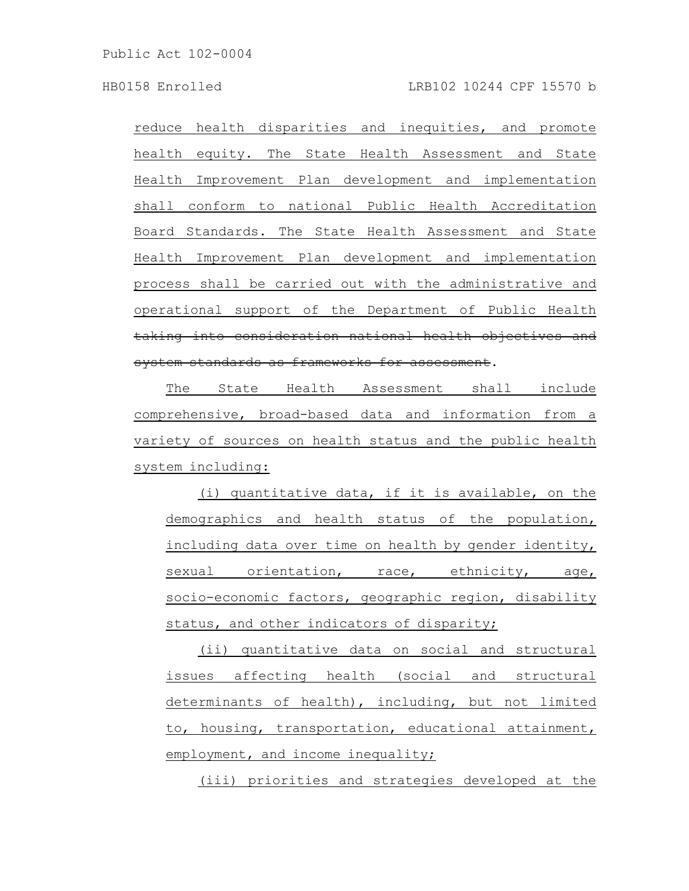reduce health disparities and inequities, and promote health equity. The State Health Assessment and State Health Improvement Plan development and implementation shall conform to national Public Health Accreditation Board Standards. The State Health Assessment and State Health Improvement Plan development and implementation process shall be carried out with the administrative and operational support of the Department of Public Health taking into consideration national health objectives and system standards as frameworks for assessment.

The State Health Assessment shall include comprehensive, broad-based data and information from a variety of sources on health status and the public health system including:

(i) quantitative data, if it is available, on the demographics and health status of the population, including data over time on health by gender identity, sexual orientation, race, ethnicity, age, socio-economic factors, geographic region, disability status, and other indicators of disparity;

(ii) quantitative data on social and structural issues affecting health (social and structural determinants of health), including, but not limited to, housing, transportation, educational attainment, employment, and income inequality;

(iii) priorities and strategies developed at the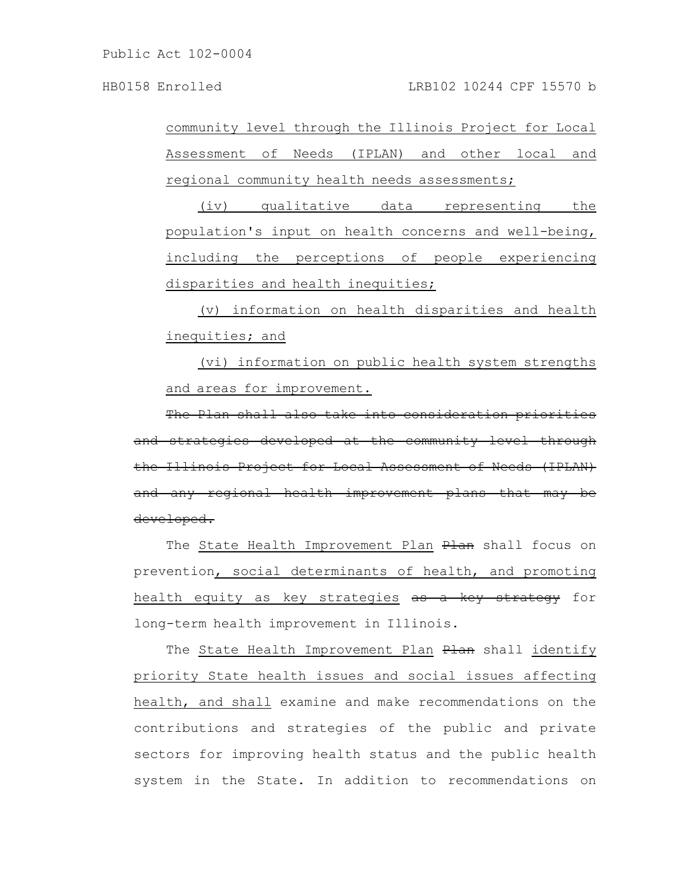community level through the Illinois Project for Local Assessment of Needs (IPLAN) and other local and regional community health needs assessments;

(iv) qualitative data representing the population's input on health concerns and well-being, including the perceptions of people experiencing disparities and health inequities;

(v) information on health disparities and health inequities; and

(vi) information on public health system strengths and areas for improvement.

The Plan shall also take into consideration priorities and strategies developed at the community level the Illinois Project for Local Assessment of Needs (IPLAN) and any regional health improvement plans that may be developed.

The State Health Improvement Plan Plan shall focus on prevention, social determinants of health, and promoting health equity as key strategies as a key strategy for long-term health improvement in Illinois.

The State Health Improvement Plan Plan shall identify priority State health issues and social issues affecting health, and shall examine and make recommendations on the contributions and strategies of the public and private sectors for improving health status and the public health system in the State. In addition to recommendations on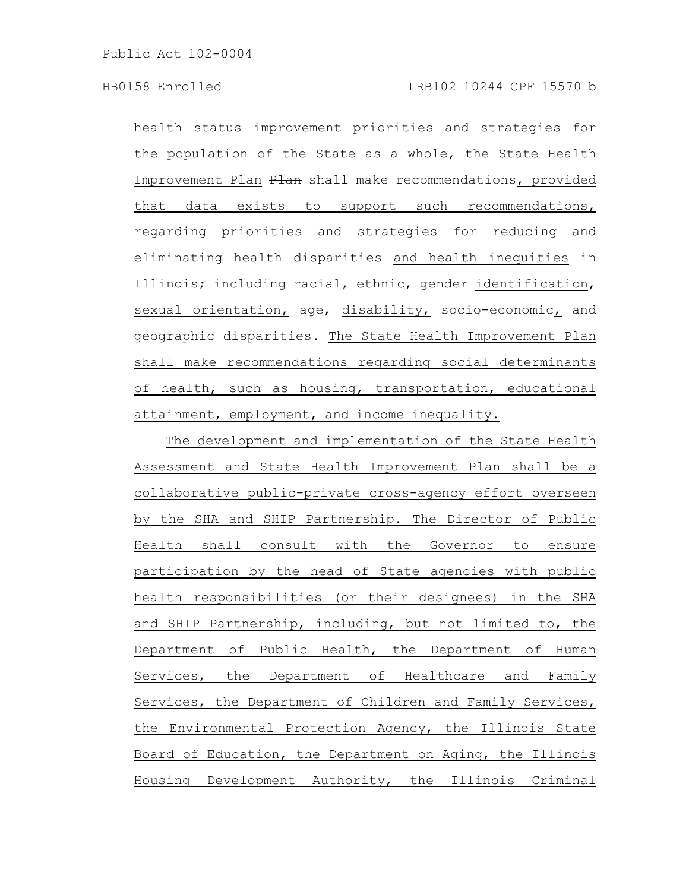health status improvement priorities and strategies for the population of the State as a whole, the State Health Improvement Plan Plan shall make recommendations, provided that data exists to support such recommendations, regarding priorities and strategies for reducing and eliminating health disparities and health inequities in Illinois; including racial, ethnic, gender identification, sexual orientation, age, disability, socio-economic, and geographic disparities. The State Health Improvement Plan shall make recommendations regarding social determinants of health, such as housing, transportation, educational attainment, employment, and income inequality.

The development and implementation of the State Health Assessment and State Health Improvement Plan shall be a collaborative public-private cross-agency effort overseen by the SHA and SHIP Partnership. The Director of Public Health shall consult with the Governor to ensure participation by the head of State agencies with public health responsibilities (or their designees) in the SHA and SHIP Partnership, including, but not limited to, the Department of Public Health, the Department of Human Services, the Department of Healthcare and Family Services, the Department of Children and Family Services, the Environmental Protection Agency, the Illinois State Board of Education, the Department on Aging, the Illinois Housing Development Authority, the Illinois Criminal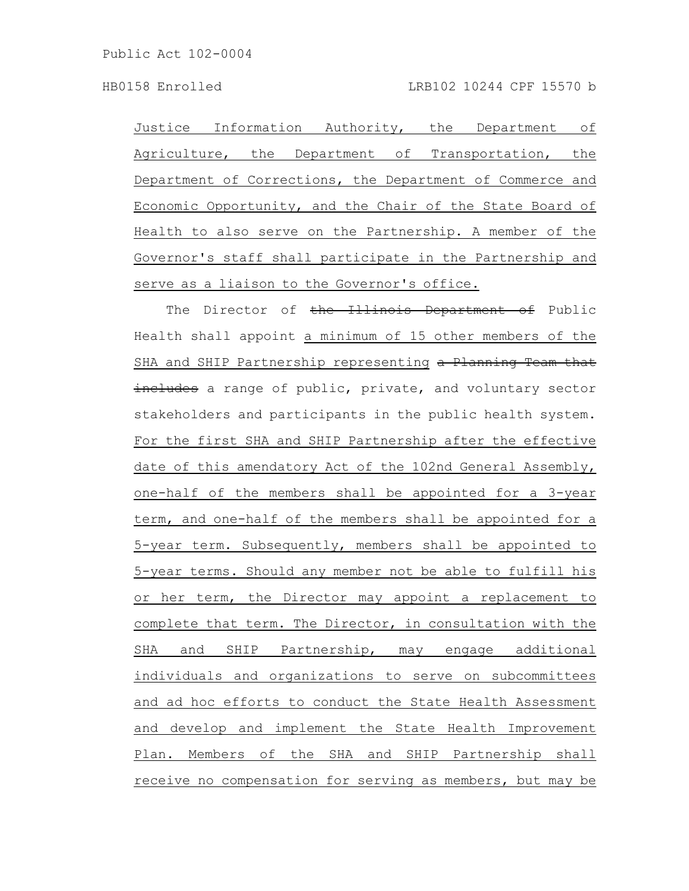Justice Information Authority, the Department of Agriculture, the Department of Transportation, the Department of Corrections, the Department of Commerce and Economic Opportunity, and the Chair of the State Board of Health to also serve on the Partnership. A member of the Governor's staff shall participate in the Partnership and serve as a liaison to the Governor's office.

The Director of the Illinois Department of Public Health shall appoint a minimum of 15 other members of the SHA and SHIP Partnership representing a Planning Team that includes a range of public, private, and voluntary sector stakeholders and participants in the public health system. For the first SHA and SHIP Partnership after the effective date of this amendatory Act of the 102nd General Assembly, one-half of the members shall be appointed for a 3-year term, and one-half of the members shall be appointed for a 5-year term. Subsequently, members shall be appointed to 5-year terms. Should any member not be able to fulfill his or her term, the Director may appoint a replacement to complete that term. The Director, in consultation with the SHA and SHIP Partnership, may engage additional individuals and organizations to serve on subcommittees and ad hoc efforts to conduct the State Health Assessment and develop and implement the State Health Improvement Plan. Members of the SHA and SHIP Partnership shall receive no compensation for serving as members, but may be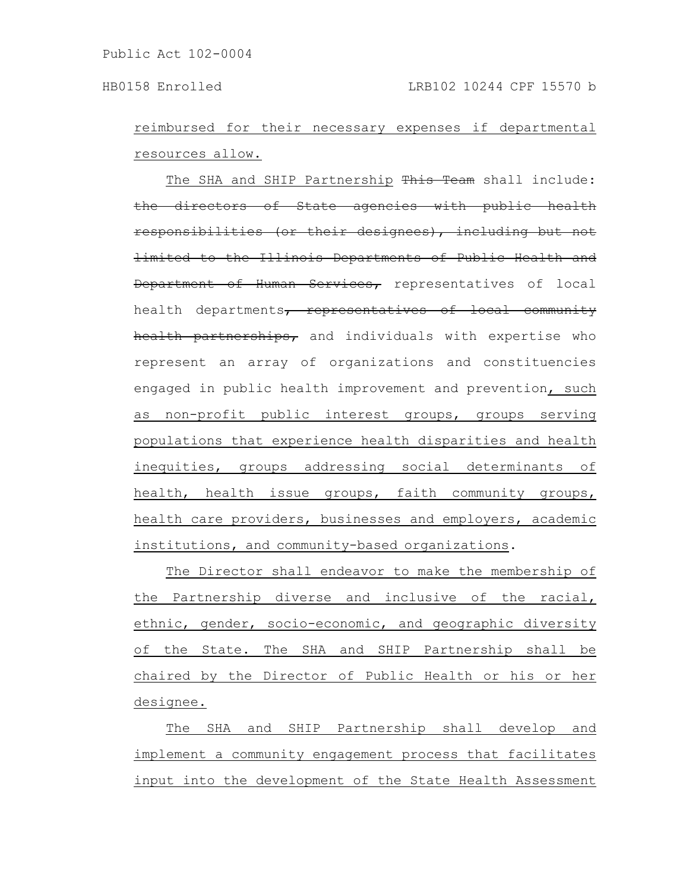reimbursed for their necessary expenses if departmental resources allow.

The SHA and SHIP Partnership This Team shall include: the directors of State agencies with public health responsibilities (or their designees), including but not limited to the Illinois Departments of Public Health and Department of Human Services, representatives of local health departments, representatives of local community health partnerships, and individuals with expertise who represent an array of organizations and constituencies engaged in public health improvement and prevention, such as non-profit public interest groups, groups serving populations that experience health disparities and health inequities, groups addressing social determinants of health, health issue groups, faith community groups, health care providers, businesses and employers, academic institutions, and community-based organizations.

The Director shall endeavor to make the membership of the Partnership diverse and inclusive of the racial, ethnic, gender, socio-economic, and geographic diversity of the State. The SHA and SHIP Partnership shall be chaired by the Director of Public Health or his or her designee.

The SHA and SHIP Partnership shall develop and implement a community engagement process that facilitates input into the development of the State Health Assessment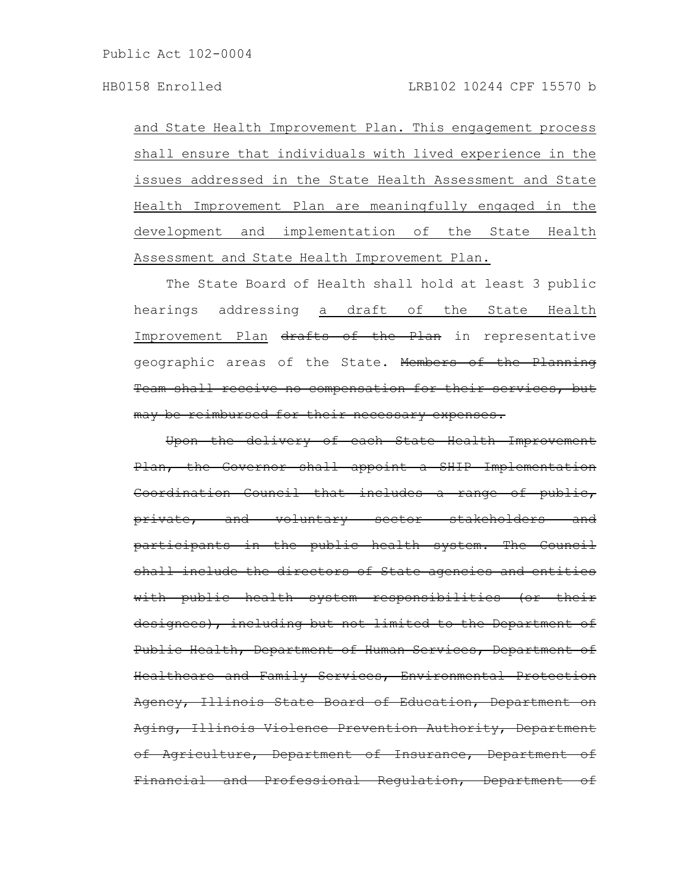and State Health Improvement Plan. This engagement process shall ensure that individuals with lived experience in the issues addressed in the State Health Assessment and State Health Improvement Plan are meaningfully engaged in the development and implementation of the State Health Assessment and State Health Improvement Plan.

The State Board of Health shall hold at least 3 public hearings addressing a draft of the State Health Improvement Plan drafts of the Plan in representative geographic areas of the State. Members of the Planning Team shall receive no compensation for their services, but may be reimbursed for their necessary expenses.

Upon the delivery of each State Health Improvement Plan, the Governor shall appoint a SHIP Implementation Coordination Council that includes a range of public, private, and voluntary sector stakeholders and participants in the public health system. The Council shall include the directors of State agencies and entities with public health system responsibilities (or their designees), including but not limited to the Department of Public Health, Department of Human Services, Department of Healthcare and Family Services, Environmental Protection Agency, Illinois State Board of Education, Department on Aging, Illinois Violence Prevention Authority, Department of Agriculture, Department of Insurance, Department of Financial and Professional Regulation, Department of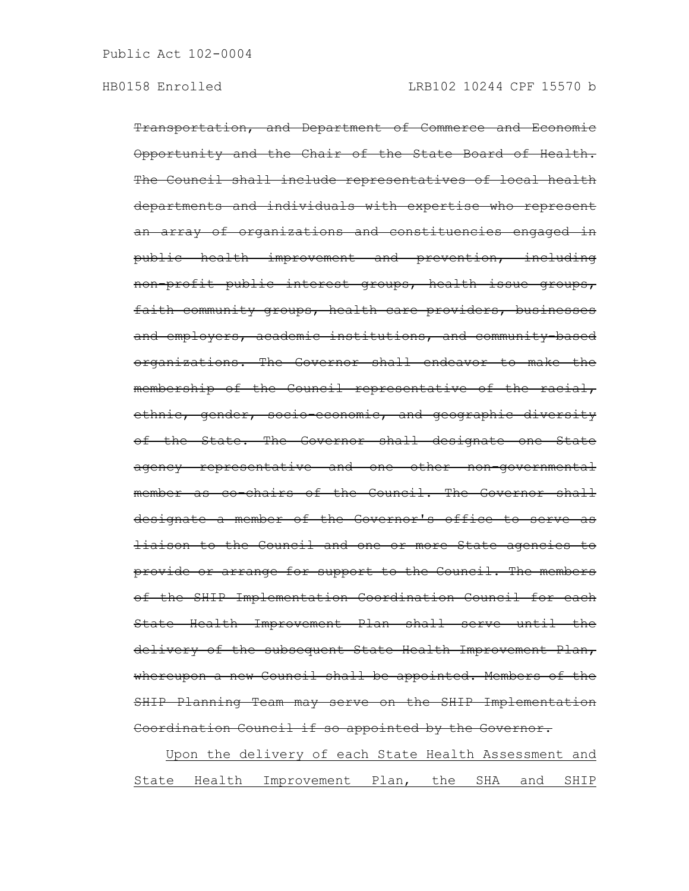Transportation, and Department of Commerce and Economic Opportunity and the Chair of the State Board of Health. The Council shall include representatives of local health departments and individuals with expertise who represent an array of organizations and constituencies engaged in public health improvement and prevention, including non profit public interest groups, health issue groups, faith community groups, health care providers, businesses and employers, academic institutions, and community-based organizations. The Governor shall endeavor to make the membership of the Council representative of the racial, ethnic, gender, socio-economic, and geographic diversity of the State. The Governor shall designate one State agency representative and one other non-governmental member as co-chairs of the Council. The Governor shall designate a member of the Governor's office to serve as liaison to the Council and one or more State agencies to provide or arrange for support to the Council. The members of the SHIP Implementation Coordination Council for each State Health Improvement Plan shall serve until the delivery of the subsequent State Health Improvement Plan, whereupon a new Council shall be appointed. Members of the SHIP Planning Team may serve on the SHIP Implementation Coordination Council if so appointed by the Governor.

Upon the delivery of each State Health Assessment and State Health Improvement Plan, the SHA and SHIP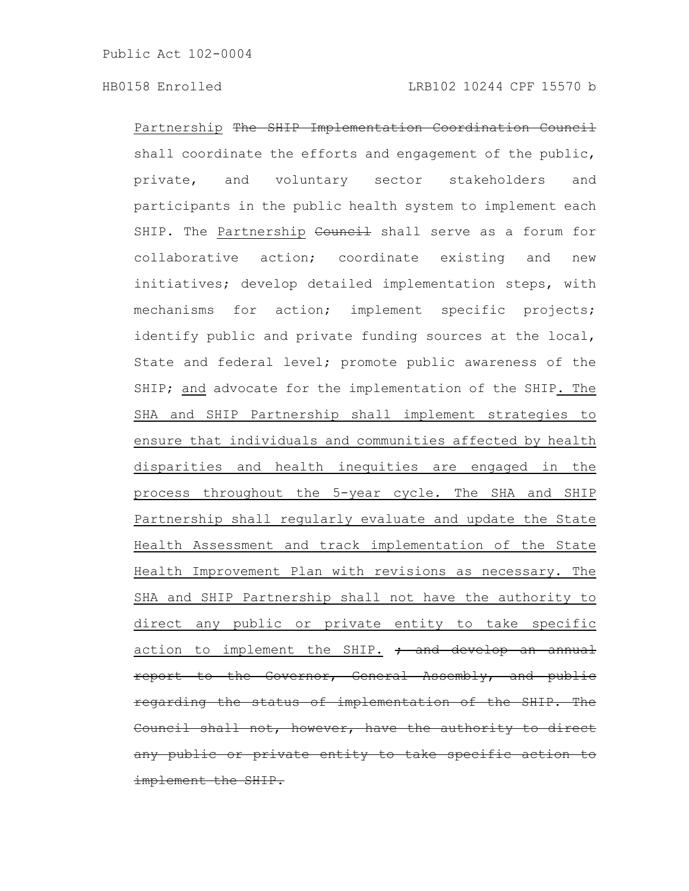Partnership The SHIP Implementation Coordination Council shall coordinate the efforts and engagement of the public, private, and voluntary sector stakeholders and participants in the public health system to implement each SHIP. The Partnership Council shall serve as a forum for collaborative action; coordinate existing and new initiatives; develop detailed implementation steps, with mechanisms for action; implement specific projects; identify public and private funding sources at the local, State and federal level; promote public awareness of the SHIP; and advocate for the implementation of the SHIP. The SHA and SHIP Partnership shall implement strategies to ensure that individuals and communities affected by health disparities and health inequities are engaged in the process throughout the 5-year cycle. The SHA and SHIP Partnership shall regularly evaluate and update the State Health Assessment and track implementation of the State Health Improvement Plan with revisions as necessary. The SHA and SHIP Partnership shall not have the authority to direct any public or private entity to take specific action to implement the SHIP.  $\div$  and develop an annual report to the Governor, General Assembly, and public regarding the status of implementation of the SHIP. Council shall not, however, have the authority to direct public or private entity to take specific implement the SHIP.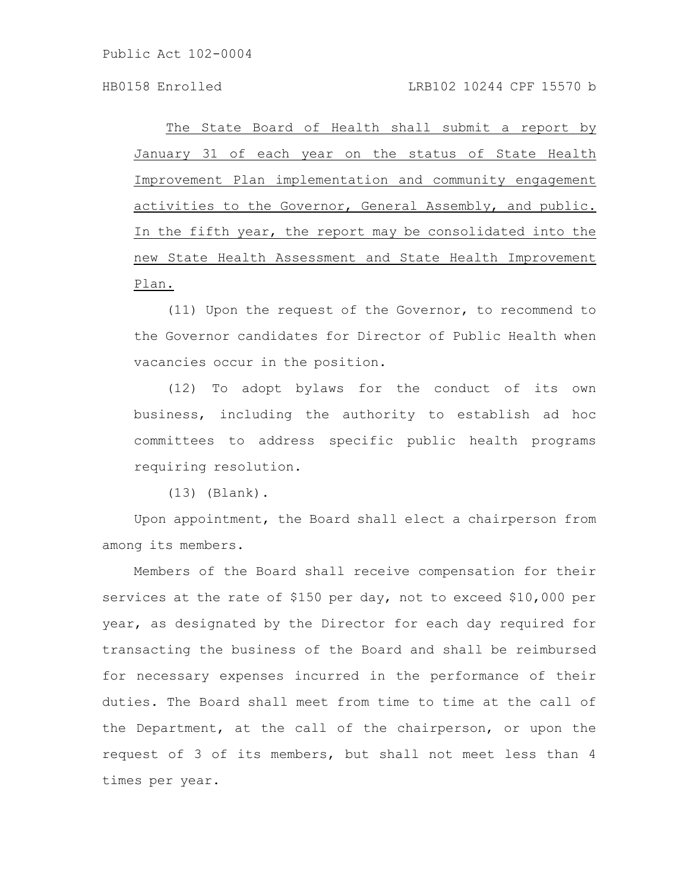The State Board of Health shall submit a report by January 31 of each year on the status of State Health Improvement Plan implementation and community engagement activities to the Governor, General Assembly, and public. In the fifth year, the report may be consolidated into the new State Health Assessment and State Health Improvement Plan.

(11) Upon the request of the Governor, to recommend to the Governor candidates for Director of Public Health when vacancies occur in the position.

(12) To adopt bylaws for the conduct of its own business, including the authority to establish ad hoc committees to address specific public health programs requiring resolution.

(13) (Blank).

Upon appointment, the Board shall elect a chairperson from among its members.

Members of the Board shall receive compensation for their services at the rate of \$150 per day, not to exceed \$10,000 per year, as designated by the Director for each day required for transacting the business of the Board and shall be reimbursed for necessary expenses incurred in the performance of their duties. The Board shall meet from time to time at the call of the Department, at the call of the chairperson, or upon the request of 3 of its members, but shall not meet less than 4 times per year.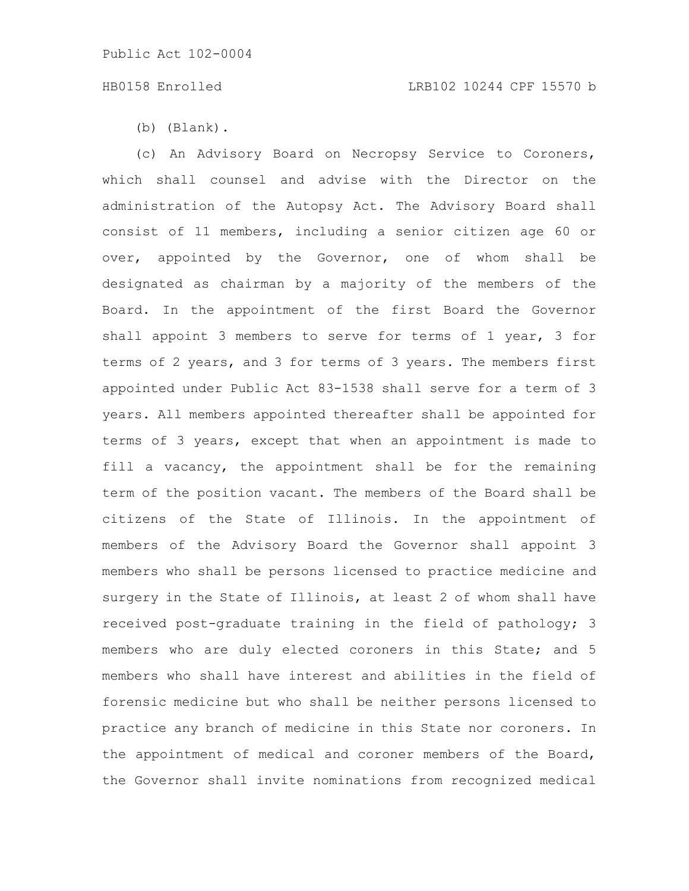# HB0158 Enrolled LRB102 10244 CPF 15570 b

(b) (Blank).

(c) An Advisory Board on Necropsy Service to Coroners, which shall counsel and advise with the Director on the administration of the Autopsy Act. The Advisory Board shall consist of 11 members, including a senior citizen age 60 or over, appointed by the Governor, one of whom shall be designated as chairman by a majority of the members of the Board. In the appointment of the first Board the Governor shall appoint 3 members to serve for terms of 1 year, 3 for terms of 2 years, and 3 for terms of 3 years. The members first appointed under Public Act 83-1538 shall serve for a term of 3 years. All members appointed thereafter shall be appointed for terms of 3 years, except that when an appointment is made to fill a vacancy, the appointment shall be for the remaining term of the position vacant. The members of the Board shall be citizens of the State of Illinois. In the appointment of members of the Advisory Board the Governor shall appoint 3 members who shall be persons licensed to practice medicine and surgery in the State of Illinois, at least 2 of whom shall have received post-graduate training in the field of pathology; 3 members who are duly elected coroners in this State; and 5 members who shall have interest and abilities in the field of forensic medicine but who shall be neither persons licensed to practice any branch of medicine in this State nor coroners. In the appointment of medical and coroner members of the Board, the Governor shall invite nominations from recognized medical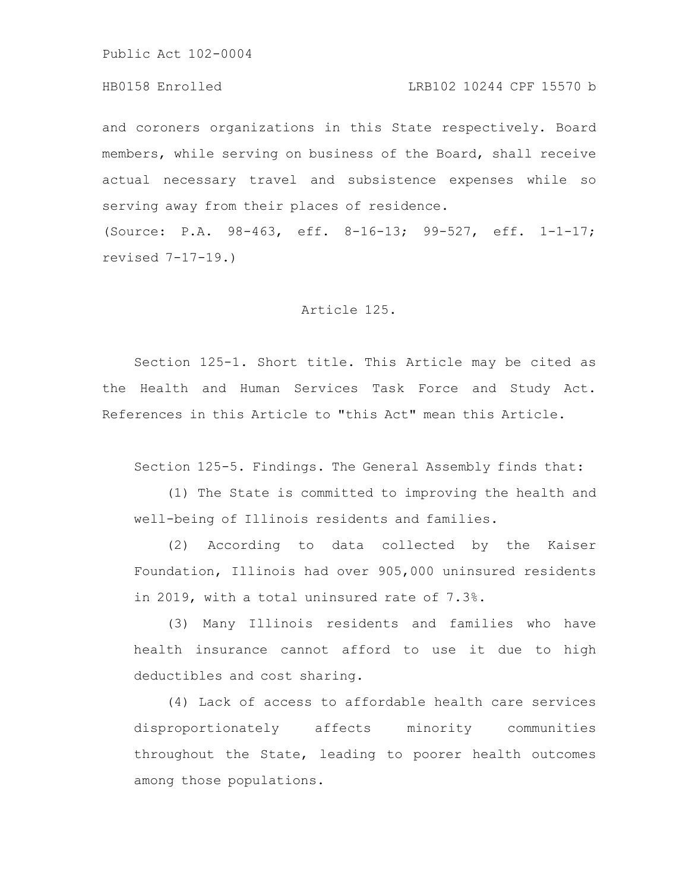# HB0158 Enrolled LRB102 10244 CPF 15570 b

and coroners organizations in this State respectively. Board members, while serving on business of the Board, shall receive actual necessary travel and subsistence expenses while so serving away from their places of residence.

(Source: P.A. 98-463, eff. 8-16-13; 99-527, eff. 1-1-17; revised 7-17-19.)

# Article 125.

Section 125-1. Short title. This Article may be cited as the Health and Human Services Task Force and Study Act. References in this Article to "this Act" mean this Article.

Section 125-5. Findings. The General Assembly finds that:

(1) The State is committed to improving the health and well-being of Illinois residents and families.

(2) According to data collected by the Kaiser Foundation, Illinois had over 905,000 uninsured residents in 2019, with a total uninsured rate of 7.3%.

(3) Many Illinois residents and families who have health insurance cannot afford to use it due to high deductibles and cost sharing.

(4) Lack of access to affordable health care services disproportionately affects minority communities throughout the State, leading to poorer health outcomes among those populations.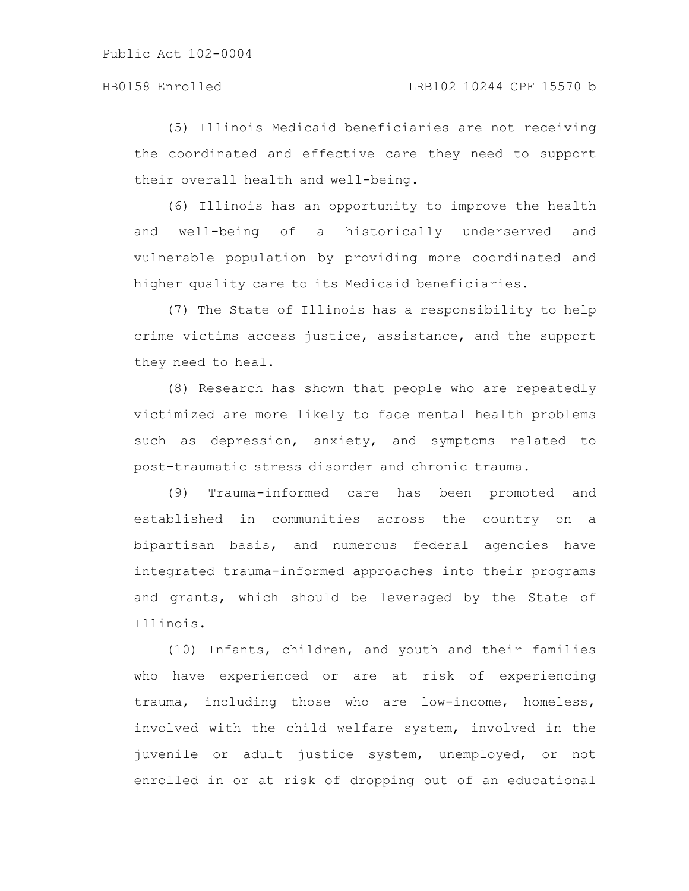(5) Illinois Medicaid beneficiaries are not receiving the coordinated and effective care they need to support their overall health and well-being.

(6) Illinois has an opportunity to improve the health and well-being of a historically underserved and vulnerable population by providing more coordinated and higher quality care to its Medicaid beneficiaries.

(7) The State of Illinois has a responsibility to help crime victims access justice, assistance, and the support they need to heal.

(8) Research has shown that people who are repeatedly victimized are more likely to face mental health problems such as depression, anxiety, and symptoms related to post-traumatic stress disorder and chronic trauma.

(9) Trauma-informed care has been promoted and established in communities across the country on a bipartisan basis, and numerous federal agencies have integrated trauma-informed approaches into their programs and grants, which should be leveraged by the State of Illinois.

(10) Infants, children, and youth and their families who have experienced or are at risk of experiencing trauma, including those who are low-income, homeless, involved with the child welfare system, involved in the juvenile or adult justice system, unemployed, or not enrolled in or at risk of dropping out of an educational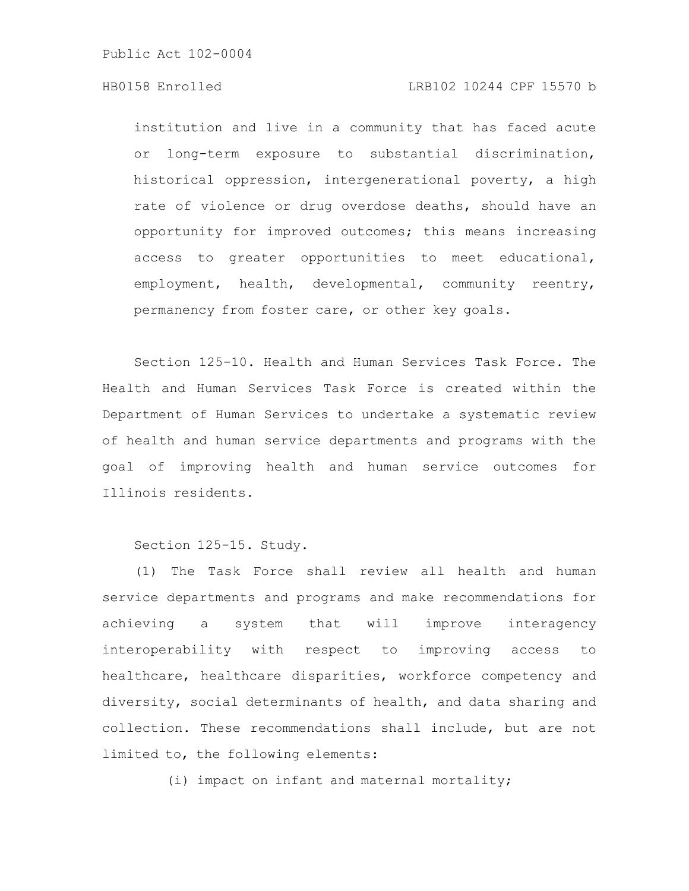# HB0158 Enrolled LRB102 10244 CPF 15570 b

institution and live in a community that has faced acute or long-term exposure to substantial discrimination, historical oppression, intergenerational poverty, a high rate of violence or drug overdose deaths, should have an opportunity for improved outcomes; this means increasing access to greater opportunities to meet educational, employment, health, developmental, community reentry, permanency from foster care, or other key goals.

Section 125-10. Health and Human Services Task Force. The Health and Human Services Task Force is created within the Department of Human Services to undertake a systematic review of health and human service departments and programs with the goal of improving health and human service outcomes for Illinois residents.

Section 125-15. Study.

(1) The Task Force shall review all health and human service departments and programs and make recommendations for achieving a system that will improve interagency interoperability with respect to improving access to healthcare, healthcare disparities, workforce competency and diversity, social determinants of health, and data sharing and collection. These recommendations shall include, but are not limited to, the following elements:

(i) impact on infant and maternal mortality;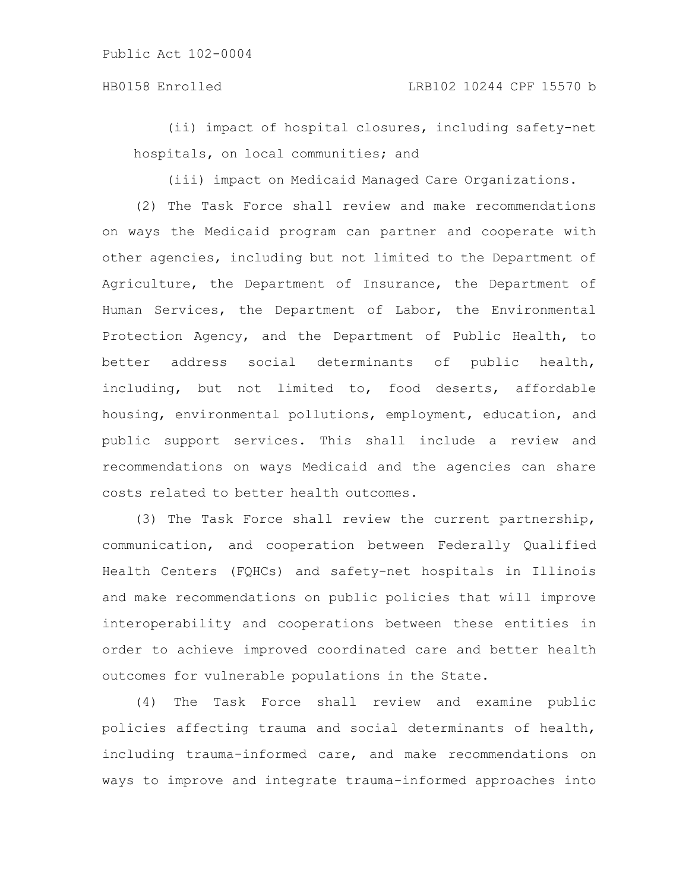(ii) impact of hospital closures, including safety-net hospitals, on local communities; and

(iii) impact on Medicaid Managed Care Organizations.

(2) The Task Force shall review and make recommendations on ways the Medicaid program can partner and cooperate with other agencies, including but not limited to the Department of Agriculture, the Department of Insurance, the Department of Human Services, the Department of Labor, the Environmental Protection Agency, and the Department of Public Health, to better address social determinants of public health, including, but not limited to, food deserts, affordable housing, environmental pollutions, employment, education, and public support services. This shall include a review and recommendations on ways Medicaid and the agencies can share costs related to better health outcomes.

(3) The Task Force shall review the current partnership, communication, and cooperation between Federally Qualified Health Centers (FQHCs) and safety-net hospitals in Illinois and make recommendations on public policies that will improve interoperability and cooperations between these entities in order to achieve improved coordinated care and better health outcomes for vulnerable populations in the State.

(4) The Task Force shall review and examine public policies affecting trauma and social determinants of health, including trauma-informed care, and make recommendations on ways to improve and integrate trauma-informed approaches into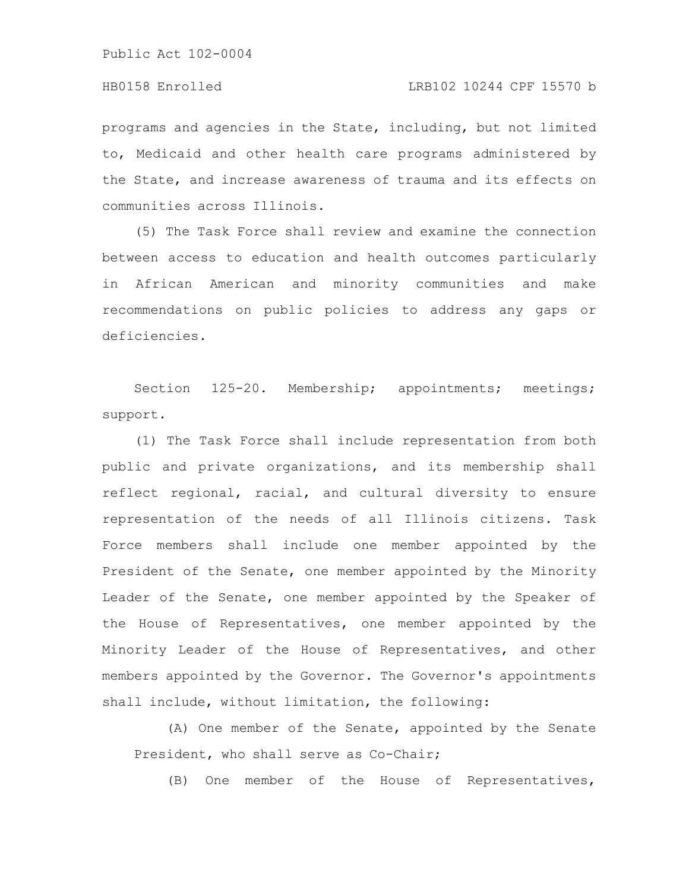programs and agencies in the State, including, but not limited to, Medicaid and other health care programs administered by the State, and increase awareness of trauma and its effects on communities across Illinois.

(5) The Task Force shall review and examine the connection between access to education and health outcomes particularly in African American and minority communities and make recommendations on public policies to address any gaps or deficiencies.

Section 125-20. Membership; appointments; meetings; support.

(1) The Task Force shall include representation from both public and private organizations, and its membership shall reflect regional, racial, and cultural diversity to ensure representation of the needs of all Illinois citizens. Task Force members shall include one member appointed by the President of the Senate, one member appointed by the Minority Leader of the Senate, one member appointed by the Speaker of the House of Representatives, one member appointed by the Minority Leader of the House of Representatives, and other members appointed by the Governor. The Governor's appointments shall include, without limitation, the following:

(A) One member of the Senate, appointed by the Senate President, who shall serve as Co-Chair;

(B) One member of the House of Representatives,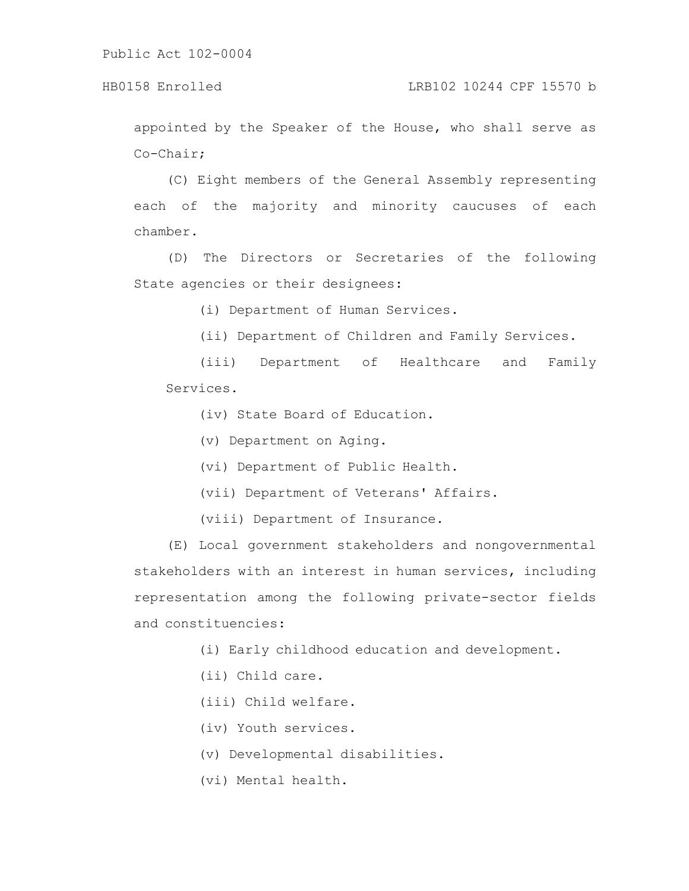# HB0158 Enrolled LRB102 10244 CPF 15570 b

appointed by the Speaker of the House, who shall serve as Co-Chair;

(C) Eight members of the General Assembly representing each of the majority and minority caucuses of each chamber.

(D) The Directors or Secretaries of the following State agencies or their designees:

(i) Department of Human Services.

(ii) Department of Children and Family Services.

(iii) Department of Healthcare and Family Services.

(iv) State Board of Education.

(v) Department on Aging.

(vi) Department of Public Health.

(vii) Department of Veterans' Affairs.

(viii) Department of Insurance.

(E) Local government stakeholders and nongovernmental stakeholders with an interest in human services, including representation among the following private-sector fields and constituencies:

(i) Early childhood education and development.

(ii) Child care.

(iii) Child welfare.

(iv) Youth services.

(v) Developmental disabilities.

(vi) Mental health.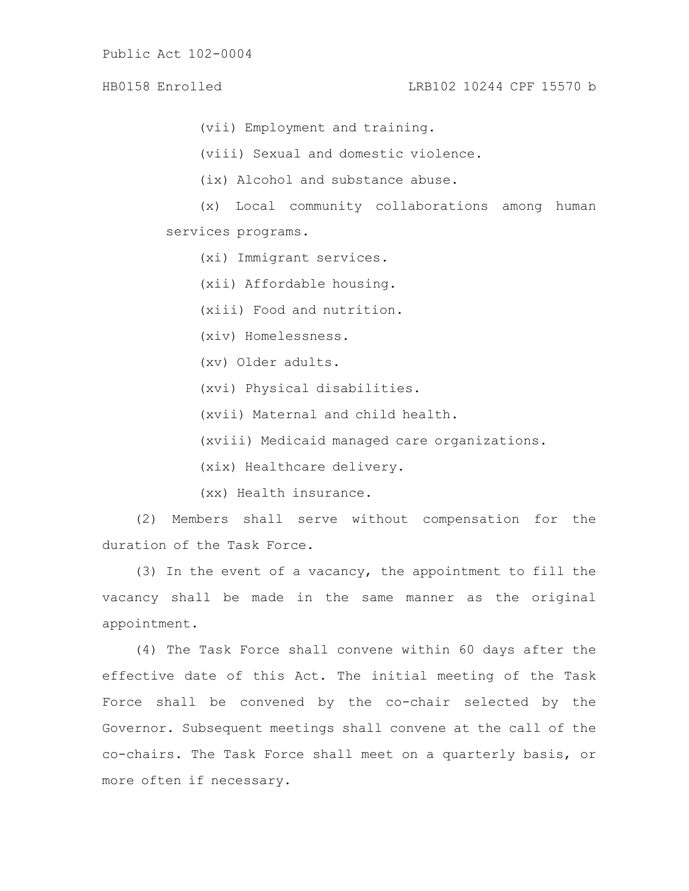#### HB0158 Enrolled LRB102 10244 CPF 15570 b

(vii) Employment and training.

(viii) Sexual and domestic violence.

(ix) Alcohol and substance abuse.

(x) Local community collaborations among human services programs.

(xi) Immigrant services.

(xii) Affordable housing.

(xiii) Food and nutrition.

(xiv) Homelessness.

(xv) Older adults.

(xvi) Physical disabilities.

(xvii) Maternal and child health.

(xviii) Medicaid managed care organizations.

(xix) Healthcare delivery.

(xx) Health insurance.

(2) Members shall serve without compensation for the duration of the Task Force.

(3) In the event of a vacancy, the appointment to fill the vacancy shall be made in the same manner as the original appointment.

(4) The Task Force shall convene within 60 days after the effective date of this Act. The initial meeting of the Task Force shall be convened by the co-chair selected by the Governor. Subsequent meetings shall convene at the call of the co-chairs. The Task Force shall meet on a quarterly basis, or more often if necessary.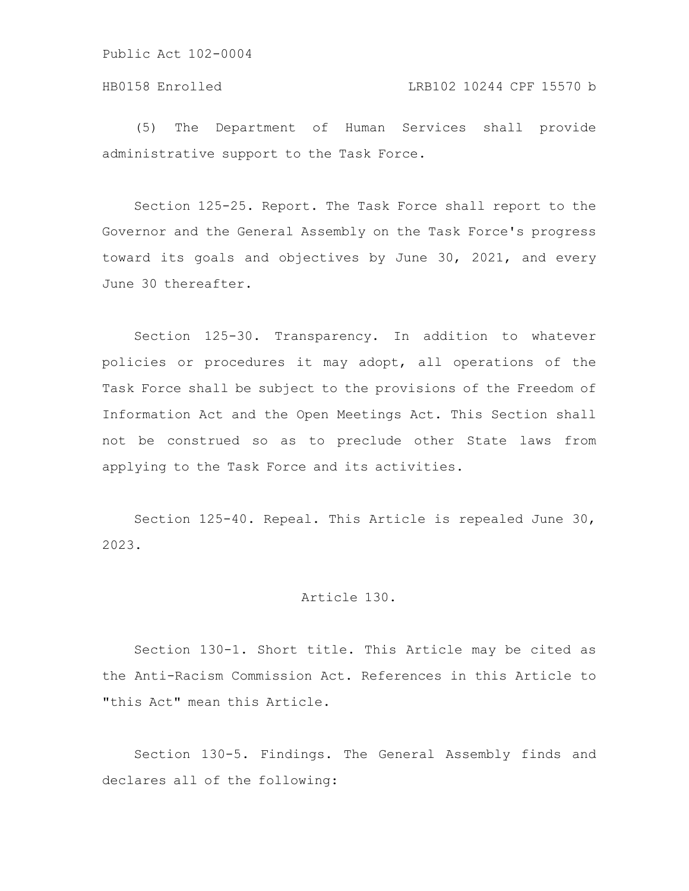# HB0158 Enrolled LRB102 10244 CPF 15570 b

(5) The Department of Human Services shall provide administrative support to the Task Force.

Section 125-25. Report. The Task Force shall report to the Governor and the General Assembly on the Task Force's progress toward its goals and objectives by June 30, 2021, and every June 30 thereafter.

Section 125-30. Transparency. In addition to whatever policies or procedures it may adopt, all operations of the Task Force shall be subject to the provisions of the Freedom of Information Act and the Open Meetings Act. This Section shall not be construed so as to preclude other State laws from applying to the Task Force and its activities.

Section 125-40. Repeal. This Article is repealed June 30, 2023.

#### Article 130.

Section 130-1. Short title. This Article may be cited as the Anti-Racism Commission Act. References in this Article to "this Act" mean this Article.

Section 130-5. Findings. The General Assembly finds and declares all of the following: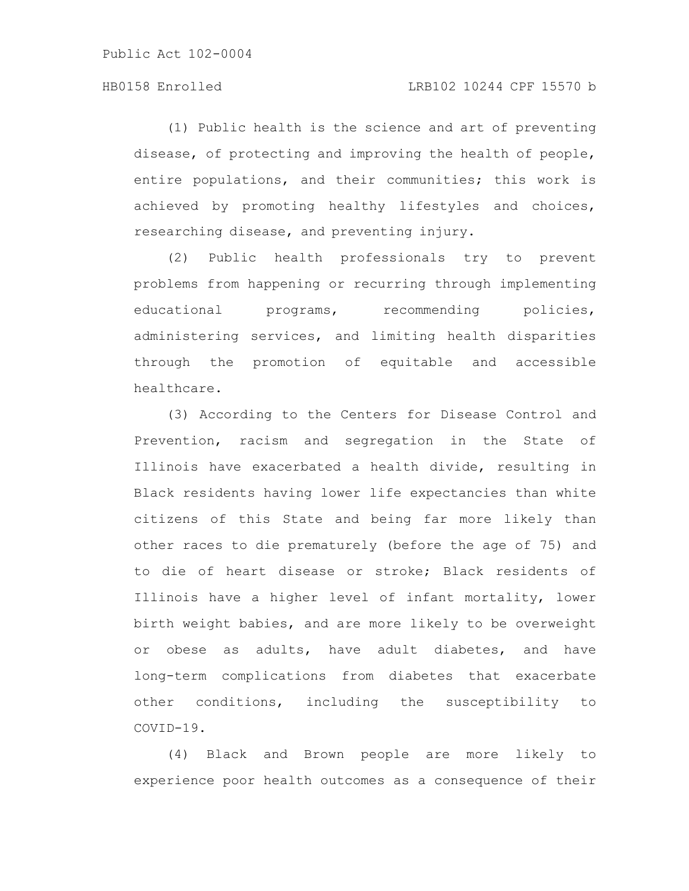(1) Public health is the science and art of preventing disease, of protecting and improving the health of people, entire populations, and their communities; this work is achieved by promoting healthy lifestyles and choices, researching disease, and preventing injury.

(2) Public health professionals try to prevent problems from happening or recurring through implementing educational programs, recommending policies, administering services, and limiting health disparities through the promotion of equitable and accessible healthcare.

(3) According to the Centers for Disease Control and Prevention, racism and segregation in the State of Illinois have exacerbated a health divide, resulting in Black residents having lower life expectancies than white citizens of this State and being far more likely than other races to die prematurely (before the age of 75) and to die of heart disease or stroke; Black residents of Illinois have a higher level of infant mortality, lower birth weight babies, and are more likely to be overweight or obese as adults, have adult diabetes, and have long-term complications from diabetes that exacerbate other conditions, including the susceptibility to COVID-19.

(4) Black and Brown people are more likely to experience poor health outcomes as a consequence of their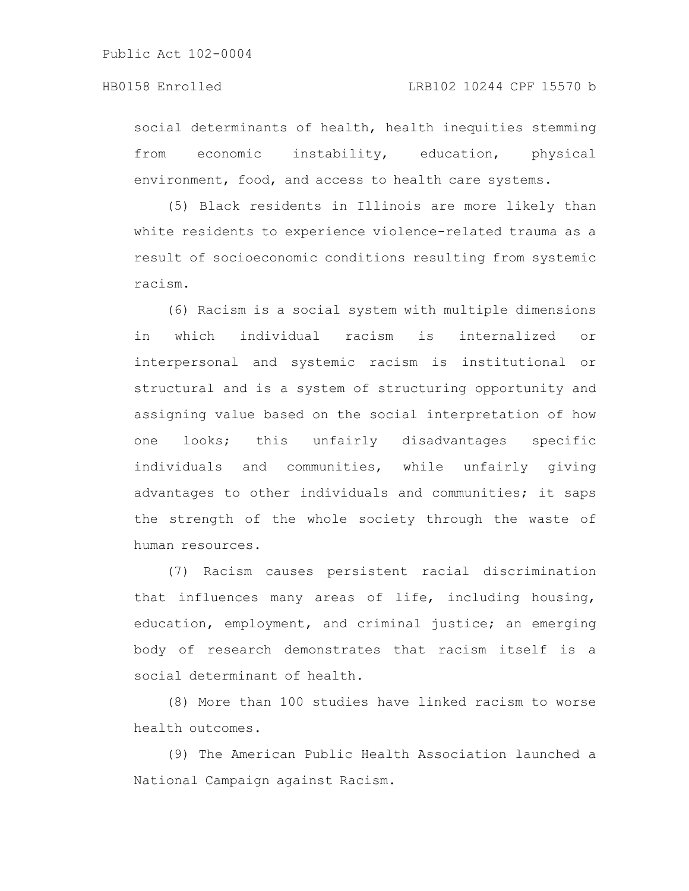social determinants of health, health inequities stemming from economic instability, education, physical environment, food, and access to health care systems.

(5) Black residents in Illinois are more likely than white residents to experience violence-related trauma as a result of socioeconomic conditions resulting from systemic racism.

(6) Racism is a social system with multiple dimensions in which individual racism is internalized or interpersonal and systemic racism is institutional or structural and is a system of structuring opportunity and assigning value based on the social interpretation of how one looks; this unfairly disadvantages specific individuals and communities, while unfairly giving advantages to other individuals and communities; it saps the strength of the whole society through the waste of human resources.

(7) Racism causes persistent racial discrimination that influences many areas of life, including housing, education, employment, and criminal justice; an emerging body of research demonstrates that racism itself is a social determinant of health.

(8) More than 100 studies have linked racism to worse health outcomes.

(9) The American Public Health Association launched a National Campaign against Racism.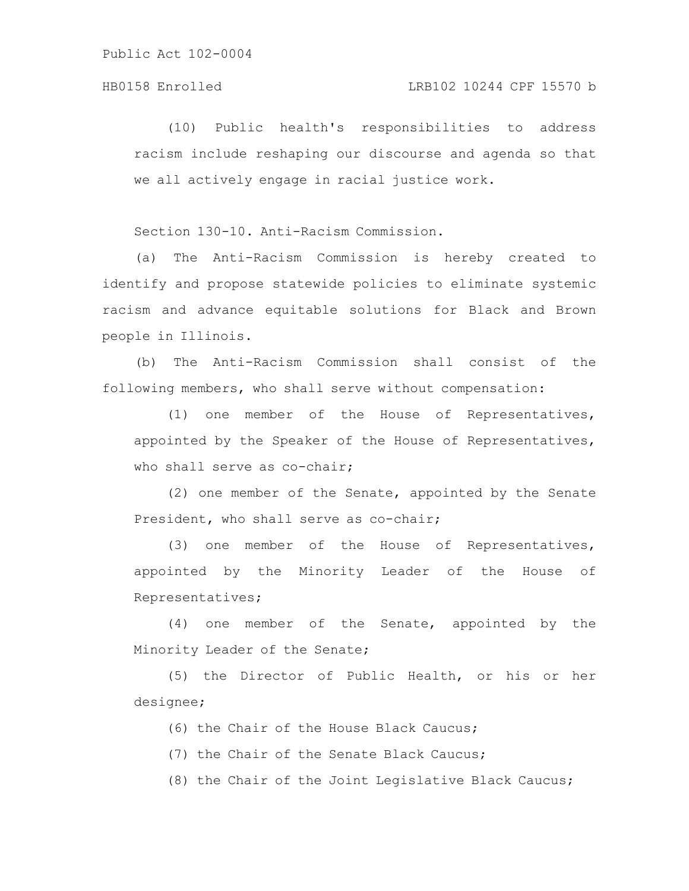(10) Public health's responsibilities to address racism include reshaping our discourse and agenda so that we all actively engage in racial justice work.

Section 130-10. Anti-Racism Commission.

(a) The Anti-Racism Commission is hereby created to identify and propose statewide policies to eliminate systemic racism and advance equitable solutions for Black and Brown people in Illinois.

(b) The Anti-Racism Commission shall consist of the following members, who shall serve without compensation:

(1) one member of the House of Representatives, appointed by the Speaker of the House of Representatives, who shall serve as co-chair;

(2) one member of the Senate, appointed by the Senate President, who shall serve as co-chair;

(3) one member of the House of Representatives, appointed by the Minority Leader of the House of Representatives;

(4) one member of the Senate, appointed by the Minority Leader of the Senate;

(5) the Director of Public Health, or his or her designee;

(6) the Chair of the House Black Caucus;

(7) the Chair of the Senate Black Caucus;

(8) the Chair of the Joint Legislative Black Caucus;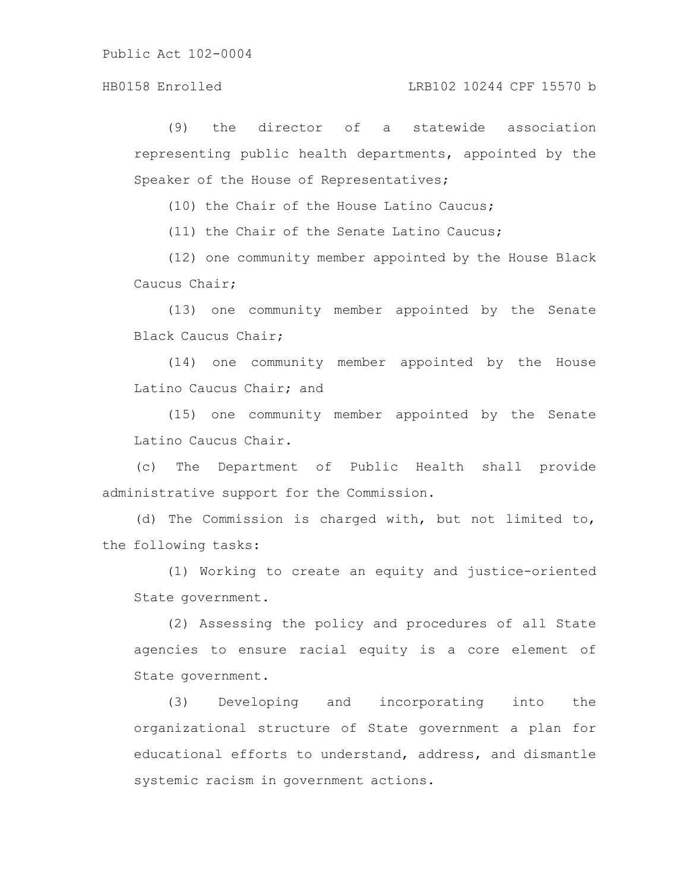## HB0158 Enrolled LRB102 10244 CPF 15570 b

(9) the director of a statewide association representing public health departments, appointed by the Speaker of the House of Representatives;

(10) the Chair of the House Latino Caucus;

(11) the Chair of the Senate Latino Caucus;

(12) one community member appointed by the House Black Caucus Chair;

(13) one community member appointed by the Senate Black Caucus Chair;

(14) one community member appointed by the House Latino Caucus Chair; and

(15) one community member appointed by the Senate Latino Caucus Chair.

(c) The Department of Public Health shall provide administrative support for the Commission.

(d) The Commission is charged with, but not limited to, the following tasks:

(1) Working to create an equity and justice-oriented State government.

(2) Assessing the policy and procedures of all State agencies to ensure racial equity is a core element of State government.

(3) Developing and incorporating into the organizational structure of State government a plan for educational efforts to understand, address, and dismantle systemic racism in government actions.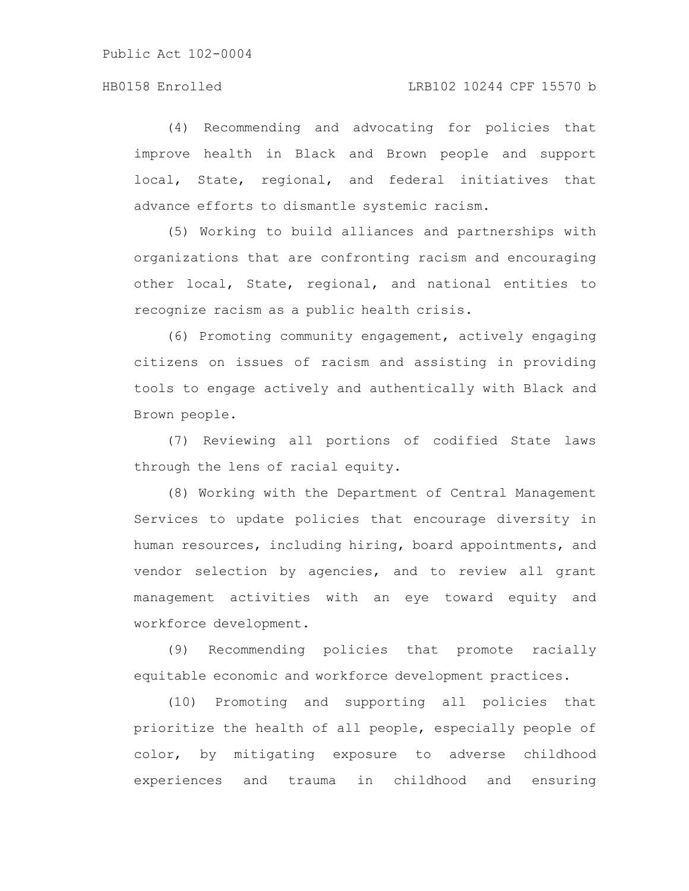# HB0158 Enrolled LRB102 10244 CPF 15570 b

(4) Recommending and advocating for policies that improve health in Black and Brown people and support local, State, regional, and federal initiatives that advance efforts to dismantle systemic racism.

(5) Working to build alliances and partnerships with organizations that are confronting racism and encouraging other local, State, regional, and national entities to recognize racism as a public health crisis.

(6) Promoting community engagement, actively engaging citizens on issues of racism and assisting in providing tools to engage actively and authentically with Black and Brown people.

(7) Reviewing all portions of codified State laws through the lens of racial equity.

(8) Working with the Department of Central Management Services to update policies that encourage diversity in human resources, including hiring, board appointments, and vendor selection by agencies, and to review all grant management activities with an eye toward equity and workforce development.

(9) Recommending policies that promote racially equitable economic and workforce development practices.

(10) Promoting and supporting all policies that prioritize the health of all people, especially people of color, by mitigating exposure to adverse childhood experiences and trauma in childhood and ensuring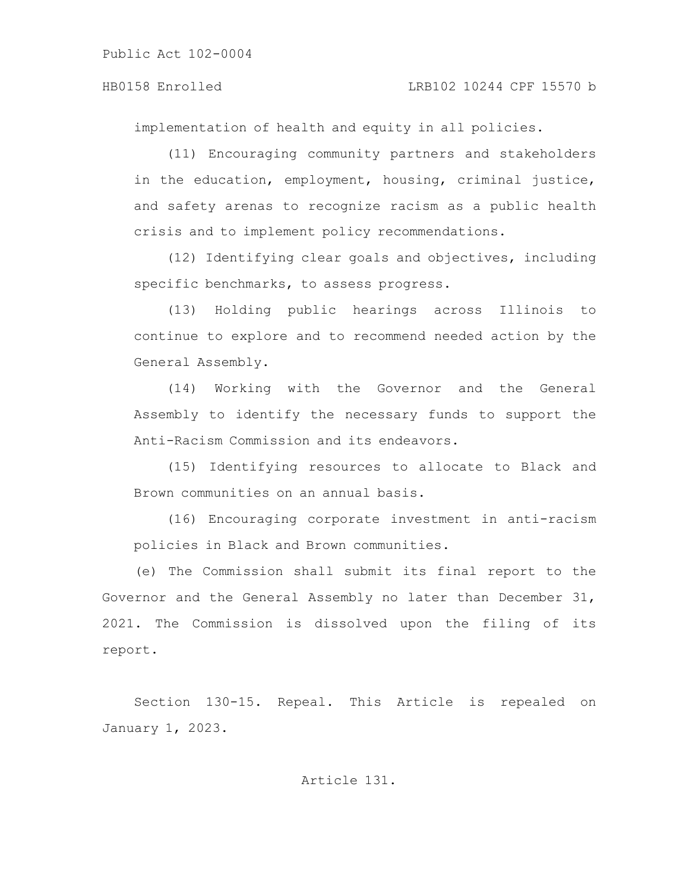implementation of health and equity in all policies.

(11) Encouraging community partners and stakeholders in the education, employment, housing, criminal justice, and safety arenas to recognize racism as a public health crisis and to implement policy recommendations.

(12) Identifying clear goals and objectives, including specific benchmarks, to assess progress.

(13) Holding public hearings across Illinois to continue to explore and to recommend needed action by the General Assembly.

(14) Working with the Governor and the General Assembly to identify the necessary funds to support the Anti-Racism Commission and its endeavors.

(15) Identifying resources to allocate to Black and Brown communities on an annual basis.

(16) Encouraging corporate investment in anti-racism policies in Black and Brown communities.

(e) The Commission shall submit its final report to the Governor and the General Assembly no later than December 31, 2021. The Commission is dissolved upon the filing of its report.

Section 130-15. Repeal. This Article is repealed on January 1, 2023.

# Article 131.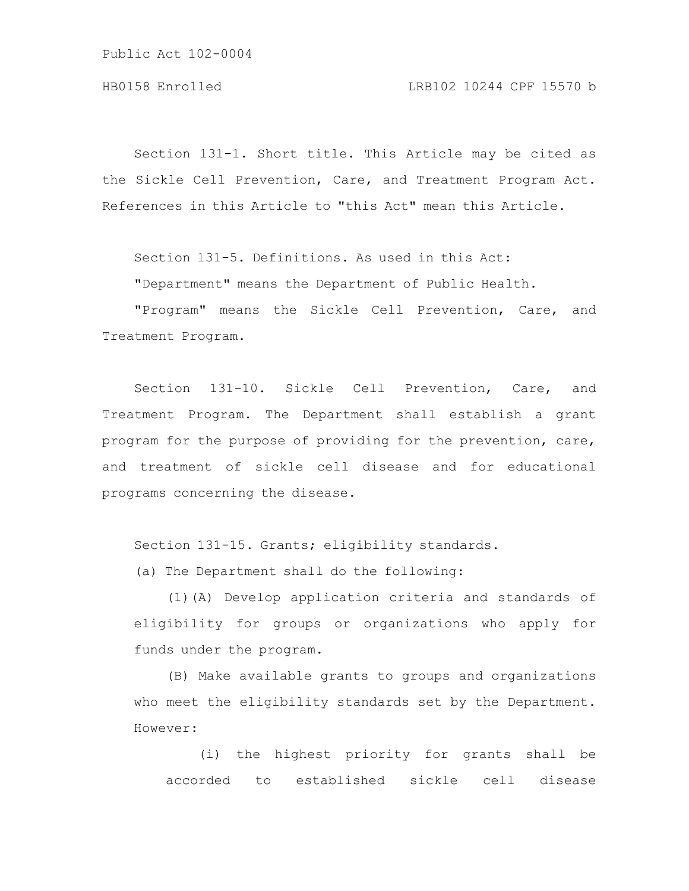Section 131-1. Short title. This Article may be cited as the Sickle Cell Prevention, Care, and Treatment Program Act. References in this Article to "this Act" mean this Article.

Section 131-5. Definitions. As used in this Act:

"Department" means the Department of Public Health.

"Program" means the Sickle Cell Prevention, Care, and Treatment Program.

Section 131-10. Sickle Cell Prevention, Care, and Treatment Program. The Department shall establish a grant program for the purpose of providing for the prevention, care, and treatment of sickle cell disease and for educational programs concerning the disease.

Section 131-15. Grants; eligibility standards.

(a) The Department shall do the following:

(1)(A) Develop application criteria and standards of eligibility for groups or organizations who apply for funds under the program.

(B) Make available grants to groups and organizations who meet the eligibility standards set by the Department. However:

(i) the highest priority for grants shall be accorded to established sickle cell disease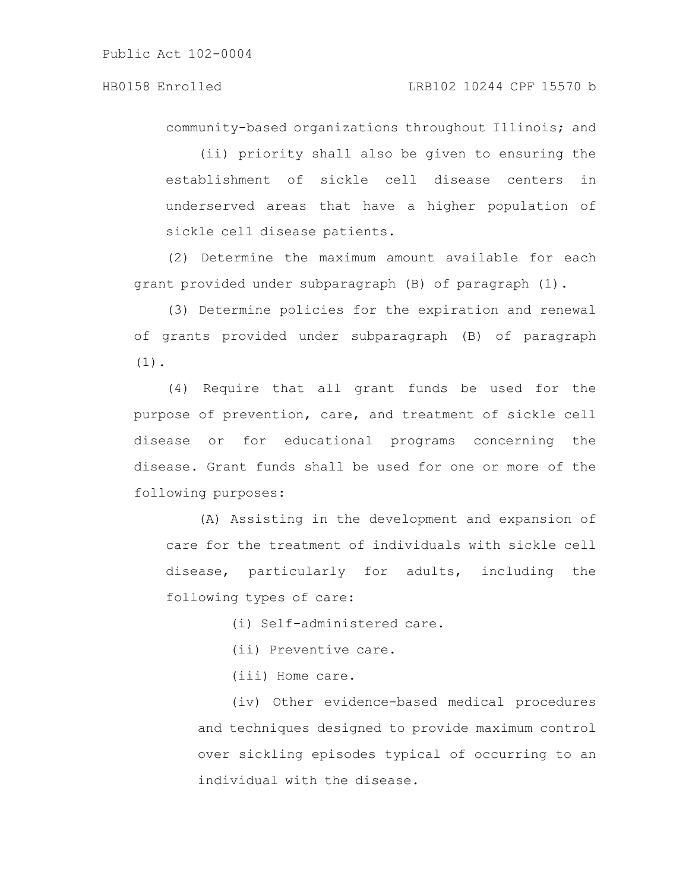community-based organizations throughout Illinois; and

(ii) priority shall also be given to ensuring the establishment of sickle cell disease centers in underserved areas that have a higher population of sickle cell disease patients.

(2) Determine the maximum amount available for each grant provided under subparagraph (B) of paragraph (1).

(3) Determine policies for the expiration and renewal of grants provided under subparagraph (B) of paragraph (1).

(4) Require that all grant funds be used for the purpose of prevention, care, and treatment of sickle cell disease or for educational programs concerning the disease. Grant funds shall be used for one or more of the following purposes:

(A) Assisting in the development and expansion of care for the treatment of individuals with sickle cell disease, particularly for adults, including the following types of care:

(i) Self-administered care.

(ii) Preventive care.

(iii) Home care.

(iv) Other evidence-based medical procedures and techniques designed to provide maximum control over sickling episodes typical of occurring to an individual with the disease.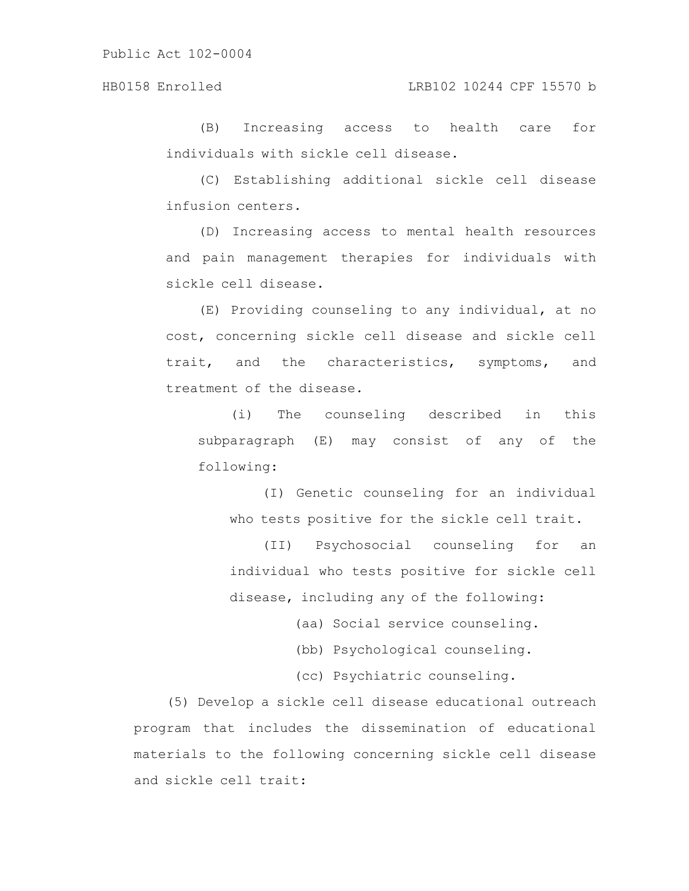# HB0158 Enrolled LRB102 10244 CPF 15570 b

(B) Increasing access to health care for individuals with sickle cell disease.

(C) Establishing additional sickle cell disease infusion centers.

(D) Increasing access to mental health resources and pain management therapies for individuals with sickle cell disease.

(E) Providing counseling to any individual, at no cost, concerning sickle cell disease and sickle cell trait, and the characteristics, symptoms, and treatment of the disease.

(i) The counseling described in this subparagraph (E) may consist of any of the following:

(I) Genetic counseling for an individual who tests positive for the sickle cell trait.

(II) Psychosocial counseling for an individual who tests positive for sickle cell disease, including any of the following:

(aa) Social service counseling.

(bb) Psychological counseling.

(cc) Psychiatric counseling.

(5) Develop a sickle cell disease educational outreach program that includes the dissemination of educational materials to the following concerning sickle cell disease and sickle cell trait: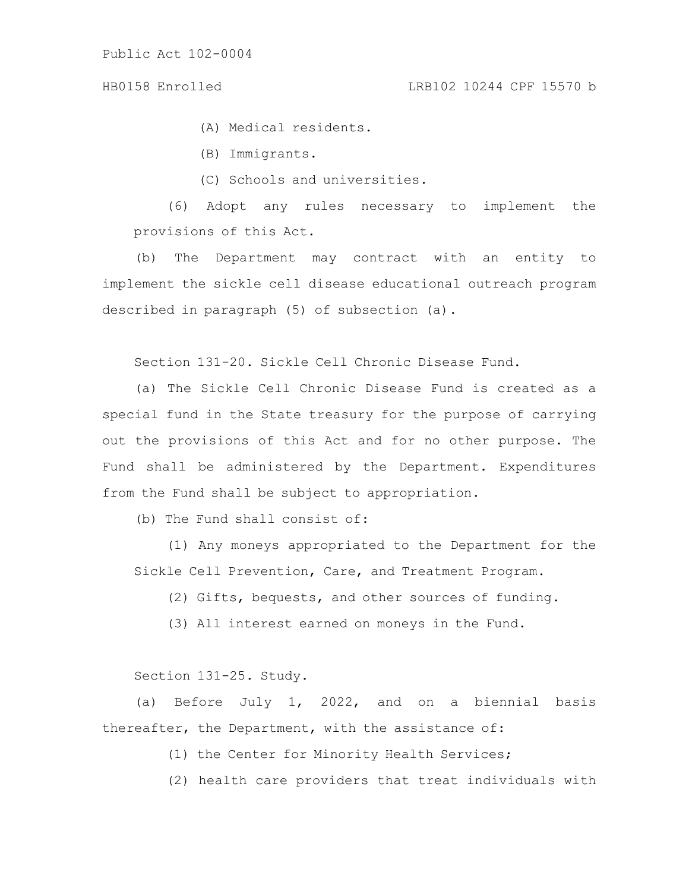(A) Medical residents.

- (B) Immigrants.
- (C) Schools and universities.

(6) Adopt any rules necessary to implement the provisions of this Act.

(b) The Department may contract with an entity to implement the sickle cell disease educational outreach program described in paragraph (5) of subsection (a).

Section 131-20. Sickle Cell Chronic Disease Fund.

(a) The Sickle Cell Chronic Disease Fund is created as a special fund in the State treasury for the purpose of carrying out the provisions of this Act and for no other purpose. The Fund shall be administered by the Department. Expenditures from the Fund shall be subject to appropriation.

(b) The Fund shall consist of:

(1) Any moneys appropriated to the Department for the Sickle Cell Prevention, Care, and Treatment Program.

(2) Gifts, bequests, and other sources of funding.

(3) All interest earned on moneys in the Fund.

Section 131-25. Study.

(a) Before July 1, 2022, and on a biennial basis thereafter, the Department, with the assistance of:

(1) the Center for Minority Health Services;

(2) health care providers that treat individuals with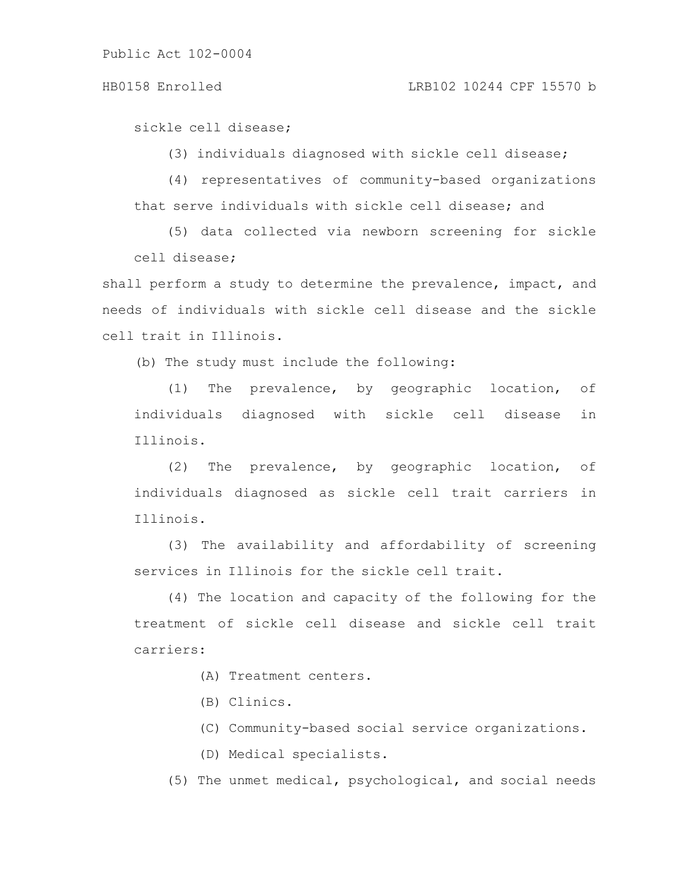#### HB0158 Enrolled LRB102 10244 CPF 15570 b

sickle cell disease;

(3) individuals diagnosed with sickle cell disease;

(4) representatives of community-based organizations that serve individuals with sickle cell disease; and

(5) data collected via newborn screening for sickle cell disease;

shall perform a study to determine the prevalence, impact, and needs of individuals with sickle cell disease and the sickle cell trait in Illinois.

(b) The study must include the following:

(1) The prevalence, by geographic location, of individuals diagnosed with sickle cell disease in Illinois.

(2) The prevalence, by geographic location, of individuals diagnosed as sickle cell trait carriers in Illinois.

(3) The availability and affordability of screening services in Illinois for the sickle cell trait.

(4) The location and capacity of the following for the treatment of sickle cell disease and sickle cell trait carriers:

(A) Treatment centers.

(B) Clinics.

(C) Community-based social service organizations.

(D) Medical specialists.

(5) The unmet medical, psychological, and social needs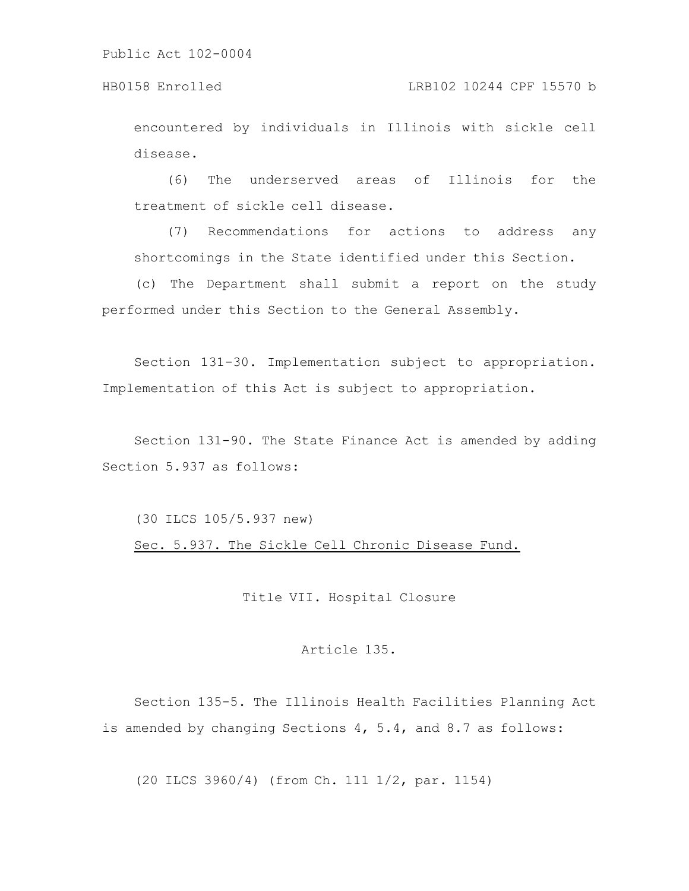encountered by individuals in Illinois with sickle cell disease.

(6) The underserved areas of Illinois for the treatment of sickle cell disease.

(7) Recommendations for actions to address any shortcomings in the State identified under this Section.

(c) The Department shall submit a report on the study performed under this Section to the General Assembly.

Section 131-30. Implementation subject to appropriation. Implementation of this Act is subject to appropriation.

Section 131-90. The State Finance Act is amended by adding Section 5.937 as follows:

(30 ILCS 105/5.937 new) Sec. 5.937. The Sickle Cell Chronic Disease Fund.

Title VII. Hospital Closure

Article 135.

Section 135-5. The Illinois Health Facilities Planning Act is amended by changing Sections 4, 5.4, and 8.7 as follows:

(20 ILCS 3960/4) (from Ch. 111 1/2, par. 1154)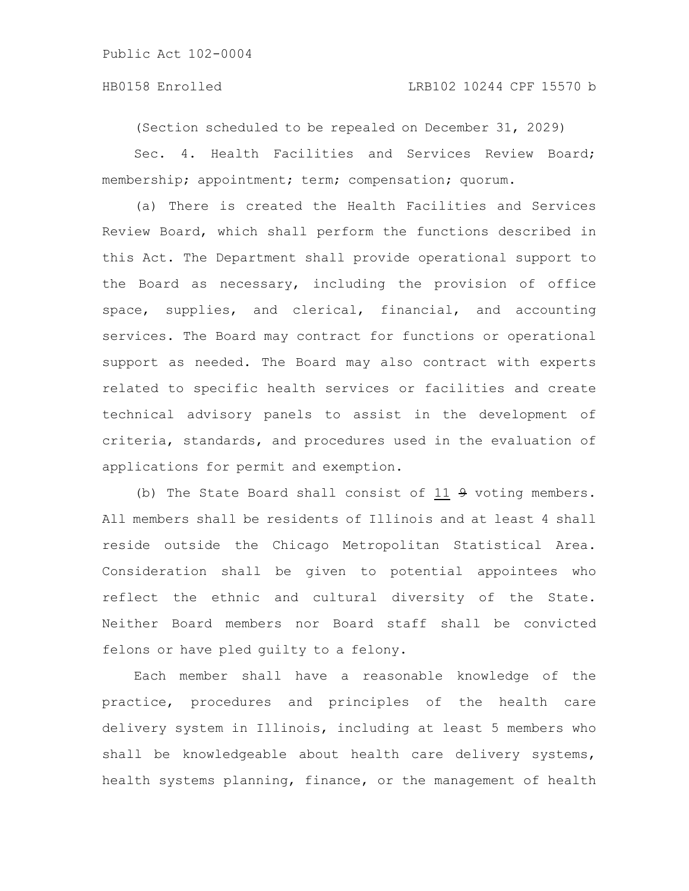# HB0158 Enrolled LRB102 10244 CPF 15570 b

(Section scheduled to be repealed on December 31, 2029)

Sec. 4. Health Facilities and Services Review Board; membership; appointment; term; compensation; quorum.

(a) There is created the Health Facilities and Services Review Board, which shall perform the functions described in this Act. The Department shall provide operational support to the Board as necessary, including the provision of office space, supplies, and clerical, financial, and accounting services. The Board may contract for functions or operational support as needed. The Board may also contract with experts related to specific health services or facilities and create technical advisory panels to assist in the development of criteria, standards, and procedures used in the evaluation of applications for permit and exemption.

(b) The State Board shall consist of 11 9 voting members. All members shall be residents of Illinois and at least 4 shall reside outside the Chicago Metropolitan Statistical Area. Consideration shall be given to potential appointees who reflect the ethnic and cultural diversity of the State. Neither Board members nor Board staff shall be convicted felons or have pled guilty to a felony.

Each member shall have a reasonable knowledge of the practice, procedures and principles of the health care delivery system in Illinois, including at least 5 members who shall be knowledgeable about health care delivery systems, health systems planning, finance, or the management of health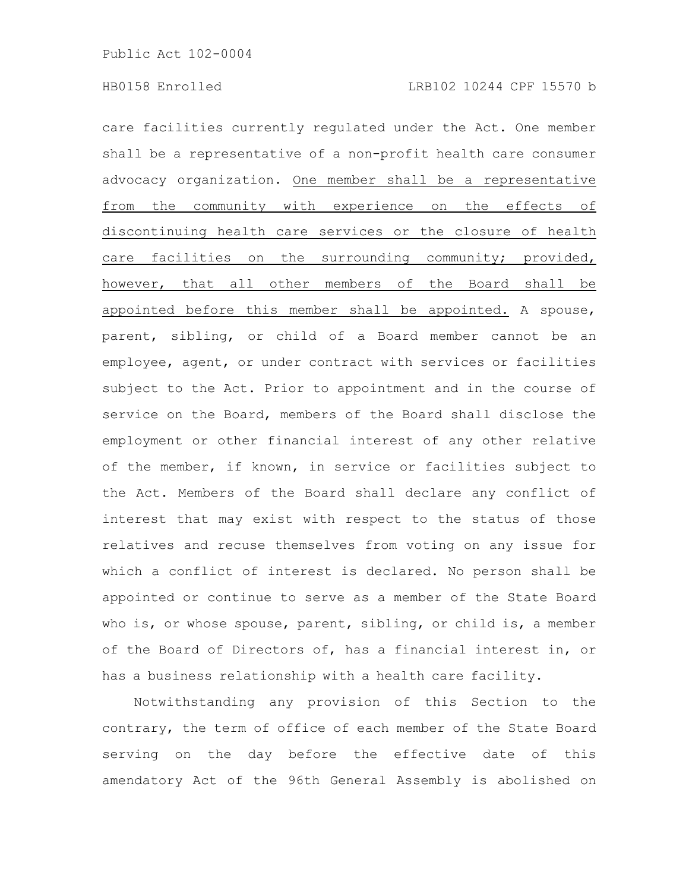care facilities currently regulated under the Act. One member shall be a representative of a non-profit health care consumer advocacy organization. One member shall be a representative from the community with experience on the effects of discontinuing health care services or the closure of health care facilities on the surrounding community; provided, however, that all other members of the Board shall be appointed before this member shall be appointed. A spouse, parent, sibling, or child of a Board member cannot be an employee, agent, or under contract with services or facilities subject to the Act. Prior to appointment and in the course of service on the Board, members of the Board shall disclose the employment or other financial interest of any other relative of the member, if known, in service or facilities subject to the Act. Members of the Board shall declare any conflict of interest that may exist with respect to the status of those relatives and recuse themselves from voting on any issue for which a conflict of interest is declared. No person shall be appointed or continue to serve as a member of the State Board who is, or whose spouse, parent, sibling, or child is, a member of the Board of Directors of, has a financial interest in, or has a business relationship with a health care facility.

Notwithstanding any provision of this Section to the contrary, the term of office of each member of the State Board serving on the day before the effective date of this amendatory Act of the 96th General Assembly is abolished on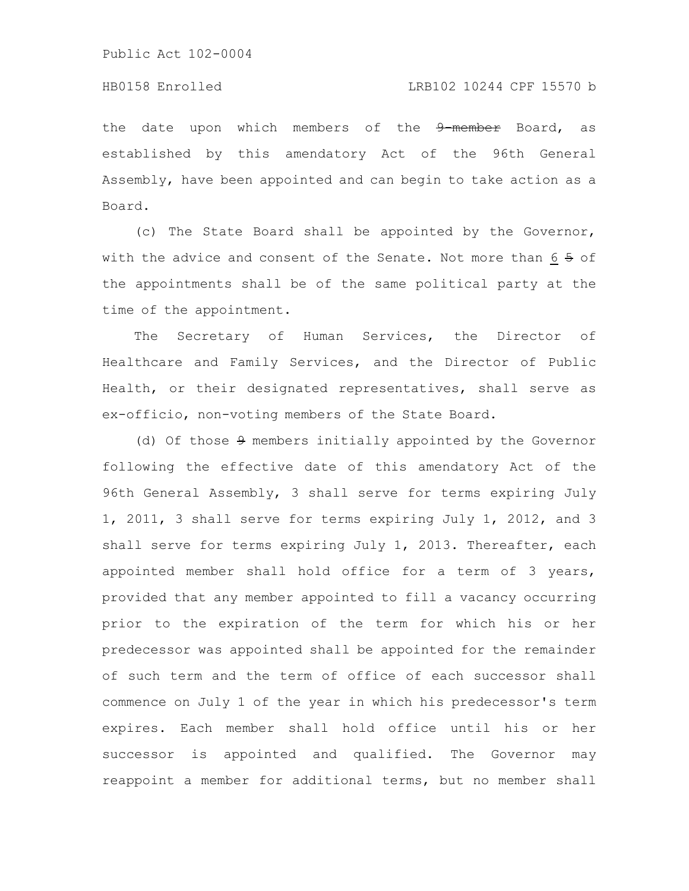# HB0158 Enrolled LRB102 10244 CPF 15570 b

the date upon which members of the 9-member Board, as established by this amendatory Act of the 96th General Assembly, have been appointed and can begin to take action as a Board.

(c) The State Board shall be appointed by the Governor, with the advice and consent of the Senate. Not more than 6 5 of the appointments shall be of the same political party at the time of the appointment.

The Secretary of Human Services, the Director of Healthcare and Family Services, and the Director of Public Health, or their designated representatives, shall serve as ex-officio, non-voting members of the State Board.

(d) Of those 9 members initially appointed by the Governor following the effective date of this amendatory Act of the 96th General Assembly, 3 shall serve for terms expiring July 1, 2011, 3 shall serve for terms expiring July 1, 2012, and 3 shall serve for terms expiring July 1, 2013. Thereafter, each appointed member shall hold office for a term of 3 years, provided that any member appointed to fill a vacancy occurring prior to the expiration of the term for which his or her predecessor was appointed shall be appointed for the remainder of such term and the term of office of each successor shall commence on July 1 of the year in which his predecessor's term expires. Each member shall hold office until his or her successor is appointed and qualified. The Governor may reappoint a member for additional terms, but no member shall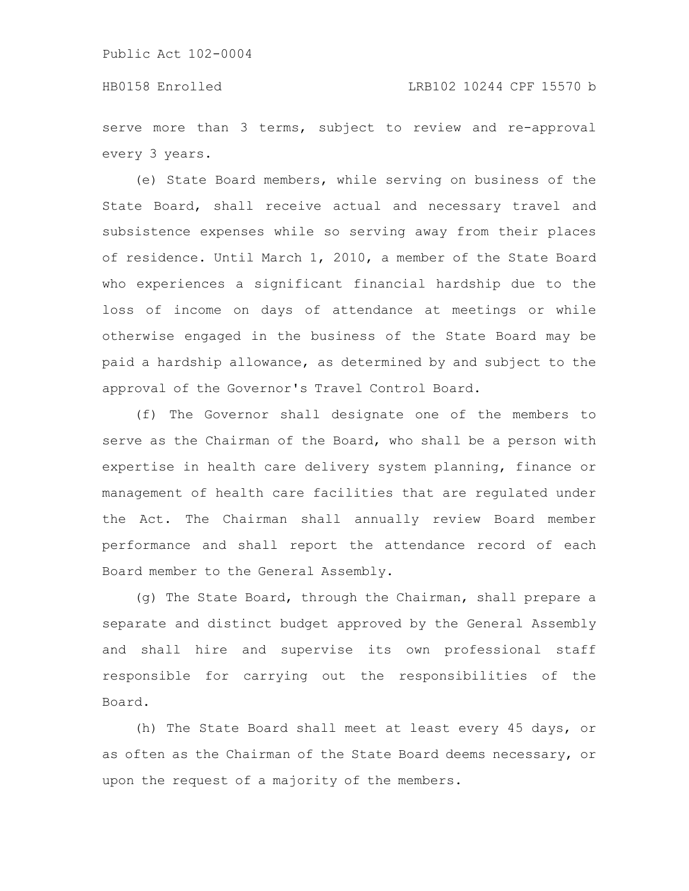serve more than 3 terms, subject to review and re-approval every 3 years.

(e) State Board members, while serving on business of the State Board, shall receive actual and necessary travel and subsistence expenses while so serving away from their places of residence. Until March 1, 2010, a member of the State Board who experiences a significant financial hardship due to the loss of income on days of attendance at meetings or while otherwise engaged in the business of the State Board may be paid a hardship allowance, as determined by and subject to the approval of the Governor's Travel Control Board.

(f) The Governor shall designate one of the members to serve as the Chairman of the Board, who shall be a person with expertise in health care delivery system planning, finance or management of health care facilities that are regulated under the Act. The Chairman shall annually review Board member performance and shall report the attendance record of each Board member to the General Assembly.

(g) The State Board, through the Chairman, shall prepare a separate and distinct budget approved by the General Assembly and shall hire and supervise its own professional staff responsible for carrying out the responsibilities of the Board.

(h) The State Board shall meet at least every 45 days, or as often as the Chairman of the State Board deems necessary, or upon the request of a majority of the members.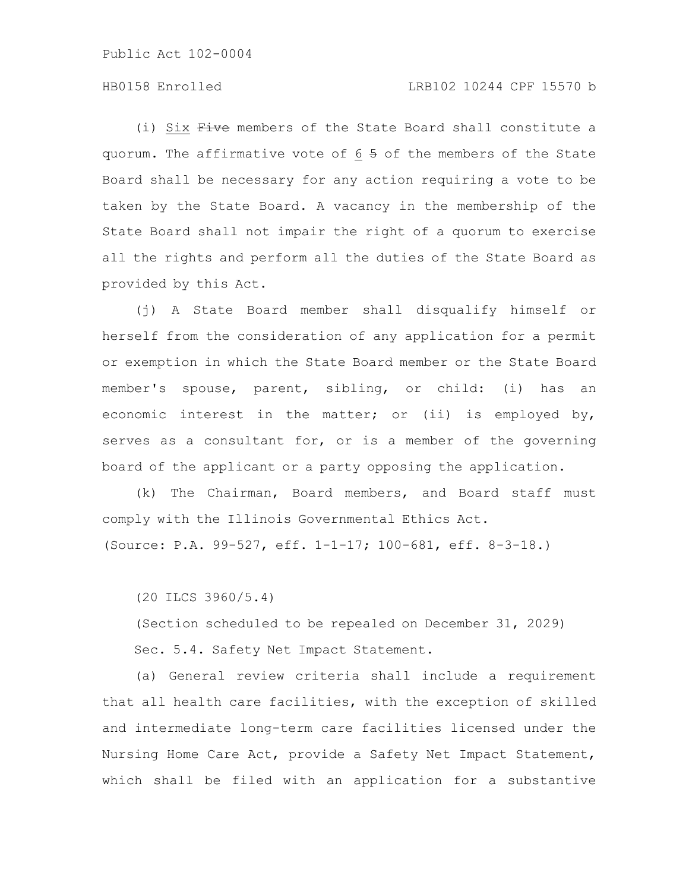# HB0158 Enrolled LRB102 10244 CPF 15570 b

(i) Six Five members of the State Board shall constitute a quorum. The affirmative vote of 6 5 of the members of the State Board shall be necessary for any action requiring a vote to be taken by the State Board. A vacancy in the membership of the State Board shall not impair the right of a quorum to exercise all the rights and perform all the duties of the State Board as provided by this Act.

(j) A State Board member shall disqualify himself or herself from the consideration of any application for a permit or exemption in which the State Board member or the State Board member's spouse, parent, sibling, or child: (i) has an economic interest in the matter; or (ii) is employed by, serves as a consultant for, or is a member of the governing board of the applicant or a party opposing the application.

(k) The Chairman, Board members, and Board staff must comply with the Illinois Governmental Ethics Act. (Source: P.A. 99-527, eff. 1-1-17; 100-681, eff. 8-3-18.)

(20 ILCS 3960/5.4)

(Section scheduled to be repealed on December 31, 2029)

Sec. 5.4. Safety Net Impact Statement.

(a) General review criteria shall include a requirement that all health care facilities, with the exception of skilled and intermediate long-term care facilities licensed under the Nursing Home Care Act, provide a Safety Net Impact Statement, which shall be filed with an application for a substantive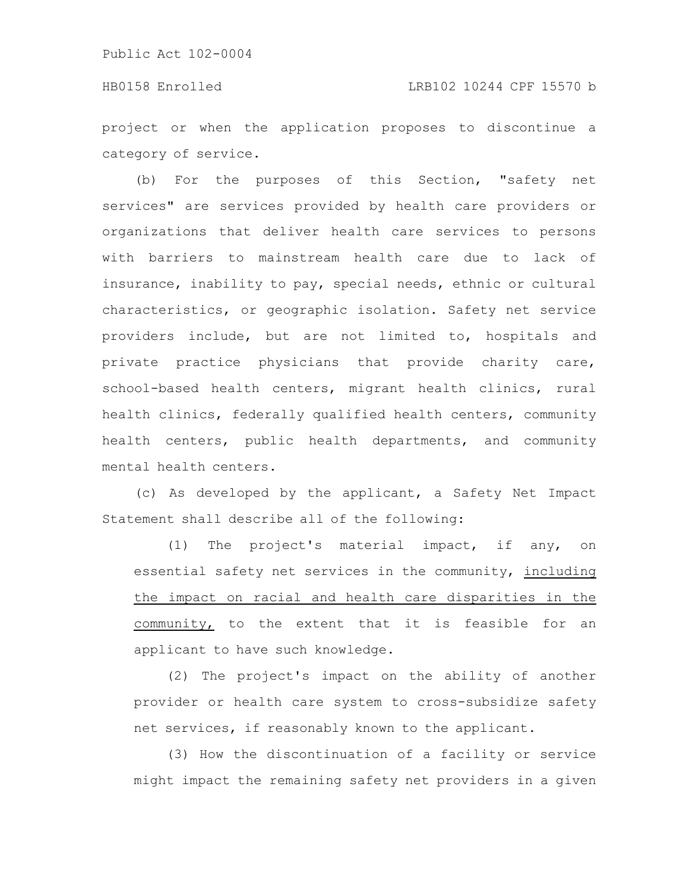project or when the application proposes to discontinue a category of service.

(b) For the purposes of this Section, "safety net services" are services provided by health care providers or organizations that deliver health care services to persons with barriers to mainstream health care due to lack of insurance, inability to pay, special needs, ethnic or cultural characteristics, or geographic isolation. Safety net service providers include, but are not limited to, hospitals and private practice physicians that provide charity care, school-based health centers, migrant health clinics, rural health clinics, federally qualified health centers, community health centers, public health departments, and community mental health centers.

(c) As developed by the applicant, a Safety Net Impact Statement shall describe all of the following:

(1) The project's material impact, if any, on essential safety net services in the community, including the impact on racial and health care disparities in the community, to the extent that it is feasible for an applicant to have such knowledge.

(2) The project's impact on the ability of another provider or health care system to cross-subsidize safety net services, if reasonably known to the applicant.

(3) How the discontinuation of a facility or service might impact the remaining safety net providers in a given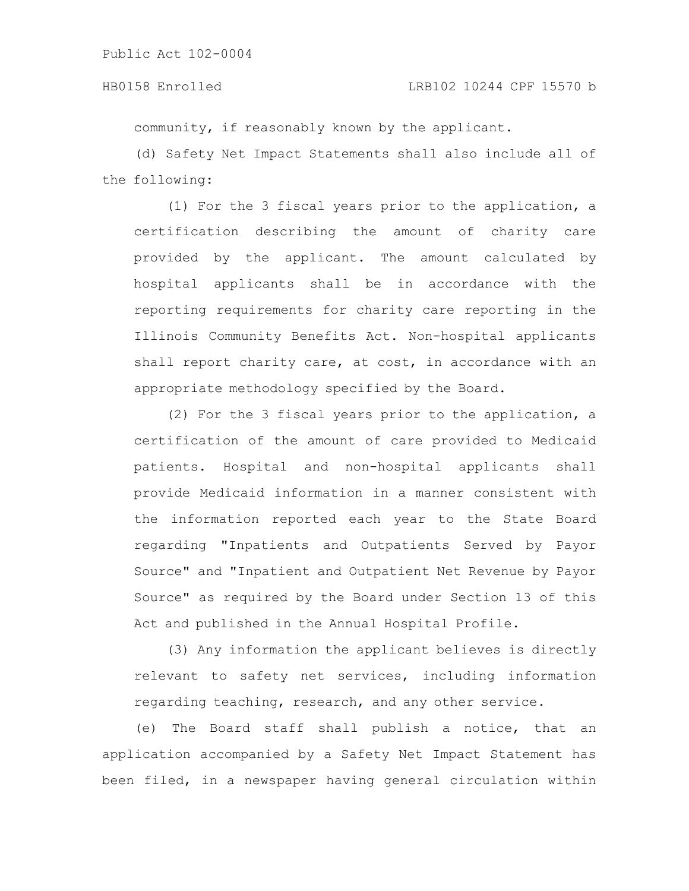### HB0158 Enrolled LRB102 10244 CPF 15570 b

community, if reasonably known by the applicant.

(d) Safety Net Impact Statements shall also include all of the following:

(1) For the 3 fiscal years prior to the application, a certification describing the amount of charity care provided by the applicant. The amount calculated by hospital applicants shall be in accordance with the reporting requirements for charity care reporting in the Illinois Community Benefits Act. Non-hospital applicants shall report charity care, at cost, in accordance with an appropriate methodology specified by the Board.

(2) For the 3 fiscal years prior to the application, a certification of the amount of care provided to Medicaid patients. Hospital and non-hospital applicants shall provide Medicaid information in a manner consistent with the information reported each year to the State Board regarding "Inpatients and Outpatients Served by Payor Source" and "Inpatient and Outpatient Net Revenue by Payor Source" as required by the Board under Section 13 of this Act and published in the Annual Hospital Profile.

(3) Any information the applicant believes is directly relevant to safety net services, including information regarding teaching, research, and any other service.

(e) The Board staff shall publish a notice, that an application accompanied by a Safety Net Impact Statement has been filed, in a newspaper having general circulation within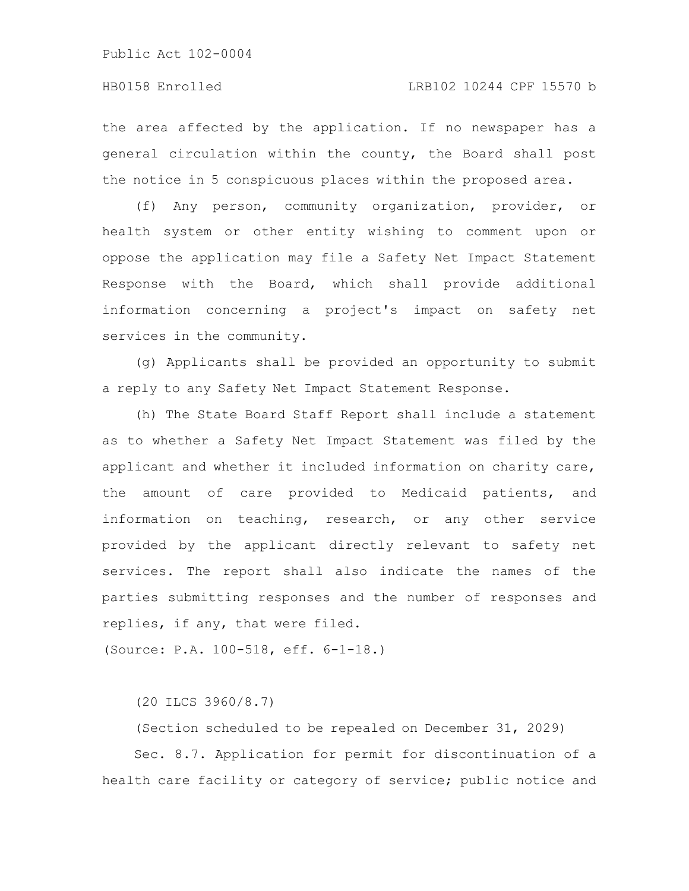the area affected by the application. If no newspaper has a general circulation within the county, the Board shall post the notice in 5 conspicuous places within the proposed area.

(f) Any person, community organization, provider, or health system or other entity wishing to comment upon or oppose the application may file a Safety Net Impact Statement Response with the Board, which shall provide additional information concerning a project's impact on safety net services in the community.

(g) Applicants shall be provided an opportunity to submit a reply to any Safety Net Impact Statement Response.

(h) The State Board Staff Report shall include a statement as to whether a Safety Net Impact Statement was filed by the applicant and whether it included information on charity care, the amount of care provided to Medicaid patients, and information on teaching, research, or any other service provided by the applicant directly relevant to safety net services. The report shall also indicate the names of the parties submitting responses and the number of responses and replies, if any, that were filed.

(Source: P.A. 100-518, eff. 6-1-18.)

(20 ILCS 3960/8.7)

(Section scheduled to be repealed on December 31, 2029) Sec. 8.7. Application for permit for discontinuation of a health care facility or category of service; public notice and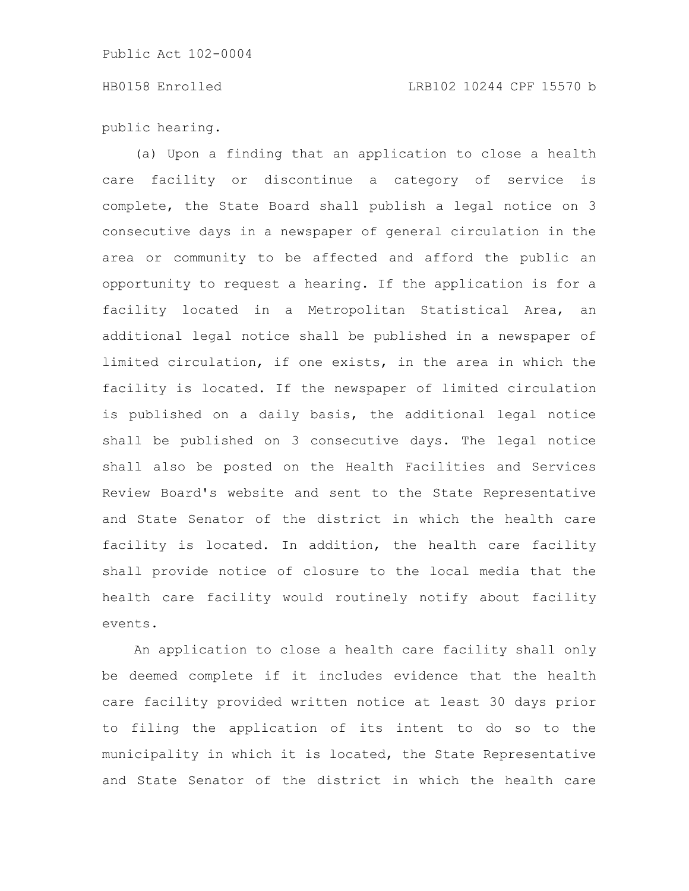# HB0158 Enrolled LRB102 10244 CPF 15570 b

public hearing.

(a) Upon a finding that an application to close a health care facility or discontinue a category of service is complete, the State Board shall publish a legal notice on 3 consecutive days in a newspaper of general circulation in the area or community to be affected and afford the public an opportunity to request a hearing. If the application is for a facility located in a Metropolitan Statistical Area, an additional legal notice shall be published in a newspaper of limited circulation, if one exists, in the area in which the facility is located. If the newspaper of limited circulation is published on a daily basis, the additional legal notice shall be published on 3 consecutive days. The legal notice shall also be posted on the Health Facilities and Services Review Board's website and sent to the State Representative and State Senator of the district in which the health care facility is located. In addition, the health care facility shall provide notice of closure to the local media that the health care facility would routinely notify about facility events.

An application to close a health care facility shall only be deemed complete if it includes evidence that the health care facility provided written notice at least 30 days prior to filing the application of its intent to do so to the municipality in which it is located, the State Representative and State Senator of the district in which the health care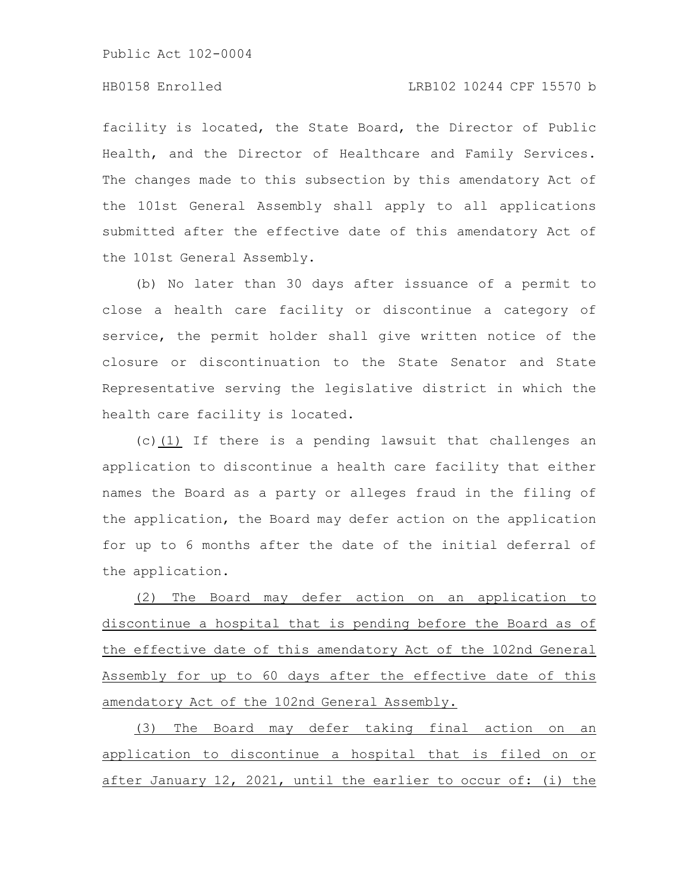# HB0158 Enrolled LRB102 10244 CPF 15570 b

facility is located, the State Board, the Director of Public Health, and the Director of Healthcare and Family Services. The changes made to this subsection by this amendatory Act of the 101st General Assembly shall apply to all applications submitted after the effective date of this amendatory Act of the 101st General Assembly.

(b) No later than 30 days after issuance of a permit to close a health care facility or discontinue a category of service, the permit holder shall give written notice of the closure or discontinuation to the State Senator and State Representative serving the legislative district in which the health care facility is located.

(c)(1) If there is a pending lawsuit that challenges an application to discontinue a health care facility that either names the Board as a party or alleges fraud in the filing of the application, the Board may defer action on the application for up to 6 months after the date of the initial deferral of the application.

(2) The Board may defer action on an application to discontinue a hospital that is pending before the Board as of the effective date of this amendatory Act of the 102nd General Assembly for up to 60 days after the effective date of this amendatory Act of the 102nd General Assembly.

(3) The Board may defer taking final action on an application to discontinue a hospital that is filed on or after January 12, 2021, until the earlier to occur of: (i) the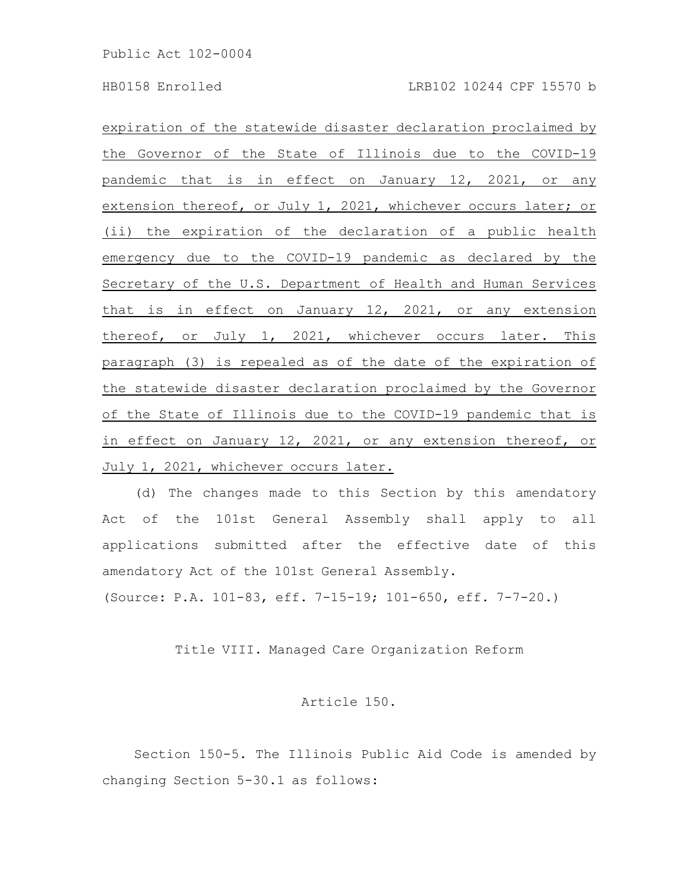expiration of the statewide disaster declaration proclaimed by the Governor of the State of Illinois due to the COVID-19 pandemic that is in effect on January 12, 2021, or any extension thereof, or July 1, 2021, whichever occurs later; or (ii) the expiration of the declaration of a public health emergency due to the COVID-19 pandemic as declared by the Secretary of the U.S. Department of Health and Human Services that is in effect on January 12, 2021, or any extension thereof, or July 1, 2021, whichever occurs later. This paragraph (3) is repealed as of the date of the expiration of the statewide disaster declaration proclaimed by the Governor of the State of Illinois due to the COVID-19 pandemic that is in effect on January 12, 2021, or any extension thereof, or July 1, 2021, whichever occurs later.

(d) The changes made to this Section by this amendatory Act of the 101st General Assembly shall apply to all applications submitted after the effective date of this amendatory Act of the 101st General Assembly.

(Source: P.A. 101-83, eff. 7-15-19; 101-650, eff. 7-7-20.)

## Title VIII. Managed Care Organization Reform

Article 150.

Section 150-5. The Illinois Public Aid Code is amended by changing Section 5-30.1 as follows: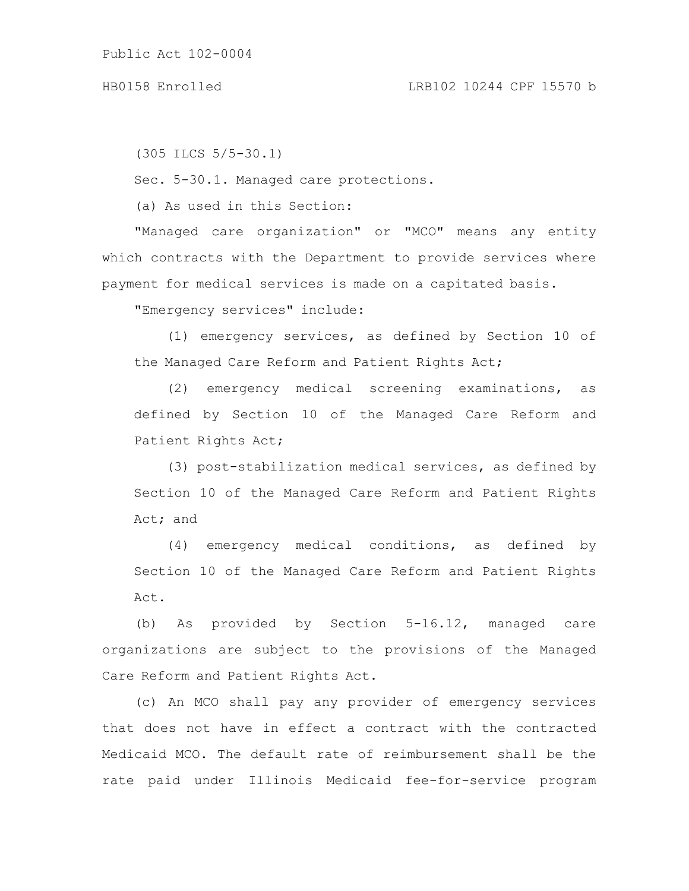## HB0158 Enrolled LRB102 10244 CPF 15570 b

(305 ILCS 5/5-30.1)

Sec. 5-30.1. Managed care protections.

(a) As used in this Section:

"Managed care organization" or "MCO" means any entity which contracts with the Department to provide services where payment for medical services is made on a capitated basis.

"Emergency services" include:

(1) emergency services, as defined by Section 10 of the Managed Care Reform and Patient Rights Act;

(2) emergency medical screening examinations, as defined by Section 10 of the Managed Care Reform and Patient Rights Act;

(3) post-stabilization medical services, as defined by Section 10 of the Managed Care Reform and Patient Rights Act; and

(4) emergency medical conditions, as defined by Section 10 of the Managed Care Reform and Patient Rights Act.

(b) As provided by Section 5-16.12, managed care organizations are subject to the provisions of the Managed Care Reform and Patient Rights Act.

(c) An MCO shall pay any provider of emergency services that does not have in effect a contract with the contracted Medicaid MCO. The default rate of reimbursement shall be the rate paid under Illinois Medicaid fee-for-service program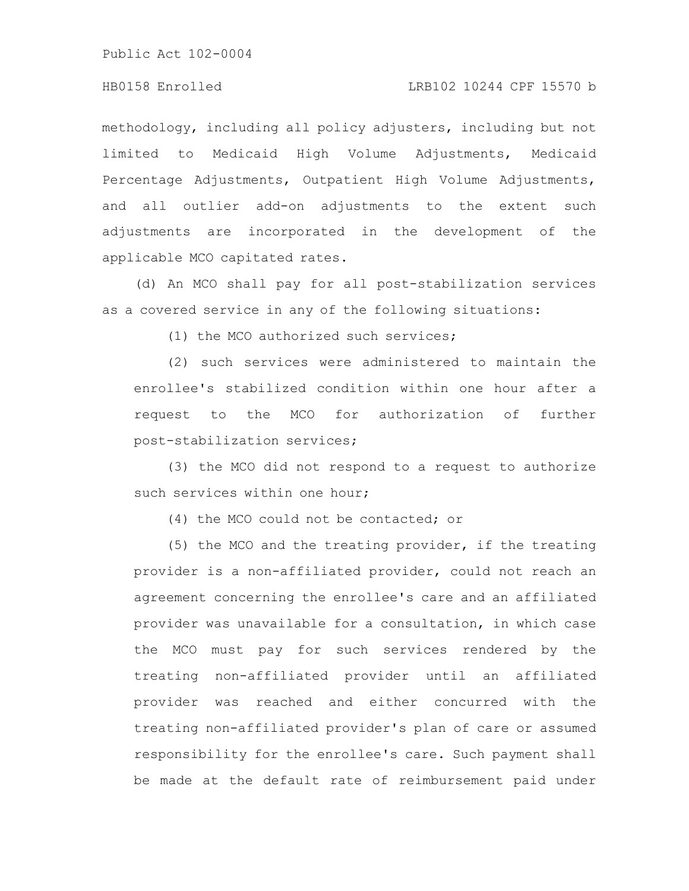# HB0158 Enrolled LRB102 10244 CPF 15570 b

methodology, including all policy adjusters, including but not limited to Medicaid High Volume Adjustments, Medicaid Percentage Adjustments, Outpatient High Volume Adjustments, and all outlier add-on adjustments to the extent such adjustments are incorporated in the development of the applicable MCO capitated rates.

(d) An MCO shall pay for all post-stabilization services as a covered service in any of the following situations:

(1) the MCO authorized such services;

(2) such services were administered to maintain the enrollee's stabilized condition within one hour after a request to the MCO for authorization of further post-stabilization services;

(3) the MCO did not respond to a request to authorize such services within one hour;

(4) the MCO could not be contacted; or

(5) the MCO and the treating provider, if the treating provider is a non-affiliated provider, could not reach an agreement concerning the enrollee's care and an affiliated provider was unavailable for a consultation, in which case the MCO must pay for such services rendered by the treating non-affiliated provider until an affiliated provider was reached and either concurred with the treating non-affiliated provider's plan of care or assumed responsibility for the enrollee's care. Such payment shall be made at the default rate of reimbursement paid under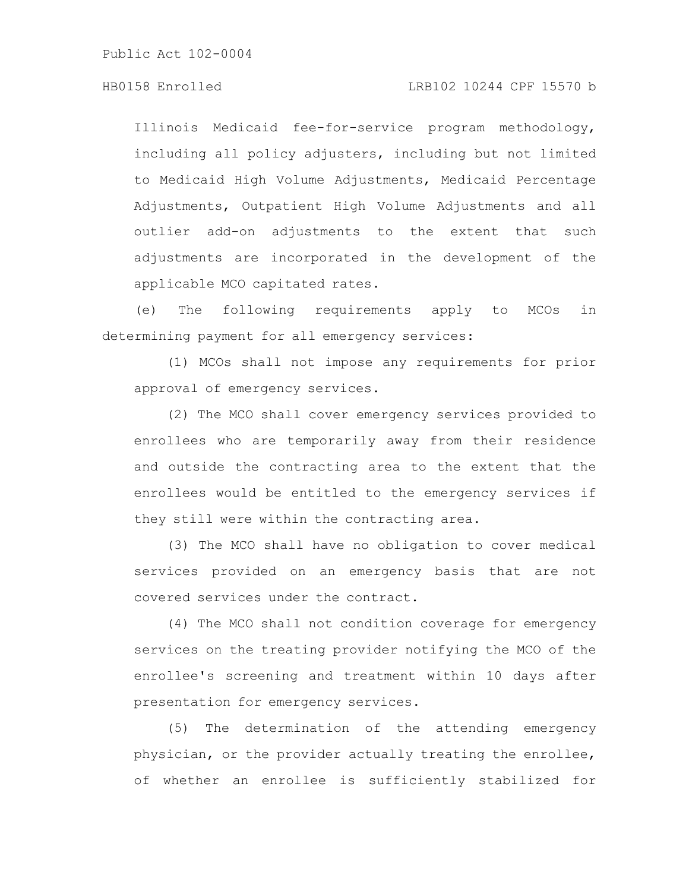Illinois Medicaid fee-for-service program methodology, including all policy adjusters, including but not limited to Medicaid High Volume Adjustments, Medicaid Percentage Adjustments, Outpatient High Volume Adjustments and all outlier add-on adjustments to the extent that such adjustments are incorporated in the development of the applicable MCO capitated rates.

(e) The following requirements apply to MCOs in determining payment for all emergency services:

(1) MCOs shall not impose any requirements for prior approval of emergency services.

(2) The MCO shall cover emergency services provided to enrollees who are temporarily away from their residence and outside the contracting area to the extent that the enrollees would be entitled to the emergency services if they still were within the contracting area.

(3) The MCO shall have no obligation to cover medical services provided on an emergency basis that are not covered services under the contract.

(4) The MCO shall not condition coverage for emergency services on the treating provider notifying the MCO of the enrollee's screening and treatment within 10 days after presentation for emergency services.

(5) The determination of the attending emergency physician, or the provider actually treating the enrollee, of whether an enrollee is sufficiently stabilized for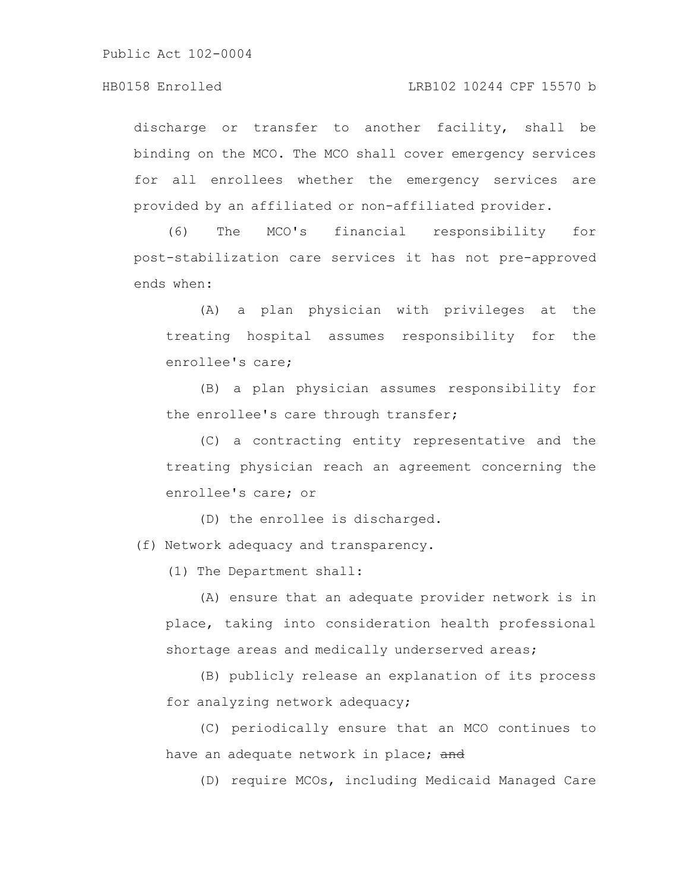#### HB0158 Enrolled LRB102 10244 CPF 15570 b

discharge or transfer to another facility, shall be binding on the MCO. The MCO shall cover emergency services for all enrollees whether the emergency services are provided by an affiliated or non-affiliated provider.

(6) The MCO's financial responsibility for post-stabilization care services it has not pre-approved ends when:

(A) a plan physician with privileges at the treating hospital assumes responsibility for the enrollee's care;

(B) a plan physician assumes responsibility for the enrollee's care through transfer;

(C) a contracting entity representative and the treating physician reach an agreement concerning the enrollee's care; or

(D) the enrollee is discharged.

(f) Network adequacy and transparency.

(1) The Department shall:

(A) ensure that an adequate provider network is in place, taking into consideration health professional shortage areas and medically underserved areas;

(B) publicly release an explanation of its process for analyzing network adequacy;

(C) periodically ensure that an MCO continues to have an adequate network in place; and

(D) require MCOs, including Medicaid Managed Care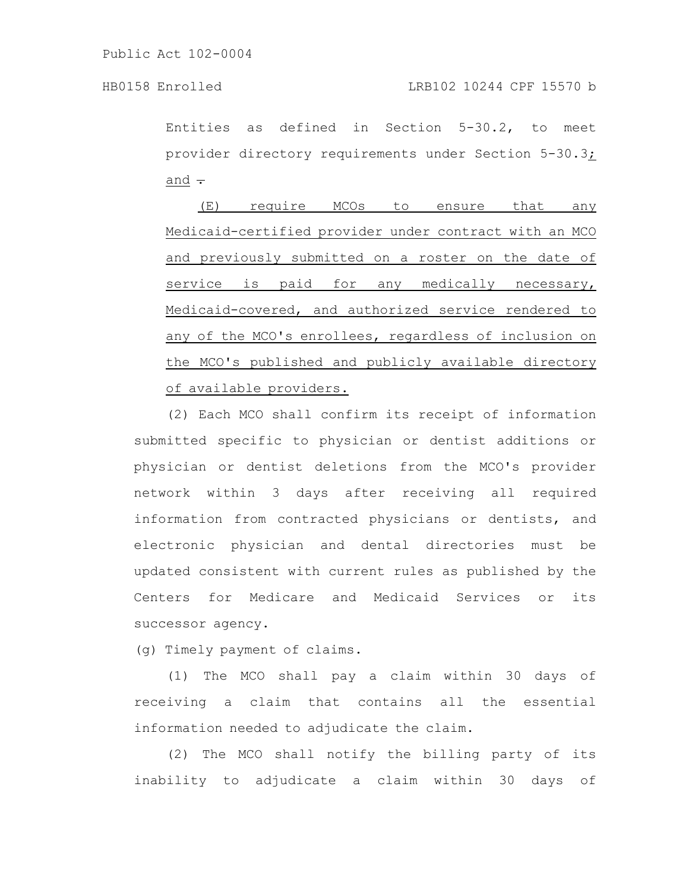Entities as defined in Section 5-30.2, to meet provider directory requirements under Section 5-30.3; and  $\overline{\cdot}$ 

(E) require MCOs to ensure that any Medicaid-certified provider under contract with an MCO and previously submitted on a roster on the date of service is paid for any medically necessary, Medicaid-covered, and authorized service rendered to any of the MCO's enrollees, regardless of inclusion on the MCO's published and publicly available directory of available providers.

(2) Each MCO shall confirm its receipt of information submitted specific to physician or dentist additions or physician or dentist deletions from the MCO's provider network within 3 days after receiving all required information from contracted physicians or dentists, and electronic physician and dental directories must be updated consistent with current rules as published by the Centers for Medicare and Medicaid Services or its successor agency.

(g) Timely payment of claims.

(1) The MCO shall pay a claim within 30 days of receiving a claim that contains all the essential information needed to adjudicate the claim.

(2) The MCO shall notify the billing party of its inability to adjudicate a claim within 30 days of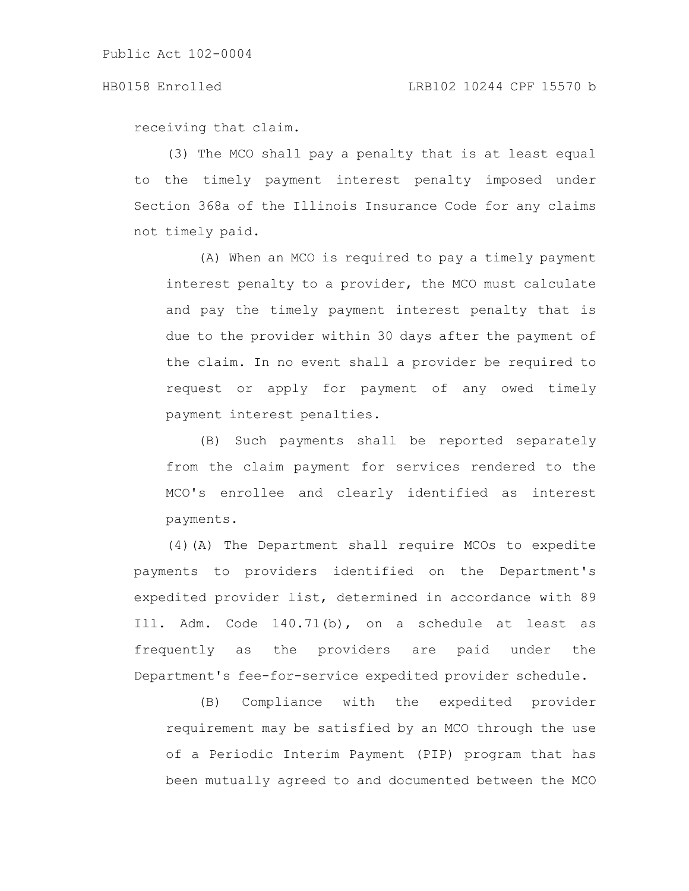receiving that claim.

(3) The MCO shall pay a penalty that is at least equal to the timely payment interest penalty imposed under Section 368a of the Illinois Insurance Code for any claims not timely paid.

(A) When an MCO is required to pay a timely payment interest penalty to a provider, the MCO must calculate and pay the timely payment interest penalty that is due to the provider within 30 days after the payment of the claim. In no event shall a provider be required to request or apply for payment of any owed timely payment interest penalties.

(B) Such payments shall be reported separately from the claim payment for services rendered to the MCO's enrollee and clearly identified as interest payments.

(4)(A) The Department shall require MCOs to expedite payments to providers identified on the Department's expedited provider list, determined in accordance with 89 Ill. Adm. Code 140.71(b), on a schedule at least as frequently as the providers are paid under the Department's fee-for-service expedited provider schedule.

(B) Compliance with the expedited provider requirement may be satisfied by an MCO through the use of a Periodic Interim Payment (PIP) program that has been mutually agreed to and documented between the MCO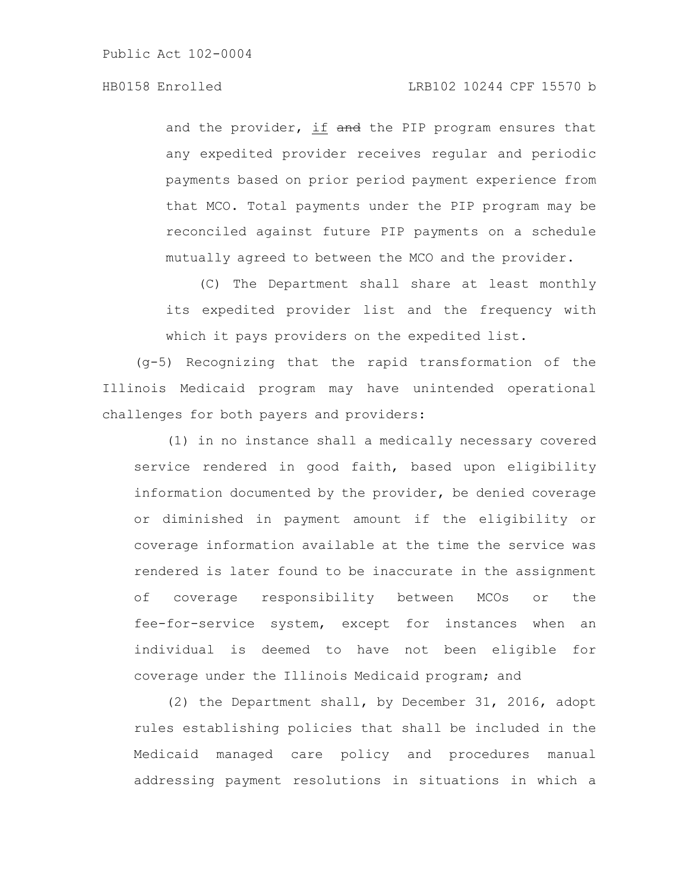# HB0158 Enrolled LRB102 10244 CPF 15570 b

and the provider, if and the PIP program ensures that any expedited provider receives regular and periodic payments based on prior period payment experience from that MCO. Total payments under the PIP program may be reconciled against future PIP payments on a schedule mutually agreed to between the MCO and the provider.

(C) The Department shall share at least monthly its expedited provider list and the frequency with which it pays providers on the expedited list.

(g-5) Recognizing that the rapid transformation of the Illinois Medicaid program may have unintended operational challenges for both payers and providers:

(1) in no instance shall a medically necessary covered service rendered in good faith, based upon eligibility information documented by the provider, be denied coverage or diminished in payment amount if the eligibility or coverage information available at the time the service was rendered is later found to be inaccurate in the assignment of coverage responsibility between MCOs or the fee-for-service system, except for instances when an individual is deemed to have not been eligible for coverage under the Illinois Medicaid program; and

(2) the Department shall, by December 31, 2016, adopt rules establishing policies that shall be included in the Medicaid managed care policy and procedures manual addressing payment resolutions in situations in which a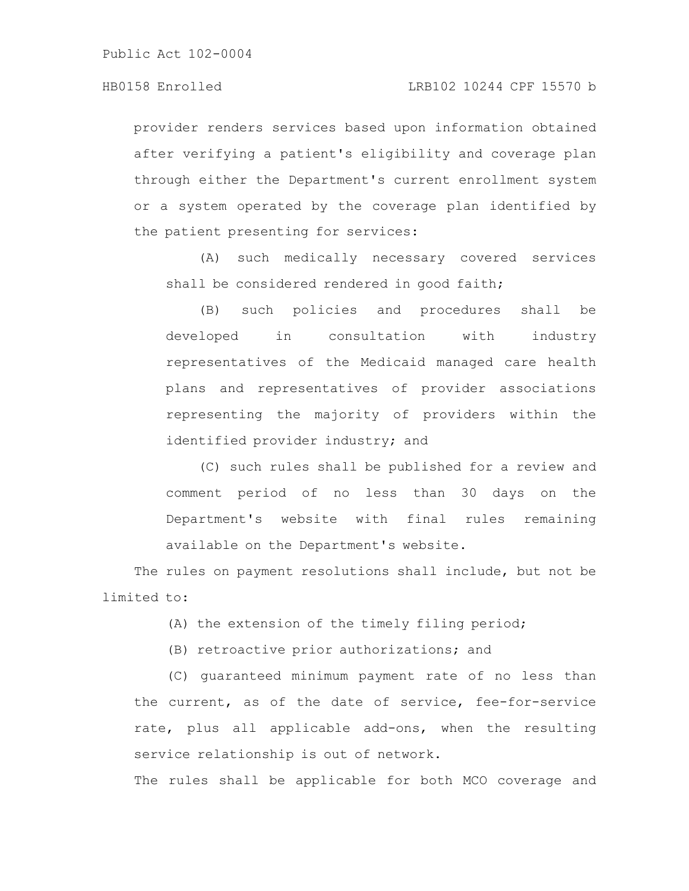# HB0158 Enrolled LRB102 10244 CPF 15570 b

provider renders services based upon information obtained after verifying a patient's eligibility and coverage plan through either the Department's current enrollment system or a system operated by the coverage plan identified by the patient presenting for services:

(A) such medically necessary covered services shall be considered rendered in good faith;

(B) such policies and procedures shall be developed in consultation with industry representatives of the Medicaid managed care health plans and representatives of provider associations representing the majority of providers within the identified provider industry; and

(C) such rules shall be published for a review and comment period of no less than 30 days on the Department's website with final rules remaining available on the Department's website.

The rules on payment resolutions shall include, but not be limited to:

(A) the extension of the timely filing period;

(B) retroactive prior authorizations; and

(C) guaranteed minimum payment rate of no less than the current, as of the date of service, fee-for-service rate, plus all applicable add-ons, when the resulting service relationship is out of network.

The rules shall be applicable for both MCO coverage and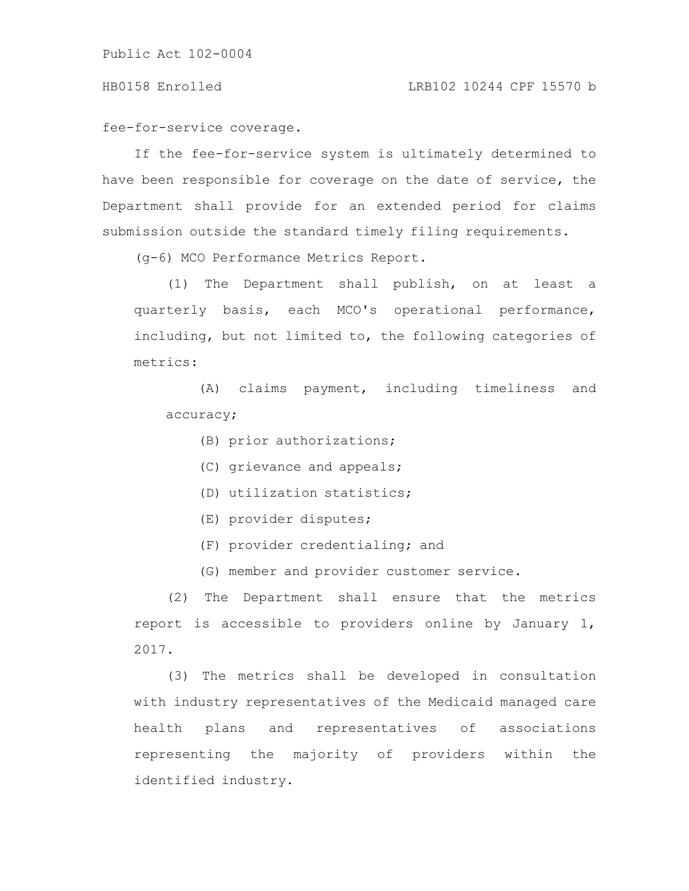## HB0158 Enrolled LRB102 10244 CPF 15570 b

fee-for-service coverage.

If the fee-for-service system is ultimately determined to have been responsible for coverage on the date of service, the Department shall provide for an extended period for claims submission outside the standard timely filing requirements.

(g-6) MCO Performance Metrics Report.

(1) The Department shall publish, on at least a quarterly basis, each MCO's operational performance, including, but not limited to, the following categories of metrics:

(A) claims payment, including timeliness and accuracy;

- (B) prior authorizations;
- (C) grievance and appeals;
- (D) utilization statistics;
- (E) provider disputes;
- (F) provider credentialing; and
- (G) member and provider customer service.

(2) The Department shall ensure that the metrics report is accessible to providers online by January 1, 2017.

(3) The metrics shall be developed in consultation with industry representatives of the Medicaid managed care health plans and representatives of associations representing the majority of providers within the identified industry.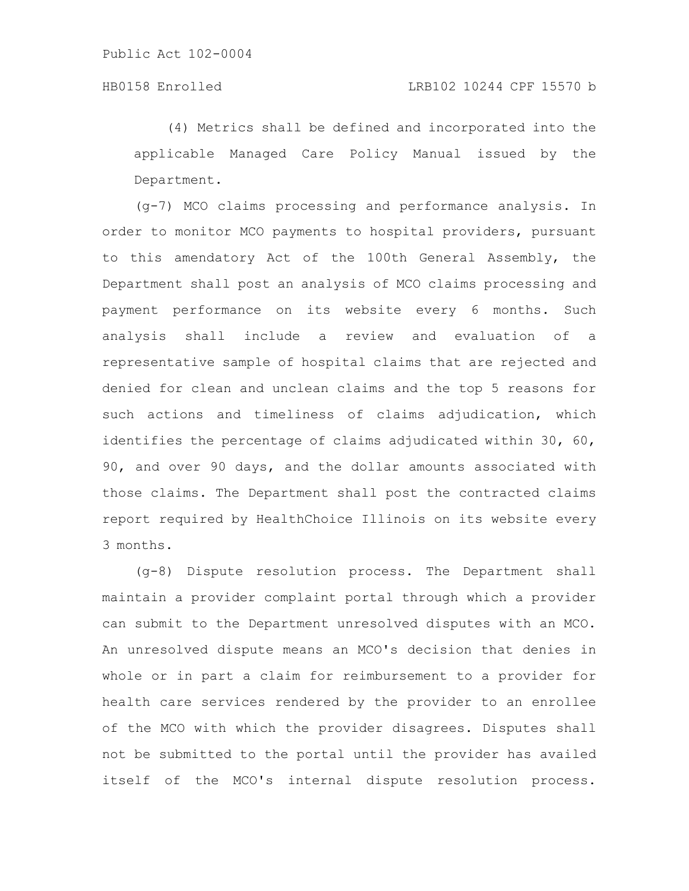(4) Metrics shall be defined and incorporated into the applicable Managed Care Policy Manual issued by the Department.

(g-7) MCO claims processing and performance analysis. In order to monitor MCO payments to hospital providers, pursuant to this amendatory Act of the 100th General Assembly, the Department shall post an analysis of MCO claims processing and payment performance on its website every 6 months. Such analysis shall include a review and evaluation of a representative sample of hospital claims that are rejected and denied for clean and unclean claims and the top 5 reasons for such actions and timeliness of claims adjudication, which identifies the percentage of claims adjudicated within 30, 60, 90, and over 90 days, and the dollar amounts associated with those claims. The Department shall post the contracted claims report required by HealthChoice Illinois on its website every 3 months.

(g-8) Dispute resolution process. The Department shall maintain a provider complaint portal through which a provider can submit to the Department unresolved disputes with an MCO. An unresolved dispute means an MCO's decision that denies in whole or in part a claim for reimbursement to a provider for health care services rendered by the provider to an enrollee of the MCO with which the provider disagrees. Disputes shall not be submitted to the portal until the provider has availed itself of the MCO's internal dispute resolution process.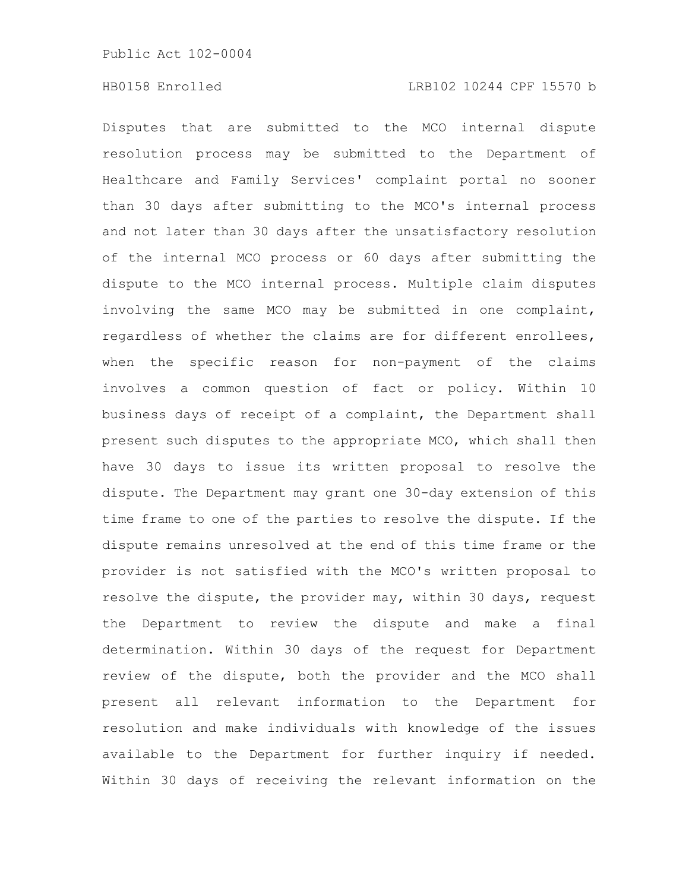# HB0158 Enrolled LRB102 10244 CPF 15570 b

Disputes that are submitted to the MCO internal dispute resolution process may be submitted to the Department of Healthcare and Family Services' complaint portal no sooner than 30 days after submitting to the MCO's internal process and not later than 30 days after the unsatisfactory resolution of the internal MCO process or 60 days after submitting the dispute to the MCO internal process. Multiple claim disputes involving the same MCO may be submitted in one complaint, regardless of whether the claims are for different enrollees, when the specific reason for non-payment of the claims involves a common question of fact or policy. Within 10 business days of receipt of a complaint, the Department shall present such disputes to the appropriate MCO, which shall then have 30 days to issue its written proposal to resolve the dispute. The Department may grant one 30-day extension of this time frame to one of the parties to resolve the dispute. If the dispute remains unresolved at the end of this time frame or the provider is not satisfied with the MCO's written proposal to resolve the dispute, the provider may, within 30 days, request the Department to review the dispute and make a final determination. Within 30 days of the request for Department review of the dispute, both the provider and the MCO shall present all relevant information to the Department for resolution and make individuals with knowledge of the issues available to the Department for further inquiry if needed. Within 30 days of receiving the relevant information on the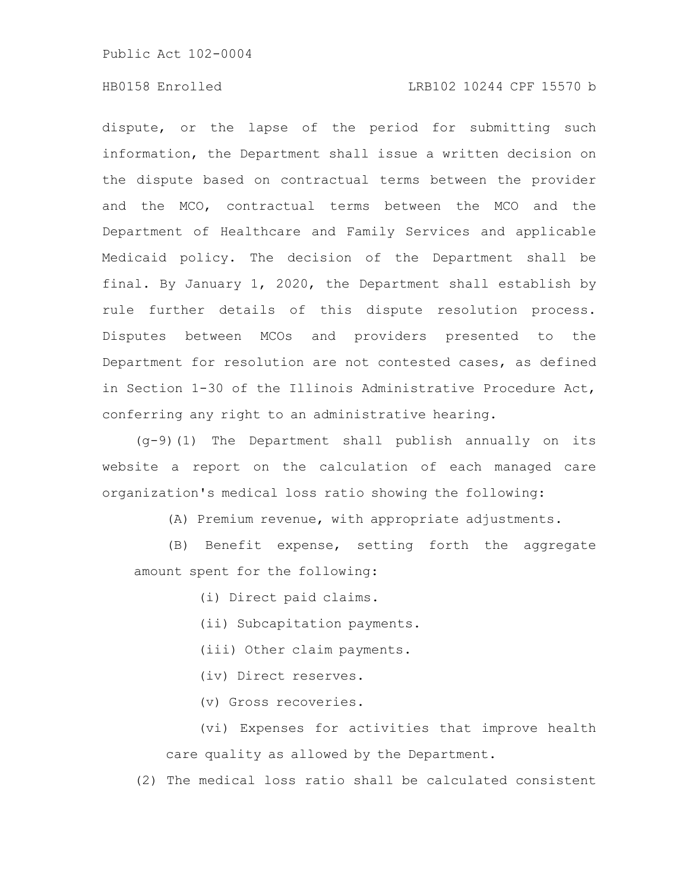# HB0158 Enrolled LRB102 10244 CPF 15570 b

dispute, or the lapse of the period for submitting such information, the Department shall issue a written decision on the dispute based on contractual terms between the provider and the MCO, contractual terms between the MCO and the Department of Healthcare and Family Services and applicable Medicaid policy. The decision of the Department shall be final. By January 1, 2020, the Department shall establish by rule further details of this dispute resolution process. Disputes between MCOs and providers presented to the Department for resolution are not contested cases, as defined in Section 1-30 of the Illinois Administrative Procedure Act, conferring any right to an administrative hearing.

(g-9)(1) The Department shall publish annually on its website a report on the calculation of each managed care organization's medical loss ratio showing the following:

(A) Premium revenue, with appropriate adjustments.

(B) Benefit expense, setting forth the aggregate amount spent for the following:

(i) Direct paid claims.

(ii) Subcapitation payments.

(iii) Other claim payments.

(iv) Direct reserves.

(v) Gross recoveries.

(vi) Expenses for activities that improve health care quality as allowed by the Department.

(2) The medical loss ratio shall be calculated consistent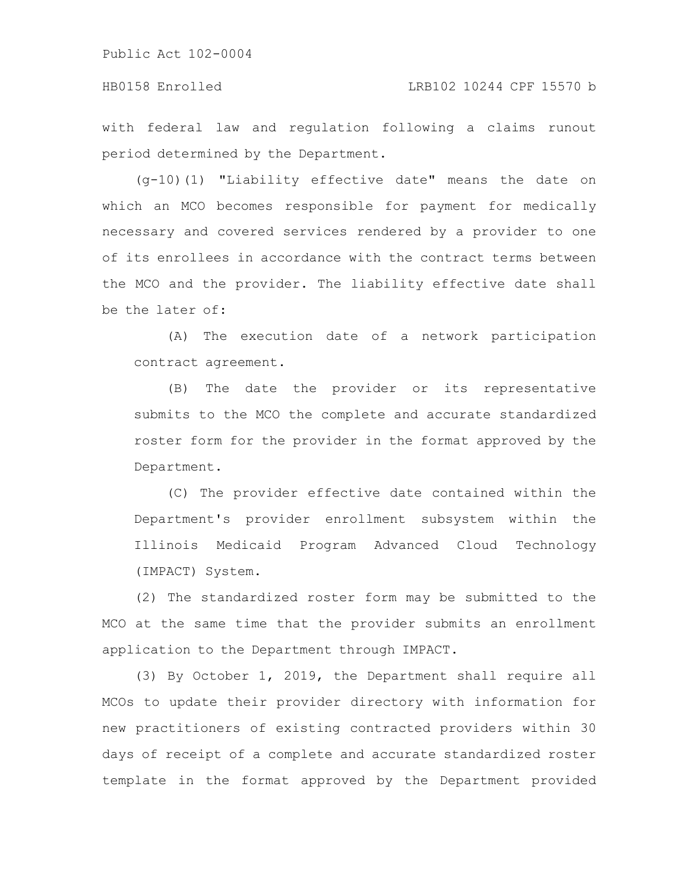with federal law and regulation following a claims runout period determined by the Department.

(g-10)(1) "Liability effective date" means the date on which an MCO becomes responsible for payment for medically necessary and covered services rendered by a provider to one of its enrollees in accordance with the contract terms between the MCO and the provider. The liability effective date shall be the later of:

(A) The execution date of a network participation contract agreement.

(B) The date the provider or its representative submits to the MCO the complete and accurate standardized roster form for the provider in the format approved by the Department.

(C) The provider effective date contained within the Department's provider enrollment subsystem within the Illinois Medicaid Program Advanced Cloud Technology (IMPACT) System.

(2) The standardized roster form may be submitted to the MCO at the same time that the provider submits an enrollment application to the Department through IMPACT.

(3) By October 1, 2019, the Department shall require all MCOs to update their provider directory with information for new practitioners of existing contracted providers within 30 days of receipt of a complete and accurate standardized roster template in the format approved by the Department provided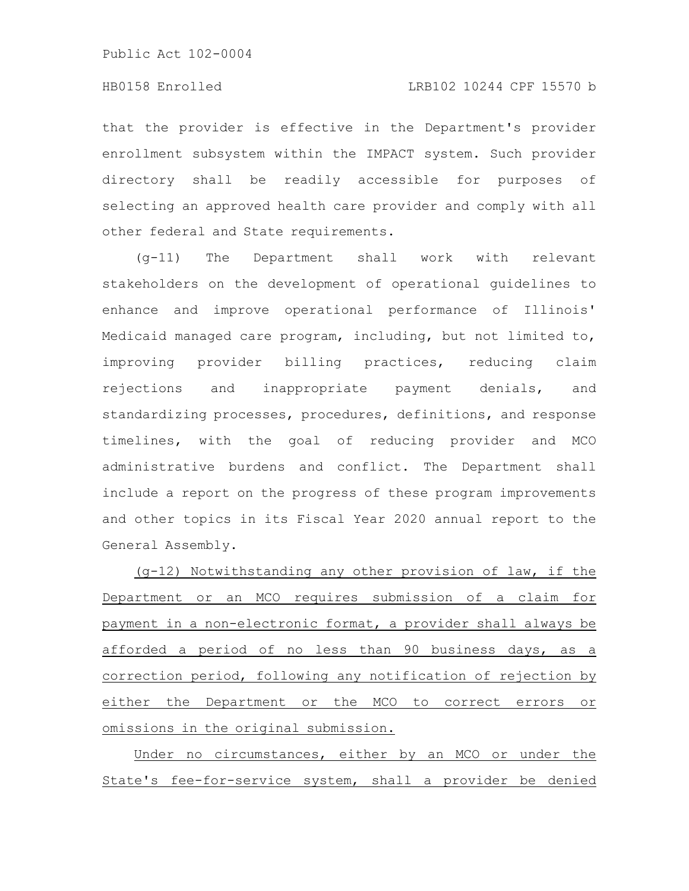that the provider is effective in the Department's provider enrollment subsystem within the IMPACT system. Such provider directory shall be readily accessible for purposes of selecting an approved health care provider and comply with all other federal and State requirements.

(g-11) The Department shall work with relevant stakeholders on the development of operational guidelines to enhance and improve operational performance of Illinois' Medicaid managed care program, including, but not limited to, improving provider billing practices, reducing claim rejections and inappropriate payment denials, and standardizing processes, procedures, definitions, and response timelines, with the goal of reducing provider and MCO administrative burdens and conflict. The Department shall include a report on the progress of these program improvements and other topics in its Fiscal Year 2020 annual report to the General Assembly.

(g-12) Notwithstanding any other provision of law, if the Department or an MCO requires submission of a claim for payment in a non-electronic format, a provider shall always be afforded a period of no less than 90 business days, as a correction period, following any notification of rejection by either the Department or the MCO to correct errors or omissions in the original submission.

Under no circumstances, either by an MCO or under the State's fee-for-service system, shall a provider be denied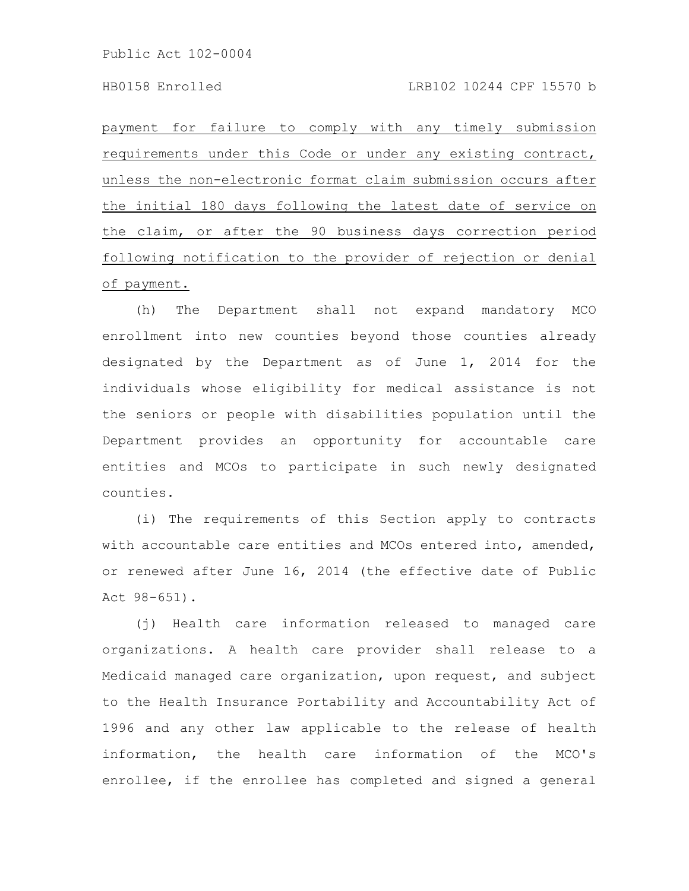payment for failure to comply with any timely submission requirements under this Code or under any existing contract, unless the non-electronic format claim submission occurs after the initial 180 days following the latest date of service on the claim, or after the 90 business days correction period following notification to the provider of rejection or denial of payment.

(h) The Department shall not expand mandatory MCO enrollment into new counties beyond those counties already designated by the Department as of June 1, 2014 for the individuals whose eligibility for medical assistance is not the seniors or people with disabilities population until the Department provides an opportunity for accountable care entities and MCOs to participate in such newly designated counties.

(i) The requirements of this Section apply to contracts with accountable care entities and MCOs entered into, amended, or renewed after June 16, 2014 (the effective date of Public Act 98-651).

(j) Health care information released to managed care organizations. A health care provider shall release to a Medicaid managed care organization, upon request, and subject to the Health Insurance Portability and Accountability Act of 1996 and any other law applicable to the release of health information, the health care information of the MCO's enrollee, if the enrollee has completed and signed a general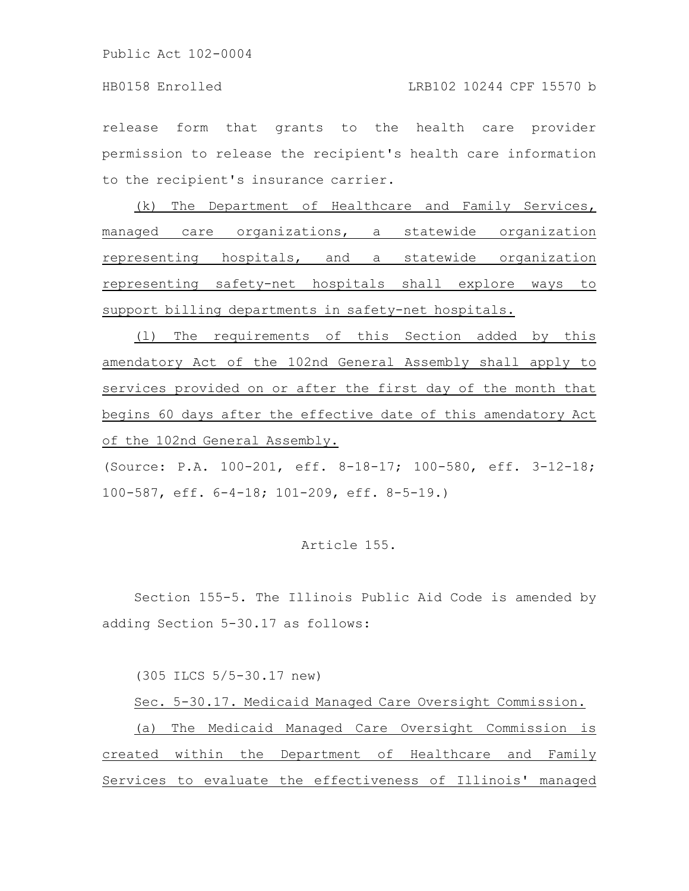release form that grants to the health care provider permission to release the recipient's health care information to the recipient's insurance carrier.

(k) The Department of Healthcare and Family Services, managed care organizations, a statewide organization representing hospitals, and a statewide organization representing safety-net hospitals shall explore ways to support billing departments in safety-net hospitals.

(l) The requirements of this Section added by this amendatory Act of the 102nd General Assembly shall apply to services provided on or after the first day of the month that begins 60 days after the effective date of this amendatory Act of the 102nd General Assembly.

(Source: P.A. 100-201, eff. 8-18-17; 100-580, eff. 3-12-18; 100-587, eff. 6-4-18; 101-209, eff. 8-5-19.)

# Article 155.

Section 155-5. The Illinois Public Aid Code is amended by adding Section 5-30.17 as follows:

(305 ILCS 5/5-30.17 new)

Sec. 5-30.17. Medicaid Managed Care Oversight Commission. (a) The Medicaid Managed Care Oversight Commission is created within the Department of Healthcare and Family Services to evaluate the effectiveness of Illinois' managed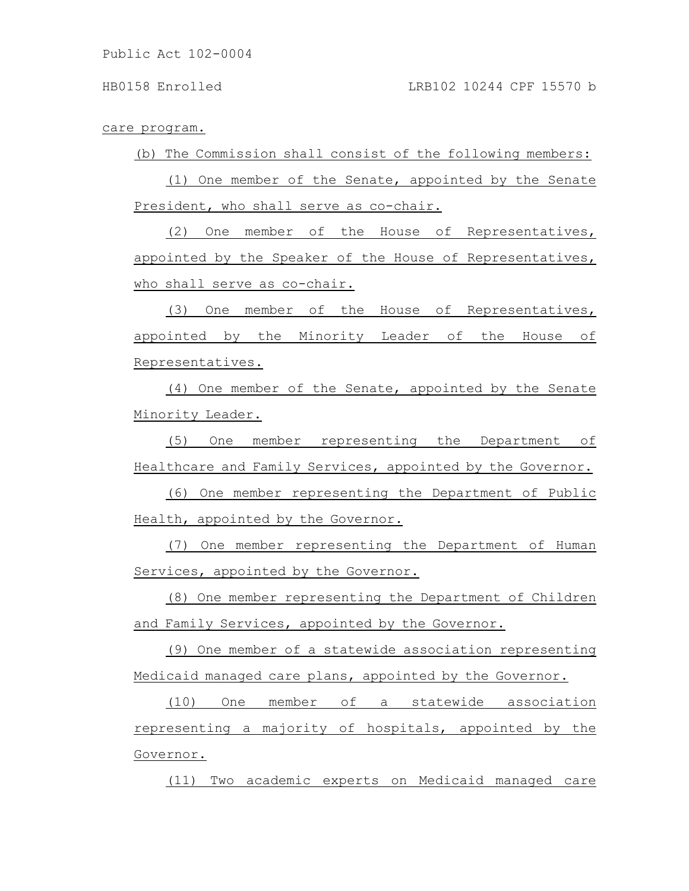care program.

(b) The Commission shall consist of the following members:

(1) One member of the Senate, appointed by the Senate President, who shall serve as co-chair.

(2) One member of the House of Representatives, appointed by the Speaker of the House of Representatives, who shall serve as co-chair.

(3) One member of the House of Representatives, appointed by the Minority Leader of the House of Representatives.

(4) One member of the Senate, appointed by the Senate Minority Leader.

(5) One member representing the Department of Healthcare and Family Services, appointed by the Governor.

(6) One member representing the Department of Public Health, appointed by the Governor.

(7) One member representing the Department of Human Services, appointed by the Governor.

(8) One member representing the Department of Children and Family Services, appointed by the Governor.

(9) One member of a statewide association representing Medicaid managed care plans, appointed by the Governor.

(10) One member of a statewide association representing a majority of hospitals, appointed by the Governor.

(11) Two academic experts on Medicaid managed care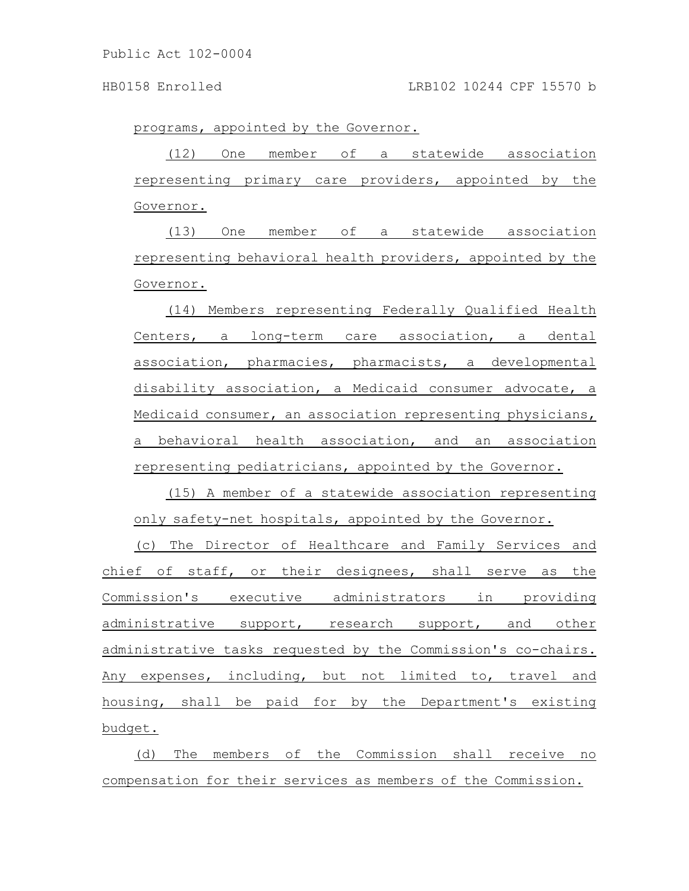programs, appointed by the Governor.

(12) One member of a statewide association representing primary care providers, appointed by the Governor.

(13) One member of a statewide association representing behavioral health providers, appointed by the Governor.

(14) Members representing Federally Qualified Health Centers, a long-term care association, a dental association, pharmacies, pharmacists, a developmental disability association, a Medicaid consumer advocate, a Medicaid consumer, an association representing physicians, a behavioral health association, and an association representing pediatricians, appointed by the Governor.

(15) A member of a statewide association representing only safety-net hospitals, appointed by the Governor.

(c) The Director of Healthcare and Family Services and chief of staff, or their designees, shall serve as the Commission's executive administrators in providing administrative support, research support, and other administrative tasks requested by the Commission's co-chairs. Any expenses, including, but not limited to, travel and housing, shall be paid for by the Department's existing budget.

(d) The members of the Commission shall receive no compensation for their services as members of the Commission.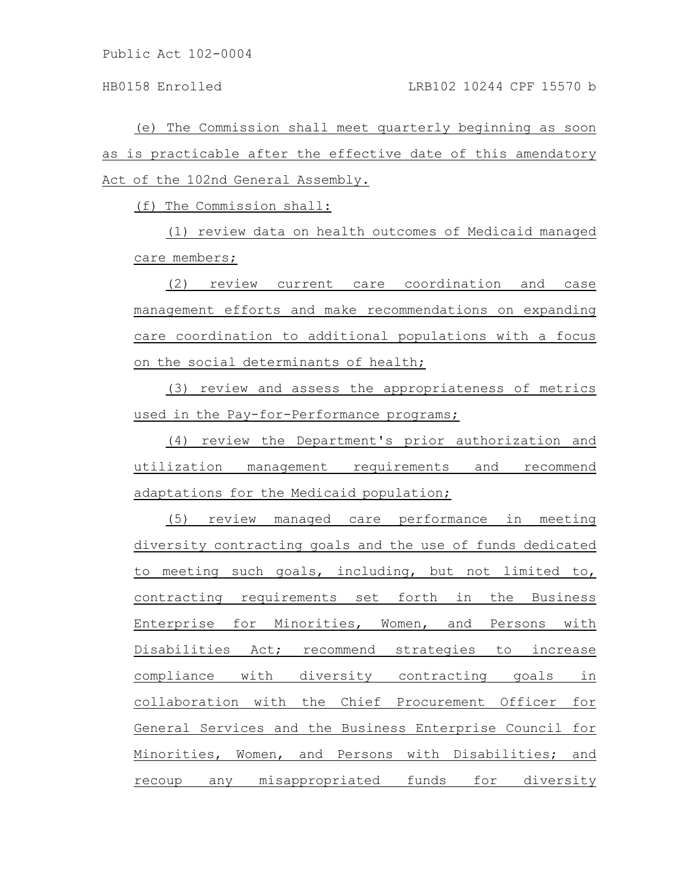# HB0158 Enrolled LRB102 10244 CPF 15570 b

(e) The Commission shall meet quarterly beginning as soon as is practicable after the effective date of this amendatory Act of the 102nd General Assembly.

(f) The Commission shall:

(1) review data on health outcomes of Medicaid managed care members;

(2) review current care coordination and case management efforts and make recommendations on expanding care coordination to additional populations with a focus on the social determinants of health;

(3) review and assess the appropriateness of metrics used in the Pay-for-Performance programs;

(4) review the Department's prior authorization and utilization management requirements and recommend adaptations for the Medicaid population;

(5) review managed care performance in meeting diversity contracting goals and the use of funds dedicated to meeting such goals, including, but not limited to, contracting requirements set forth in the Business Enterprise for Minorities, Women, and Persons with Disabilities Act; recommend strategies to increase compliance with diversity contracting goals in collaboration with the Chief Procurement Officer for General Services and the Business Enterprise Council for Minorities, Women, and Persons with Disabilities; and recoup any misappropriated funds for diversity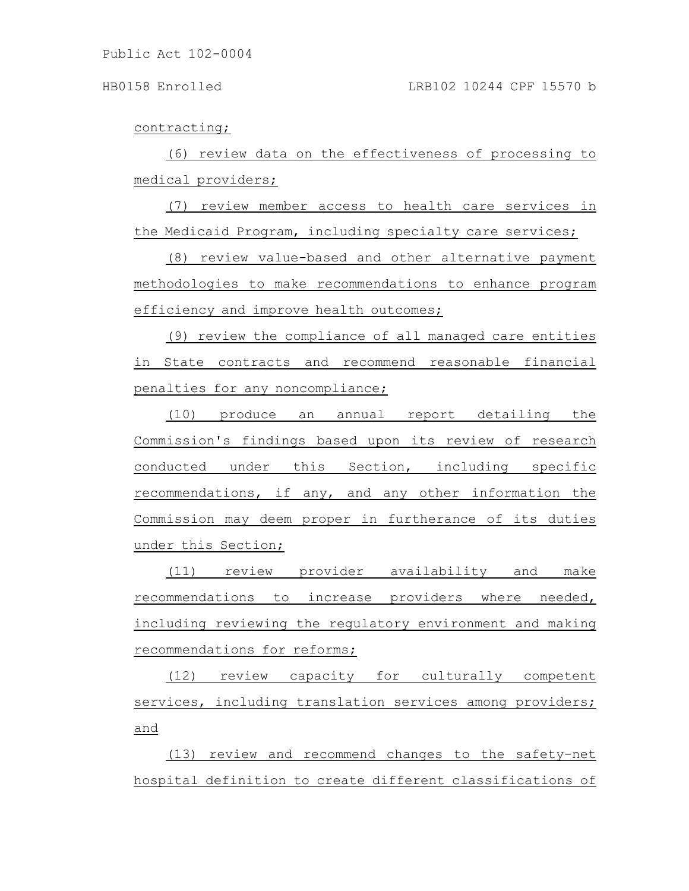contracting;

(6) review data on the effectiveness of processing to medical providers;

(7) review member access to health care services in the Medicaid Program, including specialty care services;

(8) review value-based and other alternative payment methodologies to make recommendations to enhance program efficiency and improve health outcomes;

(9) review the compliance of all managed care entities in State contracts and recommend reasonable financial penalties for any noncompliance;

(10) produce an annual report detailing the Commission's findings based upon its review of research conducted under this Section, including specific recommendations, if any, and any other information the Commission may deem proper in furtherance of its duties under this Section;

(11) review provider availability and make recommendations to increase providers where needed, including reviewing the regulatory environment and making recommendations for reforms;

(12) review capacity for culturally competent services, including translation services among providers; and

(13) review and recommend changes to the safety-net hospital definition to create different classifications of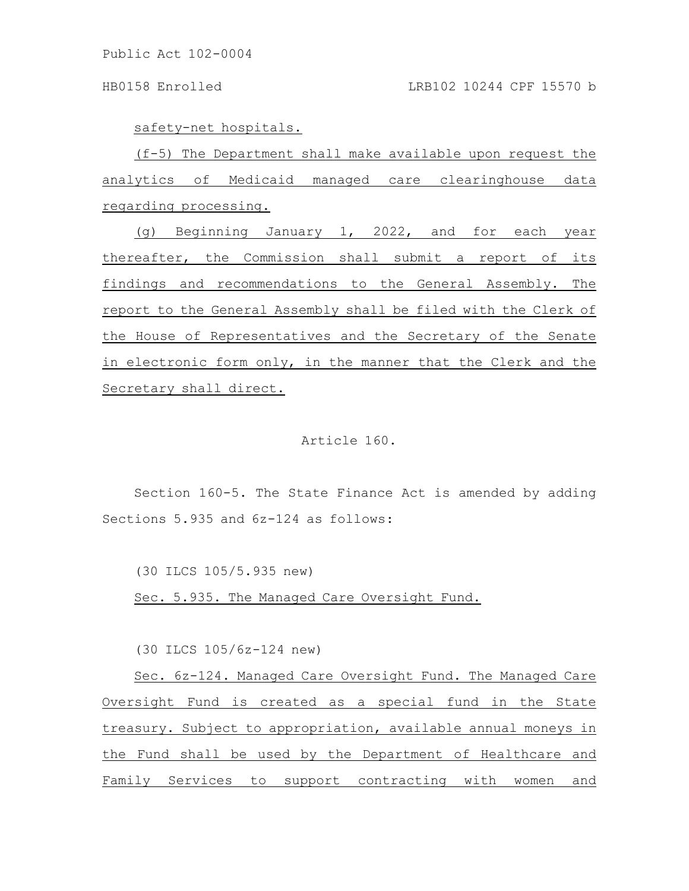safety-net hospitals.

(f-5) The Department shall make available upon request the analytics of Medicaid managed care clearinghouse data regarding processing.

(g) Beginning January 1, 2022, and for each year thereafter, the Commission shall submit a report of its findings and recommendations to the General Assembly. The report to the General Assembly shall be filed with the Clerk of the House of Representatives and the Secretary of the Senate in electronic form only, in the manner that the Clerk and the Secretary shall direct.

## Article 160.

Section 160-5. The State Finance Act is amended by adding Sections 5.935 and 6z-124 as follows:

(30 ILCS 105/5.935 new)

Sec. 5.935. The Managed Care Oversight Fund.

(30 ILCS 105/6z-124 new)

Sec. 6z-124. Managed Care Oversight Fund. The Managed Care Oversight Fund is created as a special fund in the State treasury. Subject to appropriation, available annual moneys in the Fund shall be used by the Department of Healthcare and Family Services to support contracting with women and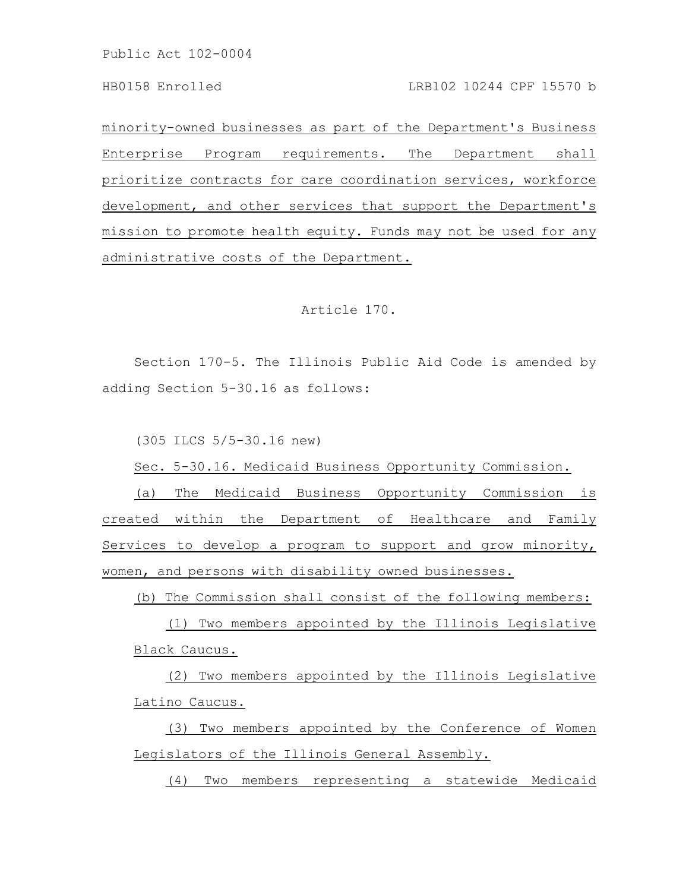minority-owned businesses as part of the Department's Business Enterprise Program requirements. The Department shall prioritize contracts for care coordination services, workforce development, and other services that support the Department's mission to promote health equity. Funds may not be used for any administrative costs of the Department.

# Article 170.

Section 170-5. The Illinois Public Aid Code is amended by adding Section 5-30.16 as follows:

(305 ILCS 5/5-30.16 new)

Sec. 5-30.16. Medicaid Business Opportunity Commission.

(a) The Medicaid Business Opportunity Commission is created within the Department of Healthcare and Family Services to develop a program to support and grow minority, women, and persons with disability owned businesses.

(b) The Commission shall consist of the following members:

(1) Two members appointed by the Illinois Legislative Black Caucus.

(2) Two members appointed by the Illinois Legislative Latino Caucus.

(3) Two members appointed by the Conference of Women Legislators of the Illinois General Assembly.

(4) Two members representing a statewide Medicaid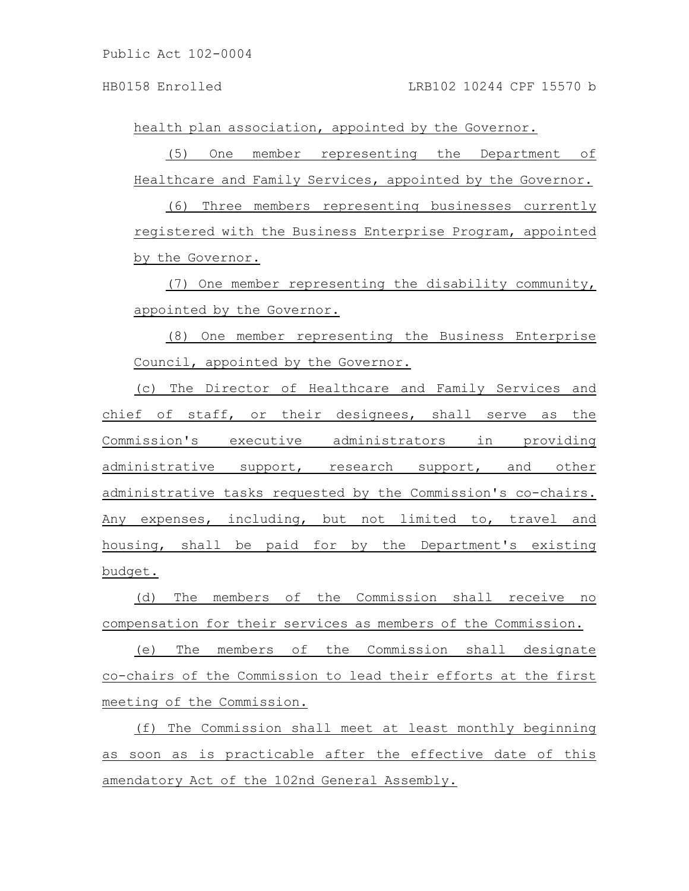health plan association, appointed by the Governor.

(5) One member representing the Department of Healthcare and Family Services, appointed by the Governor.

(6) Three members representing businesses currently registered with the Business Enterprise Program, appointed by the Governor.

(7) One member representing the disability community, appointed by the Governor.

(8) One member representing the Business Enterprise Council, appointed by the Governor.

(c) The Director of Healthcare and Family Services and chief of staff, or their designees, shall serve as the Commission's executive administrators in providing administrative support, research support, and other administrative tasks requested by the Commission's co-chairs. Any expenses, including, but not limited to, travel and housing, shall be paid for by the Department's existing budget.

(d) The members of the Commission shall receive no compensation for their services as members of the Commission.

(e) The members of the Commission shall designate co-chairs of the Commission to lead their efforts at the first meeting of the Commission.

(f) The Commission shall meet at least monthly beginning as soon as is practicable after the effective date of this amendatory Act of the 102nd General Assembly.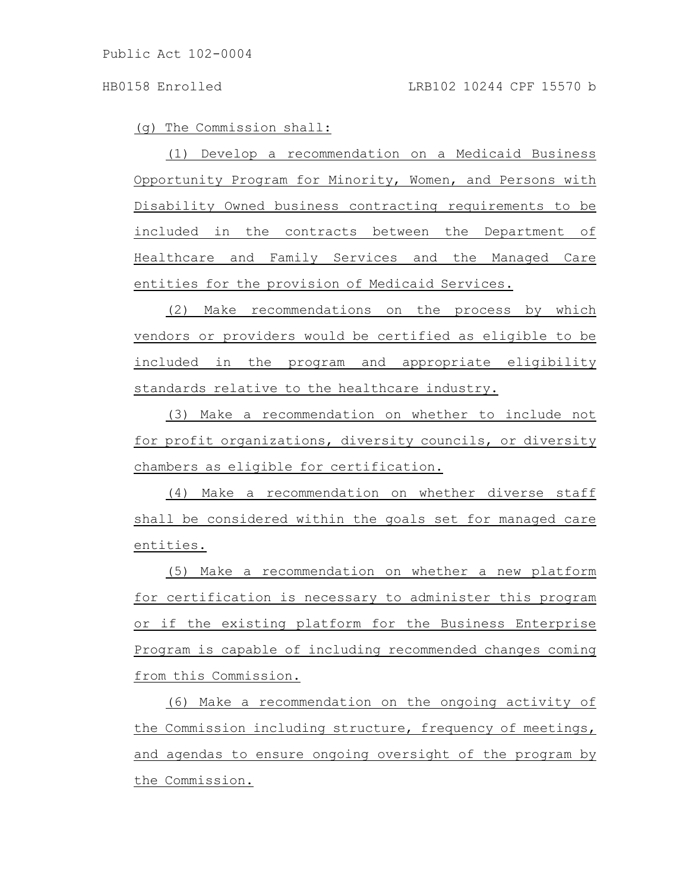(g) The Commission shall:

(1) Develop a recommendation on a Medicaid Business Opportunity Program for Minority, Women, and Persons with Disability Owned business contracting requirements to be included in the contracts between the Department of Healthcare and Family Services and the Managed Care entities for the provision of Medicaid Services.

(2) Make recommendations on the process by which vendors or providers would be certified as eligible to be included in the program and appropriate eligibility standards relative to the healthcare industry.

(3) Make a recommendation on whether to include not for profit organizations, diversity councils, or diversity chambers as eligible for certification.

(4) Make a recommendation on whether diverse staff shall be considered within the goals set for managed care entities.

(5) Make a recommendation on whether a new platform for certification is necessary to administer this program or if the existing platform for the Business Enterprise Program is capable of including recommended changes coming from this Commission.

(6) Make a recommendation on the ongoing activity of the Commission including structure, frequency of meetings, and agendas to ensure ongoing oversight of the program by the Commission.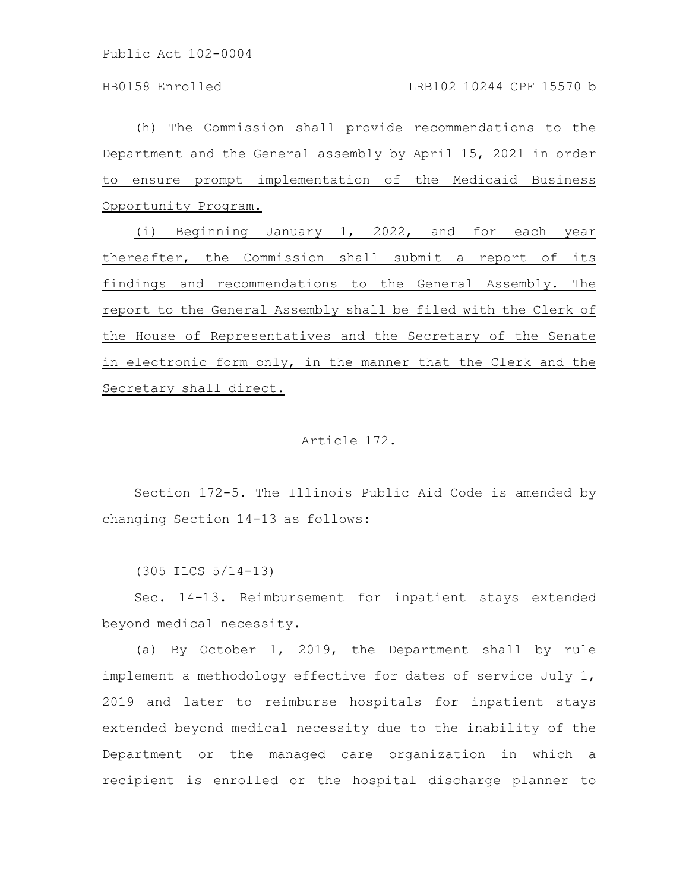HB0158 Enrolled LRB102 10244 CPF 15570 b

(h) The Commission shall provide recommendations to the Department and the General assembly by April 15, 2021 in order to ensure prompt implementation of the Medicaid Business Opportunity Program.

(i) Beginning January 1, 2022, and for each year thereafter, the Commission shall submit a report of its findings and recommendations to the General Assembly. The report to the General Assembly shall be filed with the Clerk of the House of Representatives and the Secretary of the Senate in electronic form only, in the manner that the Clerk and the Secretary shall direct.

## Article 172.

Section 172-5. The Illinois Public Aid Code is amended by changing Section 14-13 as follows:

(305 ILCS 5/14-13)

Sec. 14-13. Reimbursement for inpatient stays extended beyond medical necessity.

(a) By October 1, 2019, the Department shall by rule implement a methodology effective for dates of service July 1, 2019 and later to reimburse hospitals for inpatient stays extended beyond medical necessity due to the inability of the Department or the managed care organization in which a recipient is enrolled or the hospital discharge planner to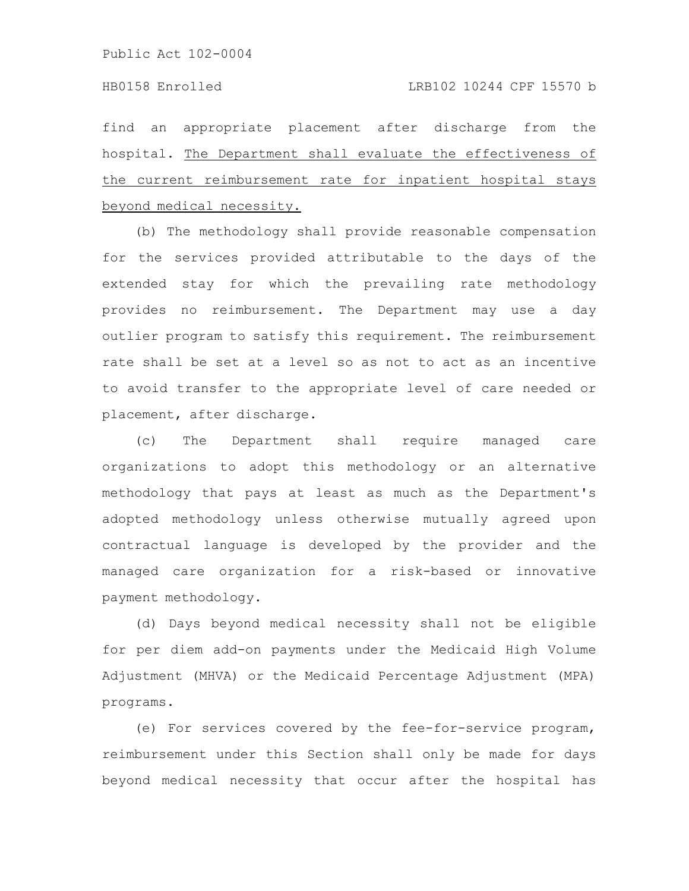find an appropriate placement after discharge from the hospital. The Department shall evaluate the effectiveness of the current reimbursement rate for inpatient hospital stays beyond medical necessity.

(b) The methodology shall provide reasonable compensation for the services provided attributable to the days of the extended stay for which the prevailing rate methodology provides no reimbursement. The Department may use a day outlier program to satisfy this requirement. The reimbursement rate shall be set at a level so as not to act as an incentive to avoid transfer to the appropriate level of care needed or placement, after discharge.

(c) The Department shall require managed care organizations to adopt this methodology or an alternative methodology that pays at least as much as the Department's adopted methodology unless otherwise mutually agreed upon contractual language is developed by the provider and the managed care organization for a risk-based or innovative payment methodology.

(d) Days beyond medical necessity shall not be eligible for per diem add-on payments under the Medicaid High Volume Adjustment (MHVA) or the Medicaid Percentage Adjustment (MPA) programs.

(e) For services covered by the fee-for-service program, reimbursement under this Section shall only be made for days beyond medical necessity that occur after the hospital has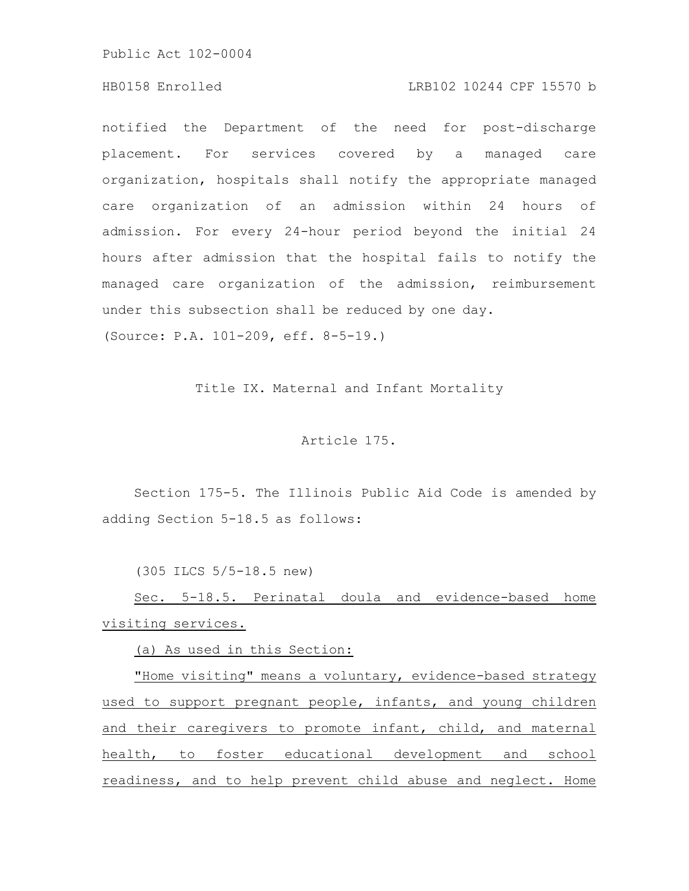# HB0158 Enrolled LRB102 10244 CPF 15570 b

notified the Department of the need for post-discharge placement. For services covered by a managed care organization, hospitals shall notify the appropriate managed care organization of an admission within 24 hours of admission. For every 24-hour period beyond the initial 24 hours after admission that the hospital fails to notify the managed care organization of the admission, reimbursement under this subsection shall be reduced by one day. (Source: P.A. 101-209, eff. 8-5-19.)

Title IX. Maternal and Infant Mortality

## Article 175.

Section 175-5. The Illinois Public Aid Code is amended by adding Section 5-18.5 as follows:

(305 ILCS 5/5-18.5 new)

Sec. 5-18.5. Perinatal doula and evidence-based home visiting services.

(a) As used in this Section:

"Home visiting" means a voluntary, evidence-based strategy used to support pregnant people, infants, and young children and their caregivers to promote infant, child, and maternal health, to foster educational development and school readiness, and to help prevent child abuse and neglect. Home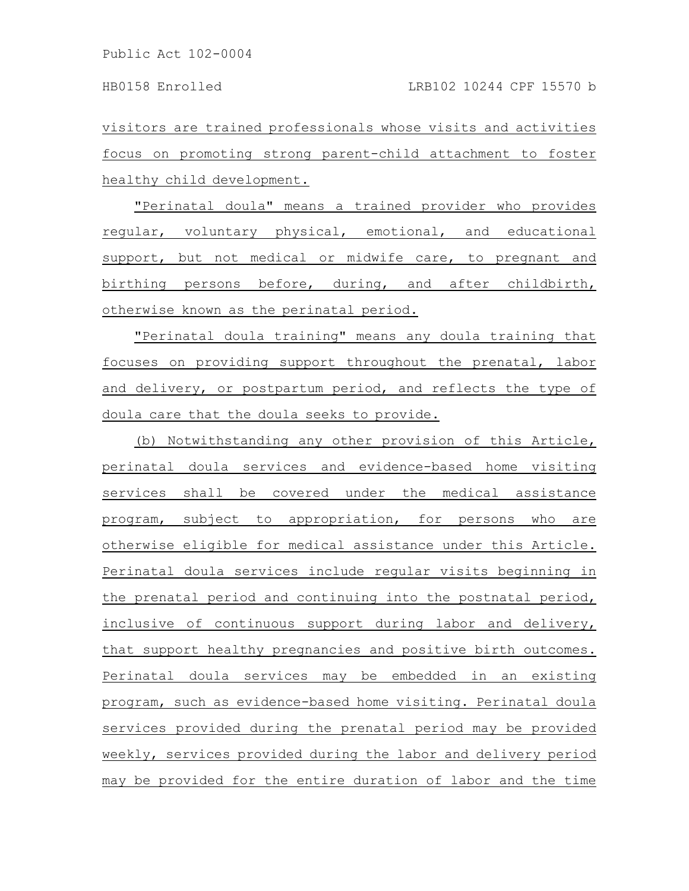visitors are trained professionals whose visits and activities focus on promoting strong parent-child attachment to foster healthy child development.

"Perinatal doula" means a trained provider who provides regular, voluntary physical, emotional, and educational support, but not medical or midwife care, to pregnant and birthing persons before, during, and after childbirth, otherwise known as the perinatal period.

"Perinatal doula training" means any doula training that focuses on providing support throughout the prenatal, labor and delivery, or postpartum period, and reflects the type of doula care that the doula seeks to provide.

(b) Notwithstanding any other provision of this Article, perinatal doula services and evidence-based home visiting services shall be covered under the medical assistance program, subject to appropriation, for persons who are otherwise eligible for medical assistance under this Article. Perinatal doula services include regular visits beginning in the prenatal period and continuing into the postnatal period, inclusive of continuous support during labor and delivery, that support healthy pregnancies and positive birth outcomes. Perinatal doula services may be embedded in an existing program, such as evidence-based home visiting. Perinatal doula services provided during the prenatal period may be provided weekly, services provided during the labor and delivery period may be provided for the entire duration of labor and the time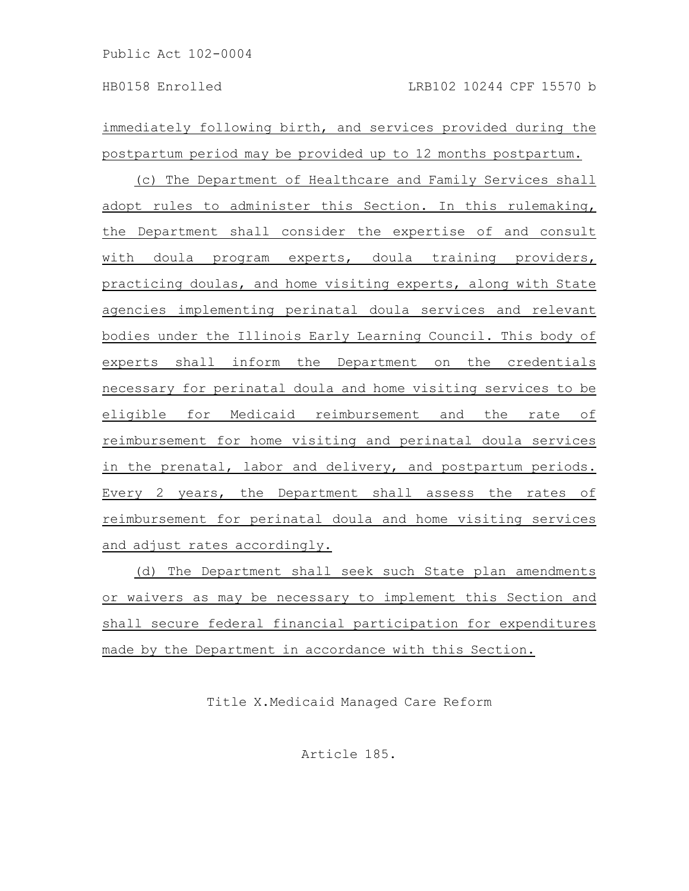immediately following birth, and services provided during the postpartum period may be provided up to 12 months postpartum.

(c) The Department of Healthcare and Family Services shall adopt rules to administer this Section. In this rulemaking, the Department shall consider the expertise of and consult with doula program experts, doula training providers, practicing doulas, and home visiting experts, along with State agencies implementing perinatal doula services and relevant bodies under the Illinois Early Learning Council. This body of experts shall inform the Department on the credentials necessary for perinatal doula and home visiting services to be eligible for Medicaid reimbursement and the rate of reimbursement for home visiting and perinatal doula services in the prenatal, labor and delivery, and postpartum periods. Every 2 years, the Department shall assess the rates of reimbursement for perinatal doula and home visiting services and adjust rates accordingly.

(d) The Department shall seek such State plan amendments or waivers as may be necessary to implement this Section and shall secure federal financial participation for expenditures made by the Department in accordance with this Section.

Title X.Medicaid Managed Care Reform

Article 185.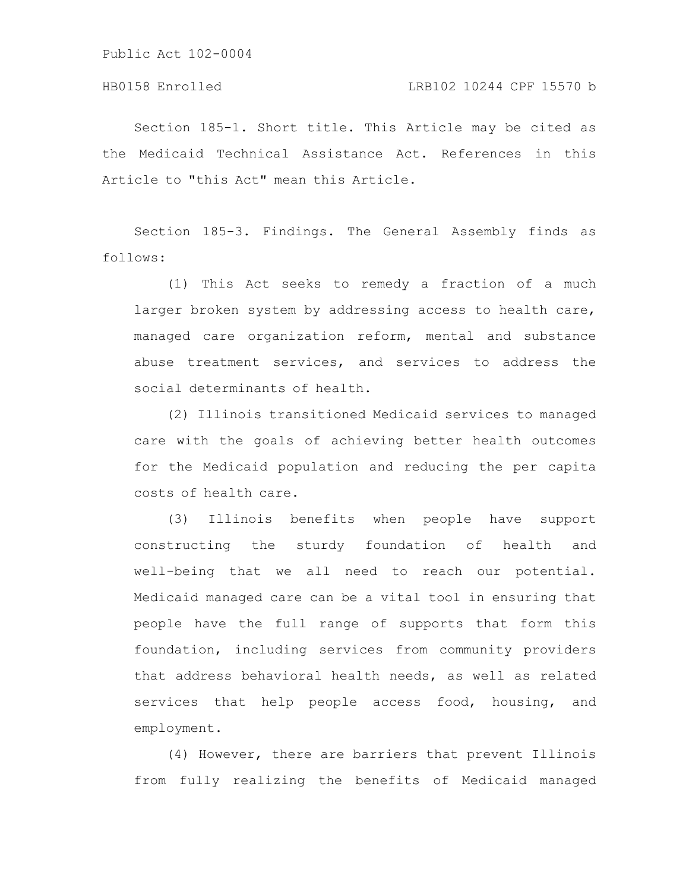Section 185-1. Short title. This Article may be cited as the Medicaid Technical Assistance Act. References in this Article to "this Act" mean this Article.

Section 185-3. Findings. The General Assembly finds as follows:

(1) This Act seeks to remedy a fraction of a much larger broken system by addressing access to health care, managed care organization reform, mental and substance abuse treatment services, and services to address the social determinants of health.

(2) Illinois transitioned Medicaid services to managed care with the goals of achieving better health outcomes for the Medicaid population and reducing the per capita costs of health care.

(3) Illinois benefits when people have support constructing the sturdy foundation of health and well-being that we all need to reach our potential. Medicaid managed care can be a vital tool in ensuring that people have the full range of supports that form this foundation, including services from community providers that address behavioral health needs, as well as related services that help people access food, housing, and employment.

(4) However, there are barriers that prevent Illinois from fully realizing the benefits of Medicaid managed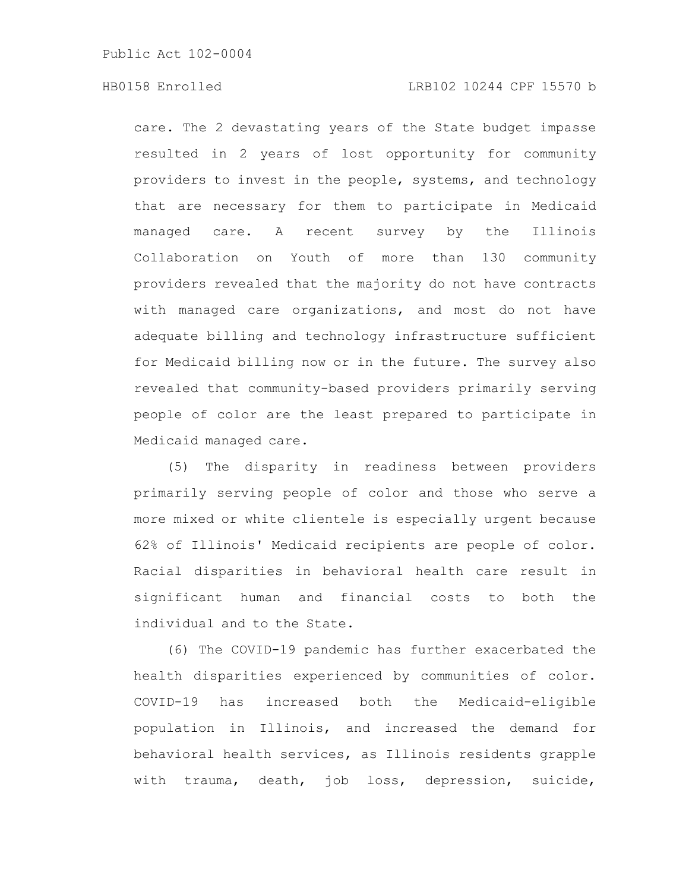## HB0158 Enrolled LRB102 10244 CPF 15570 b

care. The 2 devastating years of the State budget impasse resulted in 2 years of lost opportunity for community providers to invest in the people, systems, and technology that are necessary for them to participate in Medicaid managed care. A recent survey by the Illinois Collaboration on Youth of more than 130 community providers revealed that the majority do not have contracts with managed care organizations, and most do not have adequate billing and technology infrastructure sufficient for Medicaid billing now or in the future. The survey also revealed that community-based providers primarily serving people of color are the least prepared to participate in Medicaid managed care.

(5) The disparity in readiness between providers primarily serving people of color and those who serve a more mixed or white clientele is especially urgent because 62% of Illinois' Medicaid recipients are people of color. Racial disparities in behavioral health care result in significant human and financial costs to both the individual and to the State.

(6) The COVID-19 pandemic has further exacerbated the health disparities experienced by communities of color. COVID-19 has increased both the Medicaid-eligible population in Illinois, and increased the demand for behavioral health services, as Illinois residents grapple with trauma, death, job loss, depression, suicide,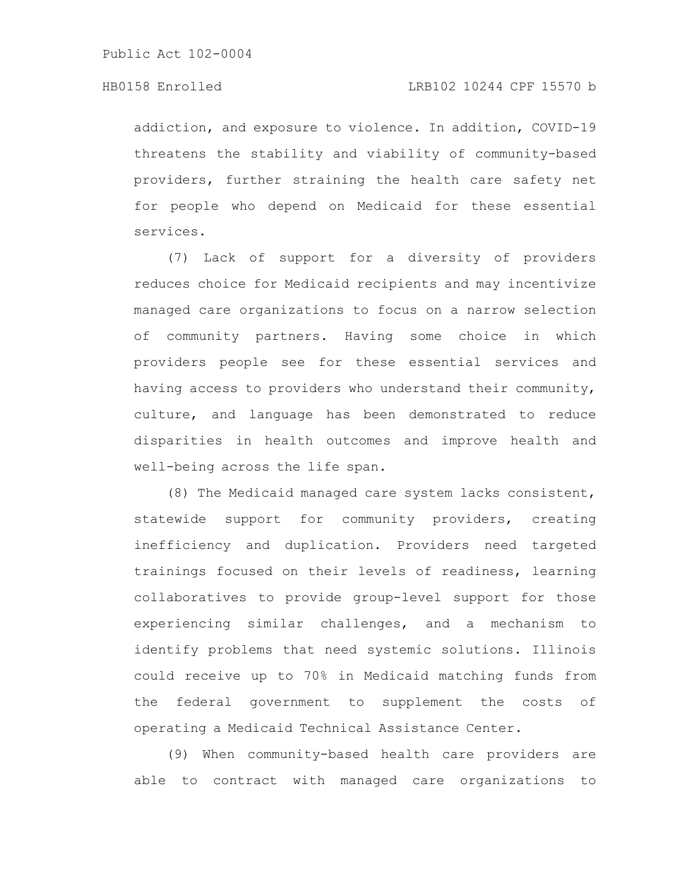addiction, and exposure to violence. In addition, COVID-19 threatens the stability and viability of community-based providers, further straining the health care safety net for people who depend on Medicaid for these essential services.

(7) Lack of support for a diversity of providers reduces choice for Medicaid recipients and may incentivize managed care organizations to focus on a narrow selection of community partners. Having some choice in which providers people see for these essential services and having access to providers who understand their community, culture, and language has been demonstrated to reduce disparities in health outcomes and improve health and well-being across the life span.

(8) The Medicaid managed care system lacks consistent, statewide support for community providers, creating inefficiency and duplication. Providers need targeted trainings focused on their levels of readiness, learning collaboratives to provide group-level support for those experiencing similar challenges, and a mechanism to identify problems that need systemic solutions. Illinois could receive up to 70% in Medicaid matching funds from the federal government to supplement the costs of operating a Medicaid Technical Assistance Center.

(9) When community-based health care providers are able to contract with managed care organizations to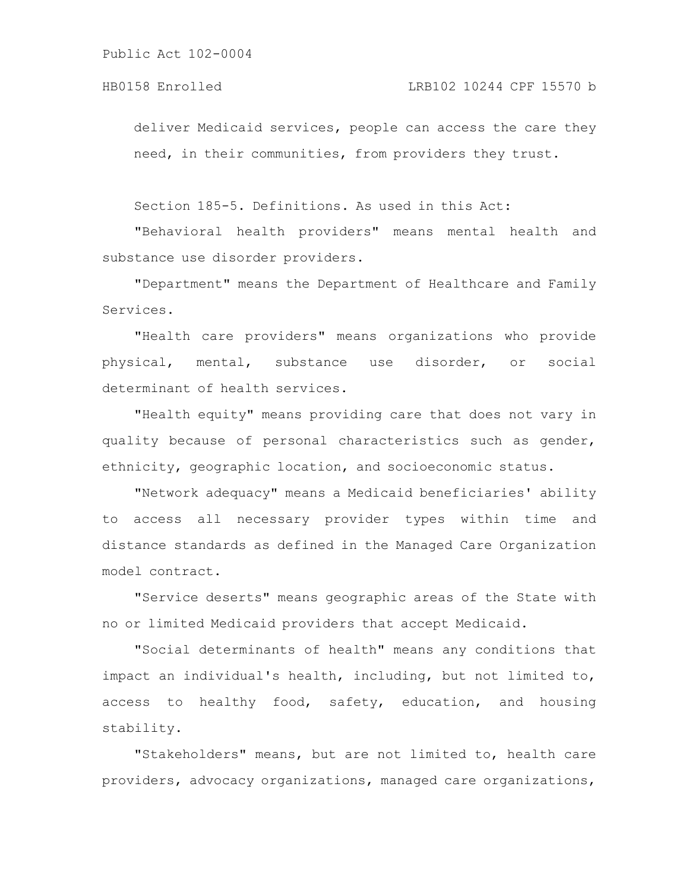## HB0158 Enrolled LRB102 10244 CPF 15570 b

deliver Medicaid services, people can access the care they need, in their communities, from providers they trust.

Section 185-5. Definitions. As used in this Act:

"Behavioral health providers" means mental health and substance use disorder providers.

"Department" means the Department of Healthcare and Family Services.

"Health care providers" means organizations who provide physical, mental, substance use disorder, or social determinant of health services.

"Health equity" means providing care that does not vary in quality because of personal characteristics such as gender, ethnicity, geographic location, and socioeconomic status.

"Network adequacy" means a Medicaid beneficiaries' ability to access all necessary provider types within time and distance standards as defined in the Managed Care Organization model contract.

"Service deserts" means geographic areas of the State with no or limited Medicaid providers that accept Medicaid.

"Social determinants of health" means any conditions that impact an individual's health, including, but not limited to, access to healthy food, safety, education, and housing stability.

"Stakeholders" means, but are not limited to, health care providers, advocacy organizations, managed care organizations,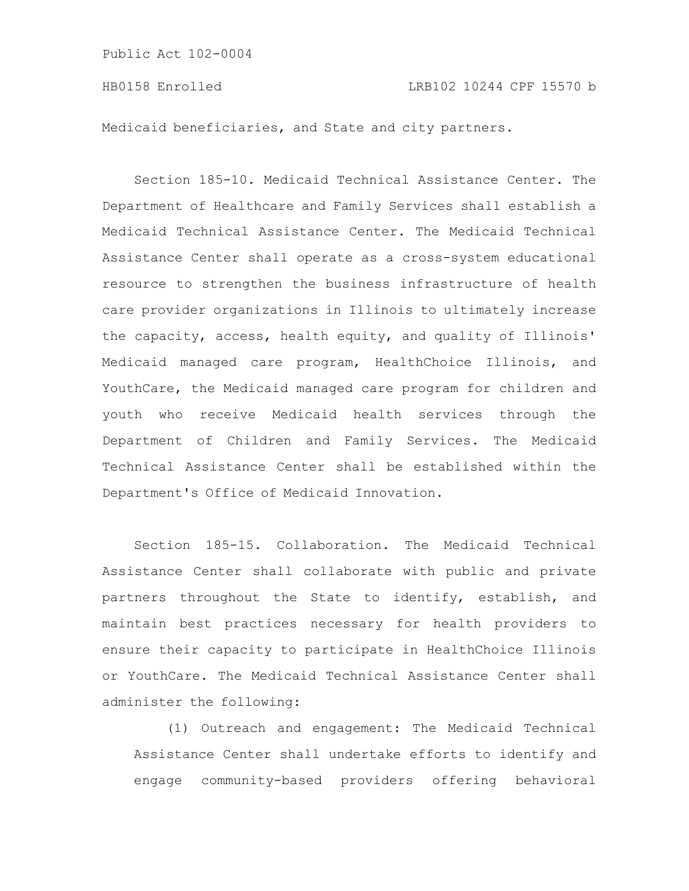Medicaid beneficiaries, and State and city partners.

Section 185-10. Medicaid Technical Assistance Center. The Department of Healthcare and Family Services shall establish a Medicaid Technical Assistance Center. The Medicaid Technical Assistance Center shall operate as a cross-system educational resource to strengthen the business infrastructure of health care provider organizations in Illinois to ultimately increase the capacity, access, health equity, and quality of Illinois' Medicaid managed care program, HealthChoice Illinois, and YouthCare, the Medicaid managed care program for children and youth who receive Medicaid health services through the Department of Children and Family Services. The Medicaid Technical Assistance Center shall be established within the Department's Office of Medicaid Innovation.

Section 185-15. Collaboration. The Medicaid Technical Assistance Center shall collaborate with public and private partners throughout the State to identify, establish, and maintain best practices necessary for health providers to ensure their capacity to participate in HealthChoice Illinois or YouthCare. The Medicaid Technical Assistance Center shall administer the following:

(1) Outreach and engagement: The Medicaid Technical Assistance Center shall undertake efforts to identify and engage community-based providers offering behavioral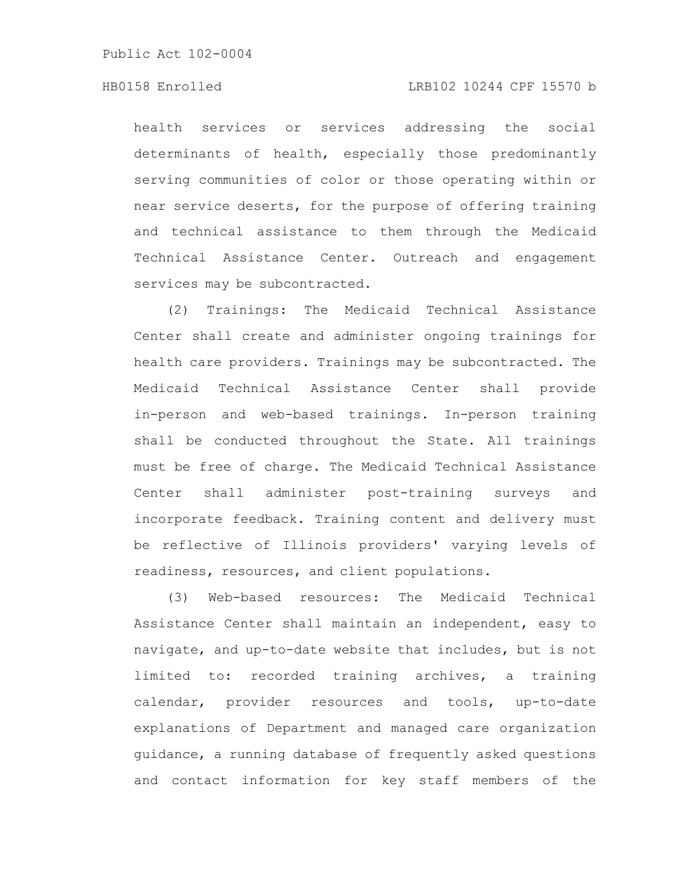## HB0158 Enrolled LRB102 10244 CPF 15570 b

health services or services addressing the social determinants of health, especially those predominantly serving communities of color or those operating within or near service deserts, for the purpose of offering training and technical assistance to them through the Medicaid Technical Assistance Center. Outreach and engagement services may be subcontracted.

(2) Trainings: The Medicaid Technical Assistance Center shall create and administer ongoing trainings for health care providers. Trainings may be subcontracted. The Medicaid Technical Assistance Center shall provide in-person and web-based trainings. In-person training shall be conducted throughout the State. All trainings must be free of charge. The Medicaid Technical Assistance Center shall administer post-training surveys and incorporate feedback. Training content and delivery must be reflective of Illinois providers' varying levels of readiness, resources, and client populations.

(3) Web-based resources: The Medicaid Technical Assistance Center shall maintain an independent, easy to navigate, and up-to-date website that includes, but is not limited to: recorded training archives, a training calendar, provider resources and tools, up-to-date explanations of Department and managed care organization guidance, a running database of frequently asked questions and contact information for key staff members of the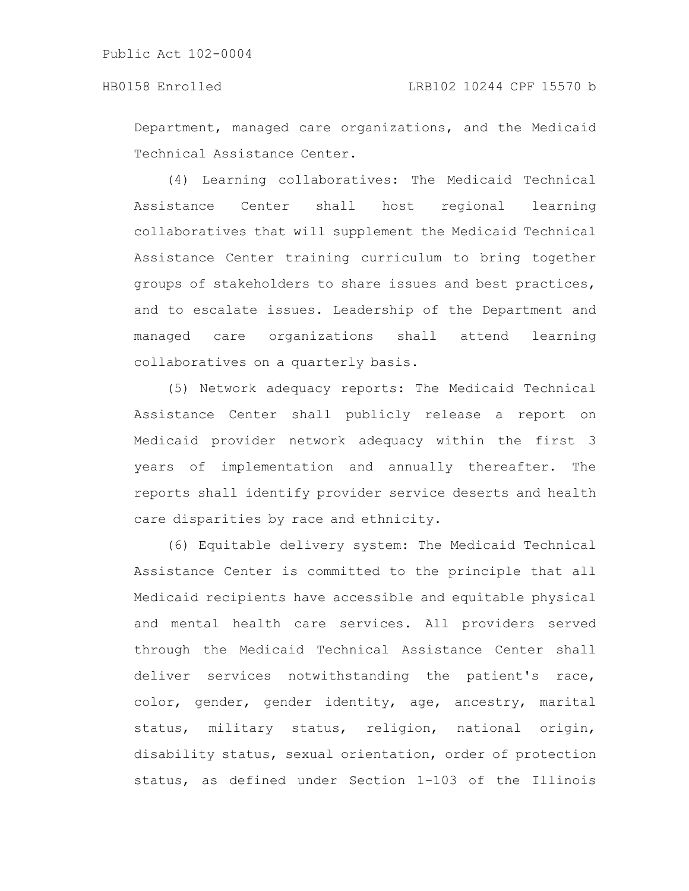Department, managed care organizations, and the Medicaid Technical Assistance Center.

(4) Learning collaboratives: The Medicaid Technical Assistance Center shall host regional learning collaboratives that will supplement the Medicaid Technical Assistance Center training curriculum to bring together groups of stakeholders to share issues and best practices, and to escalate issues. Leadership of the Department and managed care organizations shall attend learning collaboratives on a quarterly basis.

(5) Network adequacy reports: The Medicaid Technical Assistance Center shall publicly release a report on Medicaid provider network adequacy within the first 3 years of implementation and annually thereafter. The reports shall identify provider service deserts and health care disparities by race and ethnicity.

(6) Equitable delivery system: The Medicaid Technical Assistance Center is committed to the principle that all Medicaid recipients have accessible and equitable physical and mental health care services. All providers served through the Medicaid Technical Assistance Center shall deliver services notwithstanding the patient's race, color, gender, gender identity, age, ancestry, marital status, military status, religion, national origin, disability status, sexual orientation, order of protection status, as defined under Section 1-103 of the Illinois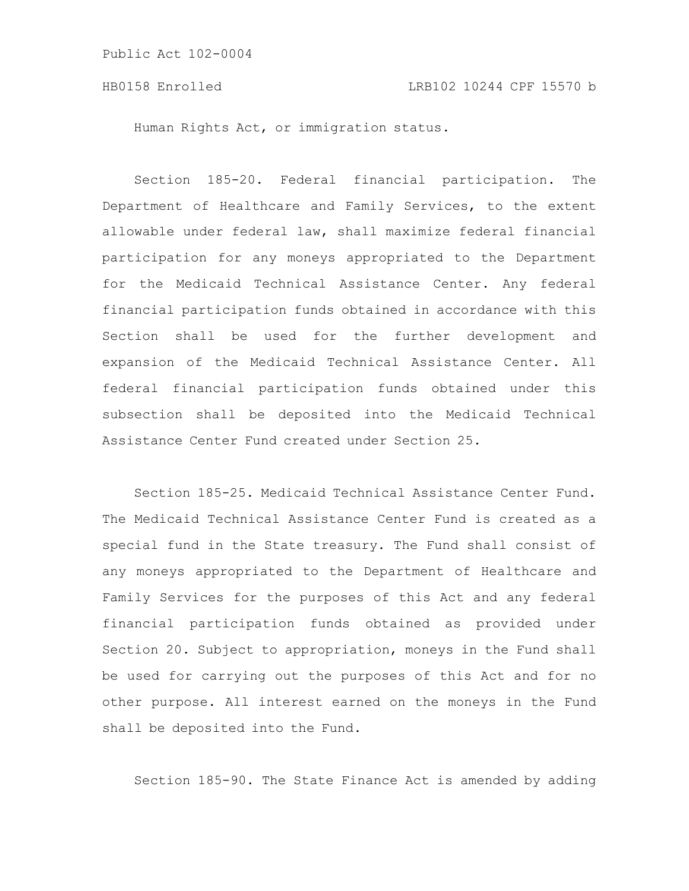Human Rights Act, or immigration status.

Section 185-20. Federal financial participation. The Department of Healthcare and Family Services, to the extent allowable under federal law, shall maximize federal financial participation for any moneys appropriated to the Department for the Medicaid Technical Assistance Center. Any federal financial participation funds obtained in accordance with this Section shall be used for the further development and expansion of the Medicaid Technical Assistance Center. All federal financial participation funds obtained under this subsection shall be deposited into the Medicaid Technical Assistance Center Fund created under Section 25.

Section 185-25. Medicaid Technical Assistance Center Fund. The Medicaid Technical Assistance Center Fund is created as a special fund in the State treasury. The Fund shall consist of any moneys appropriated to the Department of Healthcare and Family Services for the purposes of this Act and any federal financial participation funds obtained as provided under Section 20. Subject to appropriation, moneys in the Fund shall be used for carrying out the purposes of this Act and for no other purpose. All interest earned on the moneys in the Fund shall be deposited into the Fund.

Section 185-90. The State Finance Act is amended by adding